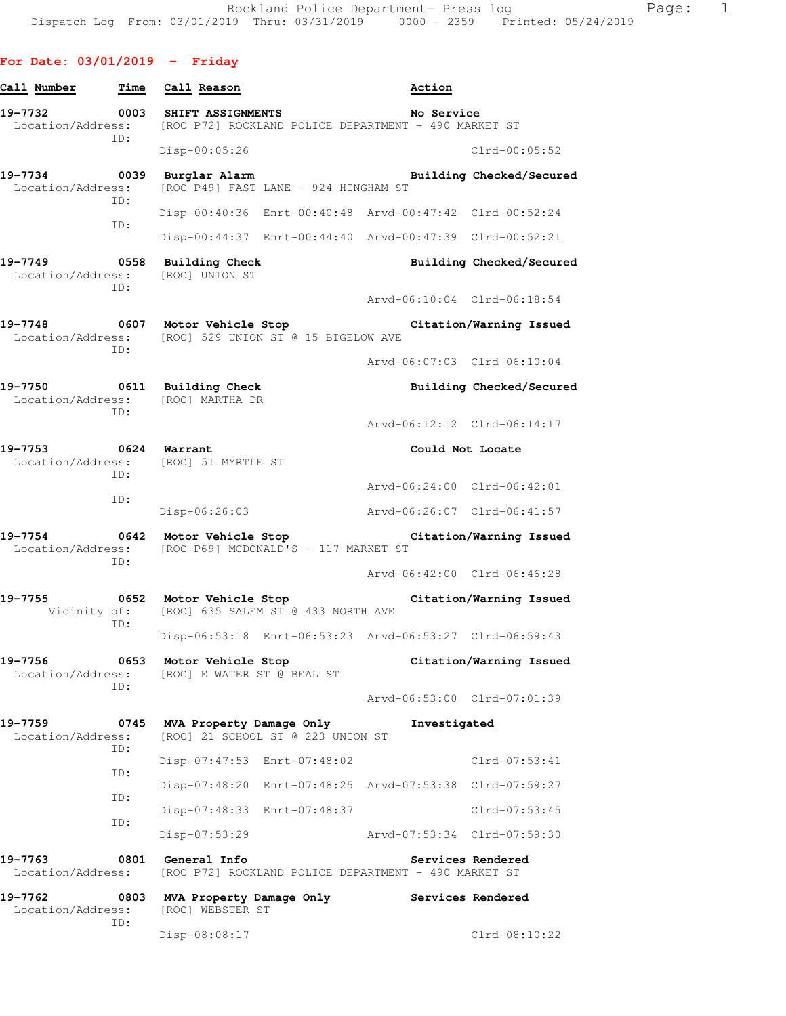# **For Date: 03/01/2019 - Friday**

| Call Number                                                | Time        | Call Reason                                                             |                                                               | Action                                                                 |                          |
|------------------------------------------------------------|-------------|-------------------------------------------------------------------------|---------------------------------------------------------------|------------------------------------------------------------------------|--------------------------|
| 19-7732<br>Location/Address:                               | 0003<br>ID: | SHIFT ASSIGNMENTS                                                       |                                                               | No Service<br>[ROC P72] ROCKLAND POLICE DEPARTMENT - 490 MARKET ST     |                          |
|                                                            |             | Disp-00:05:26                                                           |                                                               |                                                                        | $Clrd-00:05:52$          |
| 19-7734<br>Location/Address:                               | 0039        | Burglar Alarm                                                           | [ROC P49] FAST LANE - 924 HINGHAM ST                          |                                                                        | Building Checked/Secured |
|                                                            | ID:         |                                                                         |                                                               | Disp-00:40:36 Enrt-00:40:48 Arvd-00:47:42 Clrd-00:52:24                |                          |
|                                                            | ID:         |                                                                         |                                                               | Disp-00:44:37 Enrt-00:44:40 Arvd-00:47:39 Clrd-00:52:21                |                          |
| 19-7749                                                    | ID:         | 0558 Building Check<br>Location/Address: [ROC] UNION ST                 |                                                               |                                                                        | Building Checked/Secured |
|                                                            |             |                                                                         |                                                               | Arvd-06:10:04 Clrd-06:18:54                                            |                          |
| 19-7748                                                    | ID:         | 0607 Motor Vehicle Stop                                                 | Location/Address: [ROC] 529 UNION ST @ 15 BIGELOW AVE         |                                                                        | Citation/Warning Issued  |
|                                                            |             |                                                                         |                                                               | Arvd-06:07:03 Clrd-06:10:04                                            |                          |
| 19-7750                                                    | ID:         | 0611 Building Check<br>Location/Address: [ROC] MARTHA DR                |                                                               |                                                                        | Building Checked/Secured |
|                                                            |             |                                                                         |                                                               | Arvd-06:12:12 Clrd-06:14:17                                            |                          |
| 0624 Warrant<br>19-7753<br>Location/Address:<br>ID:<br>ID: |             | [ROC] 51 MYRTLE ST                                                      |                                                               | Could Not Locate                                                       |                          |
|                                                            |             |                                                                         |                                                               | Arvd-06:24:00 Clrd-06:42:01                                            |                          |
|                                                            |             | Disp-06:26:03                                                           |                                                               | Arvd-06:26:07 Clrd-06:41:57                                            |                          |
| 19-7754                                                    | ID:         | 0642 Motor Vehicle Stop                                                 | Location/Address: [ROC P69] MCDONALD'S - 117 MARKET ST        |                                                                        | Citation/Warning Issued  |
|                                                            |             |                                                                         |                                                               | Arvd-06:42:00 Clrd-06:46:28                                            |                          |
| 19-7755                                                    | ID:         | 0652 Motor Vehicle Stop                                                 | Vicinity of: [ROC] 635 SALEM ST @ 433 NORTH AVE               |                                                                        | Citation/Warning Issued  |
|                                                            |             |                                                                         |                                                               | Disp-06:53:18 Enrt-06:53:23 Arvd-06:53:27 Clrd-06:59:43                |                          |
| 19-7756                                                    | ID:         | 0653 Motor Vehicle Stop<br>Location/Address: [ROC] E WATER ST @ BEAL ST |                                                               |                                                                        | Citation/Warning Issued  |
|                                                            |             |                                                                         |                                                               | Arvd-06:53:00 Clrd-07:01:39                                            |                          |
| 19-7759<br>Location/Address:                               | 0745<br>ID: |                                                                         | MVA Property Damage Only<br>[ROC] 21 SCHOOL ST @ 223 UNION ST | Investigated                                                           |                          |
|                                                            | ID:         |                                                                         | Disp-07:47:53 Enrt-07:48:02                                   |                                                                        | $Clrd-07:53:41$          |
|                                                            | ID:         |                                                                         |                                                               | Disp-07:48:20 Enrt-07:48:25 Arvd-07:53:38 Clrd-07:59:27                |                          |
|                                                            | ID:         |                                                                         | Disp-07:48:33 Enrt-07:48:37                                   |                                                                        | Clrd-07:53:45            |
|                                                            |             | $Disp-07:53:29$                                                         |                                                               | Arvd-07:53:34 Clrd-07:59:30                                            |                          |
| 19-7763                                                    | 0801        | General Info                                                            |                                                               | Location/Address: [ROC P72] ROCKLAND POLICE DEPARTMENT - 490 MARKET ST | Services Rendered        |
| 19-7762<br>Location/Address:                               | 0803        | MVA Property Damage Only<br>[ROC] WEBSTER ST                            |                                                               |                                                                        | Services Rendered        |
|                                                            | ID:         | Disp-08:08:17                                                           |                                                               |                                                                        | $Clrd-08:10:22$          |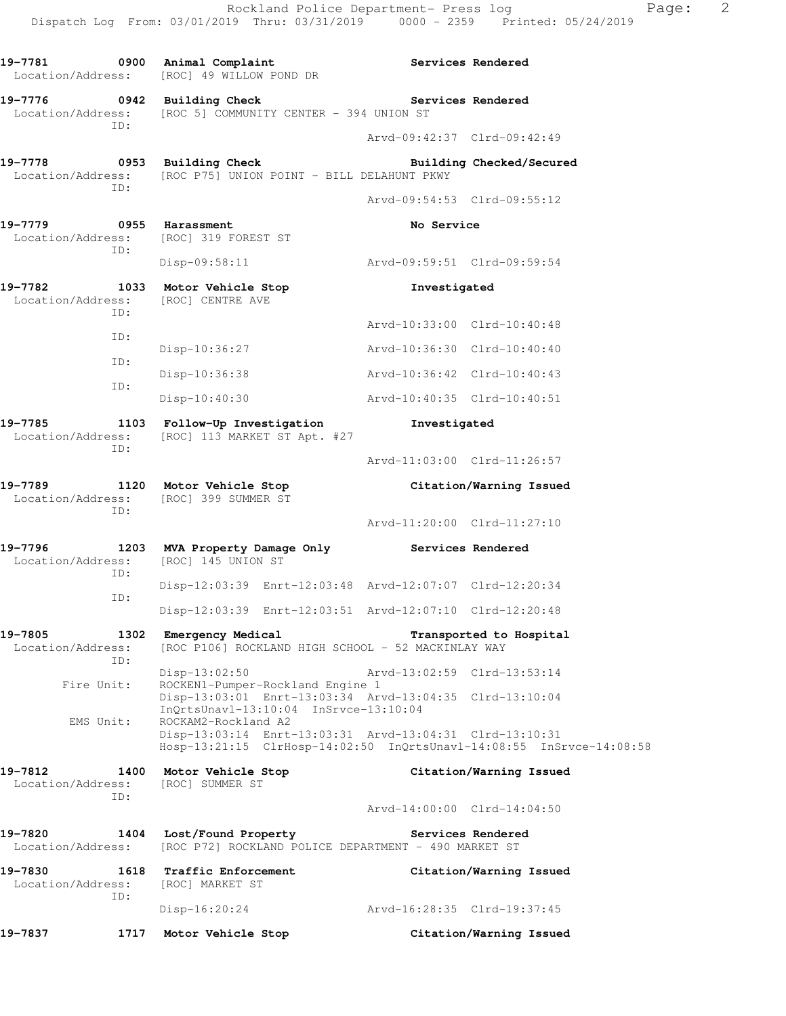19-7781 0900 Animal Complaint **19-7781** Services Rendered Location/Address: [ROC] 49 WILLOW POND DR **19-7776 0942 Building Check Services Rendered**  Location/Address: [ROC 5] COMMUNITY CENTER - 394 UNION ST ID: Arvd-09:42:37 Clrd-09:42:49 **19-7778 0953 Building Check Building Checked/Secured**  Location/Address: [ROC P75] UNION POINT - BILL DELAHUNT PKWY ID: Arvd-09:54:53 Clrd-09:55:12 19-7779 **0955** Harassment **No Service** Location/Address: [ROC] 319 FOREST ST ID: Disp-09:58:11 Arvd-09:59:51 Clrd-09:59:54 **19-7782 1033 Motor Vehicle Stop Investigated**  Location/Address: [ROC] CENTRE AVE ID: Arvd-10:33:00 Clrd-10:40:48 ID: Disp-10:36:27 Arvd-10:36:30 Clrd-10:40:40 ID: Disp-10:36:38 Arvd-10:36:42 Clrd-10:40:43 ID: Disp-10:40:30 Arvd-10:40:35 Clrd-10:40:51 **19-7785 1103 Follow-Up Investigation Investigated**  Location/Address: [ROC] 113 MARKET ST Apt. #27 ID: Arvd-11:03:00 Clrd-11:26:57 **19-7789 1120 Motor Vehicle Stop Citation/Warning Issued**  Location/Address: [ROC] 399 SUMMER ST ID: Arvd-11:20:00 Clrd-11:27:10 **19-7796 1203 MVA Property Damage Only Services Rendered**  Location/Address: [ROC] 145 UNION ST ID: Disp-12:03:39 Enrt-12:03:48 Arvd-12:07:07 Clrd-12:20:34 ID: Disp-12:03:39 Enrt-12:03:51 Arvd-12:07:10 Clrd-12:20:48 **19-7805 1302 Emergency Medical Transported to Hospital**  Location/Address: [ROC P106] ROCKLAND HIGH SCHOOL - 52 MACKINLAY WAY ID: Disp-13:02:50 Arvd-13:02:59 Clrd-13:53:14 Fire Unit: ROCKEN1-Pumper-Rockland Engine 1 Disp-13:03:01 Enrt-13:03:34 Arvd-13:04:35 Clrd-13:10:04 InQrtsUnavl-13:10:04 InSrvce-13:10:04 EMS Unit: ROCKAM2-Rockland A2 Disp-13:03:14 Enrt-13:03:31 Arvd-13:04:31 Clrd-13:10:31 Hosp-13:21:15 ClrHosp-14:02:50 InQrtsUnavl-14:08:55 InSrvce-14:08:58 **19-7812 1400 Motor Vehicle Stop Citation/Warning Issued**  Location/Address: [ROC] SUMMER ST ID: Arvd-14:00:00 Clrd-14:04:50 **19-7820 1404 Lost/Found Property Services Rendered**  Location/Address: [ROC P72] ROCKLAND POLICE DEPARTMENT - 490 MARKET ST **19-7830 1618 Traffic Enforcement Citation/Warning Issued**  Location/Address: [ROC] MARKET ST ID: Disp-16:20:24 Arvd-16:28:35 Clrd-19:37:45 **19-7837 1717 Motor Vehicle Stop Citation/Warning Issued**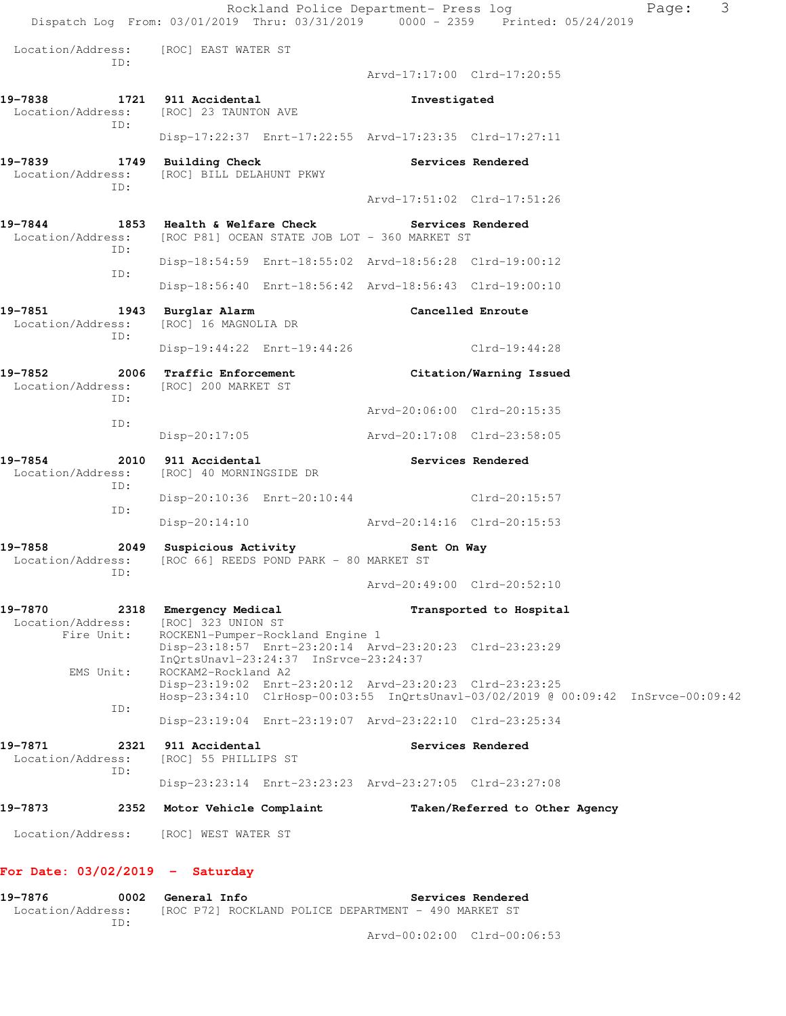Rockland Police Department- Press log Fage: 3 Dispatch Log From: 03/01/2019 Thru: 03/31/2019 0000 - 2359 Printed: 05/24/2019 Location/Address: [ROC] EAST WATER ST ID: Arvd-17:17:00 Clrd-17:20:55 19-7838 1721 911 Accidental **Investigated Investigated Investigated** [ROC] 23 TAUNTON AVE ID: Disp-17:22:37 Enrt-17:22:55 Arvd-17:23:35 Clrd-17:27:11 **19-7839 1749 Building Check Services Rendered**  Location/Address: [ROC] BILL DELAHUNT PKWY ID: Arvd-17:51:02 Clrd-17:51:26 19-7844 1853 Health & Welfare Check **Services Rendered**  Location/Address: [ROC P81] OCEAN STATE JOB LOT - 360 MARKET ST ID: Disp-18:54:59 Enrt-18:55:02 Arvd-18:56:28 Clrd-19:00:12 ID: Disp-18:56:40 Enrt-18:56:42 Arvd-18:56:43 Clrd-19:00:10 **19-7851 1943 Burglar Alarm Cancelled Enroute**  Location/Address: [ROC] 16 MAGNOLIA DR ID: Disp-19:44:22 Enrt-19:44:26 Clrd-19:44:28 **19-7852 2006 Traffic Enforcement Citation/Warning Issued**  Location/Address: [ROC] 200 MARKET ST ID: Arvd-20:06:00 Clrd-20:15:35 ID: Disp-20:17:05 Arvd-20:17:08 Clrd-23:58:05 **19-7854 2010 911 Accidental Services Rendered**  Location/Address: [ROC] 40 MORNINGSIDE DR ID: Disp-20:10:36 Enrt-20:10:44 Clrd-20:15:57 ID: Disp-20:14:10 Arvd-20:14:16 Clrd-20:15:53 **19-7858 2049 Suspicious Activity Sent On Way**  Location/Address: [ROC 66] REEDS POND PARK - 80 MARKET ST ID: Arvd-20:49:00 Clrd-20:52:10 19-7870 2318 Emergency Medical **Example 19-7870** Transported to Hospital Location/Address: [ROC] 323 UNION ST Fire Unit: ROCKEN1-Pumper-Rockland Engine 1 Disp-23:18:57 Enrt-23:20:14 Arvd-23:20:23 Clrd-23:23:29 InQrtsUnavl-23:24:37 InSrvce-23:24:37 EMS Unit: ROCKAM2-Rockland A2 Disp-23:19:02 Enrt-23:20:12 Arvd-23:20:23 Clrd-23:23:25 Hosp-23:34:10 ClrHosp-00:03:55 InQrtsUnavl-03/02/2019 @ 00:09:42 InSrvce-00:09:42 ID: Disp-23:19:04 Enrt-23:19:07 Arvd-23:22:10 Clrd-23:25:34 **19-7871 2321 911 Accidental Services Rendered**  Location/Address: [ROC] 55 PHILLIPS ST ID: Disp-23:23:14 Enrt-23:23:23 Arvd-23:27:05 Clrd-23:27:08 **19-7873 2352 Motor Vehicle Complaint Taken/Referred to Other Agency**  Location/Address: [ROC] WEST WATER ST **For Date: 03/02/2019 - Saturday**

**19-7876 0002 General Info Services Rendered**  Location/Address: [ROC P72] ROCKLAND POLICE DEPARTMENT - 490 MARKET ST ID:

Arvd-00:02:00 Clrd-00:06:53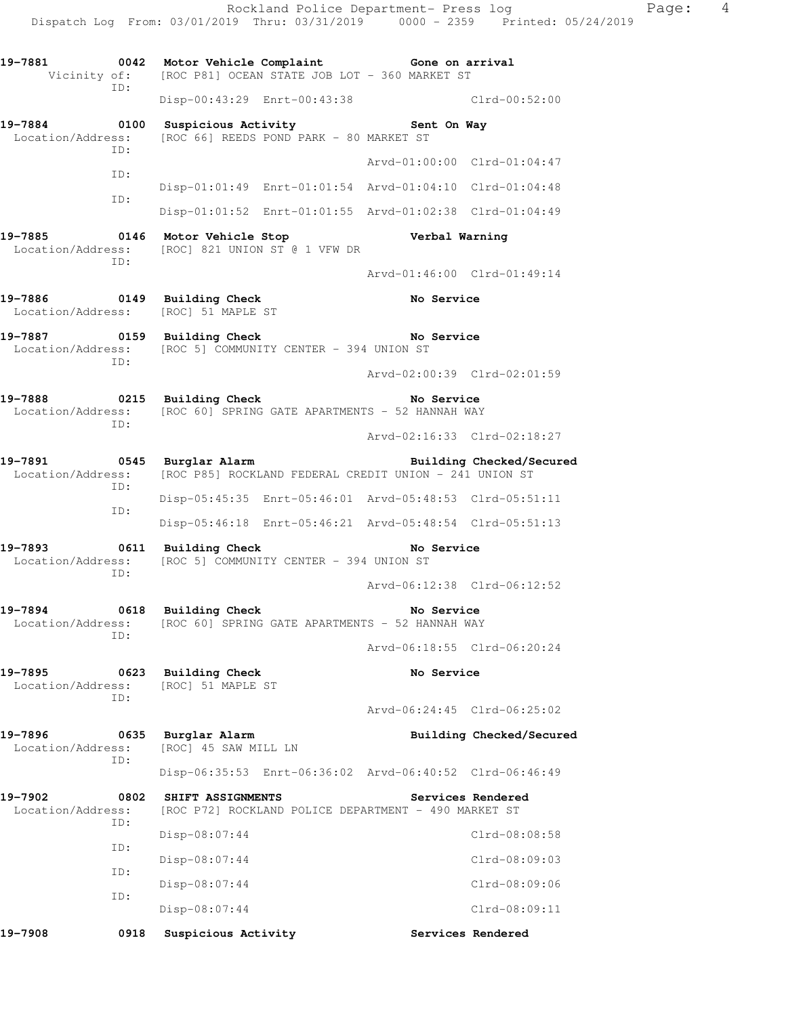Disp-01:01:49 Enrt-01:01:54 Arvd-01:04:10 Clrd-01:04:48 ID: Disp-01:01:52 Enrt-01:01:55 Arvd-01:02:38 Clrd-01:04:49 **19-7885 0146 Motor Vehicle Stop Verbal Warning**  Location/Address: [ROC] 821 UNION ST @ 1 VFW DR ID: Arvd-01:46:00 Clrd-01:49:14 **19-7886 0149 Building Check No Service**  Location/Address: [ROC] 51 MAPLE ST **19-7887 0159 Building Check No Service**  Location/Address: [ROC 5] COMMUNITY CENTER - 394 UNION ST ID: Arvd-02:00:39 Clrd-02:01:59 **19-7888 0215 Building Check No Service**  Location/Address: [ROC 60] SPRING GATE APARTMENTS - 52 HANNAH WAY ID: Arvd-02:16:33 Clrd-02:18:27 **19-7891 0545 Burglar Alarm Building Checked/Secured**  Location/Address: [ROC P85] ROCKLAND FEDERAL CREDIT UNION - 241 UNION ST ID: Disp-05:45:35 Enrt-05:46:01 Arvd-05:48:53 Clrd-05:51:11 ID: Disp-05:46:18 Enrt-05:46:21 Arvd-05:48:54 Clrd-05:51:13 19-7893 0611 Building Check **No Service** Location/Address: [ROC 5] COMMUNITY CENTER - 394 UNION ST ID: Arvd-06:12:38 Clrd-06:12:52 19-7894 0618 Building Check **No Service** Location/Address: [ROC 60] SPRING GATE APARTMENTS - 52 HANNAH WAY ID: Arvd-06:18:55 Clrd-06:20:24 19-7895 0623 Building Check **No Service**  Location/Address: [ROC] 51 MAPLE ST ID: Arvd-06:24:45 Clrd-06:25:02 **19-7896 0635 Burglar Alarm Building Checked/Secured**  Location/Address: [ROC] 45 SAW MILL LN ID: Disp-06:35:53 Enrt-06:36:02 Arvd-06:40:52 Clrd-06:46:49 **19-7902 0802 SHIFT ASSIGNMENTS Services Rendered**  Location/Address: [ROC P72] ROCKLAND POLICE DEPARTMENT - 490 MARKET ST ID: Disp-08:07:44 Clrd-08:08:58 ID: Disp-08:07:44 Clrd-08:09:03 ID: Disp-08:07:44 Clrd-08:09:06 ID: Disp-08:07:44 Clrd-08:09:11

19-7908 **0918** Suspicious Activity **19-7908** Services Rendered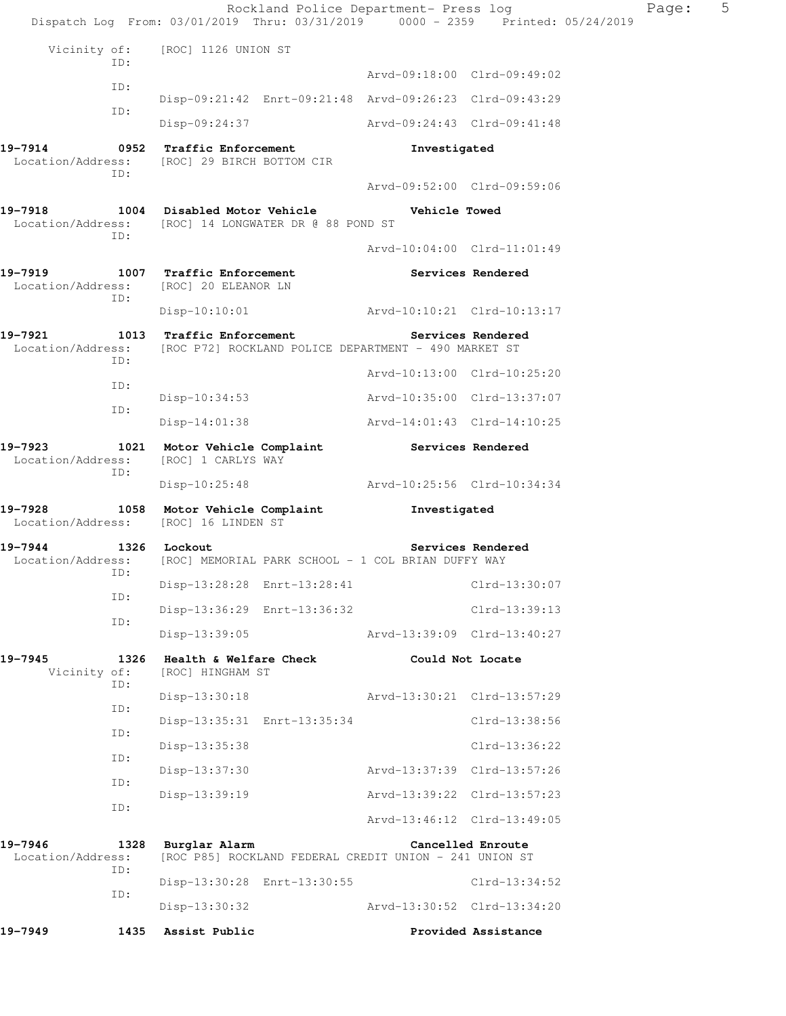|                                     |             | Rockland Police Department- Press log<br>Dispatch Log From: 03/01/2019 Thru: 03/31/2019 0000 - 2359 Printed: 05/24/2019 |                             |                             | Page: | 5 |
|-------------------------------------|-------------|-------------------------------------------------------------------------------------------------------------------------|-----------------------------|-----------------------------|-------|---|
|                                     |             | Vicinity of: [ROC] 1126 UNION ST                                                                                        |                             |                             |       |   |
|                                     | ID:         |                                                                                                                         | Arvd-09:18:00 Clrd-09:49:02 |                             |       |   |
|                                     | ID:         | Disp-09:21:42 Enrt-09:21:48 Arvd-09:26:23 Clrd-09:43:29                                                                 |                             |                             |       |   |
|                                     | ID:         | Disp-09:24:37                                                                                                           | Arvd-09:24:43 Clrd-09:41:48 |                             |       |   |
| 19-7914                             | 0952        | <b>Traffic Enforcement</b><br>Location/Address: [ROC] 29 BIRCH BOTTOM CIR                                               | Investigated                |                             |       |   |
|                                     | ID:         |                                                                                                                         | Arvd-09:52:00 Clrd-09:59:06 |                             |       |   |
| 19-7918                             |             | 1004 Disabled Motor Vehicle<br>Location/Address: [ROC] 14 LONGWATER DR @ 88 POND ST                                     | Vehicle Towed               |                             |       |   |
|                                     | ID:         |                                                                                                                         | Arvd-10:04:00 Clrd-11:01:49 |                             |       |   |
| 19-7919                             |             | 1007 Traffic Enforcement<br>Location/Address: [ROC] 20 ELEANOR LN                                                       |                             | Services Rendered           |       |   |
|                                     | ID:         | Disp-10:10:01 Arvd-10:10:21 Clrd-10:13:17                                                                               |                             |                             |       |   |
| 19-7921                             | ID:         | 1013 Traffic Enforcement<br>Location/Address: [ROC P72] ROCKLAND POLICE DEPARTMENT - 490 MARKET ST                      |                             | Services Rendered           |       |   |
|                                     | ID:         |                                                                                                                         | Arvd-10:13:00 Clrd-10:25:20 |                             |       |   |
|                                     | ID:         | $Disp-10:34:53$                                                                                                         | Arvd-10:35:00 Clrd-13:37:07 |                             |       |   |
|                                     |             | Disp-14:01:38                                                                                                           | Arvd-14:01:43 Clrd-14:10:25 |                             |       |   |
| 19-7923<br>Location/Address:<br>ID: |             | 1021 Motor Vehicle Complaint Services Rendered<br>[ROC] 1 CARLYS WAY                                                    |                             |                             |       |   |
|                                     |             | Disp-10:25:48                                                                                                           | Arvd-10:25:56 Clrd-10:34:34 |                             |       |   |
| 19-7928                             |             | 1058 Motor Vehicle Complaint Tnvestigated<br>Location/Address: [ROC] 16 LINDEN ST                                       |                             |                             |       |   |
| 19-7944                             | ID:         | 1326 Lockout<br>Location/Address: [ROC] MEMORIAL PARK SCHOOL - 1 COL BRIAN DUFFY WAY                                    |                             | Services Rendered           |       |   |
|                                     | ID:         | Disp-13:28:28 Enrt-13:28:41                                                                                             |                             | Clrd-13:30:07               |       |   |
|                                     | ID:         | Disp-13:36:29 Enrt-13:36:32                                                                                             |                             | Clrd-13:39:13               |       |   |
|                                     |             | $Disp-13:39:05$                                                                                                         | Arvd-13:39:09 Clrd-13:40:27 |                             |       |   |
| 19-7945<br>Vicinity of:             | 1326<br>ID: | Health & Welfare Check<br>[ROC] HINGHAM ST                                                                              |                             | Could Not Locate            |       |   |
|                                     | ID:         | $Disp-13:30:18$                                                                                                         | Arvd-13:30:21 Clrd-13:57:29 |                             |       |   |
|                                     | ID:         | Disp-13:35:31 Enrt-13:35:34                                                                                             |                             | Clrd-13:38:56               |       |   |
|                                     | ID:         | Disp-13:35:38                                                                                                           |                             | Clrd-13:36:22               |       |   |
|                                     | ID:         | $Disp-13:37:30$                                                                                                         | Arvd-13:37:39 Clrd-13:57:26 |                             |       |   |
|                                     | ID:         | $Disp-13:39:19$                                                                                                         | Arvd-13:39:22 Clrd-13:57:23 |                             |       |   |
|                                     |             |                                                                                                                         |                             | Arvd-13:46:12 Clrd-13:49:05 |       |   |
| 19-7946<br>Location/Address:        | 1328<br>ID: | Burglar Alarm<br>[ROC P85] ROCKLAND FEDERAL CREDIT UNION - 241 UNION ST                                                 |                             | Cancelled Enroute           |       |   |
|                                     | ID:         | Disp-13:30:28 Enrt-13:30:55                                                                                             |                             | Clrd-13:34:52               |       |   |
|                                     |             | Disp-13:30:32                                                                                                           | Arvd-13:30:52 Clrd-13:34:20 |                             |       |   |
| 19–7949                             | 1435        | Assist Public                                                                                                           |                             | Provided Assistance         |       |   |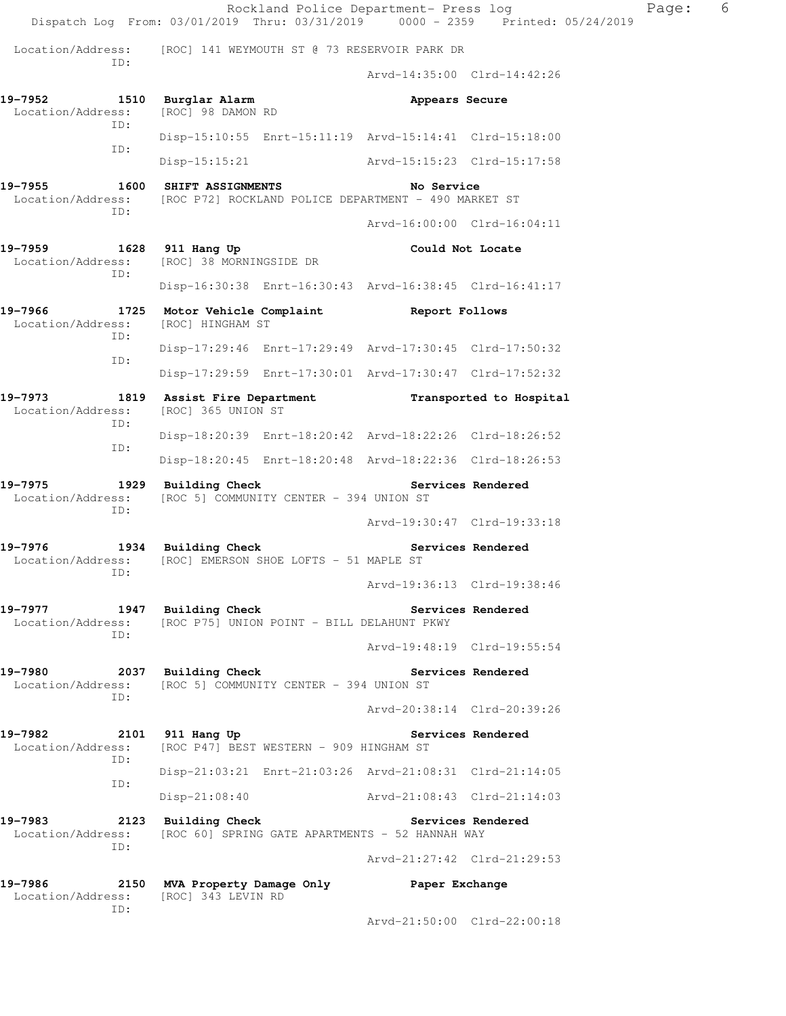Rockland Police Department- Press log extending Page: 6 Dispatch Log From: 03/01/2019 Thru: 03/31/2019 0000 - 2359 Printed: 05/24/2019 Location/Address: [ROC] 141 WEYMOUTH ST @ 73 RESERVOIR PARK DR ID: Arvd-14:35:00 Clrd-14:42:26 19-7952 1510 Burglar Alarm **19-7952 19-7952**  Location/Address: [ROC] 98 DAMON RD ID: Disp-15:10:55 Enrt-15:11:19 Arvd-15:14:41 Clrd-15:18:00 ID: Disp-15:15:21 Arvd-15:15:23 Clrd-15:17:58 **19-7955 1600 SHIFT ASSIGNMENTS No Service**  Location/Address: [ROC P72] ROCKLAND POLICE DEPARTMENT - 490 MARKET ST ID: Arvd-16:00:00 Clrd-16:04:11 **19-7959 1628 911 Hang Up Could Not Locate**  Location/Address: [ROC] 38 MORNINGSIDE DR ID: Disp-16:30:38 Enrt-16:30:43 Arvd-16:38:45 Clrd-16:41:17 **19-7966 1725 Motor Vehicle Complaint Report Follows**  Location/Address: [ROC] HINGHAM ST ID: Disp-17:29:46 Enrt-17:29:49 Arvd-17:30:45 Clrd-17:50:32 ID: Disp-17:29:59 Enrt-17:30:01 Arvd-17:30:47 Clrd-17:52:32 **19-7973 1819 Assist Fire Department Transported to Hospital**  Location/Address: [ROC] 365 UNION ST ID: Disp-18:20:39 Enrt-18:20:42 Arvd-18:22:26 Clrd-18:26:52 ID: Disp-18:20:45 Enrt-18:20:48 Arvd-18:22:36 Clrd-18:26:53 **19-7975 1929 Building Check Services Rendered**  Location/Address: [ROC 5] COMMUNITY CENTER - 394 UNION ST ID: Arvd-19:30:47 Clrd-19:33:18 **19-7976 1934 Building Check Services Rendered**  Location/Address: [ROC] EMERSON SHOE LOFTS - 51 MAPLE ST ID: Arvd-19:36:13 Clrd-19:38:46 **19-7977 1947 Building Check Services Rendered**  Location/Address: [ROC P75] UNION POINT - BILL DELAHUNT PKWY ID: Arvd-19:48:19 Clrd-19:55:54 19-7980 2037 Building Check **Services Rendered**  Location/Address: [ROC 5] COMMUNITY CENTER - 394 UNION ST ID: Arvd-20:38:14 Clrd-20:39:26 19-7982 2101 911 Hang Up **Services Rendered** Location/Address: [ROC P47] BEST WESTERN - 909 HINGHAM ST ID: Disp-21:03:21 Enrt-21:03:26 Arvd-21:08:31 Clrd-21:14:05 ID: Disp-21:08:40 Arvd-21:08:43 Clrd-21:14:03 **19-7983 2123 Building Check Services Rendered**  Location/Address: [ROC 60] SPRING GATE APARTMENTS - 52 HANNAH WAY ID: Arvd-21:27:42 Clrd-21:29:53 **19-7986 2150 MVA Property Damage Only Paper Exchange**  Location/Address: [ROC] 343 LEVIN RD ID: Arvd-21:50:00 Clrd-22:00:18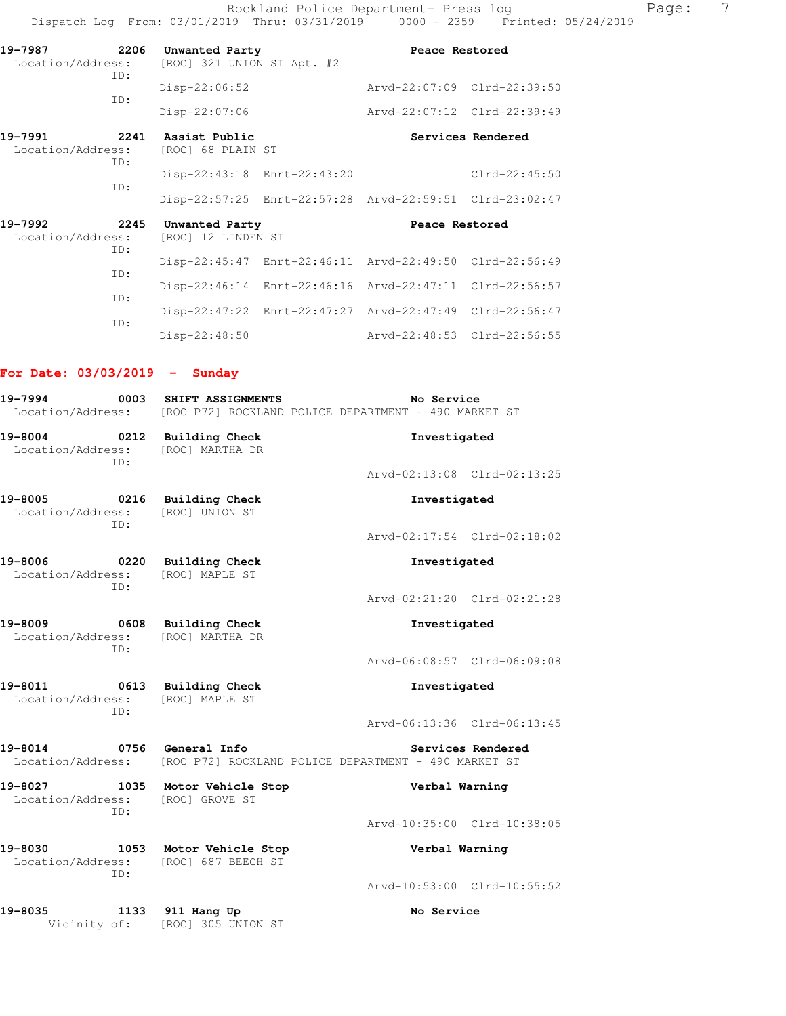Rockland Police Department- Press log Fage: 7 Dispatch Log From: 03/01/2019 Thru: 03/31/2019 0000 - 2359 Printed: 05/24/2019

| 19-7987<br>Location/Address: | 2206<br>ID: | Unwanted Party<br>[ROC] 321 UNION ST Apt. #2 |                             | Peace Restored                                          |                             |
|------------------------------|-------------|----------------------------------------------|-----------------------------|---------------------------------------------------------|-----------------------------|
|                              |             | $Disp-22:06:52$                              |                             |                                                         | Arvd-22:07:09 Clrd-22:39:50 |
|                              | ID:         | $Disp-22:07:06$                              |                             | Arvd-22:07:12 Clrd-22:39:49                             |                             |
| 19-7991<br>Location/Address: | 2241<br>TD: | Assist Public<br>[ROC] 68 PLAIN ST           |                             |                                                         | Services Rendered           |
|                              |             |                                              | Disp-22:43:18 Enrt-22:43:20 |                                                         | $Clrd-22:45:50$             |
|                              | ID:         |                                              |                             | Disp-22:57:25 Enrt-22:57:28 Arvd-22:59:51 Clrd-23:02:47 |                             |
| 19-7992<br>Location/Address: | 2245<br>TD: | Unwanted Party<br>[ROC] 12 LINDEN ST         |                             | Peace Restored                                          |                             |
|                              | ID:         |                                              |                             | Disp-22:45:47 Enrt-22:46:11 Arvd-22:49:50 Clrd-22:56:49 |                             |
|                              |             |                                              |                             | Disp-22:46:14 Enrt-22:46:16 Arvd-22:47:11 Clrd-22:56:57 |                             |
|                              | ID:<br>ID:  |                                              |                             | Disp-22:47:22 Enrt-22:47:27 Arvd-22:47:49 Clrd-22:56:47 |                             |
|                              |             | $Disp-22:48:50$                              |                             |                                                         | Arvd-22:48:53 Clrd-22:56:55 |

# **For Date: 03/03/2019 - Sunday**

| 19-7994<br>0003                                                            | SHIFT ASSIGNMENTS               | No Service<br>Location/Address: [ROC P72] ROCKLAND POLICE DEPARTMENT - 490 MARKET ST        |  |  |  |  |
|----------------------------------------------------------------------------|---------------------------------|---------------------------------------------------------------------------------------------|--|--|--|--|
| 19-8004 0212 Building Check<br>Location/Address: [ROC] MARTHA DR<br>TD:    |                                 | Investigated                                                                                |  |  |  |  |
|                                                                            |                                 | Arvd-02:13:08 Clrd-02:13:25                                                                 |  |  |  |  |
| 19-8005 0216 Building Check<br>Location/Address: [ROC] UNION ST<br>TD:     |                                 | Investigated                                                                                |  |  |  |  |
|                                                                            |                                 | Arvd-02:17:54 Clrd-02:18:02                                                                 |  |  |  |  |
| 19-8006 0220 Building Check<br>Location/Address: [ROC] MAPLE ST<br>ID:     |                                 | Investigated                                                                                |  |  |  |  |
|                                                                            |                                 | Arvd-02:21:20 Clrd-02:21:28                                                                 |  |  |  |  |
| 19-8009 0608 Building Check<br>Location/Address: [ROC] MARTHA DR<br>TD:    |                                 | Investigated                                                                                |  |  |  |  |
|                                                                            |                                 | Arvd-06:08:57 Clrd-06:09:08                                                                 |  |  |  |  |
| 19-8011 0613 Building Check<br>Location/Address: [ROC] MAPLE ST<br>ID:     |                                 | Investigated                                                                                |  |  |  |  |
|                                                                            |                                 | Arvd-06:13:36 Clrd-06:13:45                                                                 |  |  |  |  |
| 19-8014                                                                    | 0756 General Info               | Services Rendered<br>Location/Address: [ROC P72] ROCKLAND POLICE DEPARTMENT - 490 MARKET ST |  |  |  |  |
| 19-8027 1035 Motor Vehicle Stop<br>Location/Address: [ROC] GROVE ST<br>TD: |                                 | Verbal Warning                                                                              |  |  |  |  |
|                                                                            |                                 | Arvd-10:35:00 Clrd-10:38:05                                                                 |  |  |  |  |
| 19-8030<br>Location/Address: [ROC] 687 BEECH ST<br>TD:                     | 1053 Motor Vehicle Stop         | Verbal Warning                                                                              |  |  |  |  |
|                                                                            |                                 | Arvd-10:53:00 Clrd-10:55:52                                                                 |  |  |  |  |
| 19-8035 1133 911 Hang Up                                                   | Vicinity of: [ROC] 305 UNION ST | No Service                                                                                  |  |  |  |  |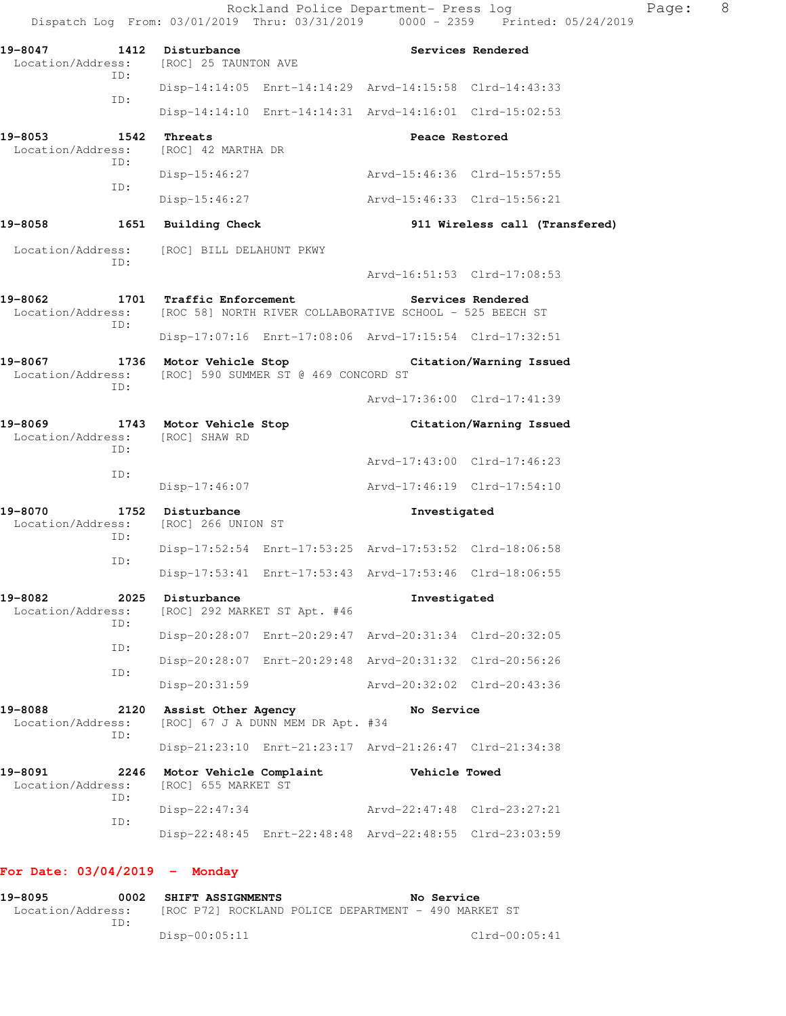|                                                                           |                                                |                                                         |                                                                                                 | Dispatch Log From: 03/01/2019 Thru: 03/31/2019 0000 - 2359 Printed: 05/24/2019 |  |
|---------------------------------------------------------------------------|------------------------------------------------|---------------------------------------------------------|-------------------------------------------------------------------------------------------------|--------------------------------------------------------------------------------|--|
| 19-8047 1412 Disturbance<br>Location/Address: [ROC] 25 TAUNTON AVE<br>ID: |                                                |                                                         |                                                                                                 | Services Rendered                                                              |  |
|                                                                           |                                                | Disp-14:14:05 Enrt-14:14:29 Arvd-14:15:58 Clrd-14:43:33 |                                                                                                 |                                                                                |  |
| ID:                                                                       |                                                | Disp-14:14:10 Enrt-14:14:31 Arvd-14:16:01 Clrd-15:02:53 |                                                                                                 |                                                                                |  |
| 19-8053<br>1542<br>Location/Address:<br>ID:                               | Threats<br>[ROC] 42 MARTHA DR                  |                                                         | Peace Restored                                                                                  |                                                                                |  |
| ID:                                                                       | Disp-15:46:27                                  |                                                         | Arvd-15:46:36 Clrd-15:57:55                                                                     |                                                                                |  |
|                                                                           | Disp-15:46:27                                  |                                                         | Arvd-15:46:33 Clrd-15:56:21                                                                     |                                                                                |  |
| 19-8058                                                                   | 1651 Building Check                            |                                                         |                                                                                                 | 911 Wireless call (Transfered)                                                 |  |
| Location/Address: [ROC] BILL DELAHUNT PKWY<br>ID:                         |                                                |                                                         |                                                                                                 |                                                                                |  |
|                                                                           |                                                |                                                         |                                                                                                 | Arvd-16:51:53 Clrd-17:08:53                                                    |  |
| 19-8062                                                                   | 1701 Traffic Enforcement                       |                                                         | Services Rendered<br>Location/Address: [ROC 58] NORTH RIVER COLLABORATIVE SCHOOL - 525 BEECH ST |                                                                                |  |
| ID:                                                                       |                                                | Disp-17:07:16 Enrt-17:08:06 Arvd-17:15:54 Clrd-17:32:51 |                                                                                                 |                                                                                |  |
| 19-8067<br>Location/Address: [ROC] 590 SUMMER ST @ 469 CONCORD ST<br>ID:  | 1736 Motor Vehicle Stop                        |                                                         |                                                                                                 | Citation/Warning Issued                                                        |  |
|                                                                           |                                                |                                                         |                                                                                                 | Arvd-17:36:00 Clrd-17:41:39                                                    |  |
| 19-8069<br>Location/Address: [ROC] SHAW RD<br>ID:                         | 1743 Motor Vehicle Stop                        |                                                         |                                                                                                 | Citation/Warning Issued                                                        |  |
| ID:                                                                       |                                                |                                                         |                                                                                                 | Arvd-17:43:00 Clrd-17:46:23                                                    |  |
|                                                                           | Disp-17:46:07                                  |                                                         |                                                                                                 |                                                                                |  |
| 19-8070<br>Location/Address:<br>ID:                                       | 1752 Disturbance<br>[ROC] 266 UNION ST         |                                                         | Investigated                                                                                    |                                                                                |  |
| ID:                                                                       |                                                | Disp-17:52:54 Enrt-17:53:25 Arvd-17:53:52 Clrd-18:06:58 |                                                                                                 |                                                                                |  |
|                                                                           |                                                | Disp-17:53:41 Enrt-17:53:43 Arvd-17:53:46 Clrd-18:06:55 |                                                                                                 |                                                                                |  |
| 19-8082<br>2025<br>Location/Address:<br>ID:                               | Disturbance                                    | [ROC] 292 MARKET ST Apt. #46                            | Investigated                                                                                    |                                                                                |  |
| ID:                                                                       |                                                | Disp-20:28:07 Enrt-20:29:47 Arvd-20:31:34 Clrd-20:32:05 |                                                                                                 |                                                                                |  |
| ID:                                                                       |                                                | Disp-20:28:07 Enrt-20:29:48 Arvd-20:31:32 Clrd-20:56:26 |                                                                                                 |                                                                                |  |
|                                                                           | $Disp-20:31:59$                                |                                                         |                                                                                                 | Arvd-20:32:02 Clrd-20:43:36                                                    |  |
| 19-8088<br>2120<br>Location/Address:<br>ID:                               | Assist Other Agency                            | [ROC] 67 J A DUNN MEM DR Apt. #34                       | No Service                                                                                      |                                                                                |  |
|                                                                           |                                                | Disp-21:23:10 Enrt-21:23:17 Arvd-21:26:47 Clrd-21:34:38 |                                                                                                 |                                                                                |  |
| 19-8091<br>2246<br>Location/Address:<br>ID:                               | Motor Vehicle Complaint<br>[ROC] 655 MARKET ST |                                                         | Vehicle Towed                                                                                   |                                                                                |  |
| ID:                                                                       | $Disp-22:47:34$                                |                                                         |                                                                                                 | Arvd-22:47:48 Clrd-23:27:21                                                    |  |
|                                                                           |                                                | Disp-22:48:45 Enrt-22:48:48 Arvd-22:48:55 Clrd-23:03:59 |                                                                                                 |                                                                                |  |

# **For Date: 03/04/2019 - Monday**

**19-8095 0002 SHIFT ASSIGNMENTS No Service**  Location/Address: [ROC P72] ROCKLAND POLICE DEPARTMENT - 490 MARKET ST ID: Disp-00:05:11 Clrd-00:05:41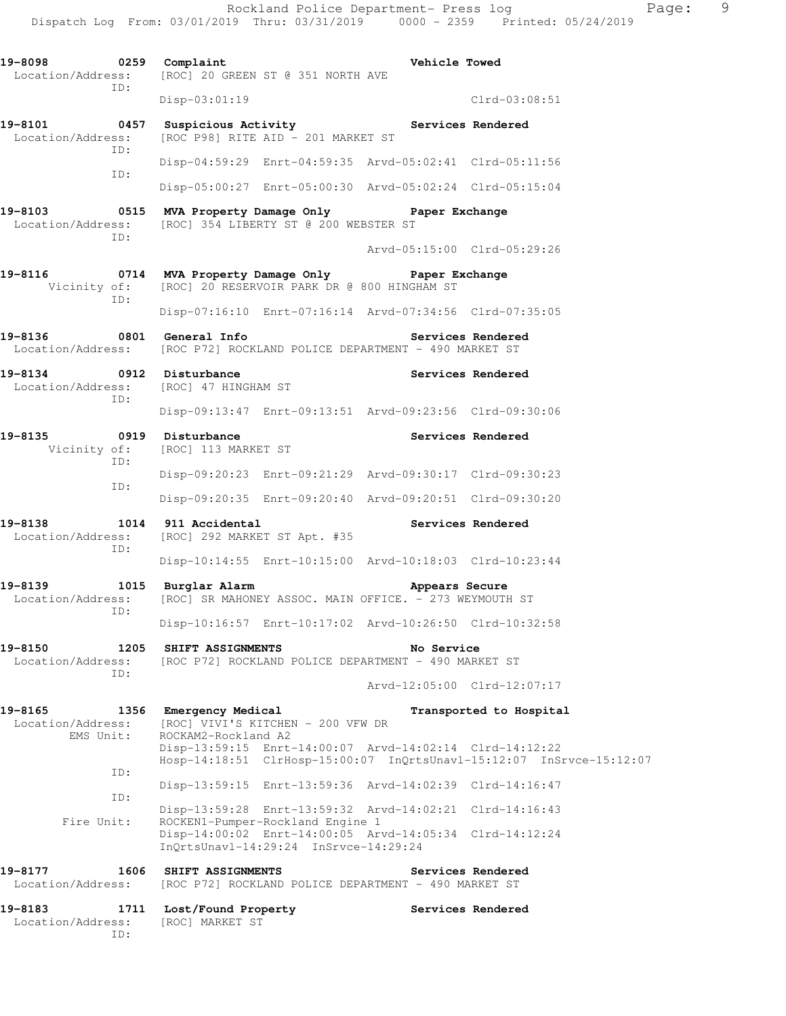| 19-8098 0259 Complaint                      |                                                                                                                                | <b>Vehicle Towed</b>                                    |
|---------------------------------------------|--------------------------------------------------------------------------------------------------------------------------------|---------------------------------------------------------|
| ID:                                         | Location/Address: [ROC] 20 GREEN ST @ 351 NORTH AVE                                                                            |                                                         |
|                                             | $Disp-03:01:19$                                                                                                                | $Clrd-03:08:51$                                         |
| ID:                                         | 19-8101 0457 Suspicious Activity <b>19-8101 Services Rendered</b><br>Location/Address: [ROC P98] RITE AID - 201 MARKET ST      |                                                         |
| ID:                                         |                                                                                                                                | Disp-04:59:29 Enrt-04:59:35 Arvd-05:02:41 Clrd-05:11:56 |
|                                             |                                                                                                                                | Disp-05:00:27 Enrt-05:00:30 Arvd-05:02:24 Clrd-05:15:04 |
| Location/Address:<br>ID:                    | 19-8103 19-8103 MVA Property Damage Only 19-8103<br>[ROC] 354 LIBERTY ST @ 200 WEBSTER ST                                      |                                                         |
|                                             |                                                                                                                                | Arvd-05:15:00 Clrd-05:29:26                             |
| ID:                                         | 19-8116       0714   MVA Property Damage Only       Paper Exchange<br>Vicinity of: [ROC] 20 RESERVOIR PARK DR @ 800 HINGHAM ST |                                                         |
|                                             |                                                                                                                                | Disp-07:16:10 Enrt-07:16:14 Arvd-07:34:56 Clrd-07:35:05 |
| 19-8136 0801 General Info                   | Location/Address: [ROC P72] ROCKLAND POLICE DEPARTMENT - 490 MARKET ST                                                         | Services Rendered                                       |
| 19-8134 0912 Disturbance<br>ID:             | Location/Address: [ROC] 47 HINGHAM ST                                                                                          | Services Rendered                                       |
|                                             |                                                                                                                                | Disp-09:13:47 Enrt-09:13:51 Arvd-09:23:56 Clrd-09:30:06 |
| 19-8135<br>ID:                              | 0919 Disturbance<br>Vicinity of: [ROC] 113 MARKET ST                                                                           | <b>Services Rendered</b>                                |
| ID:                                         |                                                                                                                                | Disp-09:20:23 Enrt-09:21:29 Arvd-09:30:17 Clrd-09:30:23 |
|                                             |                                                                                                                                | Disp-09:20:35 Enrt-09:20:40 Arvd-09:20:51 Clrd-09:30:20 |
| 19-8138 1014 911 Accidental<br>ID:          | Location/Address: [ROC] 292 MARKET ST Apt. #35                                                                                 | Services Rendered                                       |
|                                             |                                                                                                                                | Disp-10:14:55 Enrt-10:15:00 Arvd-10:18:03 Clrd-10:23:44 |
| Location/Address:<br>ID:                    | 19-8139 1015 Burglar Alarm<br>[ROC] SR MAHONEY ASSOC. MAIN OFFICE. - 273 WEYMOUTH ST                                           | Appears Secure                                          |
|                                             |                                                                                                                                | Disp-10:16:57 Enrt-10:17:02 Arvd-10:26:50 Clrd-10:32:58 |
| 19-8150<br>1205<br>Location/Address:<br>ID: | SHIFT ASSIGNMENTS<br>[ROC P72] ROCKLAND POLICE DEPARTMENT - 490 MARKET ST                                                      | No Service                                              |
|                                             |                                                                                                                                | Arvd-12:05:00 Clrd-12:07:17                             |
| 19-8165<br>1356                             | Emergency Medical                                                                                                              | Transported to Hospital                                 |

Location/Address: [ROC] VIVI'S KITCHEN - 200 VFW DR EMS Unit: ROCKAM2-Rockland A2

 Disp-13:59:15 Enrt-14:00:07 Arvd-14:02:14 Clrd-14:12:22 Hosp-14:18:51 ClrHosp-15:00:07 InQrtsUnavl-15:12:07 InSrvce-15:12:07 ID: Disp-13:59:15 Enrt-13:59:36 Arvd-14:02:39 Clrd-14:16:47 ID: Disp-13:59:28 Enrt-13:59:32 Arvd-14:02:21 Clrd-14:16:43 Fire Unit: ROCKEN1-Pumper-Rockland Engine 1 Disp-14:00:02 Enrt-14:00:05 Arvd-14:05:34 Clrd-14:12:24 InQrtsUnavl-14:29:24 InSrvce-14:29:24 **19-8177 1606 SHIFT ASSIGNMENTS Services Rendered** 

Location/Address: [ROC P72] ROCKLAND POLICE DEPARTMENT - 490 MARKET ST

19-8183 1711 Lost/Found Property **18 Services Rendered**  Location/Address: [ROC] MARKET ST ID: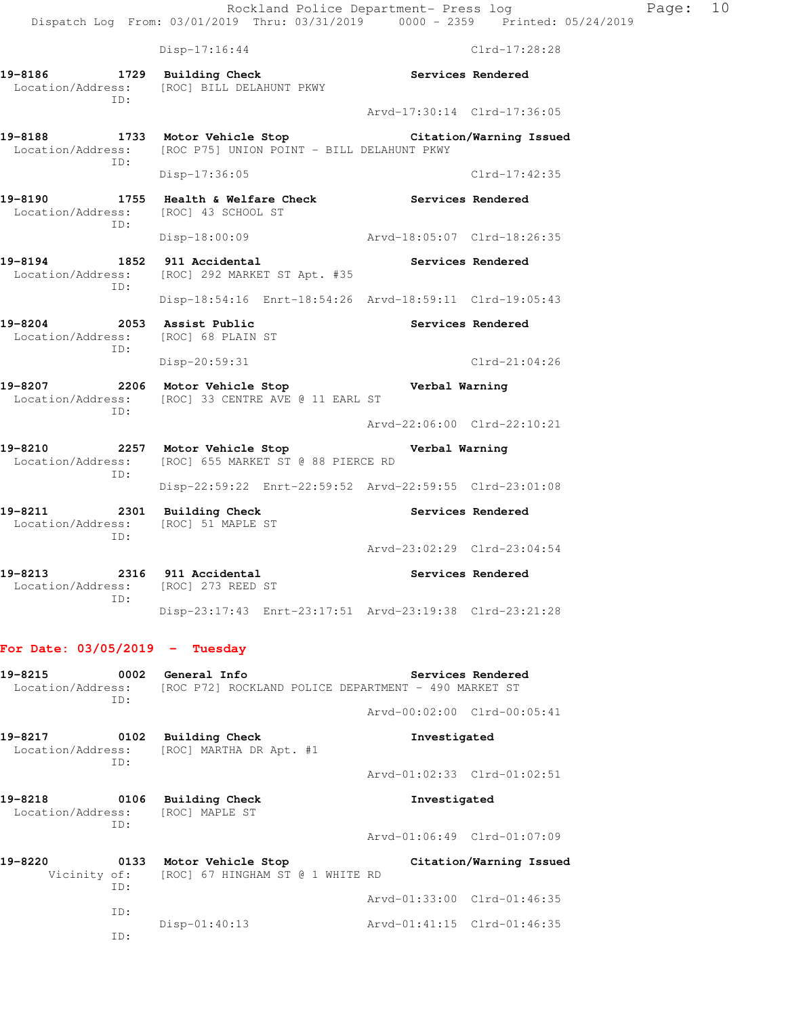Disp-17:16:44 Clrd-17:28:28

**19-8186 1729 Building Check Services Rendered**  Location/Address: [ROC] BILL DELAHUNT PKWY ID: Arvd-17:30:14 Clrd-17:36:05 **19-8188 1733 Motor Vehicle Stop Citation/Warning Issued**  Location/Address: [ROC P75] UNION POINT - BILL DELAHUNT PKWY ID: Disp-17:36:05 Clrd-17:42:35 **19-8190 1755 Health & Welfare Check Services Rendered**  Location/Address: [ROC] 43 SCHOOL ST ID: Disp-18:00:09 Arvd-18:05:07 Clrd-18:26:35 **19-8194 1852 911 Accidental Services Rendered**  Location/Address: [ROC] 292 MARKET ST Apt. #35 ID: Disp-18:54:16 Enrt-18:54:26 Arvd-18:59:11 Clrd-19:05:43 19-8204 2053 Assist Public **19-8204** Services Rendered Location/Address: [ROC] 68 PLAIN ST ID: Disp-20:59:31 Clrd-21:04:26 **19-8207 2206 Motor Vehicle Stop Verbal Warning**  Location/Address: [ROC] 33 CENTRE AVE @ 11 EARL ST ID: Arvd-22:06:00 Clrd-22:10:21 **19-8210 2257 Motor Vehicle Stop Verbal Warning**  Location/Address: [ROC] 655 MARKET ST @ 88 PIERCE RD ID: Disp-22:59:22 Enrt-22:59:52 Arvd-22:59:55 Clrd-23:01:08 **19-8211 2301 Building Check Services Rendered**  Location/Address: [ROC] 51 MAPLE ST ID: Arvd-23:02:29 Clrd-23:04:54 **19-8213 2316 911 Accidental Services Rendered**  Location/Address: [ROC] 273 REED ST ID: Disp-23:17:43 Enrt-23:17:51 Arvd-23:19:38 Clrd-23:21:28 **For Date: 03/05/2019 - Tuesday 19-8215 0002 General Info Services Rendered**  Location/Address: [ROC P72] ROCKLAND POLICE DEPARTMENT - 490 MARKET ST ID: Arvd-00:02:00 Clrd-00:05:41

**19-8217 0102 Building Check Investigated**  Location/Address: [ROC] MARTHA DR Apt. #1 ID:

**19-8218 0106 Building Check Investigated**  Location/Address: [ROC] MAPLE ST ID: Arvd-01:06:49 Clrd-01:07:09

**19-8220 0133 Motor Vehicle Stop Citation/Warning Issued**  Vicinity of: [ROC] 67 HINGHAM ST @ 1 WHITE RD ID: Arvd-01:33:00 Clrd-01:46:35 ID: Disp-01:40:13 Arvd-01:41:15 Clrd-01:46:35 ID:

Arvd-01:02:33 Clrd-01:02:51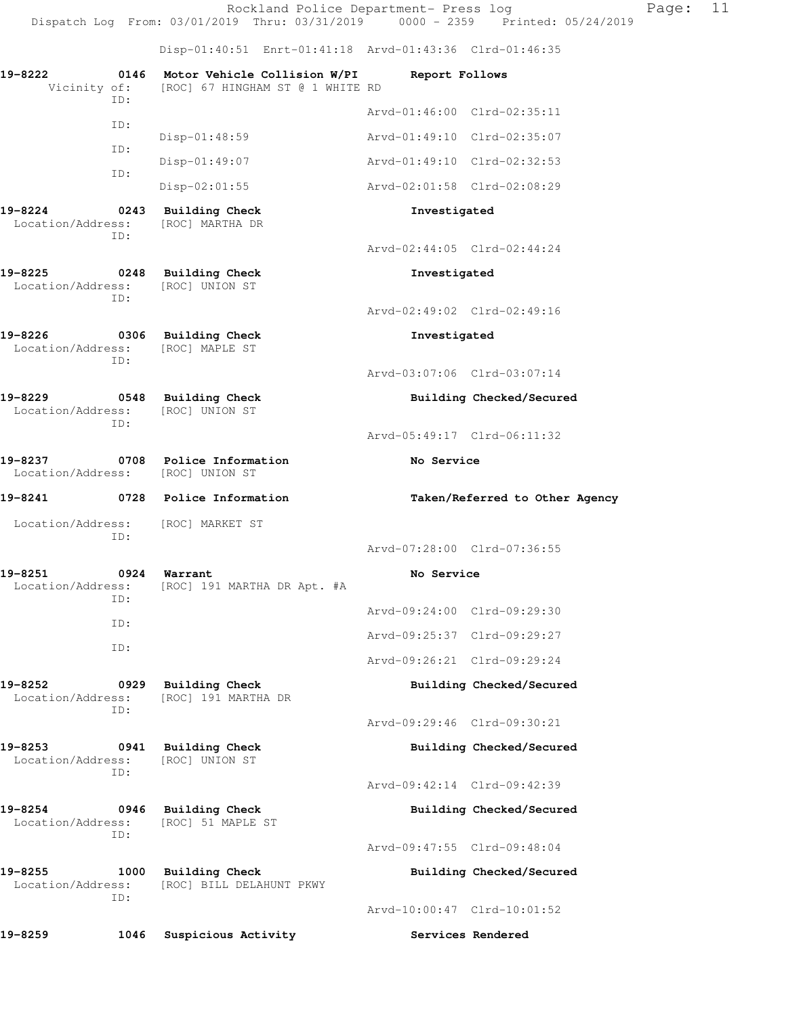Dispatch Log From: 03/01/2019 Thru: 03/31/2019 0000 - 2359 Printed: 05/24/2019 Disp-01:40:51 Enrt-01:41:18 Arvd-01:43:36 Clrd-01:46:35 **19-8222 0146 Motor Vehicle Collision W/PI Report Follows**  Vicinity of: [ROC] 67 HINGHAM ST @ 1 WHITE RD ID: Arvd-01:46:00 Clrd-02:35:11 ID: Disp-01:48:59 Arvd-01:49:10 Clrd-02:35:07 ID: Disp-01:49:07 Arvd-01:49:10 Clrd-02:32:53 ID: Disp-02:01:55 Arvd-02:01:58 Clrd-02:08:29 **19-8224 0243 Building Check Investigated**  Location/Address: [ROC] MARTHA DR ID: Arvd-02:44:05 Clrd-02:44:24 **19-8225 0248 Building Check Investigated**  Location/Address: [ROC] UNION ST ID: Arvd-02:49:02 Clrd-02:49:16 **19-8226 0306 Building Check Investigated**  Location/Address: [ROC] MAPLE ST ID: Arvd-03:07:06 Clrd-03:07:14 **19-8229 0548 Building Check Building Checked/Secured**  Location/Address: [ROC] UNION ST ID: Arvd-05:49:17 Clrd-06:11:32 **19-8237 0708 Police Information No Service**  Location/Address: [ROC] UNION ST **19-8241 0728 Police Information Taken/Referred to Other Agency**  Location/Address: [ROC] MARKET ST ID: Arvd-07:28:00 Clrd-07:36:55 **19-8251 0924 Warrant No Service**  Location/Address: [ROC] 191 MARTHA DR Apt. #A ID: Arvd-09:24:00 Clrd-09:29:30 ID: Arvd-09:25:37 Clrd-09:29:27 ID: Arvd-09:26:21 Clrd-09:29:24 **19-8252 0929 Building Check Building Checked/Secured**  Location/Address: [ROC] 191 MARTHA DR ID: Arvd-09:29:46 Clrd-09:30:21 **19-8253 0941 Building Check Building Checked/Secured**  Location/Address: [ROC] UNION ST ID: Arvd-09:42:14 Clrd-09:42:39 **19-8254 0946 Building Check Building Checked/Secured**  Location/Address: [ROC] 51 MAPLE ST ID: Arvd-09:47:55 Clrd-09:48:04 19-8255 1000 Building Check **Building Checked/Secured**  Location/Address: [ROC] BILL DELAHUNT PKWY ID: Arvd-10:00:47 Clrd-10:01:52 19-8259 1046 Suspicious Activity **Services Rendered** 

Rockland Police Department- Press log Page: 11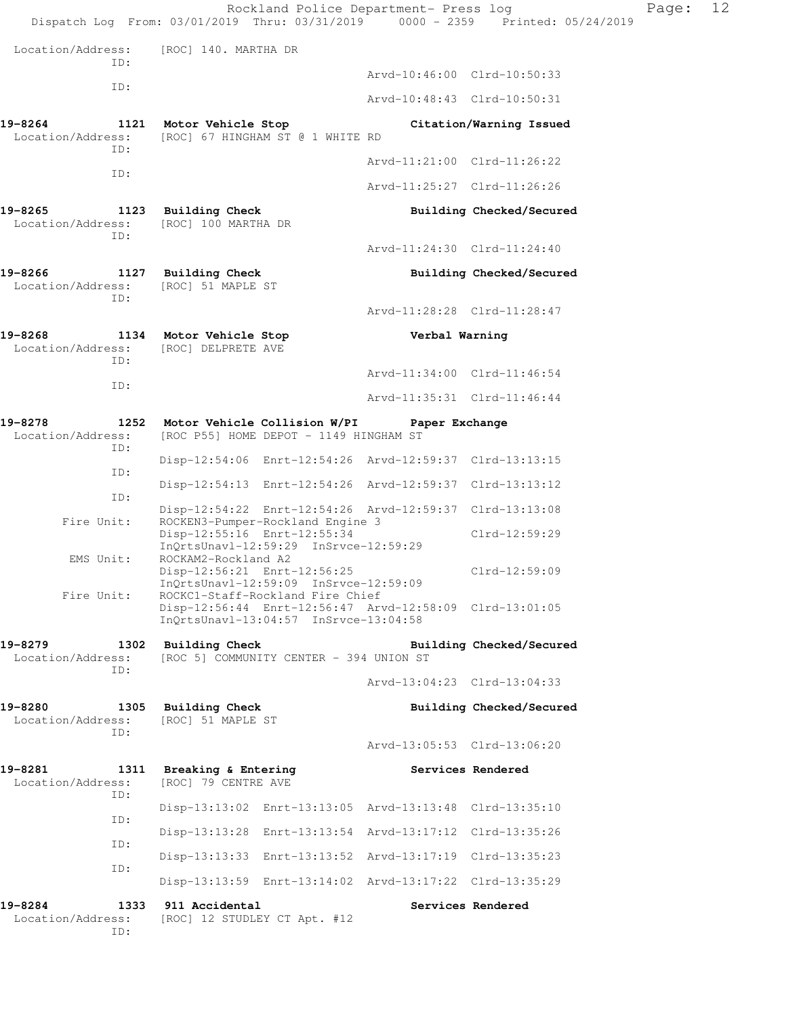|                                             | Rockland Police Department- Press log<br>Dispatch Log From: 03/01/2019 Thru: 03/31/2019 0000 - 2359 Printed: 05/24/2019              |                             |                          | Page: | 12 |
|---------------------------------------------|--------------------------------------------------------------------------------------------------------------------------------------|-----------------------------|--------------------------|-------|----|
| Location/Address:                           | [ROC] 140. MARTHA DR                                                                                                                 |                             |                          |       |    |
| ID:                                         |                                                                                                                                      | Arvd-10:46:00 Clrd-10:50:33 |                          |       |    |
| ID:                                         |                                                                                                                                      | Arvd-10:48:43 Clrd-10:50:31 |                          |       |    |
| 19-8264<br>Location/Address:                | 1121 Motor Vehicle Stop<br>[ROC] 67 HINGHAM ST @ 1 WHITE RD                                                                          |                             | Citation/Warning Issued  |       |    |
| ID:                                         |                                                                                                                                      | Arvd-11:21:00 Clrd-11:26:22 |                          |       |    |
| ID:                                         |                                                                                                                                      | Arvd-11:25:27 Clrd-11:26:26 |                          |       |    |
| 19-8265<br>Location/Address:                | 1123 Building Check<br>[ROC] 100 MARTHA DR                                                                                           |                             | Building Checked/Secured |       |    |
| ID:                                         |                                                                                                                                      | Arvd-11:24:30 Clrd-11:24:40 |                          |       |    |
| 19-8266<br>Location/Address:<br>ID:         | 1127 Building Check<br>[ROC] 51 MAPLE ST                                                                                             |                             | Building Checked/Secured |       |    |
|                                             |                                                                                                                                      | Arvd-11:28:28 Clrd-11:28:47 |                          |       |    |
| 19-8268<br>Location/Address:<br>ID:         | 1134 Motor Vehicle Stop<br>[ROC] DELPRETE AVE                                                                                        | Verbal Warning              |                          |       |    |
| ID:                                         |                                                                                                                                      | Arvd-11:34:00 Clrd-11:46:54 |                          |       |    |
|                                             |                                                                                                                                      | Arvd-11:35:31 Clrd-11:46:44 |                          |       |    |
| 19-8278<br>Location/Address:<br>ID:         | 1252 Motor Vehicle Collision W/PI<br>[ROC P55] HOME DEPOT - 1149 HINGHAM ST                                                          | Paper Exchange              |                          |       |    |
| ID:                                         | Disp-12:54:06 Enrt-12:54:26 Arvd-12:59:37 Clrd-13:13:15                                                                              |                             |                          |       |    |
| ID:                                         | Disp-12:54:13 Enrt-12:54:26 Arvd-12:59:37 Clrd-13:13:12                                                                              |                             |                          |       |    |
| Fire Unit:                                  | Disp-12:54:22 Enrt-12:54:26 Arvd-12:59:37 Clrd-13:13:08<br>ROCKEN3-Pumper-Rockland Engine 3                                          |                             |                          |       |    |
| EMS Unit:                                   | Disp-12:55:16 Enrt-12:55:34<br>InQrtsUnavl-12:59:29 InSrvce-12:59:29<br>ROCKAM2-Rockland A2                                          |                             | $Clrd-12:59:29$          |       |    |
|                                             | Disp-12:56:21 Enrt-12:56:25<br>InOrtsUnavl-12:59:09 InSrvce-12:59:09                                                                 |                             | $Clrd-12:59:09$          |       |    |
| Fire Unit:                                  | ROCKC1-Staff-Rockland Fire Chief<br>Disp-12:56:44 Enrt-12:56:47 Arvd-12:58:09 Clrd-13:01:05<br>InQrtsUnavl-13:04:57 InSrvce-13:04:58 |                             |                          |       |    |
| 19-8279<br>Location/Address:<br>ID:         | 1302 Building Check<br>[ROC 5] COMMUNITY CENTER - 394 UNION ST                                                                       |                             | Building Checked/Secured |       |    |
|                                             |                                                                                                                                      | Arvd-13:04:23 Clrd-13:04:33 |                          |       |    |
| 19-8280<br>Location/Address:<br>ID:         | 1305 Building Check<br>[ROC] 51 MAPLE ST                                                                                             |                             | Building Checked/Secured |       |    |
|                                             |                                                                                                                                      | Arvd-13:05:53 Clrd-13:06:20 |                          |       |    |
| 19-8281<br>Location/Address:<br>ID:         | 1311 Breaking & Entering<br>[ROC] 79 CENTRE AVE                                                                                      |                             | Services Rendered        |       |    |
| ID:                                         | Disp-13:13:02 Enrt-13:13:05 Arvd-13:13:48 Clrd-13:35:10                                                                              |                             |                          |       |    |
| ID:                                         | Disp-13:13:28 Enrt-13:13:54 Arvd-13:17:12 Clrd-13:35:26                                                                              |                             |                          |       |    |
| ID:                                         | Disp-13:13:33 Enrt-13:13:52 Arvd-13:17:19 Clrd-13:35:23                                                                              |                             |                          |       |    |
|                                             | Disp-13:13:59 Enrt-13:14:02 Arvd-13:17:22 Clrd-13:35:29                                                                              |                             |                          |       |    |
| 19-8284<br>1333<br>Location/Address:<br>ID: | 911 Accidental<br>[ROC] 12 STUDLEY CT Apt. #12                                                                                       |                             | Services Rendered        |       |    |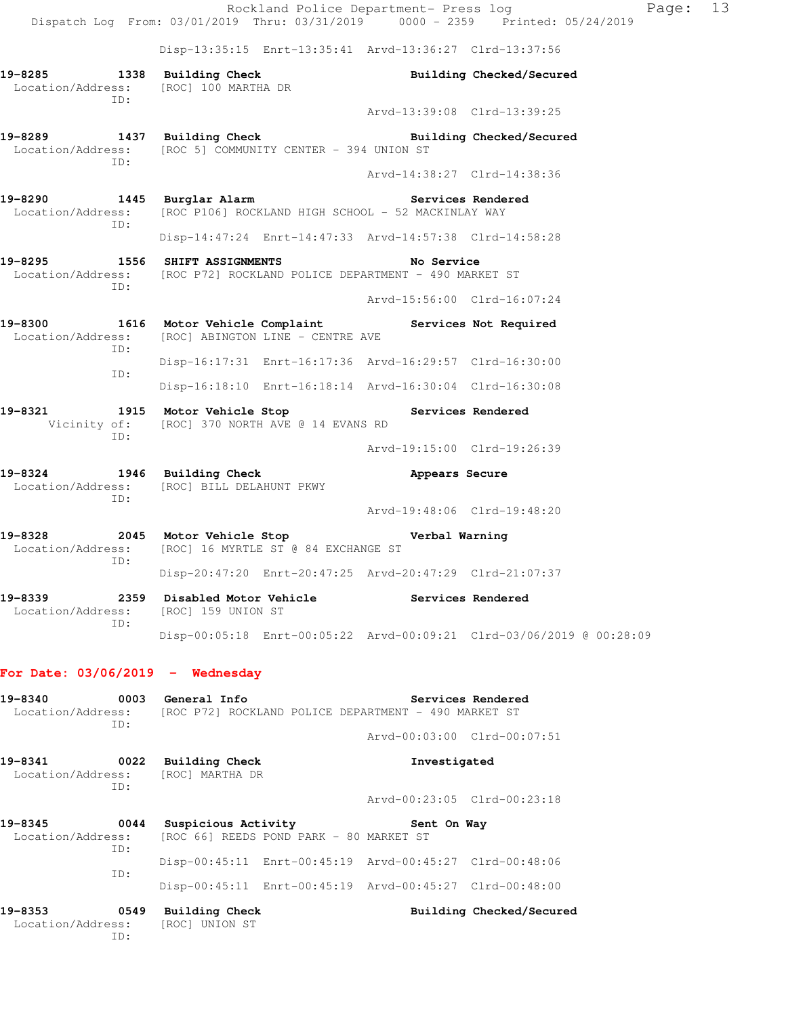Rockland Police Department- Press log Page: 13 Dispatch Log From: 03/01/2019 Thru: 03/31/2019 0000 - 2359 Printed: 05/24/2019 Disp-13:35:15 Enrt-13:35:41 Arvd-13:36:27 Clrd-13:37:56 **19-8285 1338 Building Check Building Checked/Secured**  Location/Address: [ROC] 100 MARTHA DR ID: Arvd-13:39:08 Clrd-13:39:25 **19-8289 1437 Building Check Building Checked/Secured**  Location/Address: [ROC 5] COMMUNITY CENTER - 394 UNION ST ID: Arvd-14:38:27 Clrd-14:38:36 19-8290 1445 Burglar Alarm **19-8290** Services Rendered Location/Address: [ROC P106] ROCKLAND HIGH SCHOOL - 52 MACKINLAY WAY ID: Disp-14:47:24 Enrt-14:47:33 Arvd-14:57:38 Clrd-14:58:28 **19-8295 1556 SHIFT ASSIGNMENTS No Service**  Location/Address: [ROC P72] ROCKLAND POLICE DEPARTMENT - 490 MARKET ST ID: Arvd-15:56:00 Clrd-16:07:24 **19-8300 1616 Motor Vehicle Complaint Services Not Required**  Location/Address: [ROC] ABINGTON LINE - CENTRE AVE ID: Disp-16:17:31 Enrt-16:17:36 Arvd-16:29:57 Clrd-16:30:00 ID: Disp-16:18:10 Enrt-16:18:14 Arvd-16:30:04 Clrd-16:30:08 **19-8321 1915 Motor Vehicle Stop Services Rendered**  Vicinity of: [ROC] 370 NORTH AVE @ 14 EVANS RD ID: Arvd-19:15:00 Clrd-19:26:39 **19-8324 1946 Building Check Appears Secure**  Location/Address: [ROC] BILL DELAHUNT PKWY ID: Arvd-19:48:06 Clrd-19:48:20 **19-8328 2045 Motor Vehicle Stop Verbal Warning**  Location/Address: [ROC] 16 MYRTLE ST @ 84 EXCHANGE ST ID: Disp-20:47:20 Enrt-20:47:25 Arvd-20:47:29 Clrd-21:07:37 **19-8339 2359 Disabled Motor Vehicle Services Rendered**  Location/Address: [ROC] 159 UNION ST ID: Disp-00:05:18 Enrt-00:05:22 Arvd-00:09:21 Clrd-03/06/2019 @ 00:28:09 **For Date: 03/06/2019 - Wednesday 19-8340 0003 General Info Services Rendered**  Location/Address: [ROC P72] ROCKLAND POLICE DEPARTMENT - 490 MARKET ST ID: Arvd-00:03:00 Clrd-00:07:51 **19-8341 0022 Building Check Investigated**  Location/Address: [ROC] MARTHA DR ID: Arvd-00:23:05 Clrd-00:23:18 19-8345 **0044** Suspicious Activity **Sent On Way** Location/Address: [ROC 66] REEDS POND PARK - 80 MARKET ST ID: Disp-00:45:11 Enrt-00:45:19 Arvd-00:45:27 Clrd-00:48:06 ID: Disp-00:45:11 Enrt-00:45:19 Arvd-00:45:27 Clrd-00:48:00 **19-8353 0549 Building Check Building Checked/Secured** 

 Location/Address: [ROC] UNION ST ID: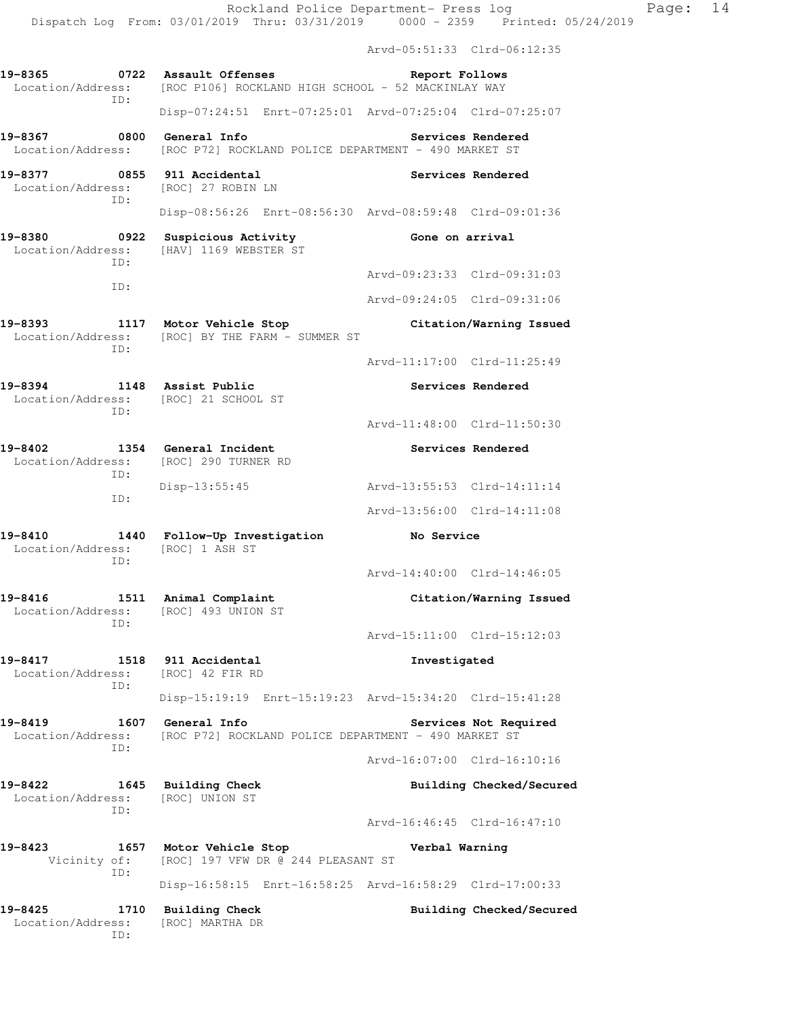|                                                                              |                                                                                               | Arvd-05:51:33 Clrd-06:12:35 |                          |
|------------------------------------------------------------------------------|-----------------------------------------------------------------------------------------------|-----------------------------|--------------------------|
| 19-8365<br>ID:                                                               | 0722 Assault Offenses<br>Location/Address: [ROC P106] ROCKLAND HIGH SCHOOL - 52 MACKINLAY WAY | Report Follows              |                          |
|                                                                              | Disp-07:24:51 Enrt-07:25:01 Arvd-07:25:04 Clrd-07:25:07                                       |                             |                          |
| 19-8367 0800                                                                 | General Info<br>Location/Address: [ROC P72] ROCKLAND POLICE DEPARTMENT - 490 MARKET ST        |                             | Services Rendered        |
| 19-8377 0855 911 Accidental<br>Location/Address: [ROC] 27 ROBIN LN<br>ID:    |                                                                                               |                             | Services Rendered        |
|                                                                              | Disp-08:56:26 Enrt-08:56:30 Arvd-08:59:48 Clrd-09:01:36                                       |                             |                          |
| 19-8380<br>TD:                                                               | 0922 Suspicious Activity<br>Location/Address: [HAV] 1169 WEBSTER ST                           | Gone on arrival             |                          |
| ID:                                                                          |                                                                                               | Arvd-09:23:33 Clrd-09:31:03 |                          |
|                                                                              |                                                                                               | Arvd-09:24:05 Clrd-09:31:06 |                          |
| ID:                                                                          | 19-8393 1117 Motor Vehicle Stop<br>Location/Address: [ROC] BY THE FARM - SUMMER ST            |                             | Citation/Warning Issued  |
|                                                                              |                                                                                               | Arvd-11:17:00 Clrd-11:25:49 |                          |
| 19-8394 1148 Assist Public<br>Location/Address: [ROC] 21 SCHOOL ST<br>ID:    |                                                                                               |                             | Services Rendered        |
|                                                                              |                                                                                               | Arvd-11:48:00 Clrd-11:50:30 |                          |
| 19-8402 1354 General Incident                                                | Location/Address: [ROC] 290 TURNER RD                                                         |                             | Services Rendered        |
| ID:<br>ID:                                                                   | Disp-13:55:45                                                                                 | Arvd-13:55:53 Clrd-14:11:14 |                          |
|                                                                              |                                                                                               | Arvd-13:56:00 Clrd-14:11:08 |                          |
| Location/Address: [ROC] 1 ASH ST<br>ID:                                      | 19-8410 1440 Follow-Up Investigation                                                          | <b>No Service</b>           |                          |
|                                                                              |                                                                                               | Arvd-14:40:00 Clrd-14:46:05 |                          |
| 19-8416 1511 Animal Complaint<br>Location/Address: [ROC] 493 UNION ST<br>ID: |                                                                                               |                             | Citation/Warning Issued  |
|                                                                              |                                                                                               | Arvd-15:11:00 Clrd-15:12:03 |                          |
| 19-8417<br>Location/Address:<br>TD:                                          | 1518 911 Accidental<br>[ROC] 42 FIR RD                                                        | Investigated                |                          |
|                                                                              | Disp-15:19:19 Enrt-15:19:23 Arvd-15:34:20 Clrd-15:41:28                                       |                             |                          |
| 19-8419<br>Location/Address:<br>ID:                                          | 1607 General Info<br>[ROC P72] ROCKLAND POLICE DEPARTMENT - 490 MARKET ST                     |                             | Services Not Required    |
|                                                                              |                                                                                               | Arvd-16:07:00 Clrd-16:10:16 |                          |
| 19-8422<br>Location/Address:<br>ID:                                          | 1645 Building Check<br>[ROC] UNION ST                                                         |                             | Building Checked/Secured |
|                                                                              |                                                                                               | Arvd-16:46:45 Clrd-16:47:10 |                          |
| 19-8423<br>Vicinity of:<br>ID:                                               | 1657 Motor Vehicle Stop<br>[ROC] 197 VFW DR @ 244 PLEASANT ST                                 | Verbal Warning              |                          |
|                                                                              | Disp-16:58:15 Enrt-16:58:25 Arvd-16:58:29 Clrd-17:00:33                                       |                             |                          |
| 19-8425<br>1710<br>Location/Address:                                         | <b>Building Check</b><br>[ROC] MARTHA DR                                                      |                             | Building Checked/Secured |

ID: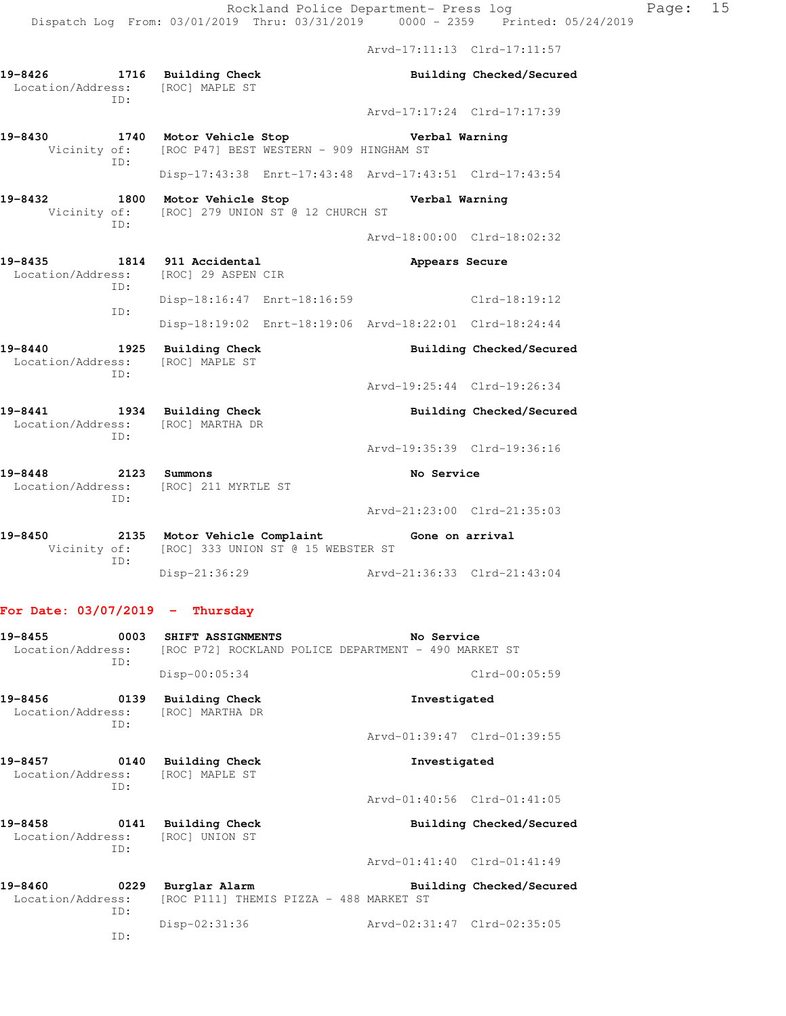Arvd-17:11:13 Clrd-17:11:57

**19-8426 1716 Building Check Building Checked/Secured**  Location/Address: [ROC] MAPLE ST ID: Arvd-17:17:24 Clrd-17:17:39 **19-8430 1740 Motor Vehicle Stop Verbal Warning**  Vicinity of: [ROC P47] BEST WESTERN - 909 HINGHAM ST ID: Disp-17:43:38 Enrt-17:43:48 Arvd-17:43:51 Clrd-17:43:54 **19-8432 1800 Motor Vehicle Stop Verbal Warning**  Vicinity of: [ROC] 279 UNION ST @ 12 CHURCH ST ID: Arvd-18:00:00 Clrd-18:02:32 **19-8435 1814 911 Accidental Appears Secure**  Location/Address: [ROC] 29 ASPEN CIR ID: Disp-18:16:47 Enrt-18:16:59 Clrd-18:19:12 ID: Disp-18:19:02 Enrt-18:19:06 Arvd-18:22:01 Clrd-18:24:44 **19-8440 1925 Building Check Building Checked/Secured**  Location/Address: [ROC] MAPLE ST ID: Arvd-19:25:44 Clrd-19:26:34 19-8441 1934 Building Check **Building Building Checked/Secured**  Location/Address: [ROC] MARTHA DR ID: Arvd-19:35:39 Clrd-19:36:16 **19-8448 2123 Summons No Service**  Location/Address: [ROC] 211 MYRTLE ST ID: Arvd-21:23:00 Clrd-21:35:03 **19-8450 2135 Motor Vehicle Complaint Gone on arrival**  Vicinity of: [ROC] 333 UNION ST @ 15 WEBSTER ST ID: Disp-21:36:29 Arvd-21:36:33 Clrd-21:43:04 **For Date: 03/07/2019 - Thursday 19-8455 0003 SHIFT ASSIGNMENTS No Service**  Location/Address: [ROC P72] ROCKLAND POLICE DEPARTMENT - 490 MARKET ST ID: Disp-00:05:34 Clrd-00:05:59 **19-8456 0139 Building Check Investigated**  Location/Address: [ROC] MARTHA DR ID: Arvd-01:39:47 Clrd-01:39:55 **19-8457 0140 Building Check Investigated**  Location/Address: [ROC] MAPLE ST ID: Arvd-01:40:56 Clrd-01:41:05 **19-8458 0141 Building Check Building Checked/Secured**  Location/Address: [ROC] UNION ST ID: Arvd-01:41:40 Clrd-01:41:49 **19-8460 0229 Burglar Alarm Building Checked/Secured**  Location/Address: [ROC P111] THEMIS PIZZA - 488 MARKET ST ID: Disp-02:31:36 Arvd-02:31:47 Clrd-02:35:05 ID: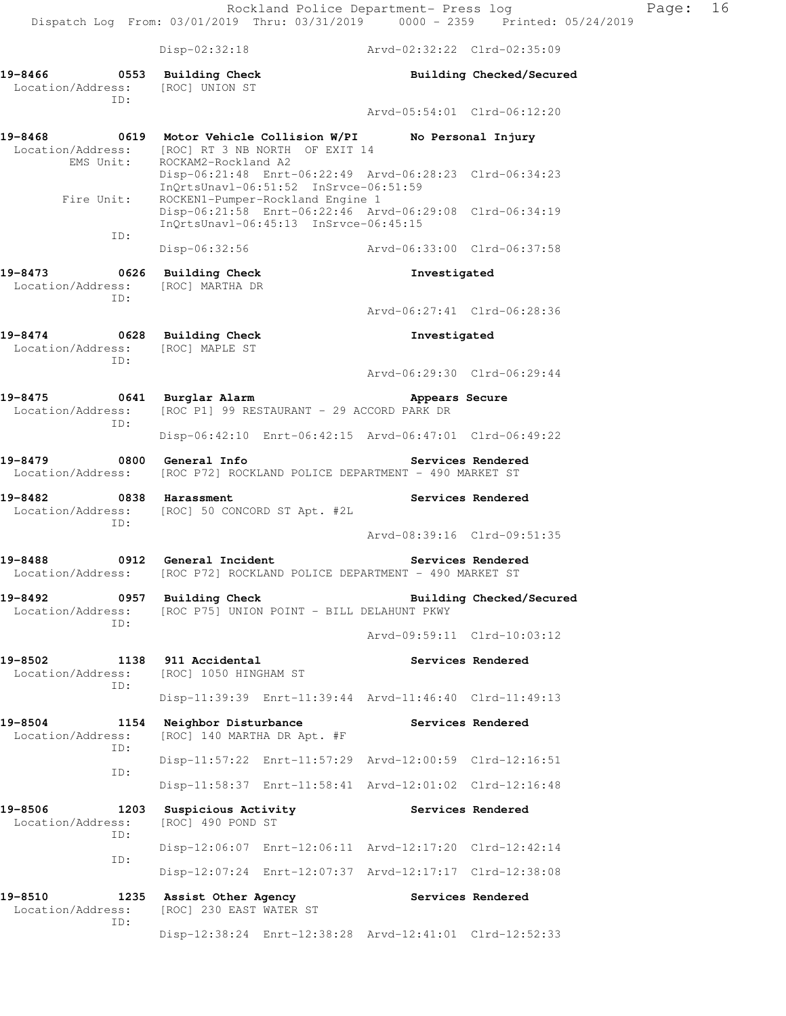|                                                   | $Disp-02:32:18$                                                                                                                      | Arvd-02:32:22 Clrd-02:35:09                                  |                          |  |  |  |  |  |
|---------------------------------------------------|--------------------------------------------------------------------------------------------------------------------------------------|--------------------------------------------------------------|--------------------------|--|--|--|--|--|
| 19-8466<br>0553<br>Location/Address:              | Building Check<br>[ROC] UNION ST                                                                                                     |                                                              | Building Checked/Secured |  |  |  |  |  |
| ID:                                               |                                                                                                                                      | Arvd-05:54:01 Clrd-06:12:20                                  |                          |  |  |  |  |  |
| 0619<br>19-8468<br>Location/Address:<br>EMS Unit: | Motor Vehicle Collision W/PI<br>[ROC] RT 3 NB NORTH OF EXIT 14<br>ROCKAM2-Rockland A2                                                |                                                              | No Personal Injury       |  |  |  |  |  |
| Fire Unit:                                        | Disp-06:21:48 Enrt-06:22:49 Arvd-06:28:23 Clrd-06:34:23<br>InQrtsUnavl-06:51:52 InSrvce-06:51:59<br>ROCKEN1-Pumper-Rockland Engine 1 |                                                              |                          |  |  |  |  |  |
| ID:                                               | Disp-06:21:58 Enrt-06:22:46 Arvd-06:29:08 Clrd-06:34:19<br>InQrtsUnavl-06:45:13 InSrvce-06:45:15                                     |                                                              |                          |  |  |  |  |  |
|                                                   | Disp-06:32:56                                                                                                                        | Arvd-06:33:00 Clrd-06:37:58                                  |                          |  |  |  |  |  |
| 19-8473<br>0626<br>Location/Address:<br>ID:       | <b>Building Check</b><br>[ROC] MARTHA DR                                                                                             | Investigated                                                 |                          |  |  |  |  |  |
|                                                   |                                                                                                                                      | Arvd-06:27:41 Clrd-06:28:36                                  |                          |  |  |  |  |  |
| 19-8474<br>Location/Address:<br>ID:               | 0628 Building Check<br>[ROC] MAPLE ST                                                                                                | Investigated                                                 |                          |  |  |  |  |  |
|                                                   |                                                                                                                                      | Arvd-06:29:30 Clrd-06:29:44                                  |                          |  |  |  |  |  |
| 19-8475<br>Location/Address:<br>ID:               | 0641 Burglar Alarm                                                                                                                   | Appears Secure<br>[ROC P1] 99 RESTAURANT - 29 ACCORD PARK DR |                          |  |  |  |  |  |
|                                                   | Disp-06:42:10 Enrt-06:42:15 Arvd-06:47:01 Clrd-06:49:22                                                                              |                                                              |                          |  |  |  |  |  |
| 0800<br>19-8479                                   | General Info<br>Location/Address: [ROC P72] ROCKLAND POLICE DEPARTMENT - 490 MARKET ST                                               |                                                              | Services Rendered        |  |  |  |  |  |
| 19-8482<br>ID:                                    | 0838 Harassment<br>Location/Address: [ROC] 50 CONCORD ST Apt. #2L                                                                    |                                                              | Services Rendered        |  |  |  |  |  |
|                                                   |                                                                                                                                      | Arvd-08:39:16 Clrd-09:51:35                                  |                          |  |  |  |  |  |
| 19-8488<br>$\overline{0912}$<br>Location/Address: | General Incident<br>[ROC P72] ROCKLAND POLICE DEPARTMENT - 490 MARKET ST                                                             |                                                              | Services Rendered        |  |  |  |  |  |
| 19-8492<br>0957<br>Location/Address:<br>ID:       | <b>Building Check</b><br>[ROC P75] UNION POINT - BILL DELAHUNT PKWY                                                                  |                                                              | Building Checked/Secured |  |  |  |  |  |
|                                                   |                                                                                                                                      | Arvd-09:59:11 Clrd-10:03:12                                  |                          |  |  |  |  |  |
| 19-8502<br>1138<br>Location/Address:<br>ID:       | 911 Accidental<br>[ROC] 1050 HINGHAM ST                                                                                              |                                                              | Services Rendered        |  |  |  |  |  |
|                                                   | Disp-11:39:39                                                                                                                        | Enrt-11:39:44 Arvd-11:46:40 Clrd-11:49:13                    |                          |  |  |  |  |  |
| 19-8504<br>1154<br>Location/Address:<br>ID:       | Neighbor Disturbance<br>[ROC] 140 MARTHA DR Apt. #F                                                                                  |                                                              | Services Rendered        |  |  |  |  |  |
| ID:                                               | Disp-11:57:22 Enrt-11:57:29 Arvd-12:00:59 Clrd-12:16:51                                                                              |                                                              |                          |  |  |  |  |  |
|                                                   | Disp-11:58:37 Enrt-11:58:41 Arvd-12:01:02 Clrd-12:16:48                                                                              |                                                              |                          |  |  |  |  |  |
| 19-8506<br>1203<br>Location/Address:<br>ID:       | Suspicious Activity<br>[ROC] 490 POND ST                                                                                             |                                                              | Services Rendered        |  |  |  |  |  |

 Disp-12:06:07 Enrt-12:06:11 Arvd-12:17:20 Clrd-12:42:14 ID: Disp-12:07:24 Enrt-12:07:37 Arvd-12:17:17 Clrd-12:38:08

19-8510 1235 Assist Other Agency **Services Rendered** Location/Address: [ROC] 230 EAST WATER ST Location/Address: [ROC] 230 EAST WATER ST ID: Disp-12:38:24 Enrt-12:38:28 Arvd-12:41:01 Clrd-12:52:33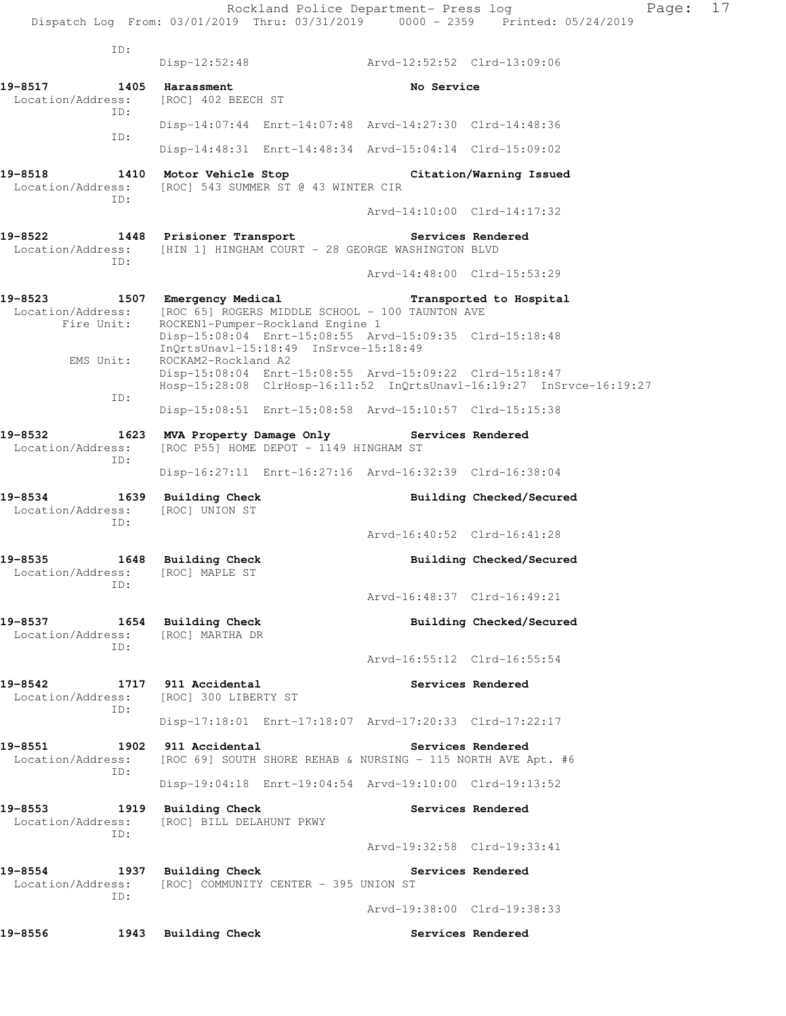ID: Disp-12:52:48 Arvd-12:52:52 Clrd-13:09:06 19-8517 1405 Harassment **No Service**  Location/Address: [ROC] 402 BEECH ST ID: Disp-14:07:44 Enrt-14:07:48 Arvd-14:27:30 Clrd-14:48:36 ID: Disp-14:48:31 Enrt-14:48:34 Arvd-15:04:14 Clrd-15:09:02 **19-8518 1410 Motor Vehicle Stop Citation/Warning Issued**  Location/Address: [ROC] 543 SUMMER ST @ 43 WINTER CIR ID: Arvd-14:10:00 Clrd-14:17:32 **19-8522 1448 Prisioner Transport Services Rendered**  Location/Address: [HIN 1] HINGHAM COURT - 28 GEORGE WASHINGTON BLVD ID: Arvd-14:48:00 Clrd-15:53:29 **19-8523 1507 Emergency Medical Transported to Hospital**  Location/Address: [ROC 65] ROGERS MIDDLE SCHOOL - 100 TAUNTON AVE Fire Unit: ROCKEN1-Pumper-Rockland Engine 1 Disp-15:08:04 Enrt-15:08:55 Arvd-15:09:35 Clrd-15:18:48 InQrtsUnavl-15:18:49 InSrvce-15:18:49 EMS Unit: ROCKAM2-Rockland A2 Disp-15:08:04 Enrt-15:08:55 Arvd-15:09:22 Clrd-15:18:47 Hosp-15:28:08 ClrHosp-16:11:52 InQrtsUnavl-16:19:27 InSrvce-16:19:27 ID: Disp-15:08:51 Enrt-15:08:58 Arvd-15:10:57 Clrd-15:15:38 **19-8532 1623 MVA Property Damage Only Services Rendered**  Location/Address: [ROC P55] HOME DEPOT - 1149 HINGHAM ST ID: Disp-16:27:11 Enrt-16:27:16 Arvd-16:32:39 Clrd-16:38:04 **19-8534 1639 Building Check Building Checked/Secured**  Location/Address: [ROC] UNION ST ID: Arvd-16:40:52 Clrd-16:41:28 **19-8535 1648 Building Check Building Checked/Secured**  Location/Address: [ROC] MAPLE ST ID: Arvd-16:48:37 Clrd-16:49:21 19-8537 1654 Building Check **Building Building Checked/Secured**  Location/Address: [ROC] MARTHA DR ID: Arvd-16:55:12 Clrd-16:55:54 **19-8542 1717 911 Accidental Services Rendered**  Location/Address: [ROC] 300 LIBERTY ST ID: Disp-17:18:01 Enrt-17:18:07 Arvd-17:20:33 Clrd-17:22:17 **19-8551 1902 911 Accidental Services Rendered**  Location/Address: [ROC 69] SOUTH SHORE REHAB & NURSING - 115 NORTH AVE Apt. #6 ID: Disp-19:04:18 Enrt-19:04:54 Arvd-19:10:00 Clrd-19:13:52 **19-8553 1919 Building Check Services Rendered**  Location/Address: [ROC] BILL DELAHUNT PKWY ID: Arvd-19:32:58 Clrd-19:33:41 **19-8554 1937 Building Check Services Rendered**  Location/Address: [ROC] COMMUNITY CENTER - 395 UNION ST ID: Arvd-19:38:00 Clrd-19:38:33 **19-8556 1943 Building Check Services Rendered**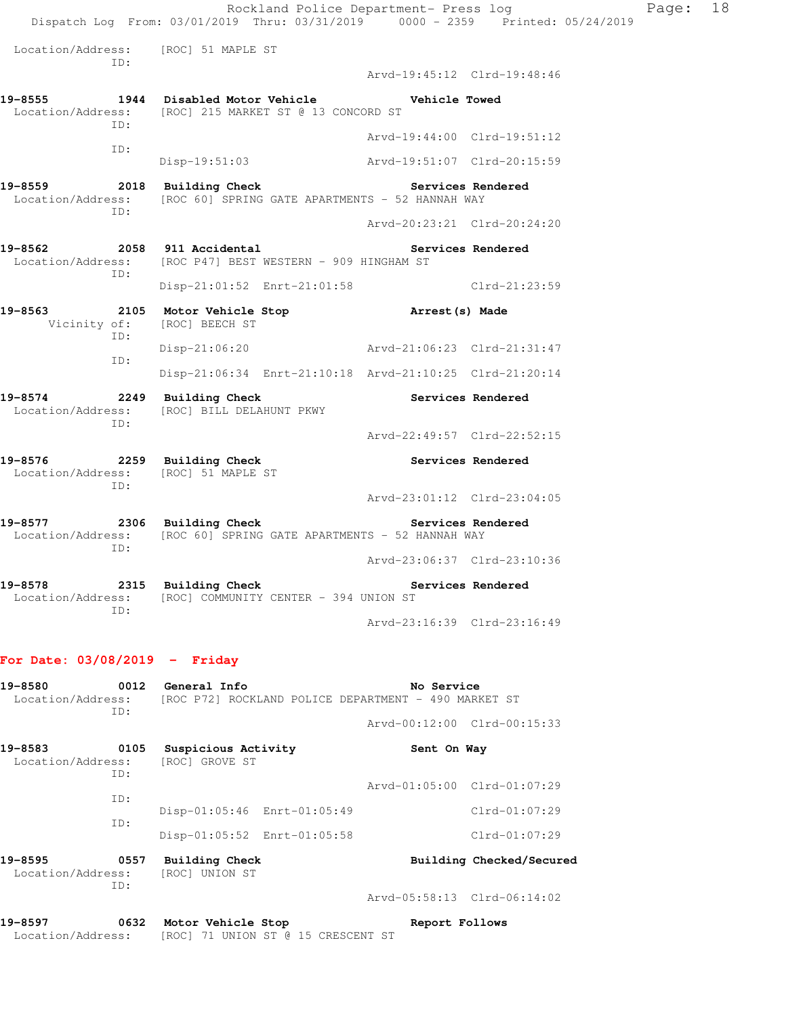Rockland Police Department- Press log Page: 18 Dispatch Log From: 03/01/2019 Thru: 03/31/2019 0000 - 2359 Printed: 05/24/2019 Location/Address: [ROC] 51 MAPLE ST ID: Arvd-19:45:12 Clrd-19:48:46 **19-8555 1944 Disabled Motor Vehicle Vehicle Towed**  Location/Address: [ROC] 215 MARKET ST @ 13 CONCORD ST ID: Arvd-19:44:00 Clrd-19:51:12 ID: Disp-19:51:03 Arvd-19:51:07 Clrd-20:15:59 **19-8559 2018 Building Check Services Rendered**  Location/Address: [ROC 60] SPRING GATE APARTMENTS - 52 HANNAH WAY ID: Arvd-20:23:21 Clrd-20:24:20 19-8562 2058 911 Accidental **Services Rendered**  Location/Address: [ROC P47] BEST WESTERN - 909 HINGHAM ST ID: Disp-21:01:52 Enrt-21:01:58 Clrd-21:23:59 **19-8563 2105 Motor Vehicle Stop Arrest(s) Made**  Vicinity of: [ROC] BEECH ST ID: Disp-21:06:20 Arvd-21:06:23 Clrd-21:31:47 ID: Disp-21:06:34 Enrt-21:10:18 Arvd-21:10:25 Clrd-21:20:14 19-8574 2249 Building Check **Services Rendered**  Location/Address: [ROC] BILL DELAHUNT PKWY ID: Arvd-22:49:57 Clrd-22:52:15 **19-8576 2259 Building Check Services Rendered**  Location/Address: [ROC] 51 MAPLE ST ID: Arvd-23:01:12 Clrd-23:04:05 **19-8577 2306 Building Check Services Rendered**  Location/Address: [ROC 60] SPRING GATE APARTMENTS - 52 HANNAH WAY ID: Arvd-23:06:37 Clrd-23:10:36 **19-8578 2315 Building Check Services Rendered**  Location/Address: [ROC] COMMUNITY CENTER - 394 UNION ST ID: Arvd-23:16:39 Clrd-23:16:49

### **For Date: 03/08/2019 - Friday**

| 19-8580                                     | 0012        | General Info                                         | No Service                  |  |  |  |
|---------------------------------------------|-------------|------------------------------------------------------|-----------------------------|--|--|--|
| Location/Address:<br>ID:                    |             | [ROC P72] ROCKLAND POLICE DEPARTMENT - 490 MARKET ST |                             |  |  |  |
|                                             |             |                                                      | Arvd-00:12:00 Clrd-00:15:33 |  |  |  |
| 19-8583<br>0105<br>Location/Address:<br>ID: |             | Suspicious Activity<br>[ROC] GROVE ST                | Sent On Way                 |  |  |  |
|                                             | ID:         |                                                      | Arvd-01:05:00 Clrd-01:07:29 |  |  |  |
|                                             | ID:         | Disp-01:05:46 Enrt-01:05:49                          | $Clrd-01:07:29$             |  |  |  |
|                                             |             | Disp-01:05:52 Enrt-01:05:58                          | $Clrd-01:07:29$             |  |  |  |
| 19-8595<br>Location/Address:                | 0557<br>ID: | <b>Building Check</b><br>[ROC] UNION ST              | Building Checked/Secured    |  |  |  |
|                                             |             |                                                      | Arvd-05:58:13 Clrd-06:14:02 |  |  |  |

| 19-8597           | 0632 |  | Motor Vehicle Stop |  |                                    | Report Follows |
|-------------------|------|--|--------------------|--|------------------------------------|----------------|
| Location/Address: |      |  |                    |  | [ROC] 71 UNION ST @ 15 CRESCENT ST |                |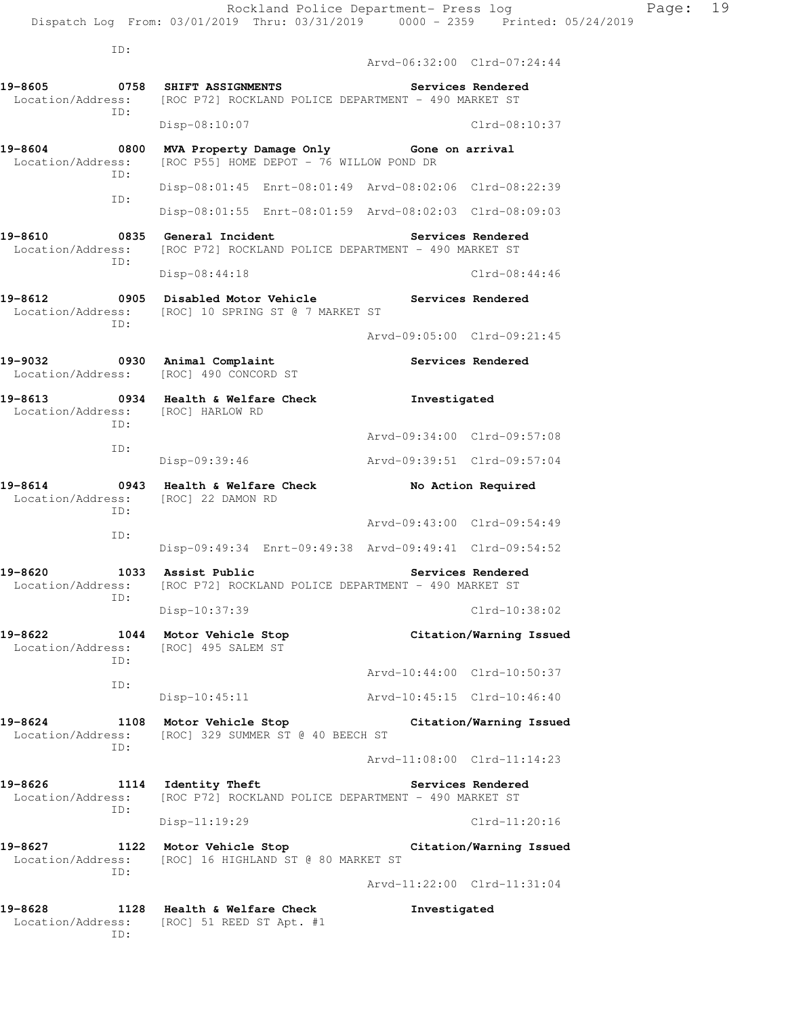ID:

 Arvd-06:32:00 Clrd-07:24:44 **19-8605 0758 SHIFT ASSIGNMENTS Services Rendered**  Location/Address: [ROC P72] ROCKLAND POLICE DEPARTMENT - 490 MARKET ST ID: Disp-08:10:07 Clrd-08:10:37 **19-8604 0800 MVA Property Damage Only Gone on arrival**  Location/Address: [ROC P55] HOME DEPOT - 76 WILLOW POND DR ID: Disp-08:01:45 Enrt-08:01:49 Arvd-08:02:06 Clrd-08:22:39 ID: Disp-08:01:55 Enrt-08:01:59 Arvd-08:02:03 Clrd-08:09:03 **19-8610 0835 General Incident Services Rendered**  Location/Address: [ROC P72] ROCKLAND POLICE DEPARTMENT - 490 MARKET ST ID: Disp-08:44:18 Clrd-08:44:46 **19-8612 0905 Disabled Motor Vehicle Services Rendered**  Location/Address: [ROC] 10 SPRING ST @ 7 MARKET ST ID: Arvd-09:05:00 Clrd-09:21:45 **19-9032 0930 Animal Complaint Services Rendered**  Location/Address: [ROC] 490 CONCORD ST **19-8613 0934 Health & Welfare Check Investigated**  Location/Address: [ROC] HARLOW RD ID: Arvd-09:34:00 Clrd-09:57:08 ID: Disp-09:39:46 Arvd-09:39:51 Clrd-09:57:04 **19-8614 0943 Health & Welfare Check No Action Required**  Location/Address: [ROC] 22 DAMON RD ID: Arvd-09:43:00 Clrd-09:54:49 ID: Disp-09:49:34 Enrt-09:49:38 Arvd-09:49:41 Clrd-09:54:52 **19-8620 1033 Assist Public Services Rendered**  Location/Address: [ROC P72] ROCKLAND POLICE DEPARTMENT - 490 MARKET ST ID: Disp-10:37:39 Clrd-10:38:02 **19-8622 1044 Motor Vehicle Stop Citation/Warning Issued**  Location/Address: [ROC] 495 SALEM ST ID: Arvd-10:44:00 Clrd-10:50:37 ID: Disp-10:45:11 Arvd-10:45:15 Clrd-10:46:40 **19-8624 1108 Motor Vehicle Stop Citation/Warning Issued**  Location/Address: [ROC] 329 SUMMER ST @ 40 BEECH ST ID: Arvd-11:08:00 Clrd-11:14:23 **19-8626 1114 Identity Theft Services Rendered**  Location/Address: [ROC P72] ROCKLAND POLICE DEPARTMENT - 490 MARKET ST ID: Disp-11:19:29 Clrd-11:20:16 **19-8627 1122 Motor Vehicle Stop Citation/Warning Issued**  Location/Address: [ROC] 16 HIGHLAND ST @ 80 MARKET ST ID: Arvd-11:22:00 Clrd-11:31:04 **19-8628 1128 Health & Welfare Check Investigated** 

Location/Address: [ROC] 51 REED ST Apt. #1

ID: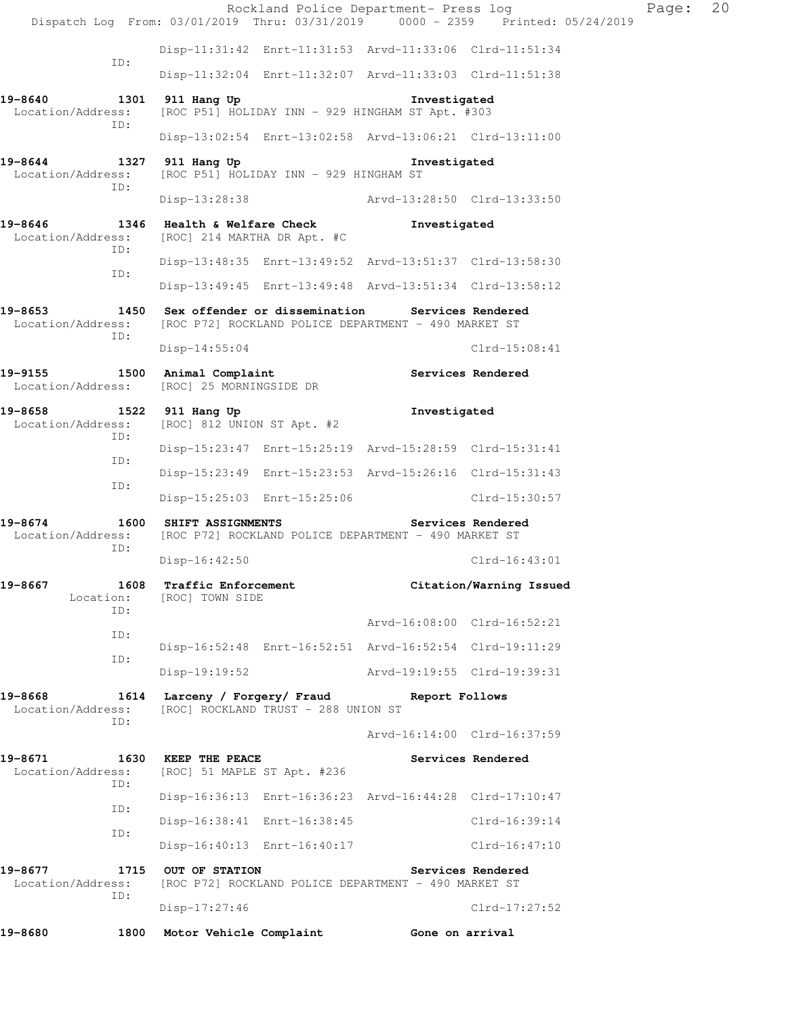|                                                    |             | Dispatch Log From: 03/01/2019 Thru: 03/31/2019 0000 - 2359 Printed: 05/24/2019                               |  |              | Rockland Police Department- Press log | Page: | 20 |
|----------------------------------------------------|-------------|--------------------------------------------------------------------------------------------------------------|--|--------------|---------------------------------------|-------|----|
|                                                    |             | Disp-11:31:42 Enrt-11:31:53 Arvd-11:33:06 Clrd-11:51:34                                                      |  |              |                                       |       |    |
|                                                    | ID:         | Disp-11:32:04 Enrt-11:32:07 Arvd-11:33:03 Clrd-11:51:38                                                      |  |              |                                       |       |    |
| 19-8640<br>Location/Address:                       |             | 1301 911 Hang Up<br>[ROC P51] HOLIDAY INN - 929 HINGHAM ST Apt. #303                                         |  | Investigated |                                       |       |    |
|                                                    | ID:         | Disp-13:02:54 Enrt-13:02:58 Arvd-13:06:21 Clrd-13:11:00                                                      |  |              |                                       |       |    |
| 19-8644<br>Location/Address:                       | ID:         | 1327 911 Hang Up<br>[ROC P51] HOLIDAY INN - 929 HINGHAM ST                                                   |  | Investigated |                                       |       |    |
|                                                    |             | Disp-13:28:38                                                                                                |  |              | Arvd-13:28:50 Clrd-13:33:50           |       |    |
| 19-8646<br>Location/Address:                       | ID:         | 1346 Health & Welfare Check<br>[ROC] 214 MARTHA DR Apt. #C                                                   |  | Investigated |                                       |       |    |
|                                                    |             | Disp-13:48:35 Enrt-13:49:52 Arvd-13:51:37 Clrd-13:58:30                                                      |  |              |                                       |       |    |
|                                                    | ID:         | Disp-13:49:45 Enrt-13:49:48 Arvd-13:51:34 Clrd-13:58:12                                                      |  |              |                                       |       |    |
| 19-8653<br>Location/Address:                       | ID:         | 1450 Sex offender or dissemination Services Rendered<br>[ROC P72] ROCKLAND POLICE DEPARTMENT - 490 MARKET ST |  |              |                                       |       |    |
|                                                    |             | Disp-14:55:04                                                                                                |  |              | $Clrd-15:08:41$                       |       |    |
| 19-9155 1500 Animal Complaint<br>Location/Address: |             | [ROC] 25 MORNINGSIDE DR                                                                                      |  |              | Services Rendered                     |       |    |
| 19-8658<br>Location/Address:                       | ID:         | 1522 911 Hang Up<br>[ROC] 812 UNION ST Apt. #2                                                               |  | Investigated |                                       |       |    |
|                                                    | ID:         | Disp-15:23:47 Enrt-15:25:19 Arvd-15:28:59 Clrd-15:31:41                                                      |  |              |                                       |       |    |
|                                                    | ID:         | Disp-15:23:49 Enrt-15:23:53 Arvd-15:26:16 Clrd-15:31:43                                                      |  |              |                                       |       |    |
|                                                    |             | Disp-15:25:03 Enrt-15:25:06                                                                                  |  |              | Clrd-15:30:57                         |       |    |
| 19-8674<br>Location/Address:                       | ID:         | 1600 SHIFT ASSIGNMENTS<br>[ROC P72] ROCKLAND POLICE DEPARTMENT - 490 MARKET ST                               |  |              | Services Rendered                     |       |    |
|                                                    |             | $Disp-16:42:50$                                                                                              |  |              | $C1rd-16:43:01$                       |       |    |
| 19-8667<br>Location:                               | ID:         | 1608 Traffic Enforcement<br>[ROC] TOWN SIDE                                                                  |  |              | Citation/Warning Issued               |       |    |
|                                                    | ID:         |                                                                                                              |  |              | Arvd-16:08:00 Clrd-16:52:21           |       |    |
|                                                    | ID:         | Disp-16:52:48 Enrt-16:52:51 Arvd-16:52:54 Clrd-19:11:29                                                      |  |              |                                       |       |    |
|                                                    |             | Disp-19:19:52                                                                                                |  |              | Arvd-19:19:55 Clrd-19:39:31           |       |    |
| 19-8668<br>Location/Address:                       | TD:         | 1614 Larceny / Forgery/ Fraud Report Follows<br>[ROC] ROCKLAND TRUST - 288 UNION ST                          |  |              |                                       |       |    |
|                                                    |             |                                                                                                              |  |              | Arvd-16:14:00 Clrd-16:37:59           |       |    |
| 19-8671<br>Location/Address:                       | ID:         | 1630 KEEP THE PEACE<br>[ROC] 51 MAPLE ST Apt. #236                                                           |  |              | Services Rendered                     |       |    |
|                                                    | ID:         | Disp-16:36:13 Enrt-16:36:23 Arvd-16:44:28 Clrd-17:10:47                                                      |  |              |                                       |       |    |
|                                                    | ID:         | Disp-16:38:41 Enrt-16:38:45                                                                                  |  |              | Clrd-16:39:14                         |       |    |
|                                                    |             | Disp-16:40:13 Enrt-16:40:17                                                                                  |  |              | Clrd-16:47:10                         |       |    |
| 19-8677<br>Location/Address:                       | 1715<br>ID: | OUT OF STATION<br>[ROC P72] ROCKLAND POLICE DEPARTMENT - 490 MARKET ST                                       |  |              | Services Rendered                     |       |    |
|                                                    |             | Disp-17:27:46                                                                                                |  |              | $Clrd-17:27:52$                       |       |    |
| 19-8680                                            | 1800        | Motor Vehicle Complaint                                                                                      |  |              | Gone on arrival                       |       |    |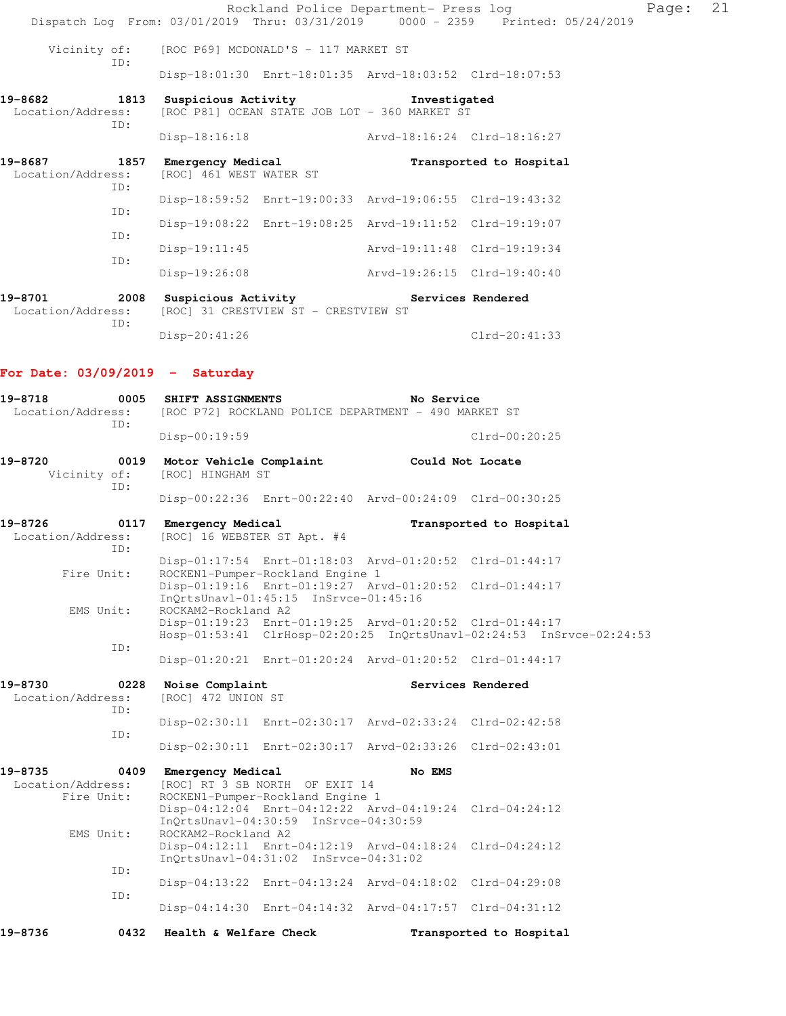|                                             | Rockland Police Department- Press log<br>Dispatch Log From: 03/01/2019 Thru: 03/31/2019 0000 - 2359 Printed: 05/24/2019 |                             |                         | Page: | 21 |
|---------------------------------------------|-------------------------------------------------------------------------------------------------------------------------|-----------------------------|-------------------------|-------|----|
| Vicinity of:<br>ID:                         | [ROC P69] MCDONALD'S - 117 MARKET ST                                                                                    |                             |                         |       |    |
|                                             | Disp-18:01:30 Enrt-18:01:35 Arvd-18:03:52 Clrd-18:07:53                                                                 |                             |                         |       |    |
| 19-8682<br>1813<br>Location/Address:<br>TD: | Suspicious Activity<br>[ROC P81] OCEAN STATE JOB LOT - 360 MARKET ST                                                    | Investigated                |                         |       |    |
|                                             | Disp-18:16:18 Arvd-18:16:24 Clrd-18:16:27                                                                               |                             |                         |       |    |
| 19-8687<br>Location/Address:<br>TD:         | 1857 Emergency Medical<br>[ROC] 461 WEST WATER ST                                                                       |                             | Transported to Hospital |       |    |
| ID:                                         | Disp-18:59:52 Enrt-19:00:33 Arvd-19:06:55 Clrd-19:43:32                                                                 |                             |                         |       |    |
| ID:                                         | Disp-19:08:22 Enrt-19:08:25 Arvd-19:11:52 Clrd-19:19:07                                                                 |                             |                         |       |    |
| ID:                                         | Disp-19:11:45                                                                                                           | Arvd-19:11:48 Clrd-19:19:34 |                         |       |    |
|                                             | Disp-19:26:08                                                                                                           | Arvd-19:26:15 Clrd-19:40:40 |                         |       |    |
| 19-8701<br>Location/Address:<br>TD:         | 2008 Suspicious Activity Services Rendered<br>[ROC] 31 CRESTVIEW ST - CRESTVIEW ST                                      |                             |                         |       |    |
|                                             | $Disp-20:41:26$                                                                                                         |                             | $Clrd-20:41:33$         |       |    |
| For Date: $03/09/2019$ - Saturday           |                                                                                                                         |                             |                         |       |    |
| 19-8718<br>TD:                              | 0005 SHIFT ASSIGNMENTS<br>Location/Address: [ROC P72] ROCKLAND POLICE DEPARTMENT - 490 MARKET ST                        | No Service                  |                         |       |    |
|                                             | $Disp-00:19:59$                                                                                                         |                             | $Clrd-00:20:25$         |       |    |
| 19-8720<br>Vicinity of:<br>ID:              | 0019 Motor Vehicle Complaint Could Not Locate<br>[ROC] HINGHAM ST                                                       |                             |                         |       |    |
|                                             | Disp-00:22:36 Enrt-00:22:40 Arvd-00:24:09 Clrd-00:30:25                                                                 |                             |                         |       |    |
| 19-8726<br>0117<br>Location/Address:<br>TD: | Emergency Medical<br>[ROC] 16 WEBSTER ST Apt. #4                                                                        |                             | Transported to Hospital |       |    |
| Fire Unit:                                  | Disp-01:17:54 Enrt-01:18:03 Arvd-01:20:52 Clrd-01:44:17<br>ROCKEN1-Pumper-Rockland Engine 1                             |                             |                         |       |    |
| EMS Unit:                                   | Disp-01:19:16 Enrt-01:19:27 Arvd-01:20:52 Clrd-01:44:17<br>InOrtsUnav1-01:45:15 InSrvce-01:45:16<br>ROCKAM2-Rockland A2 |                             |                         |       |    |

 Disp-01:19:23 Enrt-01:19:25 Arvd-01:20:52 Clrd-01:44:17 Hosp-01:53:41 ClrHosp-02:20:25 InQrtsUnavl-02:24:53 InSrvce-02:24:53 ID:

Disp-01:20:21 Enrt-01:20:24 Arvd-01:20:52 Clrd-01:44:17

| 19-8730 |     | 0228 Noise Complaint                 |                                                         | Services Rendered |
|---------|-----|--------------------------------------|---------------------------------------------------------|-------------------|
|         |     | Location/Address: [ROC] 472 UNION ST |                                                         |                   |
|         | TD: |                                      |                                                         |                   |
|         |     |                                      | Disp-02:30:11 Enrt-02:30:17 Arvd-02:33:24 Clrd-02:42:58 |                   |
|         | TD: |                                      |                                                         |                   |
|         |     |                                      | Disp-02:30:11 Enrt-02:30:17 Arvd-02:33:26 Clrd-02:43:01 |                   |

| 19-8735           | 0409 | Emergency Medical      | [ROC] RT 3 SB NORTH OF EXIT 14                          | No EMS |                         |
|-------------------|------|------------------------|---------------------------------------------------------|--------|-------------------------|
| Location/Address: |      |                        |                                                         |        |                         |
| Fire Unit:        |      |                        | ROCKEN1-Pumper-Rockland Engine 1                        |        |                         |
|                   |      |                        | Disp-04:12:04 Enrt-04:12:22 Arvd-04:19:24 Clrd-04:24:12 |        |                         |
|                   |      |                        | InOrtsUnav1-04:30:59 InSrvce-04:30:59                   |        |                         |
| EMS Unit:         |      | ROCKAM2-Rockland A2    |                                                         |        |                         |
|                   |      |                        | Disp-04:12:11 Enrt-04:12:19 Arvd-04:18:24 Clrd-04:24:12 |        |                         |
|                   |      |                        | $InOrtsUnav1-04:31:02$ $InStvee-04:31:02$               |        |                         |
|                   | TD:  |                        |                                                         |        |                         |
|                   |      |                        | Disp-04:13:22 Enrt-04:13:24 Arvd-04:18:02 Clrd-04:29:08 |        |                         |
|                   | TD:  |                        |                                                         |        |                         |
|                   |      |                        | Disp-04:14:30 Enrt-04:14:32 Arvd-04:17:57 Clrd-04:31:12 |        |                         |
| 19-8736           | 0432 | Health & Welfare Check |                                                         |        | Transported to Hospital |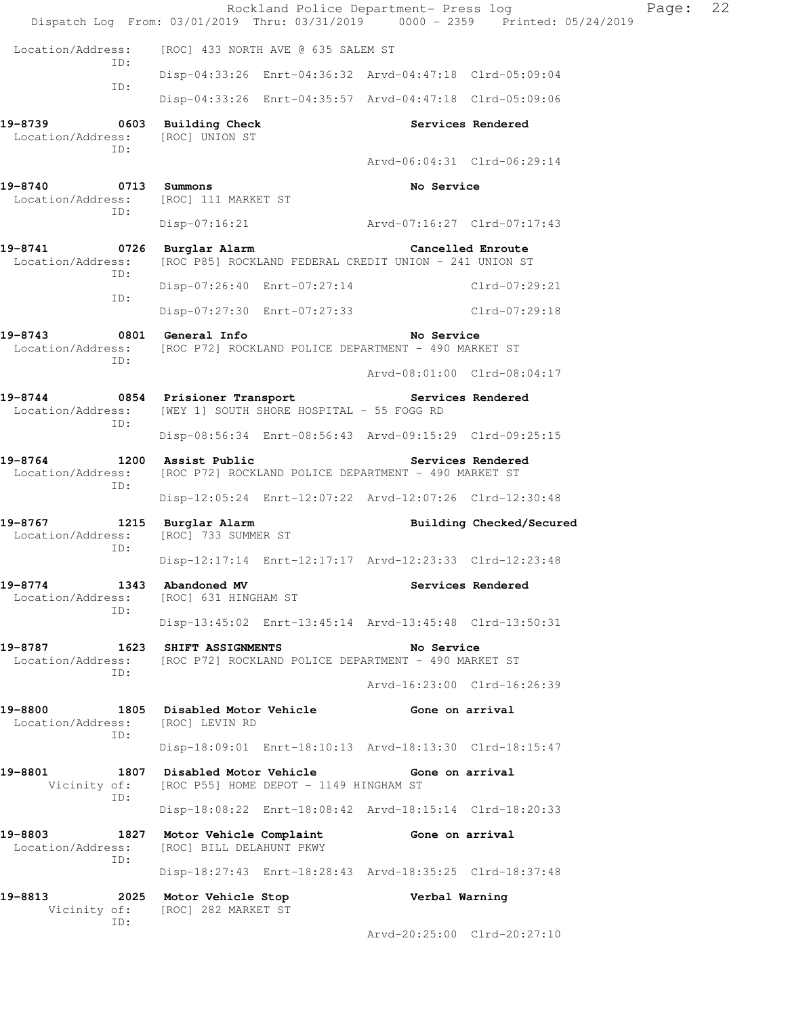| Dispatch Log From: 03/01/2019 Thru: 03/31/2019 0000 - 2359 Printed: 05/24/2019 |                                                                                | Rockland Police Department- Press log |                          | Page: | 22 |  |
|--------------------------------------------------------------------------------|--------------------------------------------------------------------------------|---------------------------------------|--------------------------|-------|----|--|
| Location/Address:                                                              | [ROC] 433 NORTH AVE @ 635 SALEM ST                                             |                                       |                          |       |    |  |
| ID:                                                                            | Disp-04:33:26 Enrt-04:36:32 Arvd-04:47:18 Clrd-05:09:04                        |                                       |                          |       |    |  |
| ID:                                                                            | Disp-04:33:26 Enrt-04:35:57 Arvd-04:47:18 Clrd-05:09:06                        |                                       |                          |       |    |  |
| 19-8739<br>Location/Address:<br>ID:                                            | 0603 Building Check<br>[ROC] UNION ST                                          | Arvd-06:04:31 Clrd-06:29:14           | Services Rendered        |       |    |  |
| 19-8740 0713 Summons<br>Location/Address:                                      | [ROC] 111 MARKET ST                                                            | No Service                            |                          |       |    |  |
| ID:                                                                            | $Disp-07:16:21$                                                                |                                       |                          |       |    |  |
| 19-8741 0726 Burglar Alarm<br>Location/Address:                                | [ROC P85] ROCKLAND FEDERAL CREDIT UNION - 241 UNION ST                         |                                       | Cancelled Enroute        |       |    |  |
| ID:                                                                            | Disp-07:26:40 Enrt-07:27:14                                                    |                                       | Clrd-07:29:21            |       |    |  |
| ID:                                                                            | Disp-07:27:30 Enrt-07:27:33 Clrd-07:29:18                                      |                                       |                          |       |    |  |
| 19-8743<br>Location/Address:<br>ID:                                            | 0801 General Info<br>[ROC P72] ROCKLAND POLICE DEPARTMENT - 490 MARKET ST      | No Service                            |                          |       |    |  |
|                                                                                |                                                                                | Arvd-08:01:00 Clrd-08:04:17           |                          |       |    |  |
| 19-8744<br>Location/Address:<br>ID:                                            | 0854 Prisioner Transport<br>[WEY 1] SOUTH SHORE HOSPITAL - 55 FOGG RD          |                                       | Services Rendered        |       |    |  |
|                                                                                | Disp-08:56:34 Enrt-08:56:43 Arvd-09:15:29 Clrd-09:25:15                        |                                       |                          |       |    |  |
| 19-8764<br>Location/Address:<br>ID:                                            | 1200 Assist Public<br>[ROC P72] ROCKLAND POLICE DEPARTMENT - 490 MARKET ST     |                                       | Services Rendered        |       |    |  |
|                                                                                | Disp-12:05:24 Enrt-12:07:22 Arvd-12:07:26 Clrd-12:30:48                        |                                       |                          |       |    |  |
| 19-8767<br>Location/Address:<br>ID:                                            | 1215 Burglar Alarm<br>[ROC] 733 SUMMER ST                                      |                                       | Building Checked/Secured |       |    |  |
|                                                                                | Disp-12:17:14 Enrt-12:17:17 Arvd-12:23:33 Clrd-12:23:48                        |                                       |                          |       |    |  |
| 19-8774<br>Location/Address:<br>ID:                                            | 1343 Abandoned MV<br>[ROC] 631 HINGHAM ST                                      |                                       | Services Rendered        |       |    |  |
|                                                                                | Disp-13:45:02 Enrt-13:45:14 Arvd-13:45:48 Clrd-13:50:31                        |                                       |                          |       |    |  |
| 19-8787<br>Location/Address:<br>ID:                                            | 1623 SHIFT ASSIGNMENTS<br>[ROC P72] ROCKLAND POLICE DEPARTMENT - 490 MARKET ST | No Service                            |                          |       |    |  |
|                                                                                |                                                                                | Arvd-16:23:00 Clrd-16:26:39           |                          |       |    |  |
| 19-8800<br>Location/Address:<br>ID:                                            | 1805 Disabled Motor Vehicle<br>[ROC] LEVIN RD                                  | Gone on arrival                       |                          |       |    |  |
|                                                                                | Disp-18:09:01 Enrt-18:10:13 Arvd-18:13:30 Clrd-18:15:47                        |                                       |                          |       |    |  |
| 19-8801<br>Vicinity of:<br>ID:                                                 | 1807 Disabled Motor Vehicle<br>[ROC P55] HOME DEPOT - 1149 HINGHAM ST          | Gone on arrival                       |                          |       |    |  |
|                                                                                | Disp-18:08:22 Enrt-18:08:42 Arvd-18:15:14 Clrd-18:20:33                        |                                       |                          |       |    |  |
| 19-8803<br>Location/Address:<br>ID:                                            | 1827 Motor Vehicle Complaint<br>[ROC] BILL DELAHUNT PKWY                       | Gone on arrival                       |                          |       |    |  |
|                                                                                | Disp-18:27:43 Enrt-18:28:43 Arvd-18:35:25 Clrd-18:37:48                        |                                       |                          |       |    |  |
| 19-8813<br>Vicinity of:                                                        | 2025 Motor Vehicle Stop<br>[ROC] 282 MARKET ST                                 | Verbal Warning                        |                          |       |    |  |
| ID:                                                                            |                                                                                | Arvd-20:25:00 Clrd-20:27:10           |                          |       |    |  |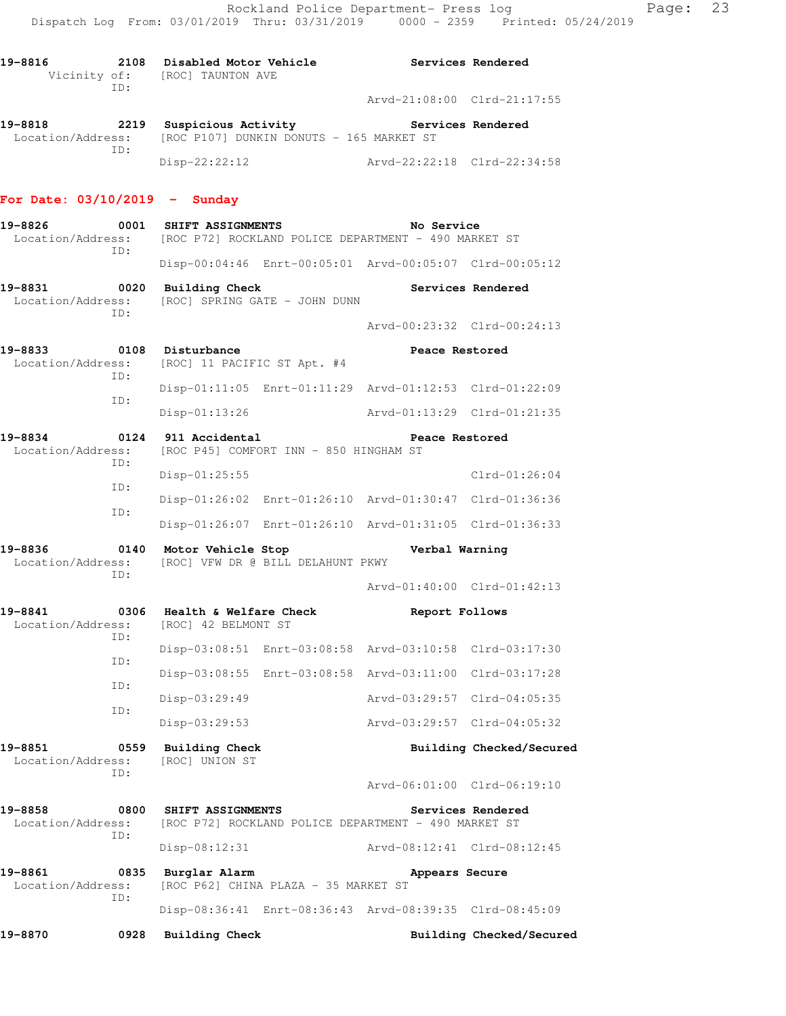| 19-8816                      | 2108<br>TD: | Disabled Motor Vehicle<br>Vicinity of: [ROC] TAUNTON AVE        |                             | Services Rendered |
|------------------------------|-------------|-----------------------------------------------------------------|-----------------------------|-------------------|
|                              |             |                                                                 | Arvd-21:08:00 Clrd-21:17:55 |                   |
| 19-8818<br>Location/Address: | 2219        | Suspicious Activity<br>[ROC P107] DUNKIN DONUTS - 165 MARKET ST | Services Rendered           |                   |

 ID: Disp-22:22:12 Arvd-22:22:18 Clrd-22:34:58

### **For Date: 03/10/2019 - Sunday**

- **19-8826 0001 SHIFT ASSIGNMENTS No Service**  Location/Address: [ROC P72] ROCKLAND POLICE DEPARTMENT - 490 MARKET ST ID: Disp-00:04:46 Enrt-00:05:01 Arvd-00:05:07 Clrd-00:05:12
- 19-8831 0020 Building Check **Services Rendered**  Location/Address: [ROC] SPRING GATE - JOHN DUNN ID:

Arvd-00:23:32 Clrd-00:24:13

- 19-8833 0108 Disturbance **19-8833** Peace Restored Location/Address: [ROC] 11 PACIFIC ST Apt. #4 ID: Disp-01:11:05 Enrt-01:11:29 Arvd-01:12:53 Clrd-01:22:09 ID: Disp-01:13:26 Arvd-01:13:29 Clrd-01:21:35 **19-8834 0124 911 Accidental Peace Restored**
- Location/Address: [ROC P45] COMFORT INN 850 HINGHAM ST ID: Disp-01:25:55 Clrd-01:26:04 ID: Disp-01:26:02 Enrt-01:26:10 Arvd-01:30:47 Clrd-01:36:36 ID: Disp-01:26:07 Enrt-01:26:10 Arvd-01:31:05 Clrd-01:36:33
- **19-8836 0140 Motor Vehicle Stop Verbal Warning**  Location/Address: [ROC] VFW DR @ BILL DELAHUNT PKWY ID:

Arvd-01:40:00 Clrd-01:42:13

| 19-8841<br>0306<br>Location/Address:<br>ID: |            | Health & Welfare Check |                                                         | Report Follows              |  |  |
|---------------------------------------------|------------|------------------------|---------------------------------------------------------|-----------------------------|--|--|
|                                             |            | [ROC] 42 BELMONT ST    |                                                         |                             |  |  |
|                                             |            |                        | Disp-03:08:51 Enrt-03:08:58 Arvd-03:10:58 Clrd-03:17:30 |                             |  |  |
|                                             | ID:<br>TD: |                        | Disp-03:08:55 Enrt-03:08:58 Arvd-03:11:00 Clrd-03:17:28 |                             |  |  |
| ID:                                         |            | Disp-03:29:49          |                                                         | Arvd-03:29:57 Clrd-04:05:35 |  |  |
|                                             |            | $Disp-03:29:53$        |                                                         | Arvd-03:29:57 Clrd-04:05:32 |  |  |

**19-8851 0559 Building Check Building Checked/Secured**  Location/Address: [ROC] UNION ST ID: Arvd-06:01:00 Clrd-06:19:10 **19-8858 0800 SHIFT ASSIGNMENTS Services Rendered**  Location/Address: [ROC P72] ROCKLAND POLICE DEPARTMENT - 490 MARKET ST ID: Disp-08:12:31 Arvd-08:12:41 Clrd-08:12:45 **19-8861 0835 Burglar Alarm Appears Secure**  Location/Address: [ROC P62] CHINA PLAZA - 35 MARKET ST ID: Disp-08:36:41 Enrt-08:36:43 Arvd-08:39:35 Clrd-08:45:09

**19-8870 0928 Building Check Building Checked/Secured**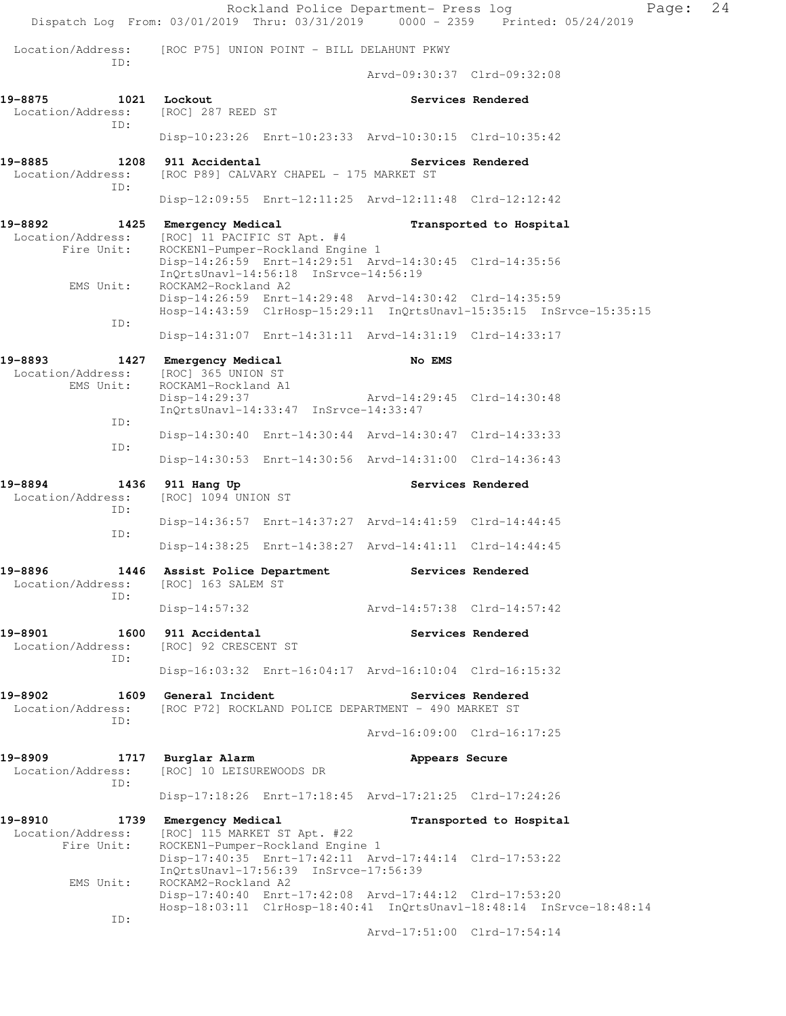Rockland Police Department- Press log Page: 24 Dispatch Log From: 03/01/2019 Thru: 03/31/2019 0000 - 2359 Printed: 05/24/2019 Location/Address: [ROC P75] UNION POINT - BILL DELAHUNT PKWY ID: Arvd-09:30:37 Clrd-09:32:08 **19-8875 1021 Lockout Services Rendered**  Location/Address: [ROC] 287 REED ST ID: Disp-10:23:26 Enrt-10:23:33 Arvd-10:30:15 Clrd-10:35:42 19-8885 1208 911 Accidental **Services Rendered** Location/Address: [ROC P89] CALVARY CHAPEL - 175 MARKET ST ID: Disp-12:09:55 Enrt-12:11:25 Arvd-12:11:48 Clrd-12:12:42 19-8892 1425 Emergency Medical **Transported to Hospital**  Location/Address: [ROC] 11 PACIFIC ST Apt. #4 Fire Unit: ROCKEN1-Pumper-Rockland Engine 1 Disp-14:26:59 Enrt-14:29:51 Arvd-14:30:45 Clrd-14:35:56 InQrtsUnavl-14:56:18 InSrvce-14:56:19 EMS Unit: ROCKAM2-Rockland A2 Disp-14:26:59 Enrt-14:29:48 Arvd-14:30:42 Clrd-14:35:59 Hosp-14:43:59 ClrHosp-15:29:11 InQrtsUnavl-15:35:15 InSrvce-15:35:15 ID: Disp-14:31:07 Enrt-14:31:11 Arvd-14:31:19 Clrd-14:33:17 19-8893 1427 Emergency Medical **No EMS**  Location/Address: [ROC] 365 UNION ST EMS Unit: ROCKAM1-Rockland A1 Disp-14:29:37 Arvd-14:29:45 Clrd-14:30:48 InQrtsUnavl-14:33:47 InSrvce-14:33:47 ID: Disp-14:30:40 Enrt-14:30:44 Arvd-14:30:47 Clrd-14:33:33 ID: Disp-14:30:53 Enrt-14:30:56 Arvd-14:31:00 Clrd-14:36:43 **19-8894 1436 911 Hang Up Services Rendered**  Location/Address: [ROC] 1094 UNION ST ID: Disp-14:36:57 Enrt-14:37:27 Arvd-14:41:59 Clrd-14:44:45 ID: Disp-14:38:25 Enrt-14:38:27 Arvd-14:41:11 Clrd-14:44:45 **19-8896 1446 Assist Police Department Services Rendered**  Location/Address: [ROC] 163 SALEM ST ID: Disp-14:57:32 Arvd-14:57:38 Clrd-14:57:42 **19-8901 1600 911 Accidental Services Rendered**  Location/Address: [ROC] 92 CRESCENT ST ID: Disp-16:03:32 Enrt-16:04:17 Arvd-16:10:04 Clrd-16:15:32 **19-8902 1609 General Incident Services Rendered**<br>Location/Address: [ROC P72] ROCKLAND POLICE DEPARTMENT - 490 MARKET ST [ROC P72] ROCKLAND POLICE DEPARTMENT - 490 MARKET ST ID: Arvd-16:09:00 Clrd-16:17:25 **19-8909 1717 Burglar Alarm Appears Secure**  Location/Address: [ROC] 10 LEISUREWOODS DR ID: Disp-17:18:26 Enrt-17:18:45 Arvd-17:21:25 Clrd-17:24:26 **19-8910 1739 Emergency Medical Transported to Hospital**  Location/Address: [ROC] 115 MARKET ST Apt. #22 Fire Unit: ROCKEN1-Pumper-Rockland Engine 1 Disp-17:40:35 Enrt-17:42:11 Arvd-17:44:14 Clrd-17:53:22 InQrtsUnavl-17:56:39 InSrvce-17:56:39 EMS Unit: ROCKAM2-Rockland A2 Disp-17:40:40 Enrt-17:42:08 Arvd-17:44:12 Clrd-17:53:20 Hosp-18:03:11 ClrHosp-18:40:41 InQrtsUnavl-18:48:14 InSrvce-18:48:14 ID: Arvd-17:51:00 Clrd-17:54:14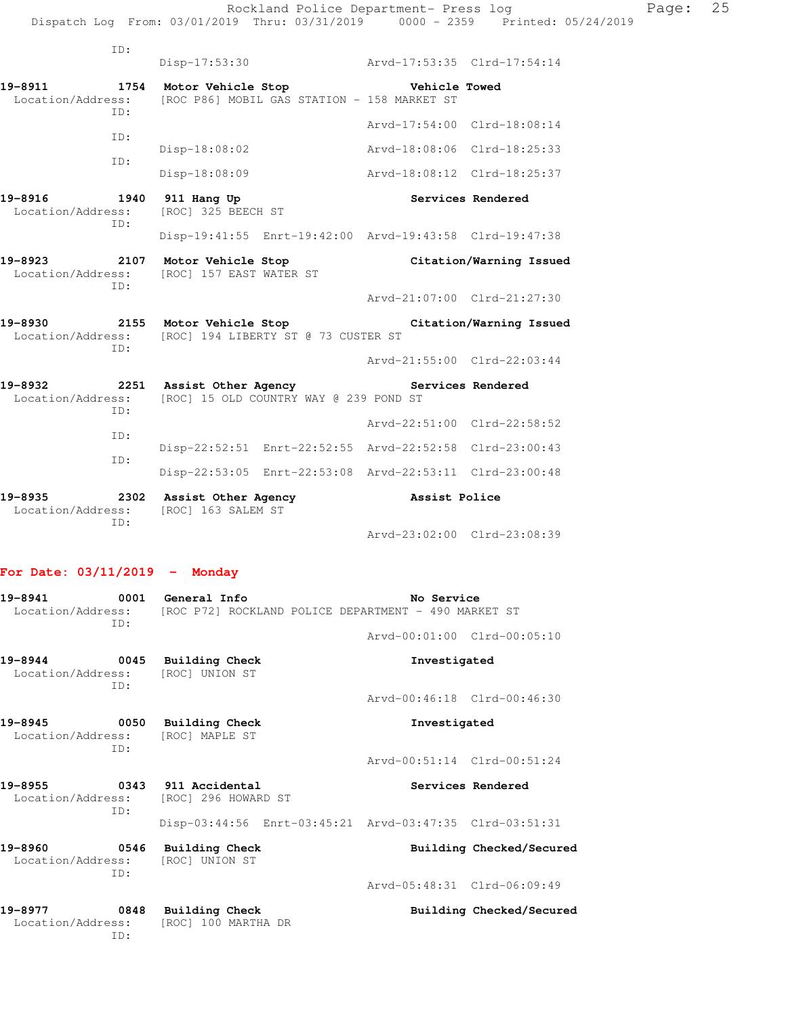|                                 | ID:         |                                                                    |                                             |                                                                                      |                          |
|---------------------------------|-------------|--------------------------------------------------------------------|---------------------------------------------|--------------------------------------------------------------------------------------|--------------------------|
|                                 |             | Disp-17:53:30                                                      |                                             | Arvd-17:53:35 Clrd-17:54:14                                                          |                          |
| 19-8911<br>Location/Address:    | ID:         | 1754 Motor Vehicle Stop                                            | [ROC P86] MOBIL GAS STATION - 158 MARKET ST | Vehicle Towed                                                                        |                          |
|                                 | ID:         |                                                                    |                                             | Arvd-17:54:00 Clrd-18:08:14                                                          |                          |
|                                 | ID:         | $Disp-18:08:02$                                                    |                                             | Arvd-18:08:06 Clrd-18:25:33                                                          |                          |
|                                 |             | Disp-18:08:09                                                      |                                             | Arvd-18:08:12 Clrd-18:25:37                                                          |                          |
| 19-8916<br>Location/Address:    | 1940<br>ID: | 911 Hang Up<br>[ROC] 325 BEECH ST                                  |                                             |                                                                                      | Services Rendered        |
|                                 |             |                                                                    |                                             | Disp-19:41:55 Enrt-19:42:00 Arvd-19:43:58 Clrd-19:47:38                              |                          |
| 19-8923                         | 2107<br>ID: | Motor Vehicle Stop<br>Location/Address: [ROC] 157 EAST WATER ST    |                                             |                                                                                      | Citation/Warning Issued  |
|                                 |             |                                                                    |                                             | Arvd-21:07:00 Clrd-21:27:30                                                          |                          |
| 19-8930<br>Location/Address:    | TD:         | 2155 Motor Vehicle Stop<br>[ROC] 194 LIBERTY ST @ 73 CUSTER ST     |                                             |                                                                                      | Citation/Warning Issued  |
|                                 |             |                                                                    |                                             | Arvd-21:55:00 Clrd-22:03:44                                                          |                          |
| 19-8932<br>Location/Address:    | ID:         | 2251 Assist Other Agency<br>[ROC] 15 OLD COUNTRY WAY @ 239 POND ST |                                             |                                                                                      | Services Rendered        |
| ID:                             |             |                                                                    |                                             | Arvd-22:51:00 Clrd-22:58:52                                                          |                          |
|                                 | ID:         |                                                                    |                                             | Disp-22:52:51 Enrt-22:52:55 Arvd-22:52:58 Clrd-23:00:43                              |                          |
|                                 |             |                                                                    |                                             | Disp-22:53:05 Enrt-22:53:08 Arvd-22:53:11 Clrd-23:00:48                              |                          |
| 19-8935<br>Location/Address:    | ID:         | 2302 Assist Other Agency<br>[ROC] 163 SALEM ST                     |                                             | Assist Police                                                                        |                          |
|                                 |             |                                                                    |                                             | Arvd-23:02:00 Clrd-23:08:39                                                          |                          |
| For Date: $03/11/2019$ - Monday |             |                                                                    |                                             |                                                                                      |                          |
| 19-8941                         | 0001<br>ID: | General Info                                                       |                                             | No Service<br>Location/Address: [ROC P72] ROCKLAND POLICE DEPARTMENT - 490 MARKET ST |                          |
|                                 |             |                                                                    |                                             | Arvd-00:01:00 Clrd-00:05:10                                                          |                          |
| 19-8944<br>Location/Address:    | ID:         | 0045 Building Check<br>[ROC] UNION ST                              |                                             | Investigated                                                                         |                          |
|                                 |             |                                                                    |                                             | Arvd-00:46:18 Clrd-00:46:30                                                          |                          |
| 19-8945<br>Location/Address:    | ID:         | 0050 Building Check<br>[ROC] MAPLE ST                              |                                             | Investigated                                                                         |                          |
|                                 |             |                                                                    |                                             | Arvd-00:51:14 Clrd-00:51:24                                                          |                          |
| 19-8955<br>Location/Address:    | ID:         | 0343 911 Accidental<br>[ROC] 296 HOWARD ST                         |                                             |                                                                                      | Services Rendered        |
|                                 |             |                                                                    |                                             | Disp-03:44:56 Enrt-03:45:21 Arvd-03:47:35 Clrd-03:51:31                              |                          |
| 19-8960<br>Location/Address:    | ID:         | 0546 Building Check<br>[ROC] UNION ST                              |                                             |                                                                                      | Building Checked/Secured |
|                                 |             |                                                                    |                                             | Arvd-05:48:31 Clrd-06:09:49                                                          |                          |

**19-8977 0848 Building Check Building Checked/Secured**  Location/Address: [ROC] 100 MARTHA DR ID: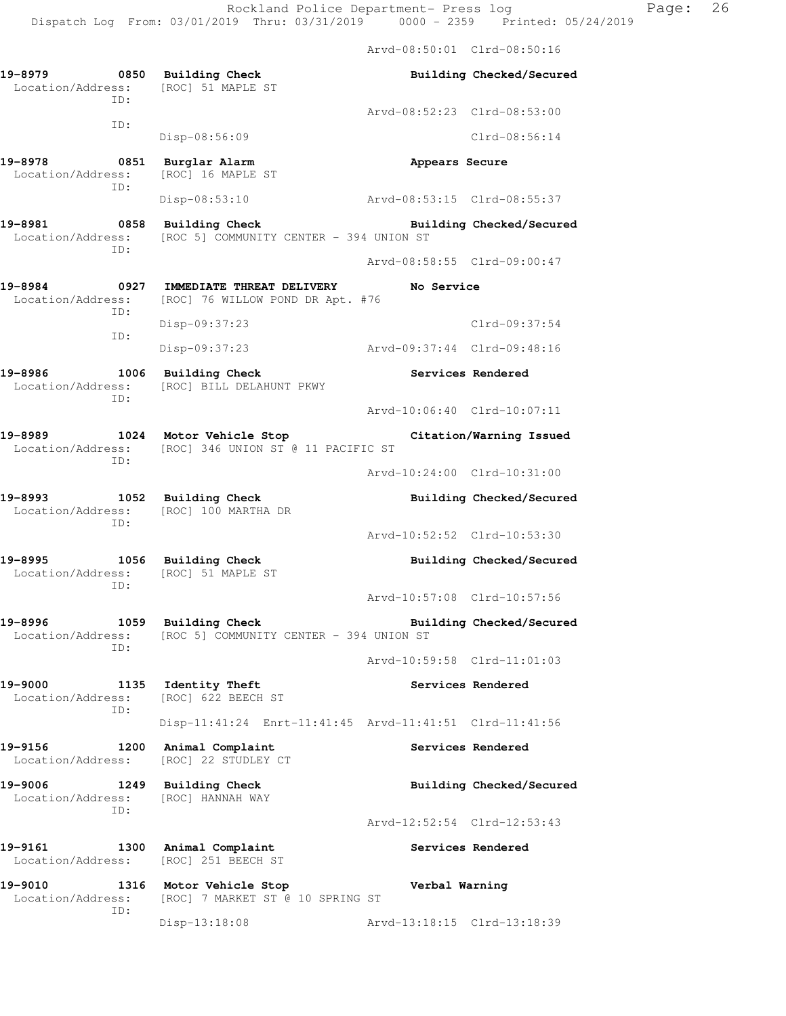Arvd-08:50:01 Clrd-08:50:16 **19-8979 0850 Building Check Building Checked/Secured**  Location/Address: [ROC] 51 MAPLE ST ID: Arvd-08:52:23 Clrd-08:53:00 ID: Disp-08:56:09 Clrd-08:56:14 **19-8978 0851 Burglar Alarm Appears Secure**  Location/Address: ID: Disp-08:53:10 Arvd-08:53:15 Clrd-08:55:37 **19-8981 0858 Building Check Building Checked/Secured**  Location/Address: [ROC 5] COMMUNITY CENTER - 394 UNION ST ID: Arvd-08:58:55 Clrd-09:00:47 **19-8984 0927 IMMEDIATE THREAT DELIVERY No Service**  Location/Address: [ROC] 76 WILLOW POND DR Apt. #76 ID: Disp-09:37:23 Clrd-09:37:54 ID: Disp-09:37:23 Arvd-09:37:44 Clrd-09:48:16 **19-8986 1006 Building Check Services Rendered**  Location/Address: [ROC] BILL DELAHUNT PKWY ID: Arvd-10:06:40 Clrd-10:07:11 **19-8989 1024 Motor Vehicle Stop Citation/Warning Issued**  Location/Address: [ROC] 346 UNION ST @ 11 PACIFIC ST ID: Arvd-10:24:00 Clrd-10:31:00 **19-8993 1052 Building Check Building Checked/Secured**  Location/Address: [ROC] 100 MARTHA DR ID: Arvd-10:52:52 Clrd-10:53:30 **19-8995 1056 Building Check Building Checked/Secured**  Location/Address: [ROC] 51 MAPLE ST ID: Arvd-10:57:08 Clrd-10:57:56 **19-8996 1059 Building Check Building Checked/Secured**  Location/Address: [ROC 5] COMMUNITY CENTER - 394 UNION ST ID: Arvd-10:59:58 Clrd-11:01:03 **19-9000 1135 Identity Theft Services Rendered**  Location/Address: [ROC] 622 BEECH ST ID: Disp-11:41:24 Enrt-11:41:45 Arvd-11:41:51 Clrd-11:41:56 19-9156 1200 Animal Complaint **19-9156** Services Rendered Location/Address: [ROC] 22 STUDLEY CT **19-9006 1249 Building Check Building Checked/Secured**  Location/Address: [ROC] HANNAH WAY ID: Arvd-12:52:54 Clrd-12:53:43 **19-9161 1300 Animal Complaint Services Rendered**  Location/Address: [ROC] 251 BEECH ST **19-9010 1316 Motor Vehicle Stop Verbal Warning**  Location/Address: [ROC] 7 MARKET ST @ 10 SPRING ST ID:

Disp-13:18:08 Arvd-13:18:15 Clrd-13:18:39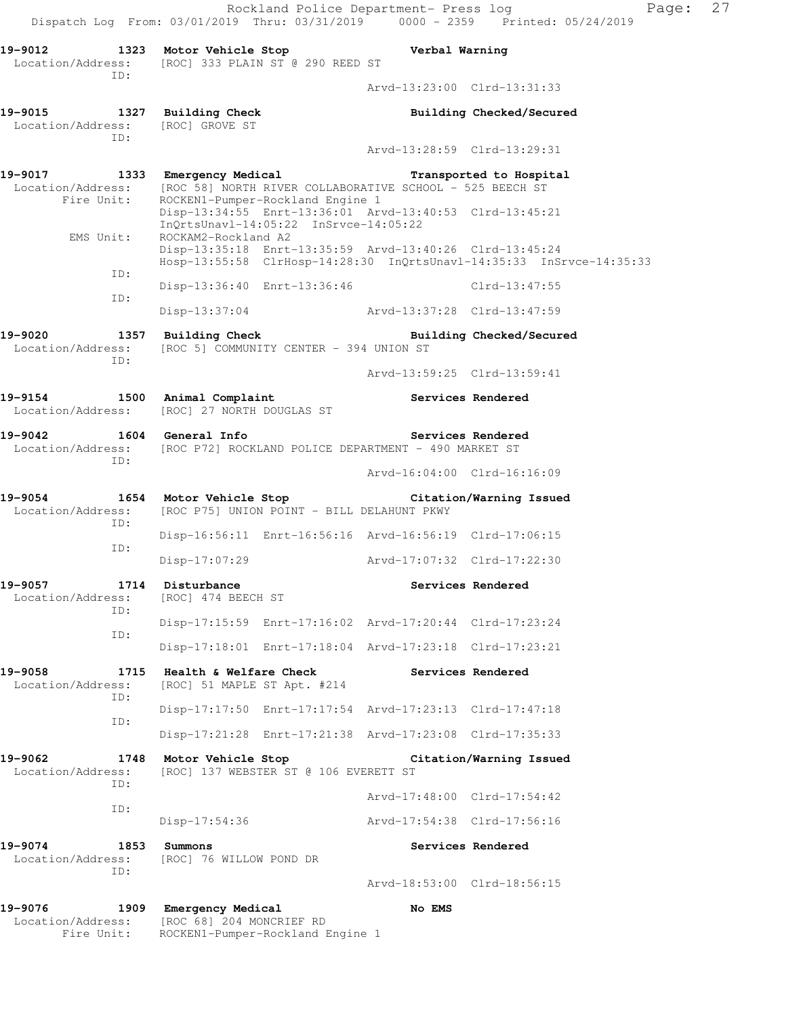Rockland Police Department- Press log Paqe: 27 Dispatch Log From: 03/01/2019 Thru: 03/31/2019 0000 - 2359 Printed: 05/24/2019 **19-9012 1323 Motor Vehicle Stop Verbal Warning**  Location/Address: [ROC] 333 PLAIN ST @ 290 REED ST ID: Arvd-13:23:00 Clrd-13:31:33 **19-9015 1327 Building Check Building Checked/Secured**  Location/Address: [ROC] GROVE ST ID: Arvd-13:28:59 Clrd-13:29:31 **19-9017 1333 Emergency Medical Transported to Hospital**  Location/Address: [ROC 58] NORTH RIVER COLLABORATIVE SCHOOL - 525 BEECH ST Fire Unit: ROCKEN1-Pumper-Rockland Engine 1 Disp-13:34:55 Enrt-13:36:01 Arvd-13:40:53 Clrd-13:45:21 InQrtsUnavl-14:05:22 InSrvce-14:05:22<br>EMS Unit: ROCKAM2-Rockland A2 ROCKAM2-Rockland A2 Disp-13:35:18 Enrt-13:35:59 Arvd-13:40:26 Clrd-13:45:24 Hosp-13:55:58 ClrHosp-14:28:30 InQrtsUnavl-14:35:33 InSrvce-14:35:33 ID: Disp-13:36:40 Enrt-13:36:46 Clrd-13:47:55 ID: Disp-13:37:04 Arvd-13:37:28 Clrd-13:47:59 **19-9020 1357 Building Check Building Checked/Secured**  Location/Address: [ROC 5] COMMUNITY CENTER - 394 UNION ST ID: Arvd-13:59:25 Clrd-13:59:41 **19-9154 1500 Animal Complaint Services Rendered**  Location/Address: [ROC] 27 NORTH DOUGLAS ST 19-9042 1604 General Info **1999 Services Rendered**  Location/Address: [ROC P72] ROCKLAND POLICE DEPARTMENT - 490 MARKET ST ID: Arvd-16:04:00 Clrd-16:16:09 **19-9054 1654 Motor Vehicle Stop Citation/Warning Issued**  Location/Address: [ROC P75] UNION POINT - BILL DELAHUNT PKWY ID: Disp-16:56:11 Enrt-16:56:16 Arvd-16:56:19 Clrd-17:06:15 ID: Disp-17:07:29 Arvd-17:07:32 Clrd-17:22:30 19-9057 1714 Disturbance **1996 1996 1997 Services Rendered**  Location/Address: [ROC] 474 BEECH ST ID: Disp-17:15:59 Enrt-17:16:02 Arvd-17:20:44 Clrd-17:23:24 ID: Disp-17:18:01 Enrt-17:18:04 Arvd-17:23:18 Clrd-17:23:21 19-9058 1715 Health & Welfare Check **Services Rendered**  Location/Address: [ROC] 51 MAPLE ST Apt. #214 ID: Disp-17:17:50 Enrt-17:17:54 Arvd-17:23:13 Clrd-17:47:18 ID: Disp-17:21:28 Enrt-17:21:38 Arvd-17:23:08 Clrd-17:35:33 **19-9062 1748 Motor Vehicle Stop Citation/Warning Issued**  Location/Address: [ROC] 137 WEBSTER ST @ 106 EVERETT ST ID: Arvd-17:48:00 Clrd-17:54:42 ID: Disp-17:54:36 Arvd-17:54:38 Clrd-17:56:16 **19-9074** 1853 Summons **19-9074** Services Rendered Location/Address: [ROC] 76 WILLOW POND DR ID: Arvd-18:53:00 Clrd-18:56:15 **19-9076 1909 Emergency Medical No EMS**  Location/Address: [ROC 68] 204 MONCRIEF RD Fire Unit: ROCKEN1-Pumper-Rockland Engine 1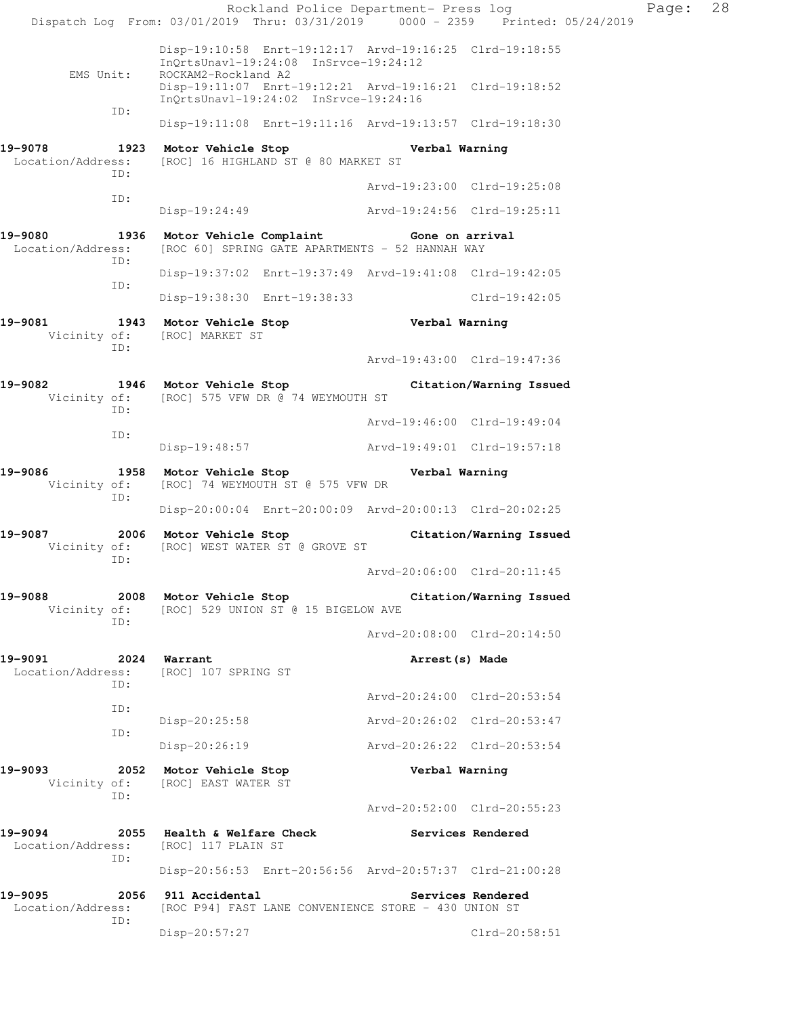|                              |             | Rockland Police Department- Press log<br>Dispatch Log From: 03/01/2019 Thru: 03/31/2019 0000 - 2359 Printed: 05/24/2019 |                             |                         | Page: | 28 |
|------------------------------|-------------|-------------------------------------------------------------------------------------------------------------------------|-----------------------------|-------------------------|-------|----|
|                              |             | Disp-19:10:58 Enrt-19:12:17 Arvd-19:16:25 Clrd-19:18:55<br>InQrtsUnavl-19:24:08 InSrvce-19:24:12                        |                             |                         |       |    |
|                              | EMS Unit:   | ROCKAM2-Rockland A2<br>Disp-19:11:07 Enrt-19:12:21 Arvd-19:16:21 Clrd-19:18:52<br>InQrtsUnavl-19:24:02 InSrvce-19:24:16 |                             |                         |       |    |
|                              | ID:         | Disp-19:11:08 Enrt-19:11:16 Arvd-19:13:57 Clrd-19:18:30                                                                 |                             |                         |       |    |
| 19-9078                      |             | 1923 Motor Vehicle Stop<br>Location/Address: [ROC] 16 HIGHLAND ST @ 80 MARKET ST                                        | Verbal Warning              |                         |       |    |
|                              | ID:         |                                                                                                                         | Arvd-19:23:00 Clrd-19:25:08 |                         |       |    |
|                              | ID:         | Disp-19:24:49                                                                                                           | Arvd-19:24:56 Clrd-19:25:11 |                         |       |    |
| 19-9080<br>Location/Address: |             | 1936 Motor Vehicle Complaint Gone on arrival<br>[ROC 60] SPRING GATE APARTMENTS - 52 HANNAH WAY                         |                             |                         |       |    |
|                              | ID:         | Disp-19:37:02 Enrt-19:37:49 Arvd-19:41:08 Clrd-19:42:05                                                                 |                             |                         |       |    |
|                              | ID:         | Disp-19:38:30 Enrt-19:38:33                                                                                             |                             | Clrd-19:42:05           |       |    |
| 19-9081<br>Vicinity of:      | ID:         | 1943 Motor Vehicle Stop<br>[ROC] MARKET ST                                                                              | Verbal Warning              |                         |       |    |
|                              |             |                                                                                                                         | Arvd-19:43:00 Clrd-19:47:36 |                         |       |    |
| 19-9082                      | ID:         | 1946 Motor Vehicle Stop Citation/Warning Issued<br>Vicinity of: [ROC] 575 VFW DR @ 74 WEYMOUTH ST                       |                             |                         |       |    |
|                              | ID:         |                                                                                                                         | Arvd-19:46:00 Clrd-19:49:04 |                         |       |    |
|                              |             | Disp-19:48:57                                                                                                           | Arvd-19:49:01 Clrd-19:57:18 |                         |       |    |
| 19-9086<br>Vicinity of:      | ID:         | 1958 Motor Vehicle Stop<br>[ROC] 74 WEYMOUTH ST @ 575 VFW DR                                                            | Verbal Warning              |                         |       |    |
|                              |             | Disp-20:00:04 Enrt-20:00:09 Arvd-20:00:13 Clrd-20:02:25                                                                 |                             |                         |       |    |
| 19-9087<br>Vicinity of:      | ID:         | 2006 Motor Vehicle Stop<br>[ROC] WEST WATER ST @ GROVE ST                                                               |                             | Citation/Warning Issued |       |    |
|                              |             |                                                                                                                         | Arvd-20:06:00 Clrd-20:11:45 |                         |       |    |
| 19-9088<br>Vicinity of:      | ID:         | 2008 Motor Vehicle Stop<br>[ROC] 529 UNION ST @ 15 BIGELOW AVE                                                          |                             | Citation/Warning Issued |       |    |
|                              |             |                                                                                                                         | Arvd-20:08:00 Clrd-20:14:50 |                         |       |    |
| 19-9091<br>Location/Address: | ID:         | 2024 Warrant<br>[ROC] 107 SPRING ST                                                                                     | Arrest (s) Made             |                         |       |    |
|                              | ID:         |                                                                                                                         | Arvd-20:24:00 Clrd-20:53:54 |                         |       |    |
|                              | ID:         | Disp-20:25:58                                                                                                           | Arvd-20:26:02 Clrd-20:53:47 |                         |       |    |
|                              |             | Disp-20:26:19                                                                                                           | Arvd-20:26:22 Clrd-20:53:54 |                         |       |    |
| 19-9093<br>Vicinity of:      | ID:         | 2052 Motor Vehicle Stop<br>[ROC] EAST WATER ST                                                                          | Verbal Warning              |                         |       |    |
|                              |             |                                                                                                                         | Arvd-20:52:00 Clrd-20:55:23 |                         |       |    |
| 19-9094<br>Location/Address: | ID:         | 2055 Health & Welfare Check<br>[ROC] 117 PLAIN ST                                                                       | Services Rendered           |                         |       |    |
|                              |             | Disp-20:56:53 Enrt-20:56:56 Arvd-20:57:37 Clrd-21:00:28                                                                 |                             |                         |       |    |
| 19-9095<br>Location/Address: | 2056<br>ID: | 911 Accidental<br>[ROC P94] FAST LANE CONVENIENCE STORE - 430 UNION ST                                                  |                             | Services Rendered       |       |    |
|                              |             | Disp-20:57:27                                                                                                           |                             | Clrd-20:58:51           |       |    |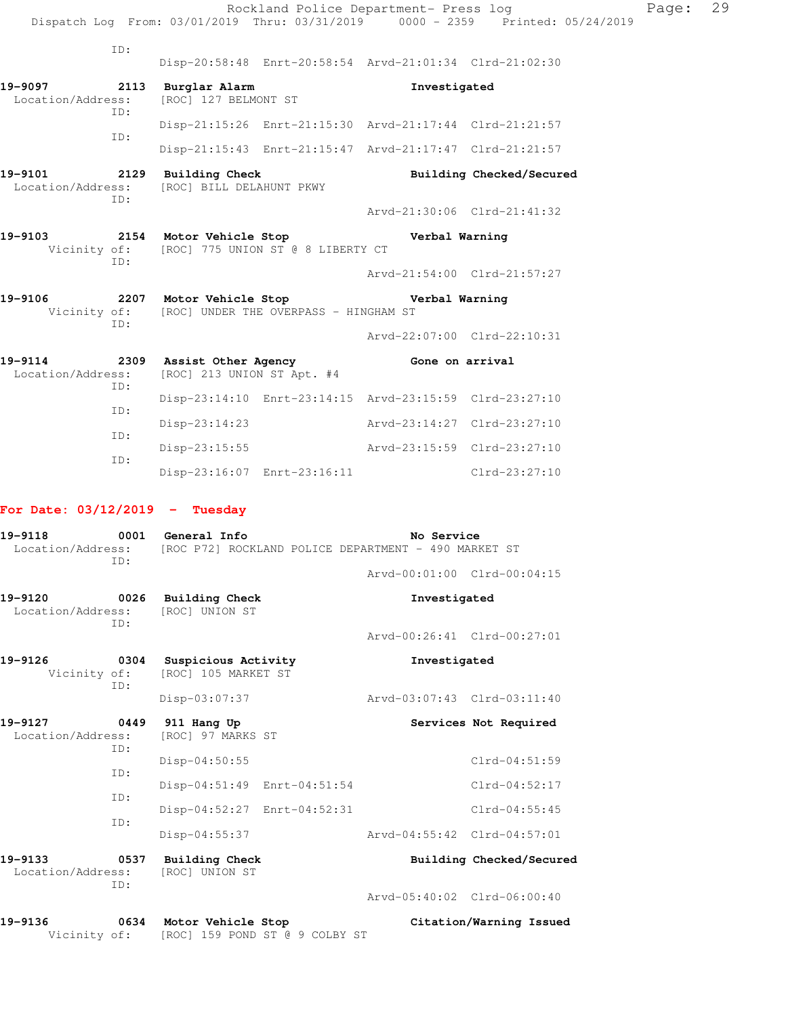|                                                                  |     |                                                                                                    |                             | Rockland Police Department- Press log                   | Dispatch Log From: 03/01/2019 Thru: 03/31/2019 0000 - 2359 Printed: 05/24/2019 | Page: | 29 |
|------------------------------------------------------------------|-----|----------------------------------------------------------------------------------------------------|-----------------------------|---------------------------------------------------------|--------------------------------------------------------------------------------|-------|----|
|                                                                  | ID: |                                                                                                    |                             | Disp-20:58:48 Enrt-20:58:54 Arvd-21:01:34 Clrd-21:02:30 |                                                                                |       |    |
| 19-9097 2113 Burglar Alarm<br>Location/Address:                  |     | [ROC] 127 BELMONT ST                                                                               |                             | Investigated                                            |                                                                                |       |    |
|                                                                  | ID: |                                                                                                    |                             | Disp-21:15:26 Enrt-21:15:30 Arvd-21:17:44 Clrd-21:21:57 |                                                                                |       |    |
|                                                                  | ID: |                                                                                                    |                             | Disp-21:15:43 Enrt-21:15:47 Arvd-21:17:47 Clrd-21:21:57 |                                                                                |       |    |
| 19-9101<br>Location/Address:                                     | ID: | 2129 Building Check<br>[ROC] BILL DELAHUNT PKWY                                                    |                             |                                                         | Building Checked/Secured                                                       |       |    |
|                                                                  |     |                                                                                                    |                             | Arvd-21:30:06 Clrd-21:41:32                             |                                                                                |       |    |
| 19-9103<br>Vicinity of: [ROC] 775 UNION ST @ 8 LIBERTY CT<br>TD: |     |                                                                                                    | 2154 Motor Vehicle Stop     | Verbal Warning                                          |                                                                                |       |    |
|                                                                  |     |                                                                                                    |                             |                                                         | Arvd-21:54:00 Clrd-21:57:27                                                    |       |    |
| 19-9106                                                          | ID: | 2207 Motor Vehicle Stop Store Nerbal Warning<br>Vicinity of: [ROC] UNDER THE OVERPASS - HINGHAM ST |                             |                                                         |                                                                                |       |    |
|                                                                  |     |                                                                                                    |                             | Arvd-22:07:00 Clrd-22:10:31                             |                                                                                |       |    |
| 19-9114 2309 Assist Other Agency Cone on arrival                 | TD: | Location/Address: [ROC] 213 UNION ST Apt. #4                                                       |                             |                                                         |                                                                                |       |    |
|                                                                  | TD: |                                                                                                    |                             | Disp-23:14:10 Enrt-23:14:15 Arvd-23:15:59 Clrd-23:27:10 |                                                                                |       |    |
|                                                                  |     | Disp-23:14:23                                                                                      |                             | Arvd-23:14:27 Clrd-23:27:10                             |                                                                                |       |    |
|                                                                  | ID: |                                                                                                    |                             | Disp-23:15:55 Arvd-23:15:59 Clrd-23:27:10               |                                                                                |       |    |
|                                                                  | TD: |                                                                                                    | Disp-23:16:07 Enrt-23:16:11 |                                                         | $Clrd-23:27:10$                                                                |       |    |

# **For Date: 03/12/2019 - Tuesday**

| 19-9118<br>ID:                                |     | 0001 General Info<br>Location/Address: [ROC P72] ROCKLAND POLICE DEPARTMENT - 490 MARKET ST |                             | No Service               |  |  |
|-----------------------------------------------|-----|---------------------------------------------------------------------------------------------|-----------------------------|--------------------------|--|--|
|                                               |     |                                                                                             | Arvd-00:01:00 Clrd-00:04:15 |                          |  |  |
|                                               | ID: | 19-9120 0026 Building Check<br>Location/Address: [ROC] UNION ST                             | Investigated                |                          |  |  |
|                                               |     |                                                                                             | Arvd-00:26:41 Clrd-00:27:01 |                          |  |  |
| 19-9126                                       | ID: | 0304 Suspicious Activity<br>Vicinity of: [ROC] 105 MARKET ST                                | Investigated                |                          |  |  |
|                                               |     | Disp-03:07:37                                                                               | Arvd-03:07:43 Clrd-03:11:40 |                          |  |  |
| 19-9127 0449 911 Hang Up<br>Location/Address: | ID: | [ROC] 97 MARKS ST                                                                           |                             | Services Not Required    |  |  |
|                                               | TD: | Disp-04:50:55                                                                               |                             | $Clrd-04:51:59$          |  |  |
|                                               | ID: | Disp-04:51:49 Enrt-04:51:54                                                                 |                             | $Clrd-04:52:17$          |  |  |
|                                               | TD: | Disp-04:52:27 Enrt-04:52:31                                                                 |                             | $Clrd-04:55:45$          |  |  |
|                                               |     | Disp-04:55:37                                                                               | Arvd-04:55:42 Clrd-04:57:01 |                          |  |  |
| 19-9133                                       | ID: | 0537 Building Check<br>Location/Address: [ROC] UNION ST                                     |                             | Building Checked/Secured |  |  |
|                                               |     |                                                                                             | Arvd-05:40:02 Clrd-06:00:40 |                          |  |  |
| 19-9136                                       |     | 0634 Motor Vehicle Stop<br>Vicinity of: [ROC] 159 POND ST @ 9 COLBY ST                      |                             | Citation/Warning Issued  |  |  |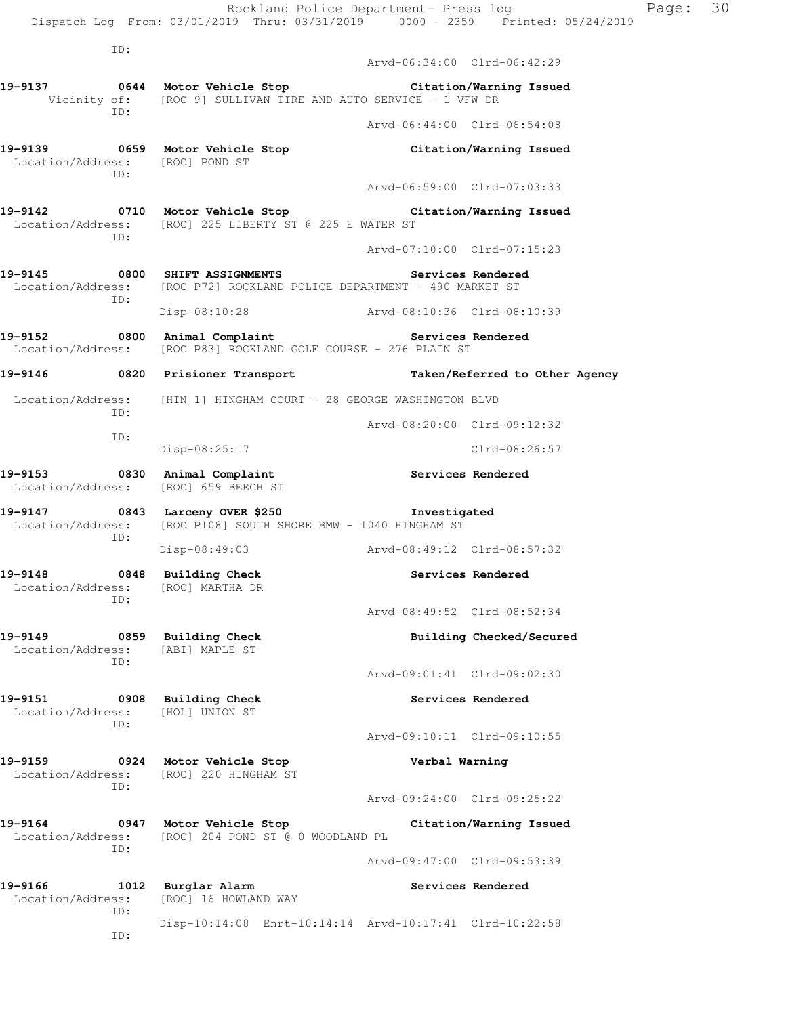| Location/Address:               | ID: | [ROC] 16 HOWLAND WAY<br>Disp-10:14:08 Enrt-10:14:14 Arvd-10:17:41 Clrd-10:22:58                                                          |                             |                                                   |
|---------------------------------|-----|------------------------------------------------------------------------------------------------------------------------------------------|-----------------------------|---------------------------------------------------|
| 19-9166                         |     | 1012 Burglar Alarm                                                                                                                       | Arvd-09:47:00 Clrd-09:53:39 | Services Rendered                                 |
| 19-9164<br>Location/Address:    | ID: | 0947 Motor Vehicle Stop<br>[ROC] 204 POND ST @ 0 WOODLAND PL                                                                             |                             | Citation/Warning Issued                           |
|                                 |     |                                                                                                                                          | Arvd-09:24:00 Clrd-09:25:22 |                                                   |
| 19-9159<br>Location/Address:    | TD: | 0924 Motor Vehicle Stop<br>[ROC] 220 HINGHAM ST                                                                                          | Verbal Warning              |                                                   |
|                                 |     |                                                                                                                                          | Arvd-09:10:11 Clrd-09:10:55 |                                                   |
| Location/Address:               | TD: | [HOL] UNION ST                                                                                                                           |                             |                                                   |
| 19-9151                         |     | 0908 Building Check                                                                                                                      | Arvd-09:01:41 Clrd-09:02:30 | Services Rendered                                 |
| Location/Address:               | TD: | [ABI] MAPLE ST                                                                                                                           |                             |                                                   |
| 19-9149                         |     | 0859 Building Check                                                                                                                      | Arvd-08:49:52 Clrd-08:52:34 | Building Checked/Secured                          |
| Location/Address:               | ID: | [ROC] MARTHA DR                                                                                                                          |                             |                                                   |
| 19-9148                         |     | 0848 Building Check                                                                                                                      |                             | Services Rendered                                 |
|                                 | ID: | Location/Address: [ROC P108] SOUTH SHORE BMW - 1040 HINGHAM ST<br>$Disp-08:49:03$<br>Arvd-08:49:12 Clrd-08:57:32                         |                             |                                                   |
|                                 |     | 19-9147 0843 Larceny OVER \$250 1nvestigated                                                                                             |                             |                                                   |
| Location/Address:               |     | 19-9153 0830 Animal Complaint 19-9153 Services Rendered<br>[ROC] 659 BEECH ST                                                            |                             |                                                   |
|                                 | ID: | $Disp-08:25:17$                                                                                                                          |                             | $Clrd-08:26:57$                                   |
|                                 | ID: |                                                                                                                                          | Arvd-08:20:00 Clrd-09:12:32 |                                                   |
|                                 |     | Location/Address: [HIN 1] HINGHAM COURT - 28 GEORGE WASHINGTON BLVD                                                                      |                             |                                                   |
|                                 |     | Location/Address: [ROC P83] ROCKLAND GOLF COURSE - 276 PLAIN ST<br>19-9146 		 0820 Prisioner Transport 		 Taken/Referred to Other Agency |                             |                                                   |
|                                 |     | 19-9152 0800 Animal Complaint 19-9152 Services Rendered                                                                                  |                             |                                                   |
|                                 | ID: | Disp-08:10:28 Arvd-08:10:36 Clrd-08:10:39                                                                                                |                             |                                                   |
|                                 |     | 19-9145 0800 SHIFT ASSIGNMENTS<br>Location/Address: [ROC P72] ROCKLAND POLICE DEPARTMENT - 490 MARKET ST                                 |                             | Services Rendered                                 |
|                                 | ID: |                                                                                                                                          | Arvd-07:10:00 Clrd-07:15:23 |                                                   |
|                                 |     | 19-9142 		 0710 Motor Vehicle Stop 		 Citation/Warning Issued<br>Location/Address: [ROC] 225 LIBERTY ST @ 225 E WATER ST                 |                             |                                                   |
|                                 | ID: |                                                                                                                                          | Arvd-06:59:00 Clrd-07:03:33 |                                                   |
| Location/Address: [ROC] POND ST |     | 19-9139 		 0659 Motor Vehicle Stop 		 Citation/Warning Issued                                                                            |                             |                                                   |
|                                 |     |                                                                                                                                          | Arvd-06:44:00 Clrd-06:54:08 |                                                   |
|                                 | ID: | 19-9137 0644 Motor Vehicle Stop Citation/Warning Issued<br>Vicinity of: [ROC 9] SULLIVAN TIRE AND AUTO SERVICE - 1 VFW DR                |                             |                                                   |
|                                 |     |                                                                                                                                          | Arvd-06:34:00 Clrd-06:42:29 |                                                   |
|                                 | ID: |                                                                                                                                          |                             |                                                   |
|                                 |     | Dispatch Log From: 03/01/2019 Thru: 03/31/2019 0000 - 2359 Printed: 05/24/2019                                                           |                             | Page: 30<br>Rockland Police Department- Press log |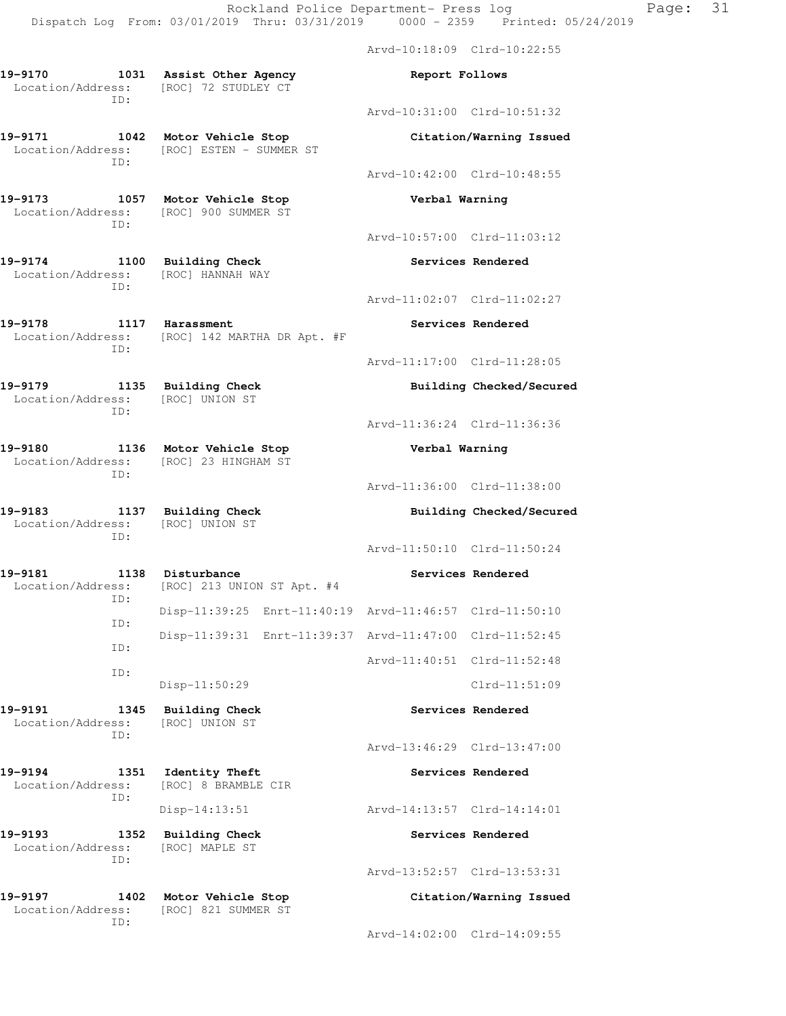Arvd-10:18:09 Clrd-10:22:55

Arvd-10:31:00 Clrd-10:51:32

Arvd-10:42:00 Clrd-10:48:55

**19-9170 1031 Assist Other Agency Report Follows**  Location/Address: [ROC] 72 STUDLEY CT ID:

**19-9171 1042 Motor Vehicle Stop Citation/Warning Issued**  Location/Address: [ROC] ESTEN - SUMMER ST ID:

**19-9173 1057 Motor Vehicle Stop Verbal Warning**  Location/Address: [ROC] 900 SUMMER ST ID:

19-9174 1100 Building Check **19-9174** Services Rendered Location/Address: [ROC] HANNAH WAY ID:

**19-9178 1117 Harassment Services Rendered**  Location/Address: [ROC] 142 MARTHA DR Apt. #F ID:

**19-9179 1135 Building Check Building Checked/Secured**  Location/Address: [ROC] UNION ST ID:

**19-9180 1136 Motor Vehicle Stop Verbal Warning**  Location/Address: [ROC] 23 HINGHAM ST ID:

**19-9183 1137 Building Check Building Checked/Secured**  Location/Address: [ROC] UNION ST

ID:

19-9181 1138 Disturbance **19-9181** Services Rendered Location/Address: [ROC] 213 UNION ST Apt. #4 ID: Disp-11:39:25 Enrt-11:40:19 Arvd-11:46:57 Clrd-11:50:10 ID: Disp-11:39:31 Enrt-11:39:37 Arvd-11:47:00 Clrd-11:52:45 ID: ID:

**19-9191 1345 Building Check Services Rendered**  Location/Address: [ROC] UNION ST ID:

**19-9194 1351 Identity Theft Services Rendered**  Location/Address: [ROC] 8 BRAMBLE CIR ID:

19-9193 1352 Building Check **19-9193** Services Rendered Location/Address: [ROC] MAPLE ST ID:

**19-9197 1402 Motor Vehicle Stop Citation/Warning Issued**  Location/Address: [ROC] 821 SUMMER ST ID:

Arvd-10:57:00 Clrd-11:03:12

Arvd-11:02:07 Clrd-11:02:27

Arvd-11:17:00 Clrd-11:28:05

Arvd-11:36:24 Clrd-11:36:36

Arvd-11:36:00 Clrd-11:38:00

Arvd-11:50:10 Clrd-11:50:24

Arvd-11:40:51 Clrd-11:52:48

Disp-11:50:29 Clrd-11:51:09

Arvd-13:46:29 Clrd-13:47:00

Disp-14:13:51 Arvd-14:13:57 Clrd-14:14:01

Arvd-13:52:57 Clrd-13:53:31

Arvd-14:02:00 Clrd-14:09:55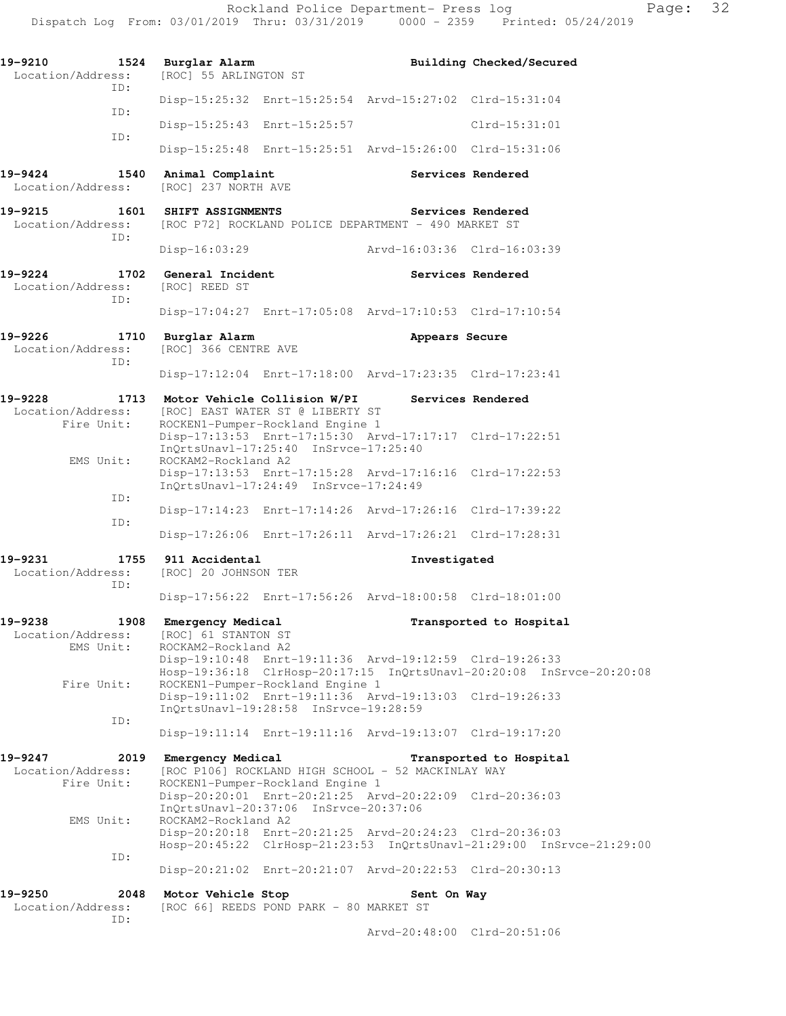| 19-9210<br>1524<br>Location/Address:<br>TD:        | Burglar Alarm<br>[ROC] 55 ARLINGTON ST                                                                                               |                   | Building Checked/Secured                                             |
|----------------------------------------------------|--------------------------------------------------------------------------------------------------------------------------------------|-------------------|----------------------------------------------------------------------|
|                                                    | Disp-15:25:32 Enrt-15:25:54 Arvd-15:27:02 Clrd-15:31:04                                                                              |                   |                                                                      |
| ID:                                                | Disp-15:25:43 Enrt-15:25:57                                                                                                          |                   | $Clrd-15:31:01$                                                      |
| ID:                                                | Disp-15:25:48 Enrt-15:25:51 Arvd-15:26:00 Clrd-15:31:06                                                                              |                   |                                                                      |
| 19-9424<br>1540<br>Location/Address:               | Animal Complaint<br>[ROC] 237 NORTH AVE                                                                                              | Services Rendered |                                                                      |
| 19-9215<br>Location/Address:<br>ID:                | 1601 SHIFT ASSIGNMENTS<br>[ROC P72] ROCKLAND POLICE DEPARTMENT - 490 MARKET ST                                                       | Services Rendered |                                                                      |
|                                                    | Disp-16:03:29                                                                                                                        |                   | Arvd-16:03:36 Clrd-16:03:39                                          |
| 19-9224<br>Location/Address:                       | 1702 General Incident<br>[ROC] REED ST                                                                                               | Services Rendered |                                                                      |
| ID:                                                | Disp-17:04:27 Enrt-17:05:08 Arvd-17:10:53 Clrd-17:10:54                                                                              |                   |                                                                      |
| $19 - 9226$<br>1710<br>Location/Address:<br>ID:    | Burglar Alarm<br>[ROC] 366 CENTRE AVE                                                                                                | Appears Secure    |                                                                      |
|                                                    | Disp-17:12:04 Enrt-17:18:00 Arvd-17:23:35 Clrd-17:23:41                                                                              |                   |                                                                      |
| 19-9228<br>Location/Address:                       | 1713 Motor Vehicle Collision W/PI<br>[ROC] EAST WATER ST @ LIBERTY ST                                                                | Services Rendered |                                                                      |
| Fire Unit:                                         | ROCKEN1-Pumper-Rockland Engine 1<br>Disp-17:13:53 Enrt-17:15:30 Arvd-17:17:17 Clrd-17:22:51<br>InQrtsUnavl-17:25:40 InSrvce-17:25:40 |                   |                                                                      |
| EMS Unit:                                          | ROCKAM2-Rockland A2<br>Disp-17:13:53 Enrt-17:15:28 Arvd-17:16:16 Clrd-17:22:53<br>InQrtsUnavl-17:24:49 InSrvce-17:24:49              |                   |                                                                      |
| ID:<br>ID:                                         | Disp-17:14:23 Enrt-17:14:26 Arvd-17:26:16 Clrd-17:39:22                                                                              |                   |                                                                      |
|                                                    | Disp-17:26:06 Enrt-17:26:11 Arvd-17:26:21 Clrd-17:28:31                                                                              |                   |                                                                      |
| 19-9231<br>Location/Address:<br>ID:                | 1755 911 Accidental<br>[ROC] 20 JOHNSON TER                                                                                          | Investigated      |                                                                      |
|                                                    | Disp-17:56:22 Enrt-17:56:26 Arvd-18:00:58 Clrd-18:01:00                                                                              |                   |                                                                      |
| 1908<br>19-9238<br>Location/Address:<br>EMS Unit:  | Emergency Medical<br>[ROC] 61 STANTON ST<br>ROCKAM2-Rockland A2                                                                      |                   | Transported to Hospital                                              |
| Fire Unit:                                         | Disp-19:10:48 Enrt-19:11:36 Arvd-19:12:59 Clrd-19:26:33<br>ROCKEN1-Pumper-Rockland Engine 1                                          |                   | Hosp-19:36:18 ClrHosp-20:17:15 InQrtsUnavl-20:20:08 InSrvce-20:20:08 |
|                                                    | Disp-19:11:02 Enrt-19:11:36 Arvd-19:13:03 Clrd-19:26:33<br>InQrtsUnavl-19:28:58 InSrvce-19:28:59                                     |                   |                                                                      |
| ID:                                                | Disp-19:11:14 Enrt-19:11:16 Arvd-19:13:07 Clrd-19:17:20                                                                              |                   |                                                                      |
| 19-9247<br>2019<br>Location/Address:<br>Fire Unit: | Emergency Medical<br>[ROC P106] ROCKLAND HIGH SCHOOL - 52 MACKINLAY WAY<br>ROCKEN1-Pumper-Rockland Engine 1                          |                   | Transported to Hospital                                              |
| EMS Unit:                                          | Disp-20:20:01 Enrt-20:21:25 Arvd-20:22:09 Clrd-20:36:03<br>InQrtsUnavl-20:37:06 InSrvce-20:37:06<br>ROCKAM2-Rockland A2              |                   |                                                                      |
| ID:                                                | Disp-20:20:18 Enrt-20:21:25 Arvd-20:24:23 Clrd-20:36:03                                                                              |                   | Hosp-20:45:22 ClrHosp-21:23:53 InQrtsUnavl-21:29:00 InSrvce-21:29:00 |
|                                                    | Disp-20:21:02 Enrt-20:21:07 Arvd-20:22:53 Clrd-20:30:13                                                                              |                   |                                                                      |
| 19-9250<br>2048<br>Location/Address:<br>ID:        | Motor Vehicle Stop<br>[ROC 66] REEDS POND PARK - 80 MARKET ST                                                                        | Sent On Way       |                                                                      |

Arvd-20:48:00 Clrd-20:51:06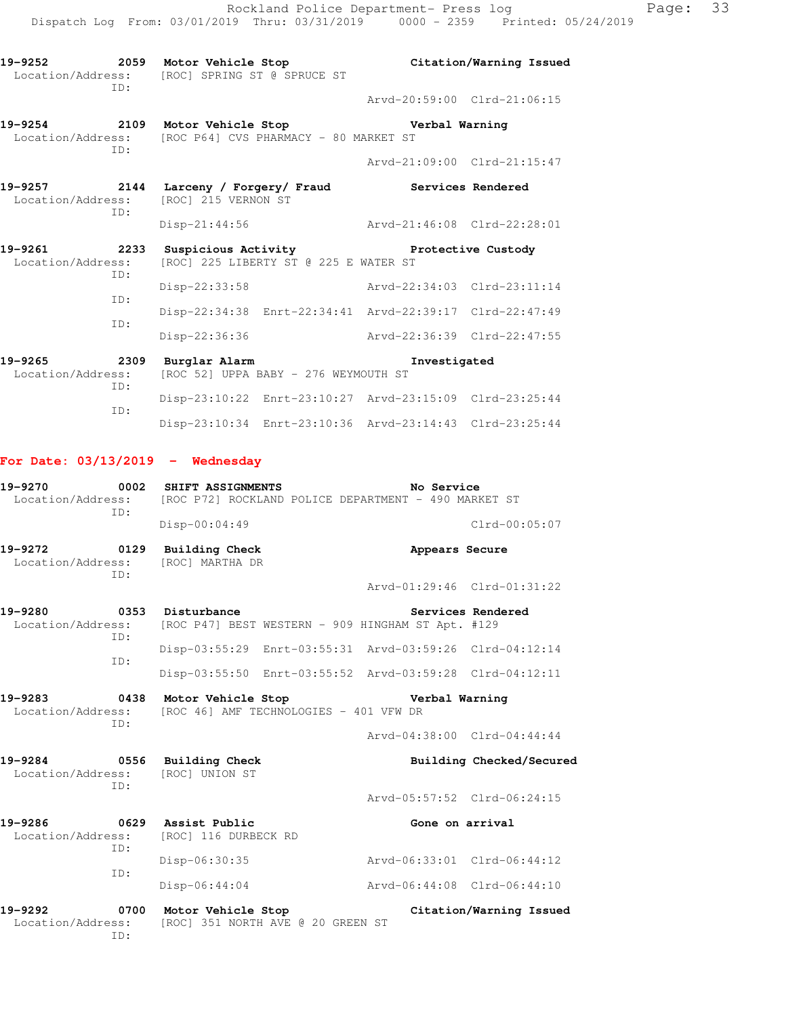**19-9254 2109 Motor Vehicle Stop Verbal Warning**  Location/Address: [ROC P64] CVS PHARMACY - 80 MARKET ST ID:

 Arvd-21:09:00 Clrd-21:15:47 **19-9257 2144 Larceny / Forgery/ Fraud Services Rendered** 

Arvd-20:59:00 Clrd-21:06:15

- Location/Address: [ROC] 215 VERNON ST ID: Disp-21:44:56 Arvd-21:46:08 Clrd-22:28:01 **19-9261 2233 Suspicious Activity Protective Custody**  Location/Address: [ROC] 225 LIBERTY ST @ 225 E WATER ST ID: Disp-22:33:58 Arvd-22:34:03 Clrd-23:11:14 ID: Disp-22:34:38 Enrt-22:34:41 Arvd-22:39:17 Clrd-22:47:49 ID: Disp-22:36:36 Arvd-22:36:39 Clrd-22:47:55
- **19-9265 2309 Burglar Alarm Investigated**  Location/Address: [ROC 52] UPPA BABY - 276 WEYMOUTH ST ID: Disp-23:10:22 Enrt-23:10:27 Arvd-23:15:09 Clrd-23:25:44 ID: Disp-23:10:34 Enrt-23:10:36 Arvd-23:14:43 Clrd-23:25:44

# **For Date: 03/13/2019 - Wednesday**

**19-9270 0002 SHIFT ASSIGNMENTS No Service**  Location/Address: [ROC P72] ROCKLAND POLICE DEPARTMENT - 490 MARKET ST ID: Disp-00:04:49 Clrd-00:05:07 19-9272 0129 Building Check **Appears Secure**  Location/Address: [ROC] MARTHA DR ID: Arvd-01:29:46 Clrd-01:31:22 19-9280 **0353** Disturbance **19-9280** Services Rendered Location/Address: [ROC P47] BEST WESTERN - 909 HINGHAM ST Apt. #129 ID: Disp-03:55:29 Enrt-03:55:31 Arvd-03:59:26 Clrd-04:12:14 ID: Disp-03:55:50 Enrt-03:55:52 Arvd-03:59:28 Clrd-04:12:11 **19-9283 0438 Motor Vehicle Stop Verbal Warning**  Location/Address: [ROC 46] AMF TECHNOLOGIES - 401 VFW DR ID: Arvd-04:38:00 Clrd-04:44:44 19-9284 **0556** Building Check **Building Building Checked/Secured**  Location/Address: [ROC] UNION ST ID: Arvd-05:57:52 Clrd-06:24:15 **19-9286 0629 Assist Public Gone on arrival** 

| 19-9292           | 0700 | Motor Vehicle Stop   |  | Citation/Warning Issued     |  |
|-------------------|------|----------------------|--|-----------------------------|--|
|                   |      | Disp-06:44:04        |  | Arvd-06:44:08 Clrd-06:44:10 |  |
|                   | ID:  | Disp-06:30:35        |  | Arvd-06:33:01 Clrd-06:44:12 |  |
| Location/Address: | TD:  | [ROC] 116 DURBECK RD |  |                             |  |

 Location/Address: [ROC] 351 NORTH AVE @ 20 GREEN ST ID: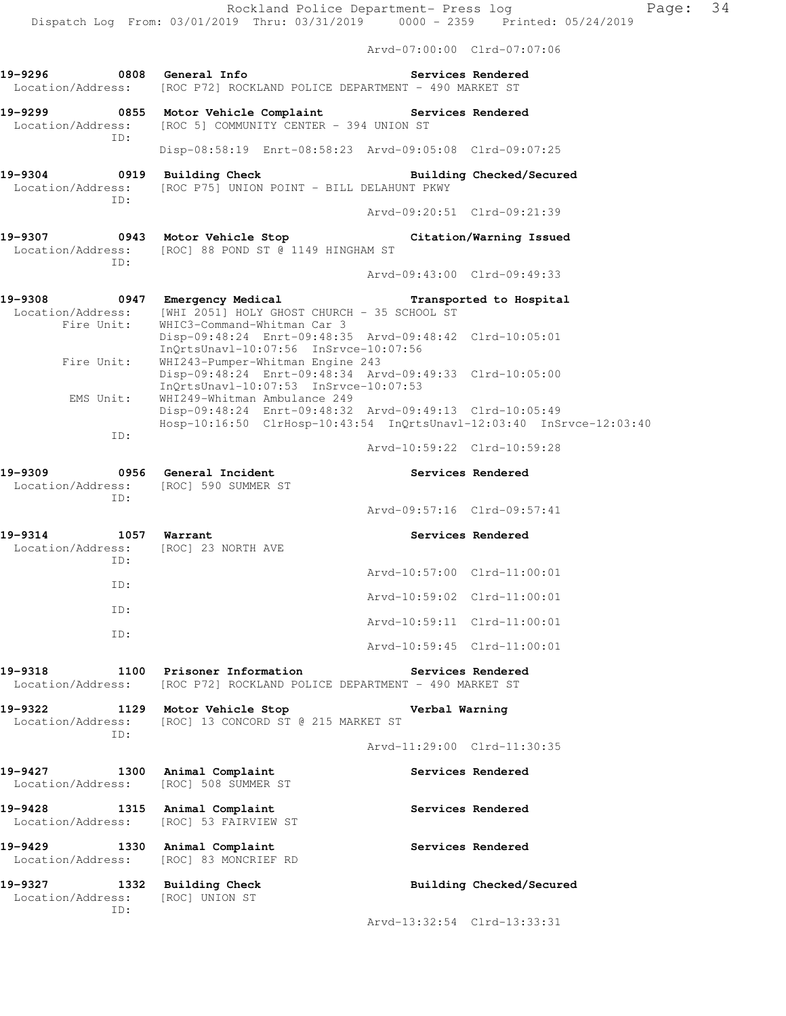|                                      |             |                                                                                        | Arvd-07:00:00 Clrd-07:07:06 |                          |
|--------------------------------------|-------------|----------------------------------------------------------------------------------------|-----------------------------|--------------------------|
| 19-9296                              | $\sim$ 0808 | General Info<br>Location/Address: [ROC P72] ROCKLAND POLICE DEPARTMENT - 490 MARKET ST |                             | Services Rendered        |
| 19-9299<br>0855<br>TD:               |             | Motor Vehicle Complaint<br>Location/Address: [ROC 5] COMMUNITY CENTER - 394 UNION ST   | <b>Services Rendered</b>    |                          |
|                                      |             | Disp-08:58:19 Enrt-08:58:23 Arvd-09:05:08 Clrd-09:07:25                                |                             |                          |
| 0919<br>19-9304<br>Location/Address: |             | Building Check<br>[ROC P75] UNION POINT - BILL DELAHUNT PKWY                           |                             | Building Checked/Secured |
|                                      | TD:         |                                                                                        | Arvd-09:20:51 Clrd-09:21:39 |                          |

**19-9307 0943 Motor Vehicle Stop Citation/Warning Issued**  Location/Address: [ROC] 88 POND ST @ 1149 HINGHAM ST ID:

Arvd-09:43:00 Clrd-09:49:33

| 19-9308<br>0947   | Emergency Medical                                                    | Transported to Hospital     |  |
|-------------------|----------------------------------------------------------------------|-----------------------------|--|
| Location/Address: | [WHI 2051] HOLY GHOST CHURCH - 35 SCHOOL ST                          |                             |  |
| Fire Unit:        | WHIC3-Command-Whitman Car 3                                          |                             |  |
|                   | Disp-09:48:24 Enrt-09:48:35 Arvd-09:48:42 Clrd-10:05:01              |                             |  |
|                   | InOrtsUnav1-10:07:56 InSrvce-10:07:56                                |                             |  |
| Fire Unit:        | WHI243-Pumper-Whitman Engine 243                                     |                             |  |
|                   | Disp-09:48:24 Enrt-09:48:34 Arvd-09:49:33 Clrd-10:05:00              |                             |  |
|                   | InOrtsUnav1-10:07:53 InSrvce-10:07:53                                |                             |  |
| EMS Unit:         | WHI249-Whitman Ambulance 249                                         |                             |  |
|                   | Disp-09:48:24 Enrt-09:48:32 Arvd-09:49:13 Clrd-10:05:49              |                             |  |
|                   | Hosp-10:16:50 ClrHosp-10:43:54 InQrtsUnavl-12:03:40 InSrvce-12:03:40 |                             |  |
| ID:               |                                                                      |                             |  |
|                   |                                                                      | Arvd-10:59:22 Clrd-10:59:28 |  |

| 19-9309<br>Location/Address:<br>ID: | 0956<br>General Incident              | [ROC] 590 SUMMER ST |                             | Services Rendered |
|-------------------------------------|---------------------------------------|---------------------|-----------------------------|-------------------|
|                                     |                                       |                     | Arvd-09:57:16 Clrd-09:57:41 |                   |
| 19-9314<br>Location/Address:<br>ID: | 1057<br>Warrant<br>[ROC] 23 NORTH AVE |                     |                             | Services Rendered |
| TD:                                 |                                       |                     | Arvd-10:57:00 Clrd-11:00:01 |                   |
|                                     |                                       |                     | Arvd-10:59:02 Clrd-11:00:01 |                   |
| ID:                                 |                                       |                     | Arvd-10:59:11 Clrd-11:00:01 |                   |
| ID:                                 |                                       |                     | Arvd-10:59:45 Clrd-11:00:01 |                   |

## **19-9318 1100 Prisoner Information Services Rendered**  Location/Address: [ROC P72] ROCKLAND POLICE DEPARTMENT - 490 MARKET ST

**19-9322 1129 Motor Vehicle Stop Verbal Warning** 

Location/Address: [ROC] 13 CONCORD ST @ 215 MARKET ST ID:

**19-9427 1300 Animal Complaint Services Rendered**  Location/Address: [ROC] 508 SUMMER ST

**19-9428 1315 Animal Complaint Services Rendered**  Location/Address: [ROC] 53 FAIRVIEW ST

19-9429 1330 Animal Complaint **19-9429** Services Rendered Location/Address: [ROC] 83 MONCRIEF RD

**19-9327 1332 Building Check Building Checked/Secured**  Location/Address: [ROC] UNION ST ID:

Arvd-13:32:54 Clrd-13:33:31

Arvd-11:29:00 Clrd-11:30:35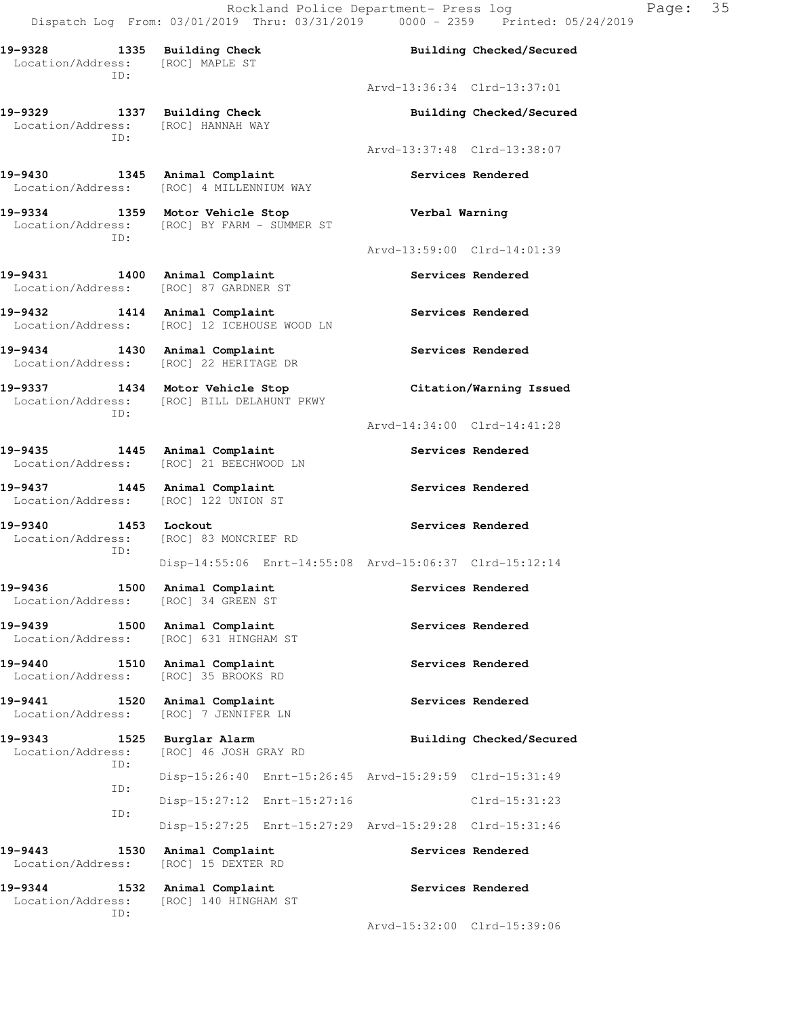Rockland Police Department- Press log Page: 35

 Dispatch Log From: 03/01/2019 Thru: 03/31/2019 0000 - 2359 Printed: 05/24/2019 **19-9328 1335 Building Check Building Checked/Secured**  Location/Address: [ROC] MAPLE ST ID: Arvd-13:36:34 Clrd-13:37:01 **19-9329 1337 Building Check Building Checked/Secured**  Location/Address: [ROC] HANNAH WAY ID: Arvd-13:37:48 Clrd-13:38:07 19-9430 1345 Animal Complaint **19-9430** Services Rendered Location/Address: [ROC] 4 MILLENNIUM WAY **19-9334 1359 Motor Vehicle Stop Verbal Warning**  Location/Address: [ROC] BY FARM - SUMMER ST ID: Arvd-13:59:00 Clrd-14:01:39 **19-9431 1400 Animal Complaint Services Rendered**  Location/Address: [ROC] 87 GARDNER ST 19-9432 1414 Animal Complaint **19-9432** Services Rendered Location/Address: [ROC] 12 ICEHOUSE WOOD LN 19-9434 1430 Animal Complaint **19-9434** Services Rendered Location/Address: [ROC] 22 HERITAGE DR **19-9337 1434 Motor Vehicle Stop Citation/Warning Issued**  Location/Address: [ROC] BILL DELAHUNT PKWY ID: Arvd-14:34:00 Clrd-14:41:28 **19-9435 1445 Animal Complaint Services Rendered**  Location/Address: [ROC] 21 BEECHWOOD LN 19-9437 **1445** Animal Complaint **19-9437** Services Rendered Location/Address: [ROC] 122 UNION ST **19-9340** 1453 Lockout **19-9340** Services Rendered Location/Address: [ROC] 83 MONCRIEF RD ID: Disp-14:55:06 Enrt-14:55:08 Arvd-15:06:37 Clrd-15:12:14 19-9436 1500 Animal Complaint **19-9436** Services Rendered Location/Address: [ROC] 34 GREEN ST 19-9439 1500 Animal Complaint **1896 1896** Services Rendered Location/Address: [ROC] 631 HINGHAM ST **19-9440 1510 Animal Complaint Services Rendered**  Location/Address: [ROC] 35 BROOKS RD

**19-9441 1520 Animal Complaint Services Rendered**  Location/Address: [ROC] 7 JENNIFER LN

**19-9343 1525 Burglar Alarm Building Checked/Secured**  Location/Address: [ROC] 46 JOSH GRAY RD ID: Disp-15:26:40 Enrt-15:26:45 Arvd-15:29:59 Clrd-15:31:49 ID: Disp-15:27:12 Enrt-15:27:16 Clrd-15:31:23 ID: Disp-15:27:25 Enrt-15:27:29 Arvd-15:29:28 Clrd-15:31:46 **19-9443 1530 Animal Complaint Services Rendered** 

 Location/Address: [ROC] 15 DEXTER RD 19-9344 1532 Animal Complaint **19-9344** Services Rendered Location/Address: [ROC] 140 HINGHAM ST ID:

Arvd-15:32:00 Clrd-15:39:06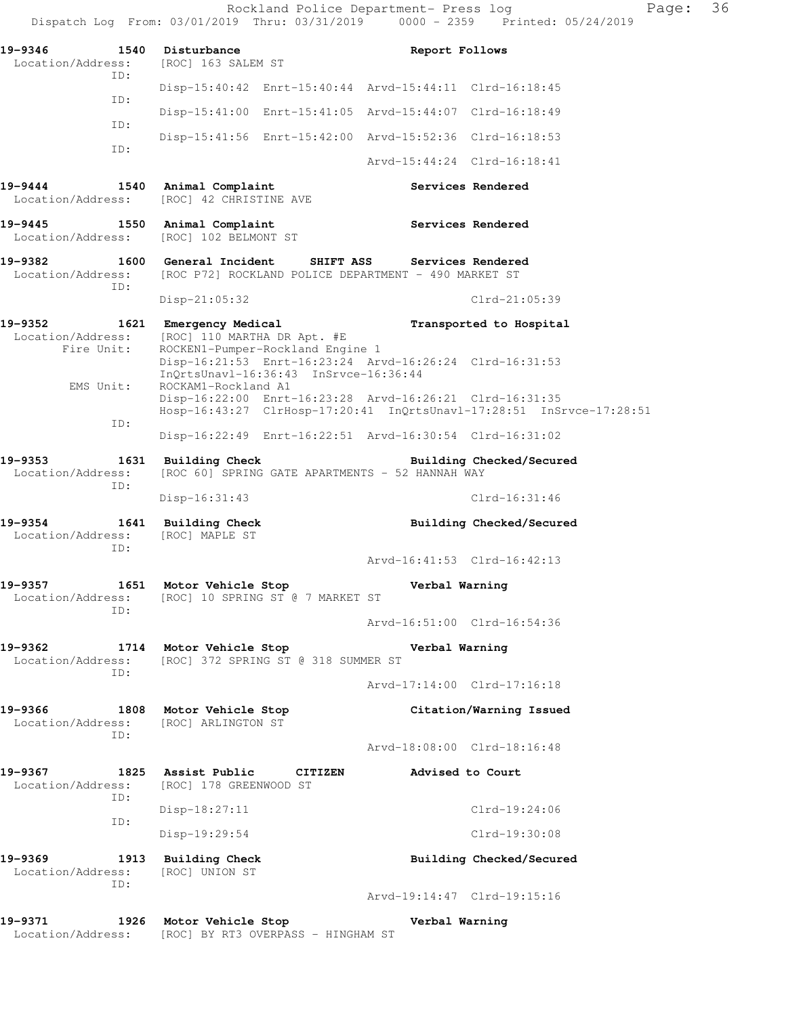|                                            |                                                                                                           | 36<br>Page:<br>Rockland Police Department- Press log<br>Dispatch Log From: 03/01/2019 Thru: 03/31/2019 0000 - 2359 Printed: 05/24/2019 |  |
|--------------------------------------------|-----------------------------------------------------------------------------------------------------------|----------------------------------------------------------------------------------------------------------------------------------------|--|
| 19-9346<br>Location/Address:               | 1540 Disturbance<br>[ROC] 163 SALEM ST                                                                    | Report Follows                                                                                                                         |  |
| ID:                                        |                                                                                                           | Disp-15:40:42 Enrt-15:40:44 Arvd-15:44:11 Clrd-16:18:45                                                                                |  |
| ID:                                        |                                                                                                           | Disp-15:41:00 Enrt-15:41:05 Arvd-15:44:07 Clrd-16:18:49                                                                                |  |
| ID:<br>ID:                                 |                                                                                                           | Disp-15:41:56 Enrt-15:42:00 Arvd-15:52:36 Clrd-16:18:53                                                                                |  |
|                                            |                                                                                                           | Arvd-15:44:24 Clrd-16:18:41                                                                                                            |  |
| $19 - 9444$<br>Location/Address:           | 1540 Animal Complaint<br>[ROC] 42 CHRISTINE AVE                                                           | Services Rendered                                                                                                                      |  |
| 19-9445<br>Location/Address:               | 1550 Animal Complaint<br>[ROC] 102 BELMONT ST                                                             | Services Rendered                                                                                                                      |  |
| 19-9382<br>Location/Address:<br>ID:        | 1600 General Incident SHIFT ASS Services Rendered<br>[ROC P72] ROCKLAND POLICE DEPARTMENT - 490 MARKET ST |                                                                                                                                        |  |
|                                            | $Disp-21:05:32$                                                                                           | $Clrd-21:05:39$                                                                                                                        |  |
| 19–9352<br>Location/Address:<br>Fire Unit: | 1621 Emergency Medical<br>[ROC] 110 MARTHA DR Apt. #E<br>ROCKEN1-Pumper-Rockland Engine 1                 | Transported to Hospital<br>Disp-16:21:53 Enrt-16:23:24 Arvd-16:26:24 Clrd-16:31:53                                                     |  |
| EMS Unit:                                  | InQrtsUnavl-16:36:43 InSrvce-16:36:44<br>ROCKAM1-Rockland A1                                              | Disp-16:22:00 Enrt-16:23:28 Arvd-16:26:21 Clrd-16:31:35                                                                                |  |
| ID:                                        |                                                                                                           | Hosp-16:43:27 ClrHosp-17:20:41 InQrtsUnavl-17:28:51 InSrvce-17:28:51                                                                   |  |
|                                            |                                                                                                           | Disp-16:22:49 Enrt-16:22:51 Arvd-16:30:54 Clrd-16:31:02                                                                                |  |
| 19-9353<br>Location/Address:<br>ID:        | 1631 Building Check<br>[ROC 60] SPRING GATE APARTMENTS - 52 HANNAH WAY                                    | Building Checked/Secured                                                                                                               |  |
|                                            | Disp-16:31:43                                                                                             | $Clrd-16:31:46$                                                                                                                        |  |
| 19-9354<br>Location/Address:<br>ID:        | 1641 Building Check<br>[ROC] MAPLE ST                                                                     | Building Checked/Secured                                                                                                               |  |
|                                            |                                                                                                           | Arvd-16:41:53 Clrd-16:42:13                                                                                                            |  |
| 19-9357<br>Location/Address:<br>ID:        | 1651 Motor Vehicle Stop<br>[ROC] 10 SPRING ST @ 7 MARKET ST                                               | Verbal Warning                                                                                                                         |  |
|                                            |                                                                                                           | Arvd-16:51:00 Clrd-16:54:36                                                                                                            |  |
| 19-9362<br>Location/Address:<br>ID:        | 1714 Motor Vehicle Stop<br>[ROC] 372 SPRING ST @ 318 SUMMER ST                                            | Verbal Warning                                                                                                                         |  |
|                                            |                                                                                                           | Arvd-17:14:00 Clrd-17:16:18                                                                                                            |  |
| 19-9366<br>Location/Address:<br>ID:        | 1808 Motor Vehicle Stop<br>[ROC] ARLINGTON ST                                                             | Citation/Warning Issued                                                                                                                |  |
|                                            |                                                                                                           | Arvd-18:08:00 Clrd-18:16:48                                                                                                            |  |
| 19-9367<br>Location/Address:               | 1825 Assist Public<br>CITIZEN<br>[ROC] 178 GREENWOOD ST                                                   | Advised to Court                                                                                                                       |  |
| ID:                                        | $Disp-18:27:11$                                                                                           | Clrd-19:24:06                                                                                                                          |  |
| ID:                                        | Disp-19:29:54                                                                                             | Clrd-19:30:08                                                                                                                          |  |
| 19–9369<br>Location/Address:<br>ID:        | 1913 Building Check<br>[ROC] UNION ST                                                                     | Building Checked/Secured                                                                                                               |  |
|                                            |                                                                                                           | Arvd-19:14:47 Clrd-19:15:16                                                                                                            |  |
| 19-9371<br>Location/Address:               | 1926 Motor Vehicle Stop<br>[ROC] BY RT3 OVERPASS - HINGHAM ST                                             | Verbal Warning                                                                                                                         |  |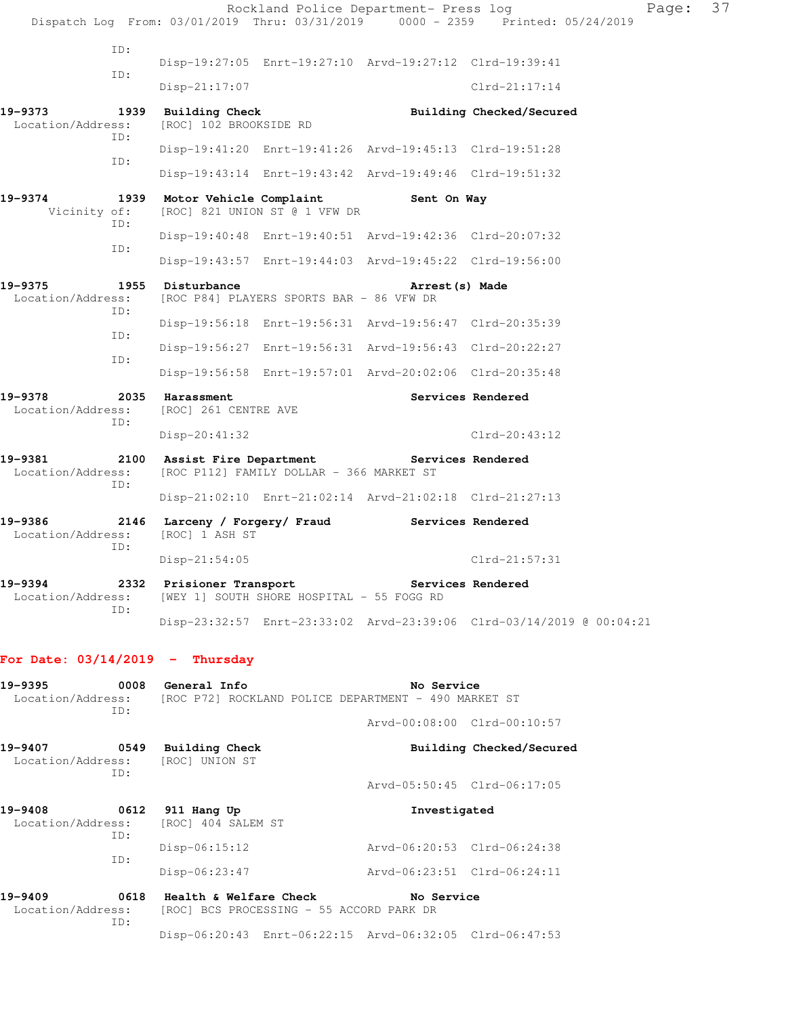Rockland Police Department- Press log Fage: 37 Dispatch Log From: 03/01/2019 Thru: 03/31/2019 0000 - 2359 Printed: 05/24/2019 ID: Disp-19:27:05 Enrt-19:27:10 Arvd-19:27:12 Clrd-19:39:41 ID: Disp-21:17:07 Clrd-21:17:14 **19-9373 1939 Building Check Building Checked/Secured**  Location/Address: [ROC] 102 BROOKSIDE RD ID: Disp-19:41:20 Enrt-19:41:26 Arvd-19:45:13 Clrd-19:51:28 ID: Disp-19:43:14 Enrt-19:43:42 Arvd-19:49:46 Clrd-19:51:32 **19-9374 1939 Motor Vehicle Complaint Sent On Way**  Vicinity of: [ROC] 821 UNION ST @ 1 VFW DR ID: Disp-19:40:48 Enrt-19:40:51 Arvd-19:42:36 Clrd-20:07:32 ID: Disp-19:43:57 Enrt-19:44:03 Arvd-19:45:22 Clrd-19:56:00 **19-9375 1955 Disturbance Arrest(s) Made**  Location/Address: [ROC P84] PLAYERS SPORTS BAR - 86 VFW DR ID: Disp-19:56:18 Enrt-19:56:31 Arvd-19:56:47 Clrd-20:35:39 ID: Disp-19:56:27 Enrt-19:56:31 Arvd-19:56:43 Clrd-20:22:27 ID: Disp-19:56:58 Enrt-19:57:01 Arvd-20:02:06 Clrd-20:35:48 19-9378 2035 Harassment **Services Rendered**  Location/Address: [ROC] 261 CENTRE AVE ID: Disp-20:41:32 Clrd-20:43:12 **19-9381 2100 Assist Fire Department Services Rendered**  Location/Address: [ROC P112] FAMILY DOLLAR - 366 MARKET ST ID: Disp-21:02:10 Enrt-21:02:14 Arvd-21:02:18 Clrd-21:27:13 **19-9386 2146 Larceny / Forgery/ Fraud Services Rendered**  Location/Address: [ROC] 1 ASH ST ID: Disp-21:54:05 Clrd-21:57:31 **19-9394 2332 Prisioner Transport Services Rendered**  Location/Address: [WEY 1] SOUTH SHORE HOSPITAL - 55 FOGG RD ID: Disp-23:32:57 Enrt-23:33:02 Arvd-23:39:06 Clrd-03/14/2019 @ 00:04:21 **For Date: 03/14/2019 - Thursday 19-9395 0008 General Info No Service**  Location/Address: [ROC P72] ROCKLAND POLICE DEPARTMENT - 490 MARKET ST ID: Arvd-00:08:00 Clrd-00:10:57 **19-9407 0549 Building Check Building Checked/Secured**  Location/Address: [ROC] UNION ST ID: Arvd-05:50:45 Clrd-06:17:05 **19-9408 0612 911 Hang Up Investigated**  Location/Address: [ROC] 404 SALEM ST

 ID: Disp-06:15:12 Arvd-06:20:53 Clrd-06:24:38 ID: Disp-06:23:47 Arvd-06:23:51 Clrd-06:24:11

**19-9409 0618 Health & Welfare Check No Service**  Location/Address: [ROC] BCS PROCESSING - 55 ACCORD PARK DR ID: Disp-06:20:43 Enrt-06:22:15 Arvd-06:32:05 Clrd-06:47:53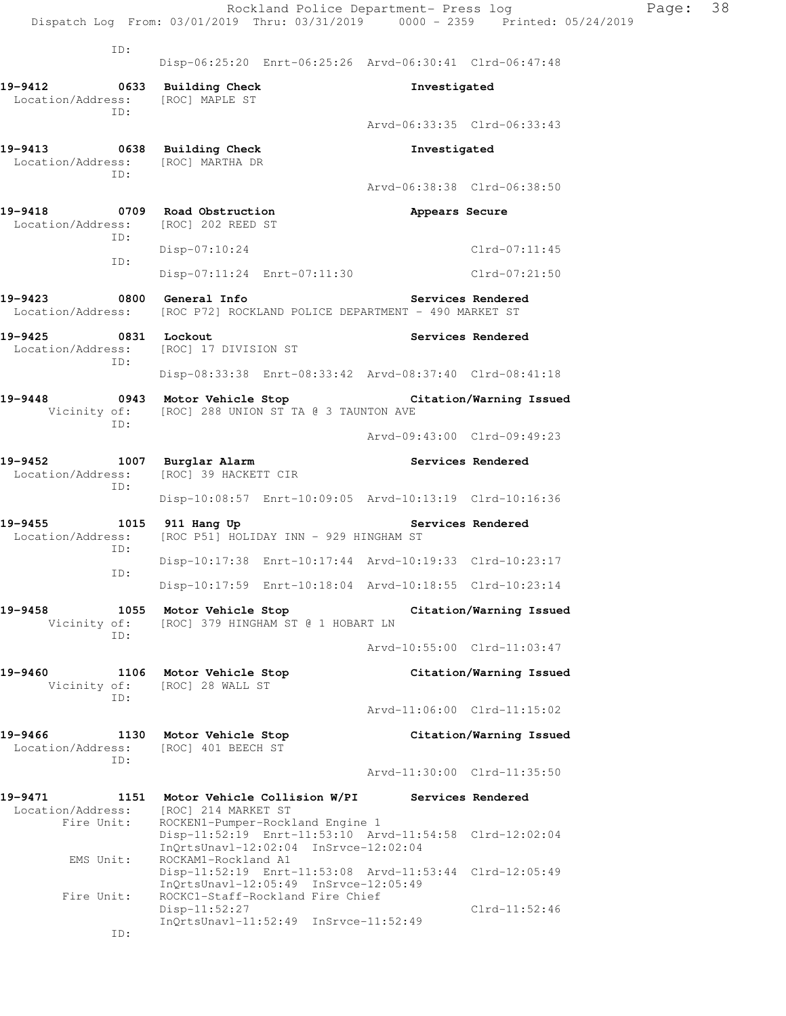|                                                                                                |                                                                                              | Rockland Police Department- Press log                                 | Dispatch Log From: 03/01/2019 Thru: 03/31/2019 0000 - 2359 Printed: 05/24/2019 | Page: | 38 |
|------------------------------------------------------------------------------------------------|----------------------------------------------------------------------------------------------|-----------------------------------------------------------------------|--------------------------------------------------------------------------------|-------|----|
| ID:                                                                                            |                                                                                              |                                                                       |                                                                                |       |    |
|                                                                                                |                                                                                              | Disp-06:25:20 Enrt-06:25:26 Arvd-06:30:41 Clrd-06:47:48               |                                                                                |       |    |
| 19-9412<br>Location/Address:<br>TD:                                                            | 0633 Building Check<br>[ROC] MAPLE ST                                                        |                                                                       | Investigated                                                                   |       |    |
|                                                                                                |                                                                                              |                                                                       | Arvd-06:33:35 Clrd-06:33:43                                                    |       |    |
| 19-9413<br>Location/Address:<br>TD:                                                            | 0638 Building Check<br>[ROC] MARTHA DR                                                       |                                                                       | Investigated                                                                   |       |    |
|                                                                                                |                                                                                              |                                                                       | Arvd-06:38:38 Clrd-06:38:50                                                    |       |    |
| 19-9418<br>Location/Address:<br>ID:                                                            | 0709 Road Obstruction<br>[ROC] 202 REED ST                                                   |                                                                       | Appears Secure                                                                 |       |    |
| ID:                                                                                            | $Disp-07:10:24$                                                                              |                                                                       | $Clrd-07:11:45$                                                                |       |    |
|                                                                                                | Disp-07:11:24 Enrt-07:11:30                                                                  |                                                                       | $Clrd-07:21:50$                                                                |       |    |
| 19-9423<br>Location/Address: [ROC P72] ROCKLAND POLICE DEPARTMENT - 490 MARKET ST              | 0800 General Info                                                                            |                                                                       | Services Rendered                                                              |       |    |
| 19-9425<br>0831 Lockout<br>Location/Address:<br>ID:                                            | [ROC] 17 DIVISION ST                                                                         |                                                                       | Services Rendered                                                              |       |    |
|                                                                                                |                                                                                              | Disp-08:33:38 Enrt-08:33:42 Arvd-08:37:40 Clrd-08:41:18               |                                                                                |       |    |
| 19-9448<br>ID:                                                                                 | Vicinity of: [ROC] 288 UNION ST TA @ 3 TAUNTON AVE                                           | 0943 Motor Vehicle Stop                       Citation/Warning Issued |                                                                                |       |    |
|                                                                                                |                                                                                              |                                                                       | Arvd-09:43:00 Clrd-09:49:23                                                    |       |    |
| 19-9452<br>Location/Address: [ROC] 39 HACKETT CIR<br>ID:                                       | 1007 Burglar Alarm                                                                           |                                                                       | Services Rendered                                                              |       |    |
|                                                                                                |                                                                                              | Disp-10:08:57 Enrt-10:09:05 Arvd-10:13:19 Clrd-10:16:36               |                                                                                |       |    |
| 19-9455<br>1015 911 Hang Up<br>Location/Address: [ROC P51] HOLIDAY INN - 929 HINGHAM ST<br>ID: |                                                                                              |                                                                       | Services Rendered                                                              |       |    |
| ID:                                                                                            |                                                                                              | Disp-10:17:38 Enrt-10:17:44 Arvd-10:19:33 Clrd-10:23:17               |                                                                                |       |    |
|                                                                                                |                                                                                              | Disp-10:17:59 Enrt-10:18:04 Arvd-10:18:55 Clrd-10:23:14               |                                                                                |       |    |
| 19-9458<br>Vicinity of:<br>ID:                                                                 | 1055 Motor Vehicle Stop<br>[ROC] 379 HINGHAM ST @ 1 HOBART LN                                |                                                                       | Citation/Warning Issued                                                        |       |    |
|                                                                                                |                                                                                              |                                                                       | Arvd-10:55:00 Clrd-11:03:47                                                    |       |    |
| 19-9460<br>Vicinity of:<br>ID:                                                                 | 1106 Motor Vehicle Stop<br>[ROC] 28 WALL ST                                                  |                                                                       | Citation/Warning Issued                                                        |       |    |
|                                                                                                |                                                                                              |                                                                       | Arvd-11:06:00 Clrd-11:15:02                                                    |       |    |
| 19-9466<br>Location/Address:<br>ID:                                                            | 1130 Motor Vehicle Stop<br>[ROC] 401 BEECH ST                                                |                                                                       | Citation/Warning Issued                                                        |       |    |
|                                                                                                |                                                                                              |                                                                       | Arvd-11:30:00 Clrd-11:35:50                                                    |       |    |
| 19-9471<br>Location/Address:<br>Fire Unit:                                                     | 1151 Motor Vehicle Collision W/PI<br>[ROC] 214 MARKET ST<br>ROCKEN1-Pumper-Rockland Engine 1 | Disp-11:52:19 Enrt-11:53:10 Arvd-11:54:58 Clrd-12:02:04               | Services Rendered                                                              |       |    |
| EMS Unit:                                                                                      | InQrtsUnavl-12:02:04 InSrvce-12:02:04<br>ROCKAM1-Rockland A1                                 | Disp-11:52:19 Enrt-11:53:08 Arvd-11:53:44 Clrd-12:05:49               |                                                                                |       |    |
| Fire Unit:                                                                                     | InQrtsUnavl-12:05:49 InSrvce-12:05:49<br>ROCKC1-Staff-Rockland Fire Chief<br>Disp-11:52:27   |                                                                       | $Clrd-11:52:46$                                                                |       |    |
| ID:                                                                                            | $InQrtsUnav1-11:52:49$ $InSrvce-11:52:49$                                                    |                                                                       |                                                                                |       |    |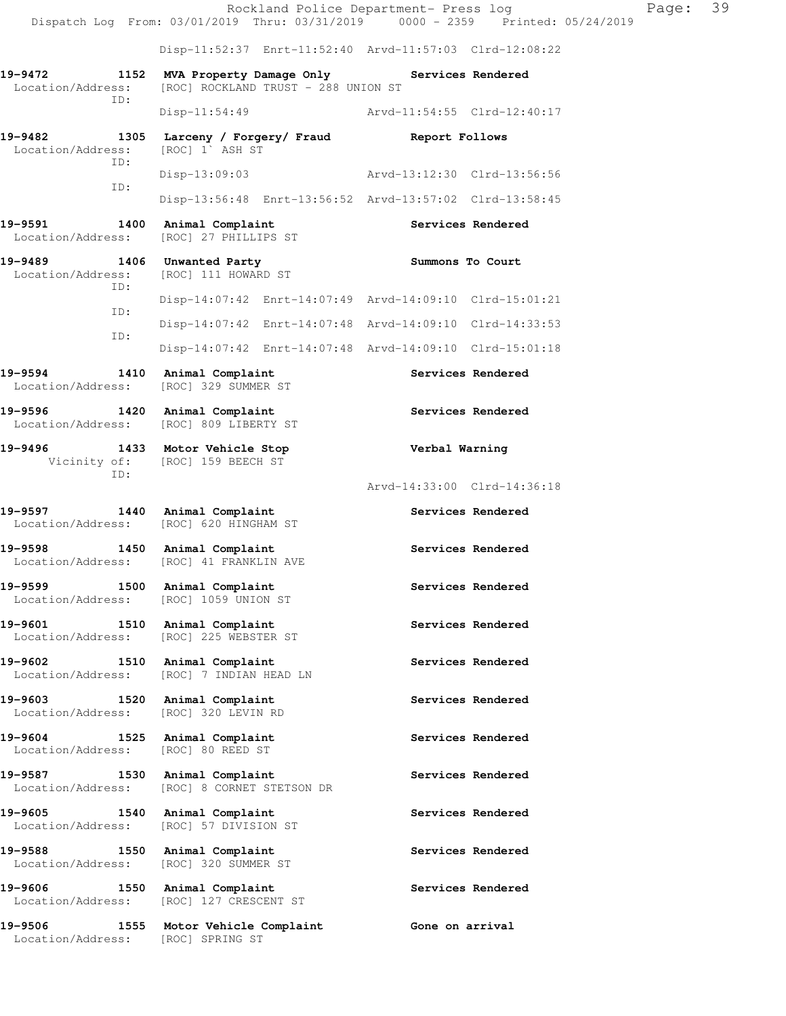Rockland Police Department- Press log Page: 39 Dispatch Log From: 03/01/2019 Thru: 03/31/2019 0000 - 2359 Printed: 05/24/2019 Disp-11:52:37 Enrt-11:52:40 Arvd-11:57:03 Clrd-12:08:22 **19-9472 1152 MVA Property Damage Only Services Rendered**  Location/Address: [ROC] ROCKLAND TRUST - 288 UNION ST ID: Disp-11:54:49 Arvd-11:54:55 Clrd-12:40:17 **19-9482 1305 Larceny / Forgery/ Fraud Report Follows**  Location/Address: [ROC] 1` ASH ST ID: Disp-13:09:03 Arvd-13:12:30 Clrd-13:56:56 ID: Disp-13:56:48 Enrt-13:56:52 Arvd-13:57:02 Clrd-13:58:45 19-9591 1400 Animal Complaint **19-9591** Services Rendered Location/Address: [ROC] 27 PHILLIPS ST **19-9489 1406 Unwanted Party Summons To Court**  Location/Address: [ROC] 111 HOWARD ST ID: Disp-14:07:42 Enrt-14:07:49 Arvd-14:09:10 Clrd-15:01:21 ID: Disp-14:07:42 Enrt-14:07:48 Arvd-14:09:10 Clrd-14:33:53 ID: Disp-14:07:42 Enrt-14:07:48 Arvd-14:09:10 Clrd-15:01:18 19-9594 1410 Animal Complaint **19-9594** Services Rendered Location/Address: [ROC] 329 SUMMER ST **19-9596 1420 Animal Complaint Services Rendered**  Location/Address: [ROC] 809 LIBERTY ST **19-9496 1433 Motor Vehicle Stop Verbal Warning**  Vicinity of: [ROC] 159 BEECH ST ID: Arvd-14:33:00 Clrd-14:36:18 19-9597 1440 Animal Complaint **Services Rendered**  Location/Address: [ROC] 620 HINGHAM ST 19-9598 1450 Animal Complaint **19-9598** Services Rendered Location/Address: [ROC] 41 FRANKLIN AVE 19-9599 1500 Animal Complaint **19-9599** Services Rendered Location/Address: [ROC] 1059 UNION ST 19-9601 1510 Animal Complaint **19-9601** Services Rendered Location/Address: [ROC] 225 WEBSTER ST 19-9602 1510 Animal Complaint **19-9602** Services Rendered Location/Address: [ROC] 7 INDIAN HEAD LN 19-9603 1520 Animal Complaint **19-9603** Services Rendered Location/Address: [ROC] 320 LEVIN RD **19-9604 1525 Animal Complaint Services Rendered**  Location/Address: [ROC] 80 REED ST 19-9587 1530 Animal Complaint **19-9587** Services Rendered Location/Address: [ROC] 8 CORNET STETSON DR 19-9605 1540 Animal Complaint **19-9605** Services Rendered Location/Address: [ROC] 57 DIVISION ST 19-9588 1550 Animal Complaint **19-9588** Services Rendered Location/Address: [ROC] 320 SUMMER ST 19-9606 1550 Animal Complaint **19-9606** Services Rendered Location/Address: [ROC] 127 CRESCENT ST **19-9506 1555 Motor Vehicle Complaint Gone on arrival**  Location/Address: [ROC] SPRING ST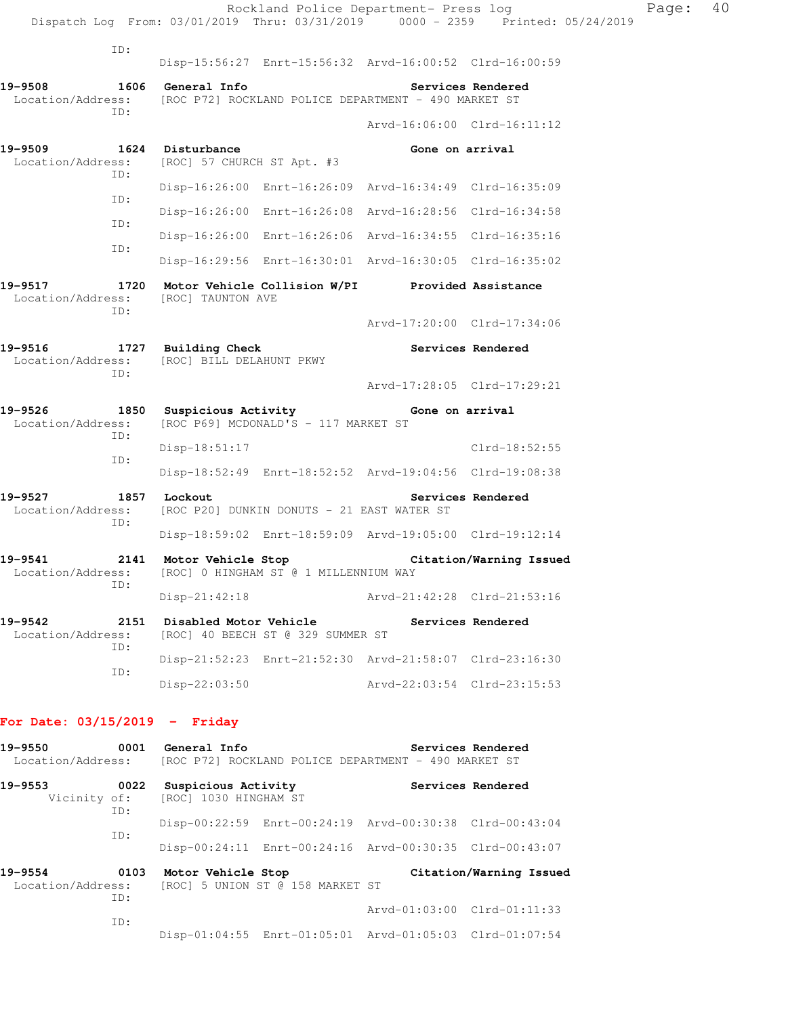|                                                                           |     |                            |                                                                  | Rockland Police Department- Press log                                  | Dispatch Log From: 03/01/2019 Thru: 03/31/2019 0000 - 2359 Printed: 05/24/2019 | Page: 40 |  |
|---------------------------------------------------------------------------|-----|----------------------------|------------------------------------------------------------------|------------------------------------------------------------------------|--------------------------------------------------------------------------------|----------|--|
|                                                                           | ID: |                            |                                                                  |                                                                        |                                                                                |          |  |
|                                                                           |     |                            |                                                                  | Disp-15:56:27 Enrt-15:56:32 Arvd-16:00:52 Clrd-16:00:59                |                                                                                |          |  |
| 19-9508                                                                   | ID: | <b>1606 General Info</b>   |                                                                  | Location/Address: [ROC P72] ROCKLAND POLICE DEPARTMENT - 490 MARKET ST | Services Rendered                                                              |          |  |
|                                                                           |     |                            |                                                                  | Arvd-16:06:00 Clrd-16:11:12                                            |                                                                                |          |  |
| 19-9509 1624 Disturbance<br>Location/Address:                             | ID: | [ROC] 57 CHURCH ST Apt. #3 |                                                                  | Gone on arrival                                                        |                                                                                |          |  |
|                                                                           | ID: |                            |                                                                  | Disp-16:26:00 Enrt-16:26:09 Arvd-16:34:49 Clrd-16:35:09                |                                                                                |          |  |
|                                                                           |     |                            |                                                                  | Disp-16:26:00 Enrt-16:26:08 Arvd-16:28:56 Clrd-16:34:58                |                                                                                |          |  |
|                                                                           | ID: |                            |                                                                  | Disp-16:26:00 Enrt-16:26:06 Arvd-16:34:55 Clrd-16:35:16                |                                                                                |          |  |
|                                                                           | ID: |                            |                                                                  | Disp-16:29:56 Enrt-16:30:01 Arvd-16:30:05 Clrd-16:35:02                |                                                                                |          |  |
| 19-9517<br>Location/Address: [ROC] TAUNTON AVE                            | ID: |                            |                                                                  | 1720 Motor Vehicle Collision W/PI Provided Assistance                  |                                                                                |          |  |
|                                                                           |     |                            |                                                                  | Arvd-17:20:00 Clrd-17:34:06                                            |                                                                                |          |  |
| 19-9516 1727 Building Check<br>Location/Address: [ROC] BILL DELAHUNT PKWY | ID: |                            |                                                                  |                                                                        | Services Rendered                                                              |          |  |
|                                                                           |     |                            |                                                                  | Arvd-17:28:05 Clrd-17:29:21                                            |                                                                                |          |  |
| 19-9526 1850 Suspicious Activity Cone on arrival                          | ID: |                            | Location/Address: [ROC P69] MCDONALD'S - 117 MARKET ST           |                                                                        |                                                                                |          |  |
|                                                                           | ID: | $Disp-18:51:17$            |                                                                  |                                                                        | Clrd-18:52:55                                                                  |          |  |
|                                                                           |     |                            |                                                                  | Disp-18:52:49 Enrt-18:52:52 Arvd-19:04:56 Clrd-19:08:38                |                                                                                |          |  |
| 19-9527<br>Location/Address:                                              | ID: | 1857 Lockout               | [ROC P20] DUNKIN DONUTS - 21 EAST WATER ST                       |                                                                        | Services Rendered                                                              |          |  |
|                                                                           |     |                            |                                                                  | Disp-18:59:02 Enrt-18:59:09 Arvd-19:05:00 Clrd-19:12:14                |                                                                                |          |  |
| 19-9541<br>Location/Address:                                              | ID: | 2141 Motor Vehicle Stop    | [ROC] 0 HINGHAM ST @ 1 MILLENNIUM WAY                            |                                                                        | Citation/Warning Issued                                                        |          |  |
|                                                                           |     | $Disp-21:42:18$            |                                                                  | Arvd-21:42:28 Clrd-21:53:16                                            |                                                                                |          |  |
| 19-9542<br>Location/Address:                                              |     |                            | 2151 Disabled Motor Vehicle<br>[ROC] 40 BEECH ST @ 329 SUMMER ST |                                                                        | Services Rendered                                                              |          |  |
|                                                                           | ID: |                            |                                                                  | Disp-21:52:23 Enrt-21:52:30 Arvd-21:58:07 Clrd-23:16:30                |                                                                                |          |  |
|                                                                           | ID: | Disp-22:03:50              |                                                                  | Arvd-22:03:54 Clrd-23:15:53                                            |                                                                                |          |  |
|                                                                           |     |                            |                                                                  |                                                                        |                                                                                |          |  |

# **For Date: 03/15/2019 - Friday**

| 19-9550<br>Location/Address:                | 0001        | General Info                                              |                                  | [ROC P72] ROCKLAND POLICE DEPARTMENT - 490 MARKET ST    | Services Rendered       |
|---------------------------------------------|-------------|-----------------------------------------------------------|----------------------------------|---------------------------------------------------------|-------------------------|
| 19-9553                                     | 0022<br>ID: | Suspicious Activity<br>Vicinity of: [ROC] 1030 HINGHAM ST |                                  |                                                         | Services Rendered       |
|                                             | TD:         |                                                           |                                  | Disp-00:22:59 Enrt-00:24:19 Arvd-00:30:38 Clrd-00:43:04 |                         |
|                                             |             |                                                           |                                  | Disp-00:24:11 Enrt-00:24:16 Arvd-00:30:35 Clrd-00:43:07 |                         |
| 19-9554<br>0103<br>Location/Address:<br>ID: |             | Motor Vehicle Stop                                        | [ROC] 5 UNION ST @ 158 MARKET ST |                                                         | Citation/Warning Issued |
|                                             | ID:         |                                                           |                                  | Arvd-01:03:00 Clrd-01:11:33                             |                         |
|                                             |             |                                                           |                                  | Disp-01:04:55 Enrt-01:05:01 Arvd-01:05:03 Clrd-01:07:54 |                         |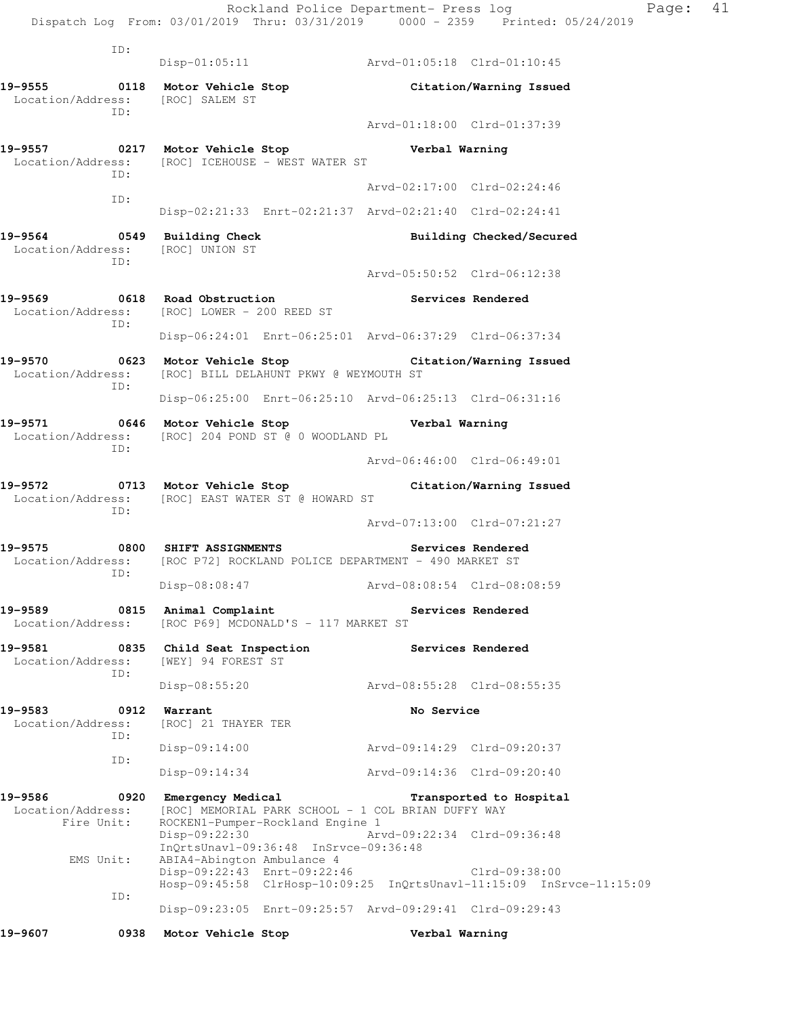Rockland Police Department- Press log Page: 41 Dispatch Log From: 03/01/2019 Thru: 03/31/2019 0000 - 2359 Printed: 05/24/2019

 ID: Disp-01:05:11 Arvd-01:05:18 Clrd-01:10:45 **19-9555 0118 Motor Vehicle Stop Citation/Warning Issued**  Location/Address: [ROC] SALEM ST ID: Arvd-01:18:00 Clrd-01:37:39 **19-9557 0217 Motor Vehicle Stop Verbal Warning**  Location/Address: [ROC] ICEHOUSE - WEST WATER ST ID: Arvd-02:17:00 Clrd-02:24:46 ID: Disp-02:21:33 Enrt-02:21:37 Arvd-02:21:40 Clrd-02:24:41 **19-9564 0549 Building Check Building Checked/Secured**  Location/Address: [ROC] UNION ST ID: Arvd-05:50:52 Clrd-06:12:38 **19-9569 0618 Road Obstruction Services Rendered**  Location/Address: [ROC] LOWER - 200 REED ST ID: Disp-06:24:01 Enrt-06:25:01 Arvd-06:37:29 Clrd-06:37:34 **19-9570 0623 Motor Vehicle Stop Citation/Warning Issued**  Location/Address: [ROC] BILL DELAHUNT PKWY @ WEYMOUTH ST ID: Disp-06:25:00 Enrt-06:25:10 Arvd-06:25:13 Clrd-06:31:16 **19-9571 0646 Motor Vehicle Stop Verbal Warning**  Location/Address: [ROC] 204 POND ST @ 0 WOODLAND PL ID: Arvd-06:46:00 Clrd-06:49:01 **19-9572 0713 Motor Vehicle Stop Citation/Warning Issued**  Location/Address: [ROC] EAST WATER ST @ HOWARD ST ID: Arvd-07:13:00 Clrd-07:21:27 **19-9575 0800 SHIFT ASSIGNMENTS Services Rendered**  Location/Address: [ROC P72] ROCKLAND POLICE DEPARTMENT - 490 MARKET ST ID: Disp-08:08:47 Arvd-08:08:54 Clrd-08:08:59 19-9589 **0815** Animal Complaint **Complaint** Services Rendered Location/Address: [ROC P69] MCDONALD'S - 117 MARKET ST **19-9581 0835 Child Seat Inspection Services Rendered**  Location/Address: [WEY] 94 FOREST ST ID: Disp-08:55:20 Arvd-08:55:28 Clrd-08:55:35 19-9583 0912 Warrant **No Service** No Service Location/Address: [ROC] 21 THAYER TER ID: Disp-09:14:00 Arvd-09:14:29 Clrd-09:20:37 ID: Disp-09:14:34 Arvd-09:14:36 Clrd-09:20:40 **19-9586 0920 Emergency Medical Transported to Hospital**  Location/Address: [ROC] MEMORIAL PARK SCHOOL - 1 COL BRIAN DUFFY WAY Fire Unit: ROCKEN1-Pumper-Rockland Engine 1 Disp-09:22:30 Arvd-09:22:34 Clrd-09:36:48 InQrtsUnavl-09:36:48 InSrvce-09:36:48 EMS Unit: ABIA4-Abington Ambulance 4 Disp-09:22:43 Enrt-09:22:46 Clrd-09:38:00 Hosp-09:45:58 ClrHosp-10:09:25 InQrtsUnavl-11:15:09 InSrvce-11:15:09 ID: Disp-09:23:05 Enrt-09:25:57 Arvd-09:29:41 Clrd-09:29:43 **19-9607 0938 Motor Vehicle Stop Verbal Warning**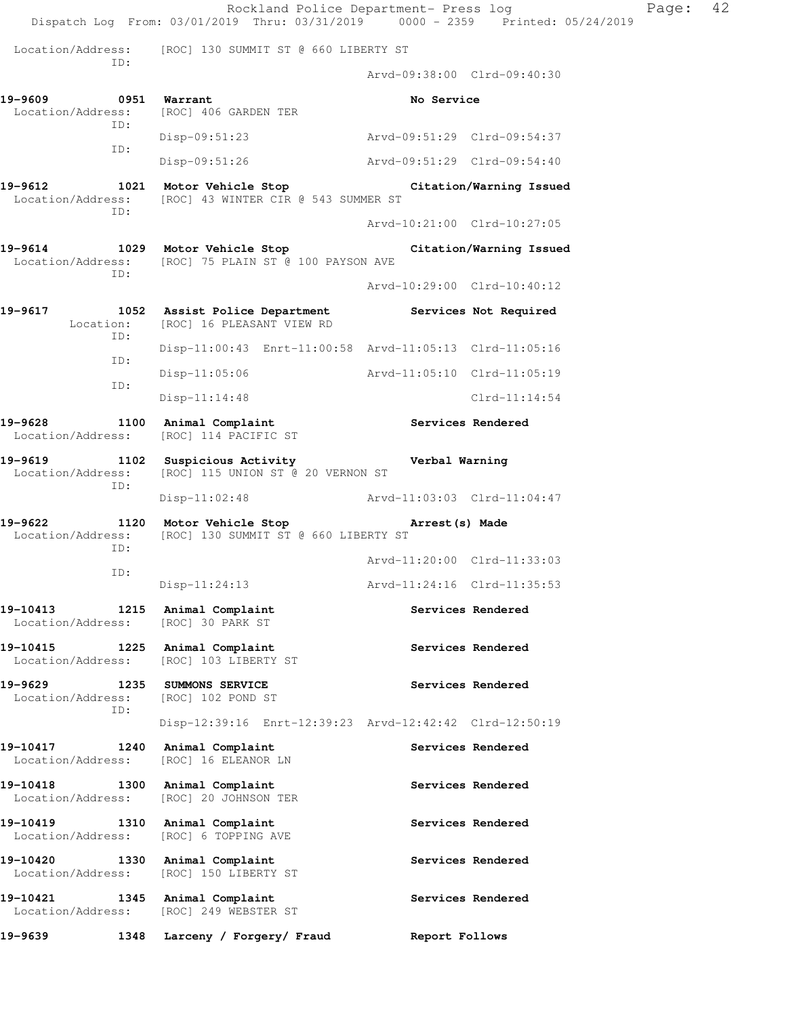Rockland Police Department- Press log Page: 42 Dispatch Log From: 03/01/2019 Thru: 03/31/2019 0000 - 2359 Printed: 05/24/2019 Location/Address: [ROC] 130 SUMMIT ST @ 660 LIBERTY ST  $TD \cdot$  Arvd-09:38:00 Clrd-09:40:30 19-9609 0951 Warrant **No Service** No Service Location/Address: [ROC] 406 GARDEN TER ID: Disp-09:51:23 Arvd-09:51:29 Clrd-09:54:37 ID: Disp-09:51:26 Arvd-09:51:29 Clrd-09:54:40 **19-9612 1021 Motor Vehicle Stop Citation/Warning Issued**  Location/Address: [ROC] 43 WINTER CIR @ 543 SUMMER ST ID: Arvd-10:21:00 Clrd-10:27:05 **19-9614 1029 Motor Vehicle Stop Citation/Warning Issued**  Location/Address: [ROC] 75 PLAIN ST @ 100 PAYSON AVE ID: Arvd-10:29:00 Clrd-10:40:12 **19-9617 1052 Assist Police Department Services Not Required**  Location: [ROC] 16 PLEASANT VIEW RD ID: Disp-11:00:43 Enrt-11:00:58 Arvd-11:05:13 Clrd-11:05:16 ID: Disp-11:05:06 Arvd-11:05:10 Clrd-11:05:19 ID: Disp-11:14:48 Clrd-11:14:54 19-9628 1100 Animal Complaint **19-9628** Services Rendered Location/Address: [ROC] 114 PACIFIC ST **19-9619 1102 Suspicious Activity Verbal Warning**  Location/Address: [ROC] 115 UNION ST @ 20 VERNON ST ID: Disp-11:02:48 Arvd-11:03:03 Clrd-11:04:47 **19-9622 1120 Motor Vehicle Stop Arrest(s) Made**  Location/Address: [ROC] 130 SUMMIT ST @ 660 LIBERTY ST ID: Arvd-11:20:00 Clrd-11:33:03 ID: Disp-11:24:13 Arvd-11:24:16 Clrd-11:35:53 19-10413 1215 Animal Complaint **19-10413** Services Rendered Location/Address: [ROC] 30 PARK ST 19-10415 1225 Animal Complaint **1201 Services Rendered**  Location/Address: [ROC] 103 LIBERTY ST 19-9629 1235 SUMMONS SERVICE **19-9629** Services Rendered Location/Address: [ROC] 102 POND ST ID: Disp-12:39:16 Enrt-12:39:23 Arvd-12:42:42 Clrd-12:50:19 19-10417 1240 Animal Complaint **19-10417** Services Rendered Location/Address: [ROC] 16 ELEANOR LN **19-10418 1300 Animal Complaint Services Rendered**  Location/Address: [ROC] 20 JOHNSON TER 19-10419 1310 Animal Complaint **19-10419** Services Rendered Location/Address: [ROC] 6 TOPPING AVE 19-10420 1330 Animal Complaint **19-10420** Services Rendered Location/Address: [ROC] 150 LIBERTY ST **19-10421 1345 Animal Complaint Services Rendered**  Location/Address: [ROC] 249 WEBSTER ST **19-9639 1348 Larceny / Forgery/ Fraud Report Follows**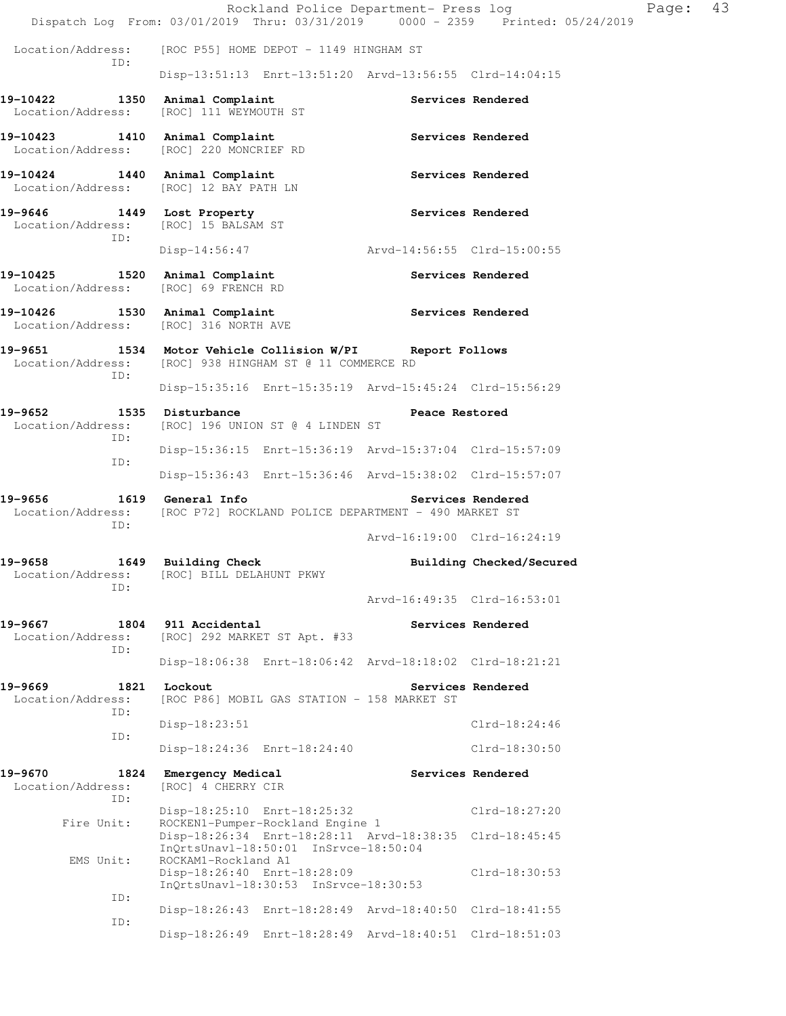|                                                                         |                                                                                                                         | Rockland Police Department- Press log | Dispatch Log From: 03/01/2019 Thru: 03/31/2019 0000 - 2359 Printed: 05/24/2019 | Page: | 43 |
|-------------------------------------------------------------------------|-------------------------------------------------------------------------------------------------------------------------|---------------------------------------|--------------------------------------------------------------------------------|-------|----|
| Location/Address:                                                       | [ROC P55] HOME DEPOT - 1149 HINGHAM ST                                                                                  |                                       |                                                                                |       |    |
| ID:                                                                     | Disp-13:51:13 Enrt-13:51:20 Arvd-13:56:55 Clrd-14:04:15                                                                 |                                       |                                                                                |       |    |
| 19-10422<br>Location/Address:                                           | 1350 Animal Complaint<br>[ROC] 111 WEYMOUTH ST                                                                          |                                       | Services Rendered                                                              |       |    |
| 19-10423<br>Location/Address: [ROC] 220 MONCRIEF RD                     | 1410 Animal Complaint                                                                                                   |                                       | Services Rendered                                                              |       |    |
| 19-10424 1440 Animal Complaint<br>Location/Address:                     | [ROC] 12 BAY PATH LN                                                                                                    |                                       | Services Rendered                                                              |       |    |
| 19-9646<br>Location/Address:<br>ID:                                     | 1449 Lost Property<br>[ROC] 15 BALSAM ST                                                                                |                                       | Services Rendered                                                              |       |    |
|                                                                         | $Disp-14:56:47$                                                                                                         | Arvd-14:56:55 Clrd-15:00:55           |                                                                                |       |    |
| 19-10425<br>Location/Address: [ROC] 69 FRENCH RD                        | 1520 Animal Complaint                                                                                                   |                                       | Services Rendered                                                              |       |    |
| 19-10426 1530 Animal Complaint<br>Location/Address: [ROC] 316 NORTH AVE |                                                                                                                         | Services Rendered                     |                                                                                |       |    |
| 19-9651<br>Location/Address:                                            | 1534 Motor Vehicle Collision W/PI Report Follows<br>[ROC] 938 HINGHAM ST @ 11 COMMERCE RD                               |                                       |                                                                                |       |    |
| ID:                                                                     | Disp-15:35:16 Enrt-15:35:19 Arvd-15:45:24 Clrd-15:56:29                                                                 |                                       |                                                                                |       |    |
| 19-9652<br>Location/Address:                                            | 1535 Disturbance<br>[ROC] 196 UNION ST @ 4 LINDEN ST                                                                    | Peace Restored                        |                                                                                |       |    |
| ID:                                                                     | Disp-15:36:15 Enrt-15:36:19 Arvd-15:37:04 Clrd-15:57:09                                                                 |                                       |                                                                                |       |    |
| ID:                                                                     | Disp-15:36:43 Enrt-15:36:46 Arvd-15:38:02 Clrd-15:57:07                                                                 |                                       |                                                                                |       |    |
| 19-9656<br>Location/Address:<br>ID:                                     | 1619 General Info<br>[ROC P72] ROCKLAND POLICE DEPARTMENT - 490 MARKET ST                                               |                                       | Services Rendered                                                              |       |    |
|                                                                         |                                                                                                                         | Arvd-16:19:00 Clrd-16:24:19           |                                                                                |       |    |
| 19-9658<br>Location/Address: [ROC] BILL DELAHUNT PKWY<br>ID:            | 1649 Building Check                                                                                                     |                                       | Building Checked/Secured                                                       |       |    |
|                                                                         |                                                                                                                         | Arvd-16:49:35 Clrd-16:53:01           |                                                                                |       |    |
| 19-9667<br>Location/Address:<br>ID:                                     | 1804 911 Accidental<br>[ROC] 292 MARKET ST Apt. #33                                                                     |                                       | Services Rendered                                                              |       |    |
|                                                                         | Disp-18:06:38 Enrt-18:06:42 Arvd-18:18:02 Clrd-18:21:21                                                                 |                                       |                                                                                |       |    |
| 19-9669<br>Location/Address:<br>ID:                                     | 1821 Lockout<br>[ROC P86] MOBIL GAS STATION - 158 MARKET ST                                                             |                                       | Services Rendered                                                              |       |    |
| ID:                                                                     | Disp-18:23:51                                                                                                           |                                       | $Clrd-18:24:46$                                                                |       |    |
|                                                                         | Disp-18:24:36 Enrt-18:24:40                                                                                             |                                       | Clrd-18:30:50                                                                  |       |    |
| 19-9670<br>1824<br>Location/Address:<br>TD:                             | Emergency Medical<br>[ROC] 4 CHERRY CIR                                                                                 |                                       | Services Rendered                                                              |       |    |
| Fire Unit:                                                              | Disp-18:25:10 Enrt-18:25:32<br>ROCKEN1-Pumper-Rockland Engine 1                                                         |                                       | Clrd-18:27:20                                                                  |       |    |
| EMS Unit:                                                               | Disp-18:26:34 Enrt-18:28:11 Arvd-18:38:35 Clrd-18:45:45<br>InQrtsUnavl-18:50:01 InSrvce-18:50:04<br>ROCKAM1-Rockland A1 |                                       |                                                                                |       |    |
|                                                                         | Disp-18:26:40 Enrt-18:28:09<br>InQrtsUnavl-18:30:53 InSrvce-18:30:53                                                    |                                       | $Clrd-18:30:53$                                                                |       |    |
| ID:                                                                     | Disp-18:26:43 Enrt-18:28:49 Arvd-18:40:50 Clrd-18:41:55                                                                 |                                       |                                                                                |       |    |
| ID:                                                                     | Disp-18:26:49 Enrt-18:28:49 Arvd-18:40:51 Clrd-18:51:03                                                                 |                                       |                                                                                |       |    |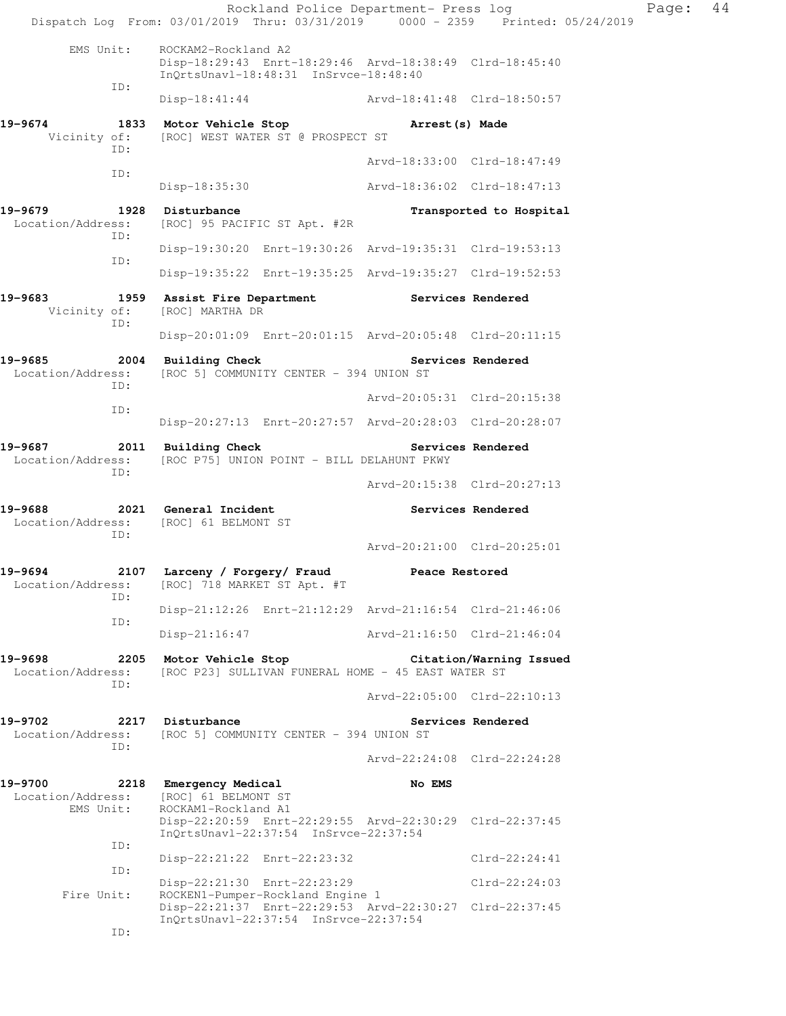|                                                              | Rockland Police Department- Press log<br>Dispatch Log From: 03/01/2019 Thru: 03/31/2019 0000 - 2359 Printed: 05/24/2019         |                             |                         | Page: | 44 |
|--------------------------------------------------------------|---------------------------------------------------------------------------------------------------------------------------------|-----------------------------|-------------------------|-------|----|
| EMS Unit:                                                    | ROCKAM2-Rockland A2<br>Disp-18:29:43 Enrt-18:29:46 Arvd-18:38:49 Clrd-18:45:40<br>InQrtsUnavl-18:48:31 InSrvce-18:48:40         |                             |                         |       |    |
| ID:                                                          | Disp-18:41:44 Arvd-18:41:48 Clrd-18:50:57                                                                                       |                             |                         |       |    |
| 19-9674<br>Vicinity of:                                      | 1833 Motor Vehicle Stop<br>[ROC] WEST WATER ST @ PROSPECT ST                                                                    | Arrest (s) Made             |                         |       |    |
| ID:                                                          |                                                                                                                                 | Arvd-18:33:00 Clrd-18:47:49 |                         |       |    |
| ID:                                                          | Disp-18:35:30                                                                                                                   | Arvd-18:36:02 Clrd-18:47:13 |                         |       |    |
| 19-9679<br>Location/Address:<br>ID:                          | 1928 Disturbance<br>[ROC] 95 PACIFIC ST Apt. #2R                                                                                |                             | Transported to Hospital |       |    |
| ID:                                                          | Disp-19:30:20 Enrt-19:30:26 Arvd-19:35:31 Clrd-19:53:13                                                                         |                             |                         |       |    |
|                                                              | Disp-19:35:22 Enrt-19:35:25 Arvd-19:35:27 Clrd-19:52:53                                                                         |                             |                         |       |    |
| 19-9683<br>Vicinity of:<br>ID:                               | 1959 Assist Fire Department The Services Rendered<br>[ROC] MARTHA DR                                                            |                             |                         |       |    |
|                                                              | Disp-20:01:09 Enrt-20:01:15 Arvd-20:05:48 Clrd-20:11:15                                                                         |                             |                         |       |    |
| 19-9685<br>Location/Address:<br>ID:                          | 2004 Building Check<br>[ROC 5] COMMUNITY CENTER - 394 UNION ST                                                                  |                             | Services Rendered       |       |    |
| ID:                                                          |                                                                                                                                 | Arvd-20:05:31 Clrd-20:15:38 |                         |       |    |
|                                                              | Disp-20:27:13 Enrt-20:27:57 Arvd-20:28:03 Clrd-20:28:07                                                                         |                             |                         |       |    |
| 19-9687<br>Location/Address:<br>ID:                          | 2011 Building Check<br>[ROC P75] UNION POINT - BILL DELAHUNT PKWY                                                               | Services Rendered           |                         |       |    |
|                                                              |                                                                                                                                 | Arvd-20:15:38 Clrd-20:27:13 |                         |       |    |
| 19-9688 2001<br>Location/Address: [ROC] 61 BELMONT ST<br>ID: | 2021 General Incident                                                                                                           |                             | Services Rendered       |       |    |
|                                                              |                                                                                                                                 | Arvd-20:21:00 Clrd-20:25:01 |                         |       |    |
| 19-9694<br>2107<br>Location/Address:<br>ID:                  | Larceny / Forgery/ Fraud<br>[ROC] 718 MARKET ST Apt. #T                                                                         | Peace Restored              |                         |       |    |
| ID:                                                          | Disp-21:12:26 Enrt-21:12:29 Arvd-21:16:54 Clrd-21:46:06                                                                         |                             |                         |       |    |
|                                                              | $Disp-21:16:47$                                                                                                                 | Arvd-21:16:50 Clrd-21:46:04 |                         |       |    |
| 19-9698<br>Location/Address:<br>ID:                          | 2205 Motor Vehicle Stop<br>[ROC P23] SULLIVAN FUNERAL HOME - 45 EAST WATER ST                                                   |                             | Citation/Warning Issued |       |    |
|                                                              |                                                                                                                                 | Arvd-22:05:00 Clrd-22:10:13 |                         |       |    |
| 19-9702<br>Location/Address:<br>ID:                          | 2217 Disturbance<br>[ROC 5] COMMUNITY CENTER - 394 UNION ST                                                                     |                             | Services Rendered       |       |    |
|                                                              |                                                                                                                                 | Arvd-22:24:08 Clrd-22:24:28 |                         |       |    |
| 19-9700<br>Location/Address:<br>EMS Unit:                    | 2218 Emergency Medical<br>[ROC] 61 BELMONT ST<br>ROCKAM1-Rockland A1<br>Disp-22:20:59 Enrt-22:29:55 Arvd-22:30:29 Clrd-22:37:45 | No EMS                      |                         |       |    |
| ID:                                                          | InQrtsUnavl-22:37:54 InSrvce-22:37:54                                                                                           |                             |                         |       |    |
| ID:                                                          | Disp-22:21:22 Enrt-22:23:32                                                                                                     |                             | $Clrd-22:24:41$         |       |    |
| Fire Unit:                                                   | Disp-22:21:30 Enrt-22:23:29<br>ROCKEN1-Pumper-Rockland Engine 1<br>Disp-22:21:37 Enrt-22:29:53 Arvd-22:30:27 Clrd-22:37:45      |                             | $Clrd-22:24:03$         |       |    |
| ID:                                                          | InQrtsUnavl-22:37:54 InSrvce-22:37:54                                                                                           |                             |                         |       |    |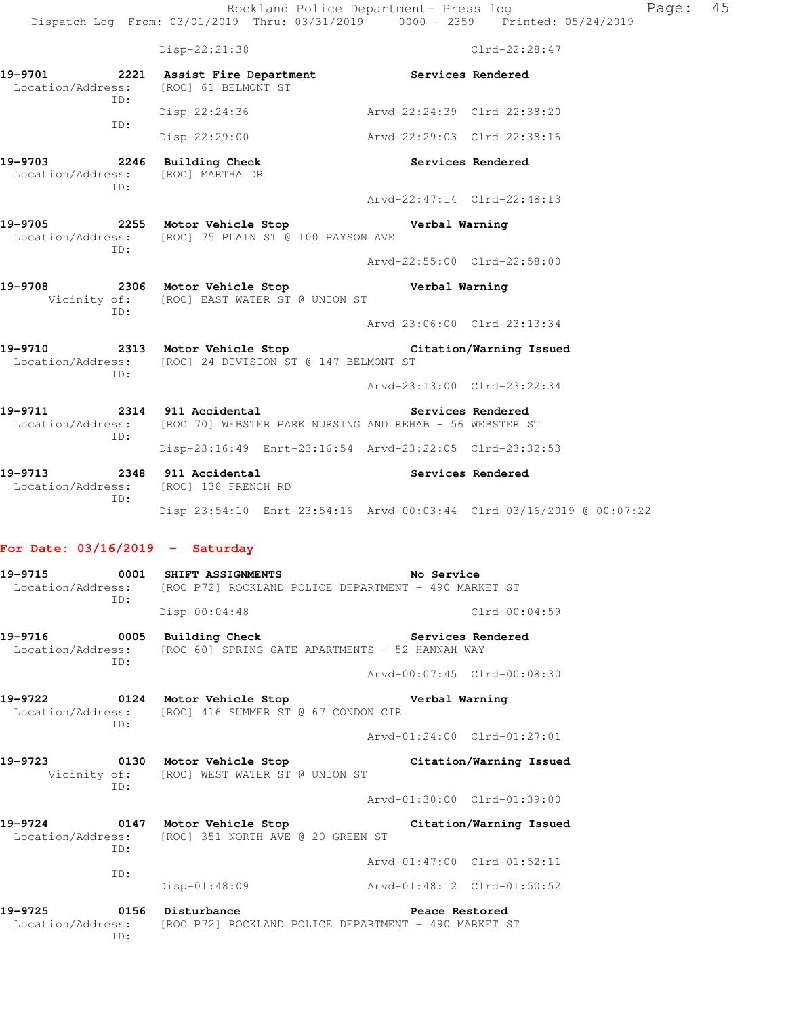|                                                                         | Disp-22:21:38                                                                                                                   |                             | $Clrd-22:28:47$   |
|-------------------------------------------------------------------------|---------------------------------------------------------------------------------------------------------------------------------|-----------------------------|-------------------|
| ID:                                                                     | 19-9701 2221 Assist Fire Department Services Rendered<br>Location/Address: [ROC] 61 BELMONT ST                                  |                             |                   |
| ID:                                                                     | $Disp-22:24:36$                                                                                                                 | Arvd-22:24:39 Clrd-22:38:20 |                   |
|                                                                         | Disp-22:29:00                                                                                                                   | Arvd-22:29:03 Clrd-22:38:16 |                   |
| 19-9703 2246 Building Check<br>Location/Address: [ROC] MARTHA DR<br>ID: |                                                                                                                                 |                             | Services Rendered |
|                                                                         |                                                                                                                                 | Arvd-22:47:14 Clrd-22:48:13 |                   |
| ID:                                                                     | 19-9705 2255 Motor Vehicle Stop Control Verbal Warning<br>Location/Address: [ROC] 75 PLAIN ST @ 100 PAYSON AVE                  |                             |                   |
|                                                                         |                                                                                                                                 | Arvd-22:55:00 Clrd-22:58:00 |                   |
| ID:                                                                     | 19-9708 2306 Motor Vehicle Stop Nerbal Warning<br>Vicinity of: [ROC] EAST WATER ST @ UNION ST                                   |                             |                   |
|                                                                         |                                                                                                                                 | Arvd-23:06:00 Clrd-23:13:34 |                   |
| TD:                                                                     | 19-9710 2313 Motor Vehicle Stop Citation/Warning Issued<br>Location/Address: [ROC] 24 DIVISION ST @ 147 BELMONT ST              |                             |                   |
|                                                                         |                                                                                                                                 | Arvd-23:13:00 Clrd-23:22:34 |                   |
| ID:                                                                     | 19-9711 2314 911 Accidental 2007 Services Rendered<br>Location/Address: [ROC 70] WEBSTER PARK NURSING AND REHAB - 56 WEBSTER ST |                             |                   |
|                                                                         | Disp-23:16:49 Enrt-23:16:54 Arvd-23:22:05 Clrd-23:32:53                                                                         |                             |                   |
| ID:                                                                     | 19-9713 2348 911 Accidental<br>Location/Address: [ROC] 138 FRENCH RD                                                            | Services Rendered           |                   |
|                                                                         | Disp-23:54:10 Enrt-23:54:16 Arvd-00:03:44 Clrd-03/16/2019 @ 00:07:22                                                            |                             |                   |
|                                                                         |                                                                                                                                 |                             |                   |

## **For Date: 03/16/2019 - Saturday**

| ID:                                | 19-9715 0001 SHIFT ASSIGNMENTS No Service<br>Location/Address: [ROC P72] ROCKLAND POLICE DEPARTMENT - 490 MARKET ST |                             |
|------------------------------------|---------------------------------------------------------------------------------------------------------------------|-----------------------------|
|                                    | Disp-00:04:48                                                                                                       | Clrd-00:04:59               |
| 19-9716 0005 Building Check<br>TD: | Location/Address: [ROC 60] SPRING GATE APARTMENTS - 52 HANNAH WAY                                                   | Services Rendered           |
|                                    |                                                                                                                     | Arvd-00:07:45 Clrd-00:08:30 |
| TD:                                | 19-9722 19-9722 0124 Motor Vehicle Stop 19-9722<br>Location/Address: [ROC] 416 SUMMER ST @ 67 CONDON CIR            |                             |
|                                    |                                                                                                                     | Arvd-01:24:00 Clrd-01:27:01 |
|                                    | 19-9723 0130 Motor Vehicle Stop<br>Vicinity of: [ROC] WEST WATER ST @ UNION ST                                      | Citation/Warning Issued     |
| TD:                                |                                                                                                                     | Arvd-01:30:00 Clrd-01:39:00 |
| TD:                                | 19-9724 0147 Motor Vehicle Stop<br>Location/Address: [ROC] 351 NORTH AVE @ 20 GREEN ST                              | Citation/Warning Issued     |
|                                    |                                                                                                                     | Arvd-01:47:00 Clrd-01:52:11 |
| ID:                                | Disp-01:48:09                                                                                                       | Arvd-01:48:12 Clrd-01:50:52 |
| 19-9725 0156 Disturbance           | Location/Address: [ROC P72] ROCKLAND POLICE DEPARTMENT - 490 MARKET ST                                              | Peace Restored              |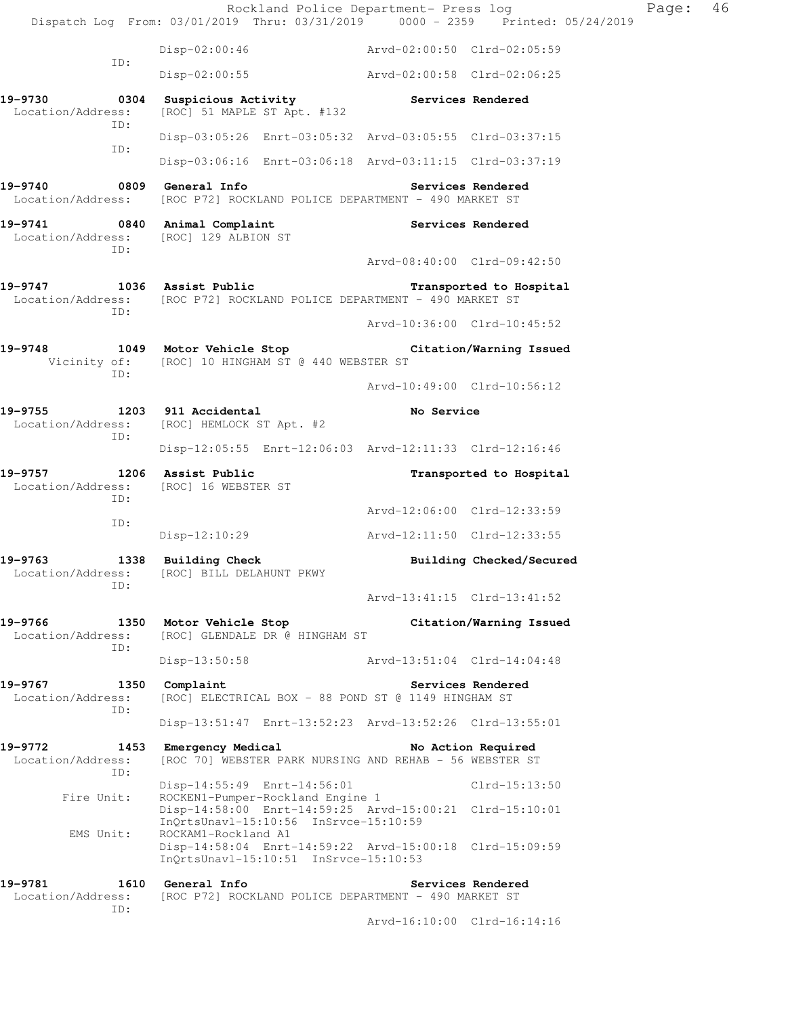Rockland Police Department- Press log Fage: 46 Dispatch Log From: 03/01/2019 Thru: 03/31/2019 0000 - 2359 Printed: 05/24/2019 Disp-02:00:46 Arvd-02:00:50 Clrd-02:05:59 ID: Disp-02:00:55 Arvd-02:00:58 Clrd-02:06:25 19-9730 **0304** Suspicious Activity **19-9730** Services Rendered Location/Address: [ROC] 51 MAPLE ST Apt. #132 ID: Disp-03:05:26 Enrt-03:05:32 Arvd-03:05:55 Clrd-03:37:15 ID: Disp-03:06:16 Enrt-03:06:18 Arvd-03:11:15 Clrd-03:37:19 **19-9740 0809 General Info Services Rendered**  Location/Address: [ROC P72] ROCKLAND POLICE DEPARTMENT - 490 MARKET ST 19-9741 0840 Animal Complaint **Services Rendered**  Location/Address: [ROC] 129 ALBION ST ID: Arvd-08:40:00 Clrd-09:42:50 **19-9747 1036 Assist Public Transported to Hospital**  Location/Address: [ROC P72] ROCKLAND POLICE DEPARTMENT - 490 MARKET ST ID: Arvd-10:36:00 Clrd-10:45:52 **19-9748 1049 Motor Vehicle Stop Citation/Warning Issued**  Vicinity of: [ROC] 10 HINGHAM ST @ 440 WEBSTER ST ID: Arvd-10:49:00 Clrd-10:56:12 **19-9755 1203 911 Accidental No Service**  Location/Address: [ROC] HEMLOCK ST Apt. #2 ID: Disp-12:05:55 Enrt-12:06:03 Arvd-12:11:33 Clrd-12:16:46 **19-9757 1206 Assist Public Transported to Hospital**  Location/Address: [ROC] 16 WEBSTER ST ID: Arvd-12:06:00 Clrd-12:33:59 ID: Disp-12:10:29 Arvd-12:11:50 Clrd-12:33:55 19-9763 1338 Building Check **Building Building Checked/Secured**  Location/Address: [ROC] BILL DELAHUNT PKWY ID: Arvd-13:41:15 Clrd-13:41:52 **19-9766 1350 Motor Vehicle Stop Citation/Warning Issued**  Location/Address: [ROC] GLENDALE DR @ HINGHAM ST ID: Disp-13:50:58 Arvd-13:51:04 Clrd-14:04:48 19-9767 1350 Complaint **19-9767** Services Rendered Location/Address: [ROC] ELECTRICAL BOX - 88 POND ST @ 1149 HINGHAM ST ID: Disp-13:51:47 Enrt-13:52:23 Arvd-13:52:26 Clrd-13:55:01 **19-9772 1453 Emergency Medical No Action Required**  Location/Address: [ROC 70] WEBSTER PARK NURSING AND REHAB - 56 WEBSTER ST ID: Disp-14:55:49 Enrt-14:56:01 Clrd-15:13:50<br>Fire Unit: ROCKEN1-Pumper-Rockland Engine 1 ROCKEN1-Pumper-Rockland Engine 1 Disp-14:58:00 Enrt-14:59:25 Arvd-15:00:21 Clrd-15:10:01 InQrtsUnavl-15:10:56 InSrvce-15:10:59<br>EMS Unit: ROCKAM1-Rockland A1 ROCKAM1-Rockland A1 Disp-14:58:04 Enrt-14:59:22 Arvd-15:00:18 Clrd-15:09:59 InQrtsUnavl-15:10:51 InSrvce-15:10:53 **19-9781 1610 General Info Services Rendered**  Location/Address: [ROC P72] ROCKLAND POLICE DEPARTMENT - 490 MARKET ST ID: Arvd-16:10:00 Clrd-16:14:16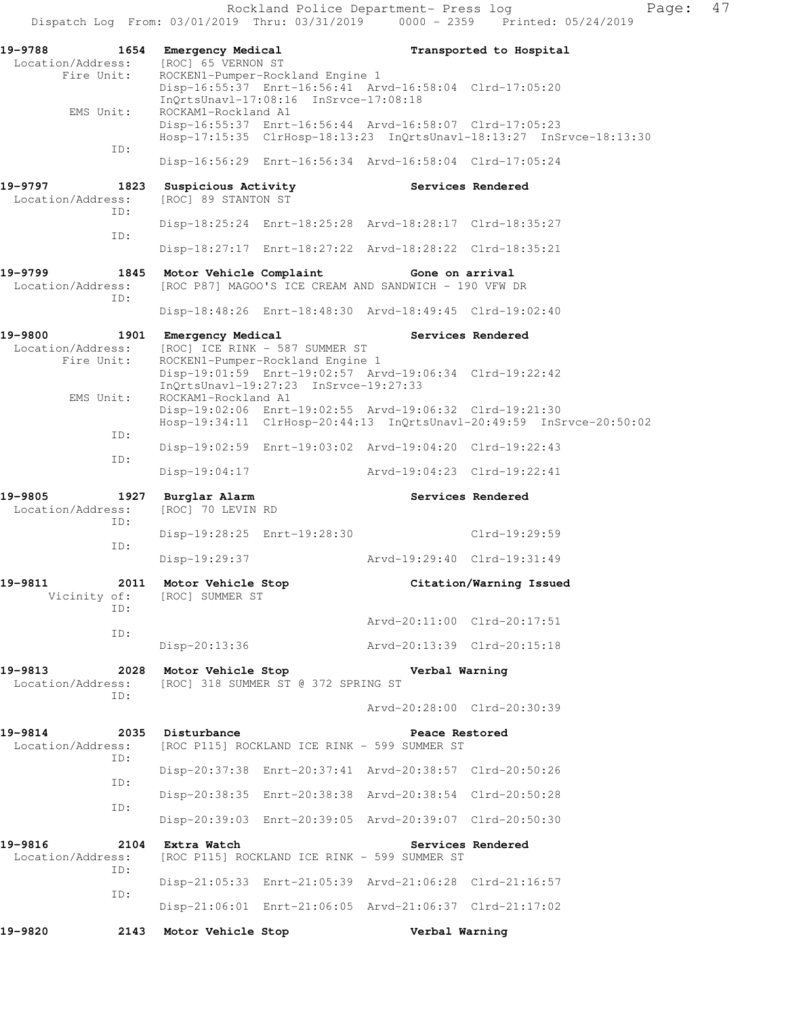Rockland Police Department- Press log Fage: 47 Dispatch Log From: 03/01/2019 Thru: 03/31/2019 0000 - 2359 Printed: 05/24/2019 **19-9788 1654 Emergency Medical Transported to Hospital**  Location/Address: [ROC] 65 VERNON ST Fire Unit: ROCKEN1-Pumper-Rockland Engine 1 Disp-16:55:37 Enrt-16:56:41 Arvd-16:58:04 Clrd-17:05:20 InQrtsUnavl-17:08:16 InSrvce-17:08:18<br>EMS Unit: ROCKAM1-Rockland A1 ROCKAM1-Rockland A1 Disp-16:55:37 Enrt-16:56:44 Arvd-16:58:07 Clrd-17:05:23 Hosp-17:15:35 ClrHosp-18:13:23 InQrtsUnavl-18:13:27 InSrvce-18:13:30 ID: Disp-16:56:29 Enrt-16:56:34 Arvd-16:58:04 Clrd-17:05:24 **19-9797 1823 Suspicious Activity Services Rendered**  Location/Address: [ROC] 89 STANTON ST ID: Disp-18:25:24 Enrt-18:25:28 Arvd-18:28:17 Clrd-18:35:27 ID: Disp-18:27:17 Enrt-18:27:22 Arvd-18:28:22 Clrd-18:35:21 **19-9799 1845 Motor Vehicle Complaint Gone on arrival**  Location/Address: [ROC P87] MAGOO'S ICE CREAM AND SANDWICH - 190 VFW DR ID: Disp-18:48:26 Enrt-18:48:30 Arvd-18:49:45 Clrd-19:02:40 19-9800 1901 Emergency Medical **Example 20 Services Rendered** Location/Address: [ROC] ICE RINK - 587 SUMMER ST Fire Unit: ROCKEN1-Pumper-Rockland Engine 1 Disp-19:01:59 Enrt-19:02:57 Arvd-19:06:34 Clrd-19:22:42 InQrtsUnavl-19:27:23 InSrvce-19:27:33 EMS Unit: ROCKAM1-Rockland A1 Disp-19:02:06 Enrt-19:02:55 Arvd-19:06:32 Clrd-19:21:30 Hosp-19:34:11 ClrHosp-20:44:13 InQrtsUnavl-20:49:59 InSrvce-20:50:02 ID: Disp-19:02:59 Enrt-19:03:02 Arvd-19:04:20 Clrd-19:22:43 ID: Disp-19:04:17 Arvd-19:04:23 Clrd-19:22:41 **19-9805 1927 Burglar Alarm Services Rendered**  Location/Address: [ROC] 70 LEVIN RD ID: Disp-19:28:25 Enrt-19:28:30 Clrd-19:29:59 ID: Disp-19:29:37 Arvd-19:29:40 Clrd-19:31:49 **19-9811 2011 Motor Vehicle Stop Citation/Warning Issued**  Vicinity of: [ROC] SUMMER ST ID: Arvd-20:11:00 Clrd-20:17:51 ID: Disp-20:13:36 Arvd-20:13:39 Clrd-20:15:18 **19-9813 2028 Motor Vehicle Stop Verbal Warning**  Location/Address: [ROC] 318 SUMMER ST @ 372 SPRING ST ID: Arvd-20:28:00 Clrd-20:30:39 19-9814 2035 Disturbance **Peace Restored**  Location/Address: [ROC P115] ROCKLAND ICE RINK - 599 SUMMER ST ID: Disp-20:37:38 Enrt-20:37:41 Arvd-20:38:57 Clrd-20:50:26 ID: Disp-20:38:35 Enrt-20:38:38 Arvd-20:38:54 Clrd-20:50:28 ID: Disp-20:39:03 Enrt-20:39:05 Arvd-20:39:07 Clrd-20:50:30 **19-9816 2104 Extra Watch Services Rendered**  Location/Address: [ROC P115] ROCKLAND ICE RINK - 599 SUMMER ST ID: Disp-21:05:33 Enrt-21:05:39 Arvd-21:06:28 Clrd-21:16:57 ID: Disp-21:06:01 Enrt-21:06:05 Arvd-21:06:37 Clrd-21:17:02 **19-9820 2143 Motor Vehicle Stop Verbal Warning**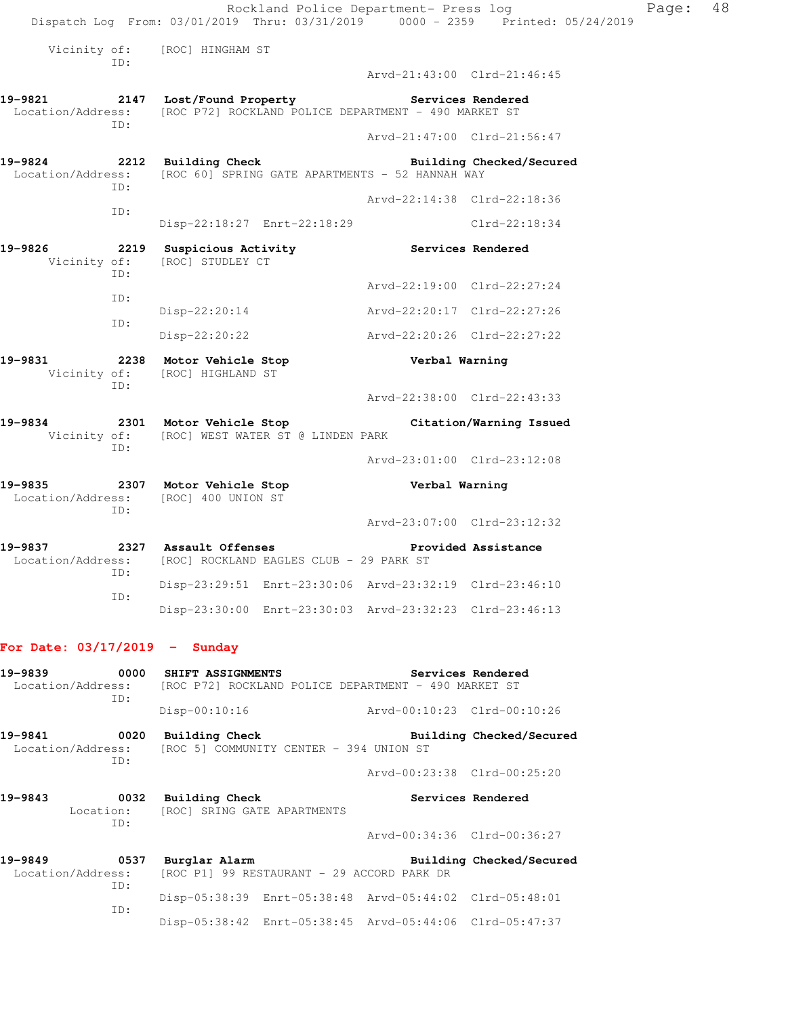Rockland Police Department- Press log Page: 48 Dispatch Log From: 03/01/2019 Thru: 03/31/2019 0000 - 2359 Printed: 05/24/2019 Vicinity of: [ROC] HINGHAM ST ID: Arvd-21:43:00 Clrd-21:46:45 **19-9821 2147 Lost/Found Property Services Rendered**  Location/Address: [ROC P72] ROCKLAND POLICE DEPARTMENT - 490 MARKET ST ID: Arvd-21:47:00 Clrd-21:56:47 **19-9824 2212 Building Check Building Checked/Secured**  Location/Address: [ROC 60] SPRING GATE APARTMENTS - 52 HANNAH WAY ID: Arvd-22:14:38 Clrd-22:18:36 ID: Disp-22:18:27 Enrt-22:18:29 Clrd-22:18:34 19-9826 2219 Suspicious Activity **Services Rendered**  Vicinity of: [ROC] STUDLEY CT ID: Arvd-22:19:00 Clrd-22:27:24 ID: Disp-22:20:14 Arvd-22:20:17 Clrd-22:27:26 ID: Disp-22:20:22 Arvd-22:20:26 Clrd-22:27:22 **19-9831 2238 Motor Vehicle Stop Verbal Warning**  Vicinity of: [ROC] HIGHLAND ST ID: Arvd-22:38:00 Clrd-22:43:33 **19-9834 2301 Motor Vehicle Stop Citation/Warning Issued**  Vicinity of: [ROC] WEST WATER ST @ LINDEN PARK ID: Arvd-23:01:00 Clrd-23:12:08 **19-9835 2307 Motor Vehicle Stop Verbal Warning**  Location/Address: [ROC] 400 UNION ST ID: Arvd-23:07:00 Clrd-23:12:32 **19-9837 2327 Assault Offenses Provided Assistance**  Location/Address: [ROC] ROCKLAND EAGLES CLUB - 29 PARK ST ID: Disp-23:29:51 Enrt-23:30:06 Arvd-23:32:19 Clrd-23:46:10

Disp-23:30:00 Enrt-23:30:03 Arvd-23:32:23 Clrd-23:46:13

#### **For Date: 03/17/2019 - Sunday**

| 19-9839<br>Location/Address:                | 0000<br>ID: | SHIFT ASSIGNMENTS                                       |                                                           | [ROC P72] ROCKLAND POLICE DEPARTMENT - 490 MARKET ST    | Services Rendered        |
|---------------------------------------------|-------------|---------------------------------------------------------|-----------------------------------------------------------|---------------------------------------------------------|--------------------------|
|                                             |             | $Disp-00:10:16$                                         |                                                           | Arvd-00:10:23 Clrd-00:10:26                             |                          |
| 19-9841 0020                                | ID:         | Building Check                                          | Location/Address: [ROC 5] COMMUNITY CENTER - 394 UNION ST |                                                         | Building Checked/Secured |
|                                             |             |                                                         |                                                           | Arvd-00:23:38 Clrd-00:25:20                             |                          |
| 19-9843                                     | 0032<br>ID: | Building Check<br>Location: [ROC] SRING GATE APARTMENTS |                                                           |                                                         | Services Rendered        |
|                                             |             |                                                         |                                                           | Arvd-00:34:36 Clrd-00:36:27                             |                          |
| $\sim$ 0537<br>19-9849<br>Location/Address: | ID:         | Burglar Alarm                                           | [ROC P1] 99 RESTAURANT - 29 ACCORD PARK DR                |                                                         | Building Checked/Secured |
|                                             | ID:         |                                                         |                                                           | Disp-05:38:39 Enrt-05:38:48 Arvd-05:44:02 Clrd-05:48:01 |                          |
|                                             |             |                                                         |                                                           | Disp-05:38:42 Enrt-05:38:45 Arvd-05:44:06 Clrd-05:47:37 |                          |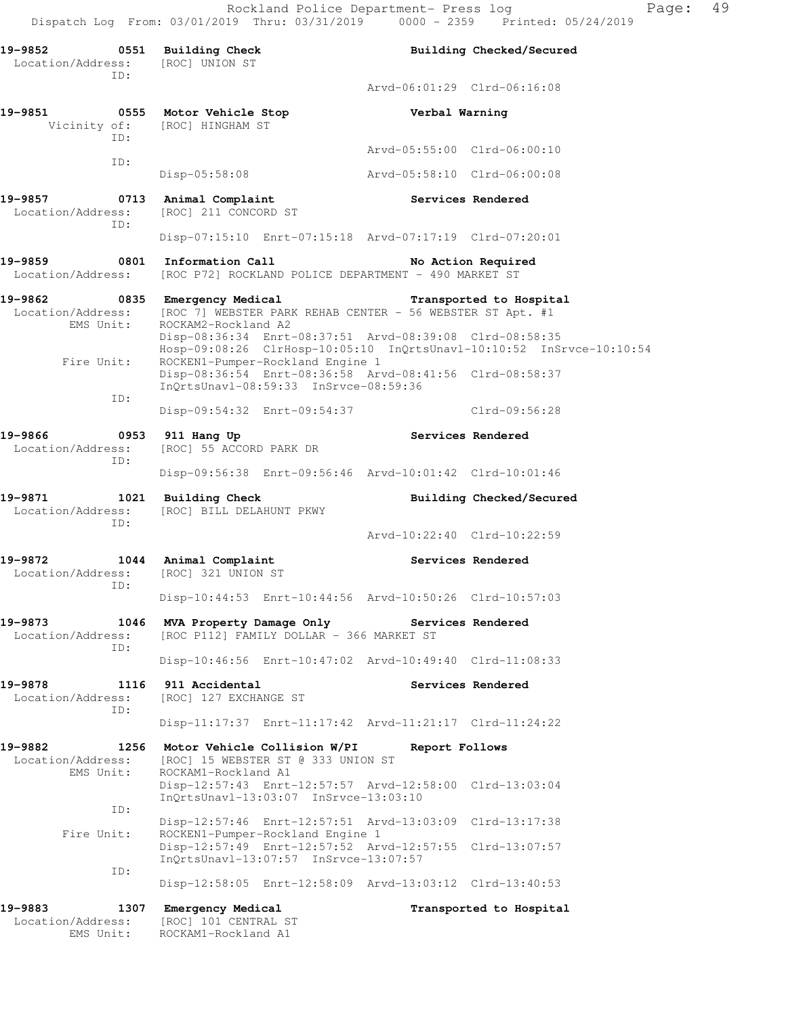Rockland Police Department- Press log Page: 49 Dispatch Log From: 03/01/2019 Thru: 03/31/2019 0000 - 2359 Printed: 05/24/2019

**19-9852 0551 Building Check Building Checked/Secured**  Location/Address: [ROC] UNION ST ID: Arvd-06:01:29 Clrd-06:16:08 **19-9851 0555 Motor Vehicle Stop Verbal Warning**  Vicinity of: [ROC] HINGHAM ST ID: Arvd-05:55:00 Clrd-06:00:10 ID: Disp-05:58:08 Arvd-05:58:10 Clrd-06:00:08 **19-9857 0713 Animal Complaint Services Rendered**  Location/Address: [ROC] 211 CONCORD ST ID: Disp-07:15:10 Enrt-07:15:18 Arvd-07:17:19 Clrd-07:20:01 **19-9859 0801 Information Call No Action Required**  Location/Address: [ROC P72] ROCKLAND POLICE DEPARTMENT - 490 MARKET ST **19-9862 0835 Emergency Medical Transported to Hospital**  Location/Address: [ROC 7] WEBSTER PARK REHAB CENTER - 56 WEBSTER ST Apt. #1 EMS Unit: ROCKAM2-Rockland A2 Disp-08:36:34 Enrt-08:37:51 Arvd-08:39:08 Clrd-08:58:35 Hosp-09:08:26 ClrHosp-10:05:10 InQrtsUnavl-10:10:52 InSrvce-10:10:54 Fire Unit: ROCKEN1-Pumper-Rockland Engine 1 Disp-08:36:54 Enrt-08:36:58 Arvd-08:41:56 Clrd-08:58:37 InQrtsUnavl-08:59:33 InSrvce-08:59:36 ID: Disp-09:54:32 Enrt-09:54:37 Clrd-09:56:28 **19-9866 0953 911 Hang Up Services Rendered**  Location/Address: [ROC] 55 ACCORD PARK DR ID: Disp-09:56:38 Enrt-09:56:46 Arvd-10:01:42 Clrd-10:01:46 **19-9871 1021 Building Check Building Checked/Secured**  Location/Address: [ROC] BILL DELAHUNT PKWY ID: Arvd-10:22:40 Clrd-10:22:59 **19-9872 1044 Animal Complaint Services Rendered**  Location/Address: [ROC] 321 UNION ST ID: Disp-10:44:53 Enrt-10:44:56 Arvd-10:50:26 Clrd-10:57:03 **19-9873 1046 MVA Property Damage Only Services Rendered**  Location/Address: [ROC P112] FAMILY DOLLAR - 366 MARKET ST ID: Disp-10:46:56 Enrt-10:47:02 Arvd-10:49:40 Clrd-11:08:33 19-9878 1116 911 Accidental **19-9878** Services Rendered Location/Address: [ROC] 127 EXCHANGE ST ID: Disp-11:17:37 Enrt-11:17:42 Arvd-11:21:17 Clrd-11:24:22 **19-9882 1256 Motor Vehicle Collision W/PI Report Follows**  Location/Address: [ROC] 15 WEBSTER ST @ 333 UNION ST EMS Unit: ROCKAM1-Rockland A1 Disp-12:57:43 Enrt-12:57:57 Arvd-12:58:00 Clrd-13:03:04 InQrtsUnavl-13:03:07 InSrvce-13:03:10 ID: Disp-12:57:46 Enrt-12:57:51 Arvd-13:03:09 Clrd-13:17:38 Fire Unit: ROCKEN1-Pumper-Rockland Engine 1 Disp-12:57:49 Enrt-12:57:52 Arvd-12:57:55 Clrd-13:07:57 InQrtsUnavl-13:07:57 InSrvce-13:07:57 ID: Disp-12:58:05 Enrt-12:58:09 Arvd-13:03:12 Clrd-13:40:53 19-9883 1307 Emergency Medical **19-9883** 1307 Emergency Medical

 Location/Address: [ROC] 101 CENTRAL ST EMS Unit: ROCKAM1-Rockland A1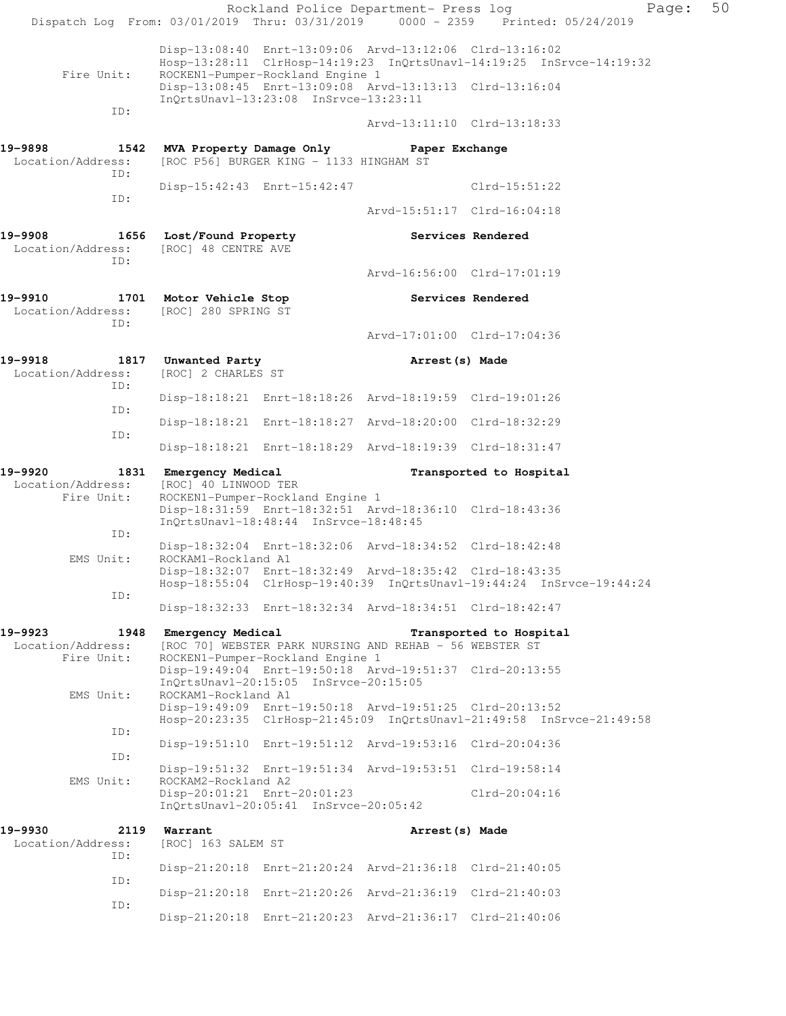|                                                              |                                           |                                                                           | Rockland Police Department- Press log                                                                              | Dispatch Log From: 03/01/2019 Thru: 03/31/2019 0000 - 2359 Printed: 05/24/2019 | Page: | 50 |
|--------------------------------------------------------------|-------------------------------------------|---------------------------------------------------------------------------|--------------------------------------------------------------------------------------------------------------------|--------------------------------------------------------------------------------|-------|----|
| Fire Unit:                                                   |                                           | ROCKEN1-Pumper-Rockland Engine 1                                          | Disp-13:08:40 Enrt-13:09:06 Arvd-13:12:06 Clrd-13:16:02<br>Disp-13:08:45 Enrt-13:09:08 Arvd-13:13:13 Clrd-13:16:04 | Hosp-13:28:11 ClrHosp-14:19:23 InQrtsUnavl-14:19:25 InSrvce-14:19:32           |       |    |
| ID:                                                          |                                           | InQrtsUnavl-13:23:08 InSrvce-13:23:11                                     |                                                                                                                    |                                                                                |       |    |
|                                                              |                                           |                                                                           | Arvd-13:11:10 Clrd-13:18:33                                                                                        |                                                                                |       |    |
| 19-9898<br>Location/Address:<br>ID:                          | 1542 MVA Property Damage Only             | [ROC P56] BURGER KING - 1133 HINGHAM ST                                   | Paper Exchange                                                                                                     |                                                                                |       |    |
| ID:                                                          |                                           | Disp-15:42:43 Enrt-15:42:47                                               |                                                                                                                    | $Clrd-15:51:22$                                                                |       |    |
|                                                              |                                           |                                                                           | Arvd-15:51:17 Clrd-16:04:18                                                                                        |                                                                                |       |    |
| 19-9908 1656 Lost/Found Property<br>Location/Address:<br>ID: | [ROC] 48 CENTRE AVE                       |                                                                           | Services Rendered                                                                                                  |                                                                                |       |    |
|                                                              |                                           |                                                                           | Arvd-16:56:00 Clrd-17:01:19                                                                                        |                                                                                |       |    |
| 19-9910 1701 Motor Vehicle Stop<br>Location/Address:<br>ID:  | [ROC] 280 SPRING ST                       |                                                                           |                                                                                                                    | Services Rendered                                                              |       |    |
|                                                              |                                           |                                                                           | Arvd-17:01:00 Clrd-17:04:36                                                                                        |                                                                                |       |    |
| 19-9918<br>Location/Address:<br>ID:                          | 1817 Unwanted Party<br>[ROC] 2 CHARLES ST |                                                                           | Arrest(s) Made                                                                                                     |                                                                                |       |    |
|                                                              |                                           |                                                                           | Disp-18:18:21 Enrt-18:18:26 Arvd-18:19:59 Clrd-19:01:26                                                            |                                                                                |       |    |
| ID:                                                          |                                           |                                                                           | Disp-18:18:21 Enrt-18:18:27 Arvd-18:20:00 Clrd-18:32:29                                                            |                                                                                |       |    |
| ID:                                                          |                                           |                                                                           | Disp-18:18:21 Enrt-18:18:29 Arvd-18:19:39 Clrd-18:31:47                                                            |                                                                                |       |    |
| 19-9920                                                      | 1831 Emergency Medical                    |                                                                           |                                                                                                                    | Transported to Hospital                                                        |       |    |
|                                                              |                                           |                                                                           |                                                                                                                    |                                                                                |       |    |
| Location/Address:<br>Fire Unit:                              | [ROC] 40 LINWOOD TER                      | ROCKEN1-Pumper-Rockland Engine 1                                          | Disp-18:31:59 Enrt-18:32:51 Arvd-18:36:10 Clrd-18:43:36                                                            |                                                                                |       |    |
| ID:                                                          |                                           | InOrtsUnavl-18:48:44 InSrvce-18:48:45                                     |                                                                                                                    |                                                                                |       |    |
| EMS Unit:                                                    | ROCKAM1-Rockland A1                       |                                                                           | Disp-18:32:04 Enrt-18:32:06 Arvd-18:34:52 Clrd-18:42:48                                                            |                                                                                |       |    |
|                                                              |                                           |                                                                           | Disp-18:32:07 Enrt-18:32:49 Arvd-18:35:42 Clrd-18:43:35                                                            | Hosp-18:55:04 ClrHosp-19:40:39 InQrtsUnavl-19:44:24 InSrvce-19:44:24           |       |    |
| ID:                                                          |                                           |                                                                           | Disp-18:32:33 Enrt-18:32:34 Arvd-18:34:51 Clrd-18:42:47                                                            |                                                                                |       |    |
| 19-9923<br>1948<br>Location/Address:                         | Emergency Medical                         |                                                                           | [ROC 70] WEBSTER PARK NURSING AND REHAB - 56 WEBSTER ST                                                            | Transported to Hospital                                                        |       |    |
| Fire Unit:                                                   |                                           | ROCKEN1-Pumper-Rockland Engine 1<br>InOrtsUnavl-20:15:05 InSrvce-20:15:05 | Disp-19:49:04 Enrt-19:50:18 Arvd-19:51:37 Clrd-20:13:55                                                            |                                                                                |       |    |
| EMS Unit:                                                    | ROCKAM1-Rockland A1                       |                                                                           | Disp-19:49:09 Enrt-19:50:18 Arvd-19:51:25 Clrd-20:13:52                                                            | Hosp-20:23:35 ClrHosp-21:45:09 InQrtsUnavl-21:49:58 InSrvce-21:49:58           |       |    |
| ID:                                                          |                                           |                                                                           | Disp-19:51:10 Enrt-19:51:12 Arvd-19:53:16 Clrd-20:04:36                                                            |                                                                                |       |    |
| ID:                                                          |                                           |                                                                           | Disp-19:51:32 Enrt-19:51:34 Arvd-19:53:51 Clrd-19:58:14                                                            |                                                                                |       |    |
| EMS Unit:                                                    | ROCKAM2-Rockland A2                       | Disp-20:01:21 Enrt-20:01:23<br>InQrtsUnavl-20:05:41 InSrvce-20:05:42      |                                                                                                                    | $Clrd-20:04:16$                                                                |       |    |
| 19-9930<br>Location/Address:                                 | 2119 Warrant<br>[ROC] 163 SALEM ST        |                                                                           | Arrest (s) Made                                                                                                    |                                                                                |       |    |
| ID:                                                          |                                           |                                                                           | Disp-21:20:18 Enrt-21:20:24 Arvd-21:36:18 Clrd-21:40:05                                                            |                                                                                |       |    |
| ID:<br>ID:                                                   |                                           |                                                                           | Disp-21:20:18 Enrt-21:20:26 Arvd-21:36:19 Clrd-21:40:03                                                            |                                                                                |       |    |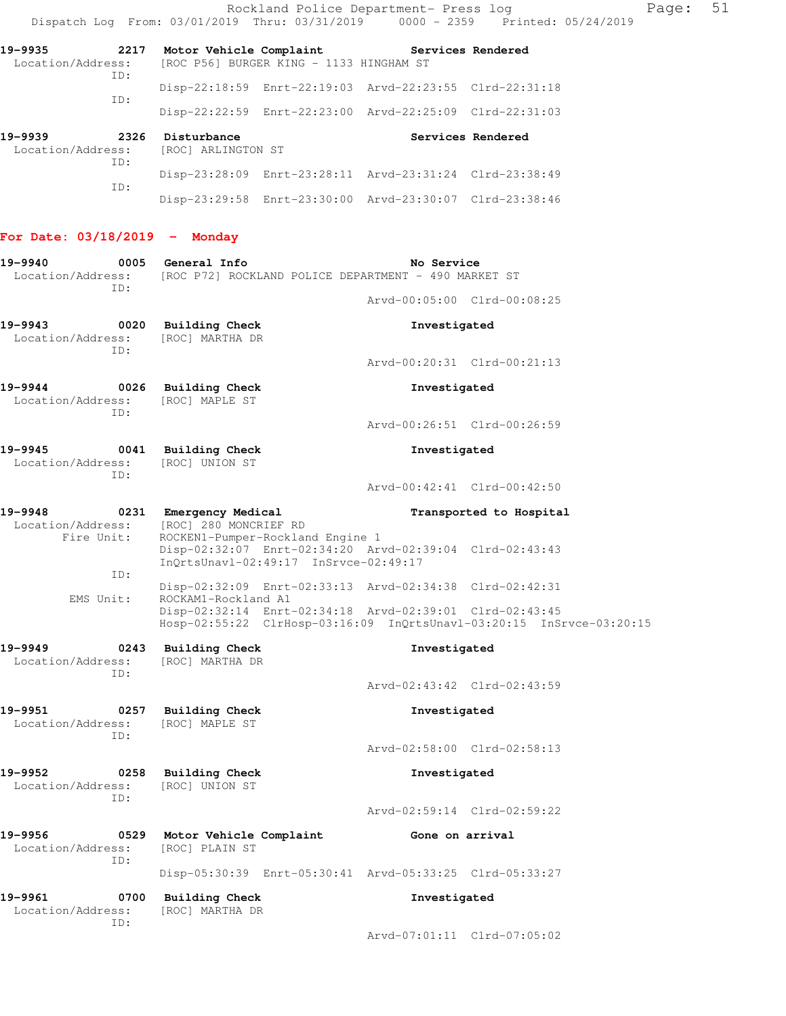Rockland Police Department- Press log entitled Page: 51 Dispatch Log From: 03/01/2019 Thru: 03/31/2019 0000 - 2359 Printed: 05/24/2019

| 19-9935<br>2217<br>Location/Address:<br>TD: |            | Motor Vehicle Complaint                             | [ROC P56] BURGER KING - 1133 HINGHAM ST |                                                         | Services Rendered |
|---------------------------------------------|------------|-----------------------------------------------------|-----------------------------------------|---------------------------------------------------------|-------------------|
|                                             |            |                                                     |                                         | Disp-22:18:59 Enrt-22:19:03 Arvd-22:23:55 Clrd-22:31:18 |                   |
|                                             | TD:        |                                                     |                                         | Disp-22:22:59 Enrt-22:23:00 Arvd-22:25:09 Clrd-22:31:03 |                   |
| 19-9939                                     | 2326       | Disturbance<br>Location/Address: [ROC] ARLINGTON ST |                                         |                                                         | Services Rendered |
|                                             | TD:<br>ID: |                                                     |                                         | Disp-23:28:09 Enrt-23:28:11 Arvd-23:31:24 Clrd-23:38:49 |                   |
|                                             |            |                                                     |                                         |                                                         |                   |

## **For Date: 03/18/2019 - Monday**

| 19-9940<br>0005<br>ID:                      | General Info<br>Location/Address: [ROC P72] ROCKLAND POLICE DEPARTMENT - 490 MARKET ST                                          | No Service      |                             |
|---------------------------------------------|---------------------------------------------------------------------------------------------------------------------------------|-----------------|-----------------------------|
|                                             |                                                                                                                                 |                 | Arvd-00:05:00 Clrd-00:08:25 |
| 19-9943<br>0020<br>Location/Address:<br>TD: | <b>Building Check</b><br>[ROC] MARTHA DR                                                                                        | Investigated    |                             |
|                                             |                                                                                                                                 |                 | Arvd-00:20:31 Clrd-00:21:13 |
| 19-9944<br>0026<br>Location/Address:<br>TD: | <b>Building Check</b><br>[ROC] MAPLE ST                                                                                         | Investigated    |                             |
|                                             |                                                                                                                                 |                 | Arvd-00:26:51 Clrd-00:26:59 |
| 19-9945<br>0041<br>Location/Address:<br>TD: | <b>Building Check</b><br>[ROC] UNION ST                                                                                         | Investigated    |                             |
|                                             |                                                                                                                                 |                 | Arvd-00:42:41 Clrd-00:42:50 |
| 19-9948<br>Location/Address:<br>Fire Unit:  | 0231 Emergency Medical<br>[ROC] 280 MONCRIEF RD<br>ROCKEN1-Pumper-Rockland Engine 1                                             |                 | Transported to Hospital     |
| ID:                                         | Disp-02:32:07 Enrt-02:34:20 Arvd-02:39:04 Clrd-02:43:43<br>InQrtsUnavl-02:49:17 InSrvce-02:49:17                                |                 |                             |
| EMS Unit:                                   | Disp-02:32:09 Enrt-02:33:13 Arvd-02:34:38 Clrd-02:42:31<br>ROCKAM1-Rockland A1                                                  |                 |                             |
|                                             | Disp-02:32:14 Enrt-02:34:18 Arvd-02:39:01 Clrd-02:43:45<br>Hosp-02:55:22 ClrHosp-03:16:09 InQrtsUnavl-03:20:15 InSrvce-03:20:15 |                 |                             |
| 19-9949<br>0243<br>Location/Address:<br>ID: | <b>Building Check</b><br>[ROC] MARTHA DR                                                                                        | Investigated    |                             |
|                                             |                                                                                                                                 |                 | Arvd-02:43:42 Clrd-02:43:59 |
| 19-9951<br>0257<br>Location/Address:<br>ID: | <b>Building Check</b><br>[ROC] MAPLE ST                                                                                         | Investigated    |                             |
|                                             |                                                                                                                                 |                 | Arvd-02:58:00 Clrd-02:58:13 |
| 19-9952<br>0258<br>Location/Address:<br>TD: | <b>Building Check</b><br>[ROC] UNION ST                                                                                         | Investigated    |                             |
|                                             |                                                                                                                                 |                 | Arvd-02:59:14 Clrd-02:59:22 |
| 19-9956<br>0529<br>Location/Address:<br>ID: | Motor Vehicle Complaint<br>[ROC] PLAIN ST                                                                                       | Gone on arrival |                             |
|                                             | Disp-05:30:39 Enrt-05:30:41 Arvd-05:33:25 Clrd-05:33:27                                                                         |                 |                             |
| 19-9961<br>0700<br>Location/Address:<br>ID: | <b>Building Check</b><br>[ROC] MARTHA DR                                                                                        | Investigated    |                             |
|                                             |                                                                                                                                 |                 | Arvd-07:01:11 Clrd-07:05:02 |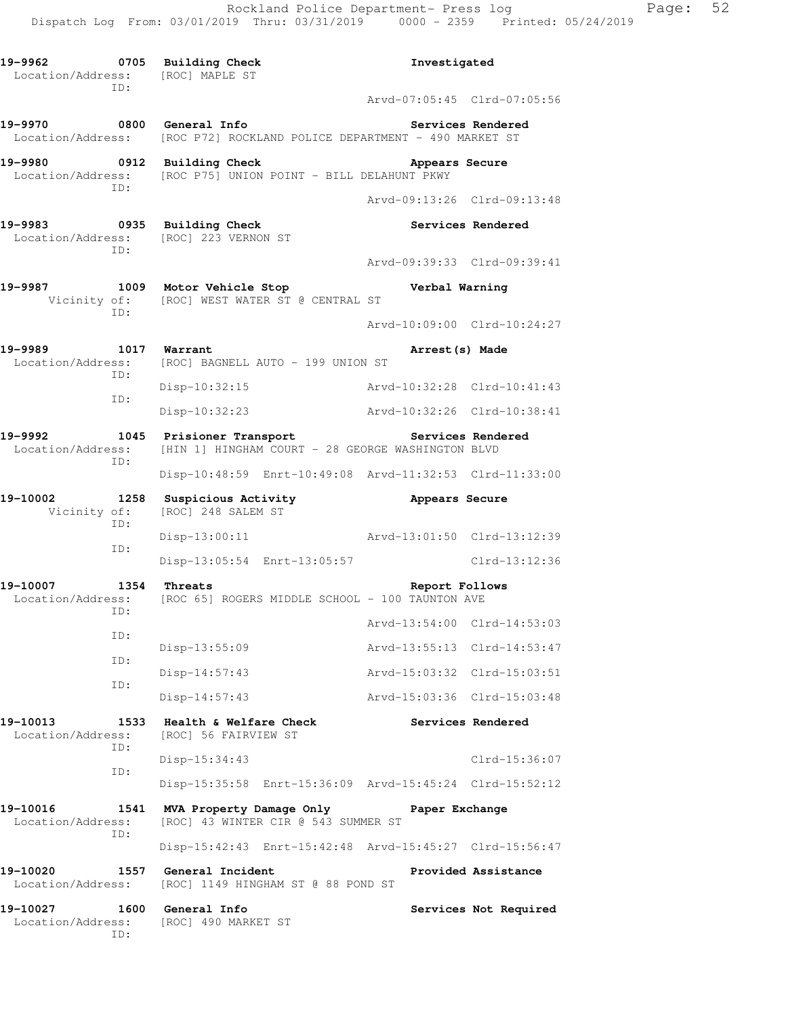**19-9962 0705 Building Check Investigated**  Location/Address: [ROC] MAPLE ST ID: Arvd-07:05:45 Clrd-07:05:56 **19-9970 0800 General Info Services Rendered**  Location/Address: [ROC P72] ROCKLAND POLICE DEPARTMENT - 490 MARKET ST **19-9980 0912 Building Check Appears Secure**  Location/Address: [ROC P75] UNION POINT - BILL DELAHUNT PKWY ID: Arvd-09:13:26 Clrd-09:13:48 19-9983 **0935** Building Check **Services Rendered**  Location/Address: [ROC] 223 VERNON ST ID: Arvd-09:39:33 Clrd-09:39:41 **19-9987 1009 Motor Vehicle Stop Verbal Warning**  Vicinity of: [ROC] WEST WATER ST @ CENTRAL ST ID: Arvd-10:09:00 Clrd-10:24:27 **19-9989 1017 Warrant Arrest(s) Made**  Location/Address: [ROC] BAGNELL AUTO - 199 UNION ST ID: Disp-10:32:15 Arvd-10:32:28 Clrd-10:41:43 ID: Disp-10:32:23 Arvd-10:32:26 Clrd-10:38:41 **19-9992 1045 Prisioner Transport Services Rendered**  Location/Address: [HIN 1] HINGHAM COURT - 28 GEORGE WASHINGTON BLVD ID: Disp-10:48:59 Enrt-10:49:08 Arvd-11:32:53 Clrd-11:33:00 **19-10002 1258 Suspicious Activity Appears Secure**  Vicinity of: [ROC] 248 SALEM ST ID: Disp-13:00:11 Arvd-13:01:50 Clrd-13:12:39 ID: Disp-13:05:54 Enrt-13:05:57 Clrd-13:12:36 **19-10007 1354 Threats Report Follows**  Location/Address: [ROC 65] ROGERS MIDDLE SCHOOL - 100 TAUNTON AVE ID: Arvd-13:54:00 Clrd-14:53:03 ID: Disp-13:55:09 Arvd-13:55:13 Clrd-14:53:47 ID: Disp-14:57:43 Arvd-15:03:32 Clrd-15:03:51 ID: Disp-14:57:43 Arvd-15:03:36 Clrd-15:03:48 **19-10013 1533 Health & Welfare Check Services Rendered**  Location/Address: [ROC] 56 FAIRVIEW ST ID: Disp-15:34:43 Clrd-15:36:07 ID: Disp-15:35:58 Enrt-15:36:09 Arvd-15:45:24 Clrd-15:52:12 **19-10016 1541 MVA Property Damage Only Paper Exchange**  Location/Address: [ROC] 43 WINTER CIR @ 543 SUMMER ST ID: Disp-15:42:43 Enrt-15:42:48 Arvd-15:45:27 Clrd-15:56:47 **19-10020 1557 General Incident Provided Assistance**  Location/Address: [ROC] 1149 HINGHAM ST @ 88 POND ST **19-10027 1600 General Info Services Not Required**  Location/Address: [ROC] 490 MARKET ST ID: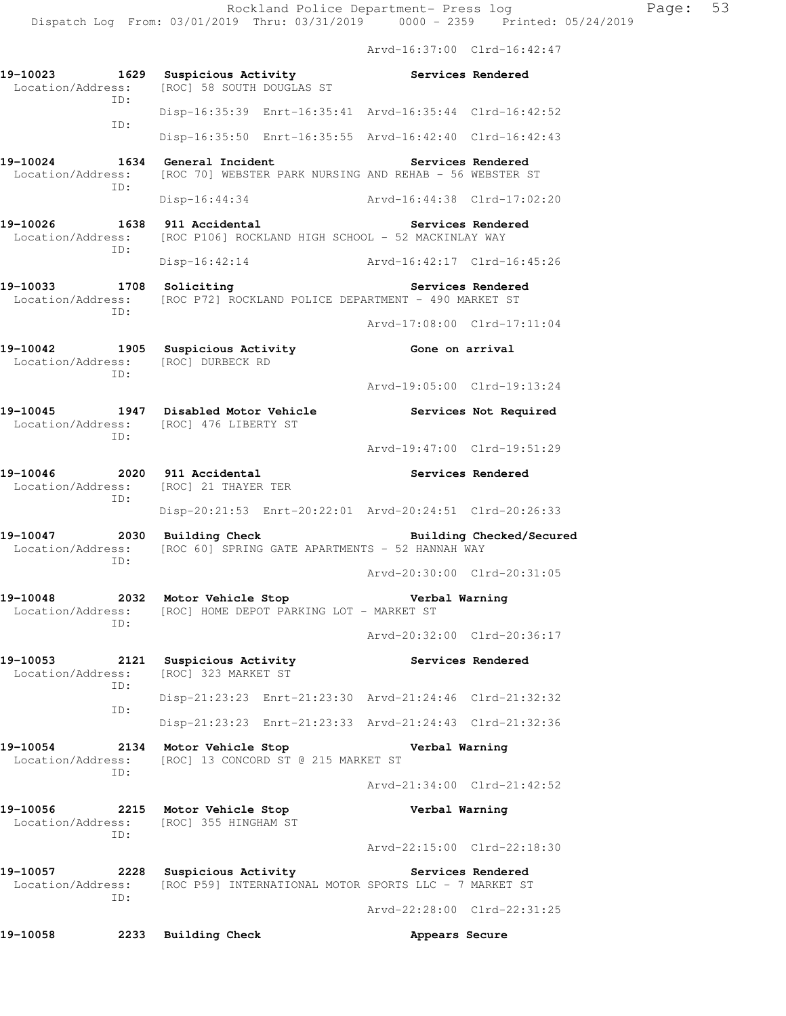Arvd-16:37:00 Clrd-16:42:47 **19-10023 1629 Suspicious Activity Services Rendered**  Location/Address: [ROC] 58 SOUTH DOUGLAS ST ID: Disp-16:35:39 Enrt-16:35:41 Arvd-16:35:44 Clrd-16:42:52 ID: Disp-16:35:50 Enrt-16:35:55 Arvd-16:42:40 Clrd-16:42:43 **19-10024 1634 General Incident Services Rendered**  Location/Address: [ROC 70] WEBSTER PARK NURSING AND REHAB - 56 WEBSTER ST ID: Disp-16:44:34 Arvd-16:44:38 Clrd-17:02:20 **19-10026 1638 911 Accidental Services Rendered**  Location/Address: [ROC P106] ROCKLAND HIGH SCHOOL - 52 MACKINLAY WAY ID: Disp-16:42:14 Arvd-16:42:17 Clrd-16:45:26 19-10033 1708 Soliciting **19-10033** Services Rendered Location/Address: [ROC P72] ROCKLAND POLICE DEPARTMENT - 490 MARKET ST ID: Arvd-17:08:00 Clrd-17:11:04 **19-10042 1905 Suspicious Activity Gone on arrival**  Location/Address: [ROC] DURBECK RD ID: Arvd-19:05:00 Clrd-19:13:24 19-10045 1947 Disabled Motor Vehicle **1947** Services Not Required Location/Address: [ROC] 476 LIBERTY ST ID: Arvd-19:47:00 Clrd-19:51:29 **19-10046 2020 911 Accidental Services Rendered**  Location/Address: [ROC] 21 THAYER TER ID: Disp-20:21:53 Enrt-20:22:01 Arvd-20:24:51 Clrd-20:26:33 19-10047 2030 Building Check **Building Checked/Secured** Location/Address: [ROC 60] SPRING GATE APARTMENTS - 52 HANNAH WAY ID: Arvd-20:30:00 Clrd-20:31:05 **19-10048 2032 Motor Vehicle Stop Verbal Warning**  Location/Address: [ROC] HOME DEPOT PARKING LOT - MARKET ST ID: Arvd-20:32:00 Clrd-20:36:17 **19-10053 2121 Suspicious Activity Services Rendered**  Location/Address: [ROC] 323 MARKET ST ID: Disp-21:23:23 Enrt-21:23:30 Arvd-21:24:46 Clrd-21:32:32 ID: Disp-21:23:23 Enrt-21:23:33 Arvd-21:24:43 Clrd-21:32:36 **19-10054 2134 Motor Vehicle Stop Verbal Warning**  Location/Address: [ROC] 13 CONCORD ST @ 215 MARKET ST ID: Arvd-21:34:00 Clrd-21:42:52 **19-10056 2215 Motor Vehicle Stop Verbal Warning**  Location/Address: [ROC] 355 HINGHAM ST ID: Arvd-22:15:00 Clrd-22:18:30 19-10057 **2228** Suspicious Activity **Rendered** Services Rendered Location/Address: [ROC P59] INTERNATIONAL MOTOR SPORTS LLC - 7 MARKET ST ID: Arvd-22:28:00 Clrd-22:31:25 19-10058 2233 Building Check **Appears Secure**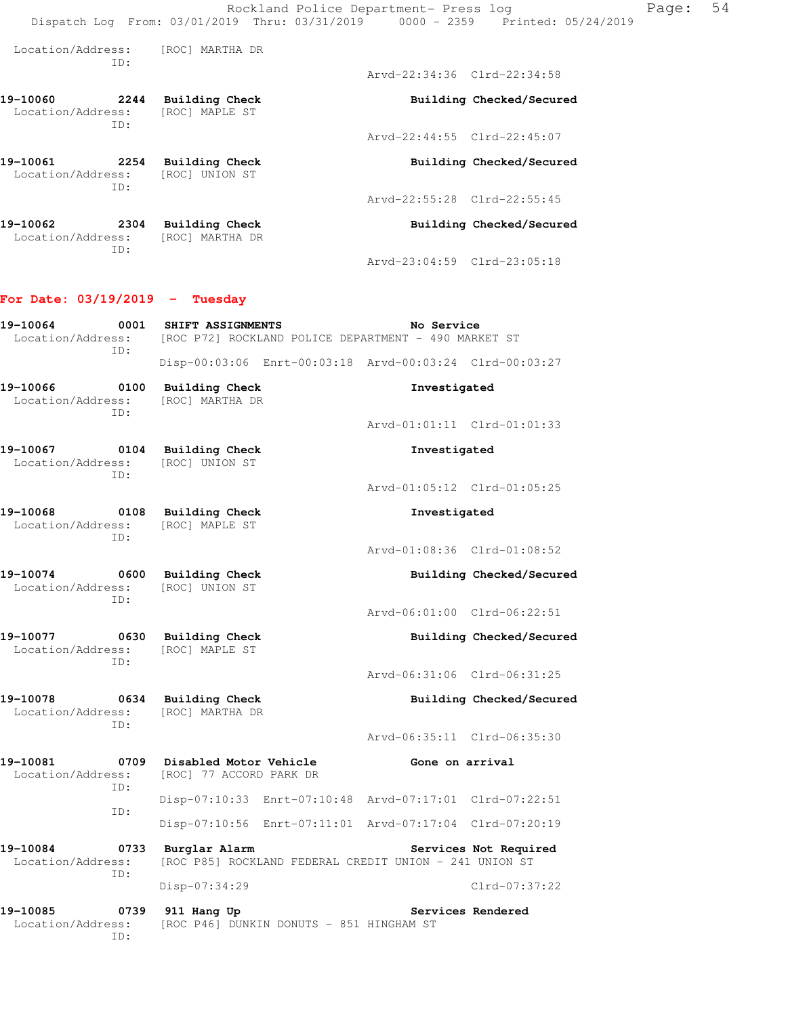| Location/Address:             | TD:         | [ROC] MARTHA DR                   |                             |                             |
|-------------------------------|-------------|-----------------------------------|-----------------------------|-----------------------------|
|                               |             |                                   | Arvd-22:34:36 Clrd-22:34:58 |                             |
| 19–10060<br>Location/Address: | 2244<br>ID: | Building Check<br>[ROC] MAPLE ST  |                             | Building Checked/Secured    |
|                               |             |                                   |                             | Arvd-22:44:55 Clrd-22:45:07 |
| 19–10061<br>Location/Address: | 2254<br>TD: | Building Check<br>[ROC] UNION ST  |                             | Building Checked/Secured    |
|                               |             |                                   | Arvd-22:55:28 Clrd-22:55:45 |                             |
| 19–10062<br>Location/Address: | 2304<br>ID: | Building Check<br>[ROC] MARTHA DR |                             | Building Checked/Secured    |
|                               |             |                                   | Arvd-23:04:59 Clrd-23:05:18 |                             |

### **For Date: 03/19/2019 - Tuesday**

| 19-10064<br>0001<br>TD:                      | SHIFT ASSIGNMENTS<br>Location/Address: [ROC P72] ROCKLAND POLICE DEPARTMENT - 490 MARKET ST | No Service                                              |
|----------------------------------------------|---------------------------------------------------------------------------------------------|---------------------------------------------------------|
|                                              |                                                                                             | Disp-00:03:06 Enrt-00:03:18 Arvd-00:03:24 Clrd-00:03:27 |
| 19-10066<br>Location/Address:<br>TD:         | 0100 Building Check<br>[ROC] MARTHA DR                                                      | Investigated                                            |
|                                              |                                                                                             | Arvd-01:01:11 Clrd-01:01:33                             |
| 19-10067 0104<br>Location/Address:<br>TD:    | Building Check<br>[ROC] UNION ST                                                            | Investigated                                            |
|                                              |                                                                                             | Arvd-01:05:12 Clrd-01:05:25                             |
| 0108<br>19-10068<br>Location/Address:<br>TD: | Building Check<br>[ROC] MAPLE ST                                                            | Investigated                                            |
|                                              |                                                                                             | Arvd-01:08:36 Clrd-01:08:52                             |
| 19-10074 0600<br>Location/Address:<br>ID:    | <b>Building Check</b><br>[ROC] UNION ST                                                     | Building Checked/Secured                                |
|                                              |                                                                                             | Arvd-06:01:00 Clrd-06:22:51                             |
| 19-10077<br>0630<br>Location/Address:<br>TD: | <b>Building Check</b><br>[ROC] MAPLE ST                                                     | Building Checked/Secured                                |
|                                              |                                                                                             | Arvd-06:31:06 Clrd-06:31:25                             |
| 19-10078 0634<br>Location/Address:<br>TD:    | <b>Building Check</b><br>[ROC] MARTHA DR                                                    | Building Checked/Secured                                |
|                                              |                                                                                             | Arvd-06:35:11 Clrd-06:35:30                             |
| 19-10081<br>0709<br>Location/Address:<br>ID: | Disabled Motor Vehicle<br>[ROC] 77 ACCORD PARK DR                                           | Gone on arrival                                         |
| ID:                                          |                                                                                             | Disp-07:10:33 Enrt-07:10:48 Arvd-07:17:01 Clrd-07:22:51 |
|                                              |                                                                                             | Disp-07:10:56 Enrt-07:11:01 Arvd-07:17:04 Clrd-07:20:19 |
| 19-10084<br>0733<br>Location/Address:<br>TD: | Burglar Alarm<br>[ROC P85] ROCKLAND FEDERAL CREDIT UNION - 241 UNION ST                     | Services Not Required                                   |
|                                              | Disp-07:34:29                                                                               | Clrd-07:37:22                                           |
| 19-10085<br>0739<br>Location/Address:<br>ID: | 911 Hang Up<br>[ROC P46] DUNKIN DONUTS - 851 HINGHAM ST                                     | Services Rendered                                       |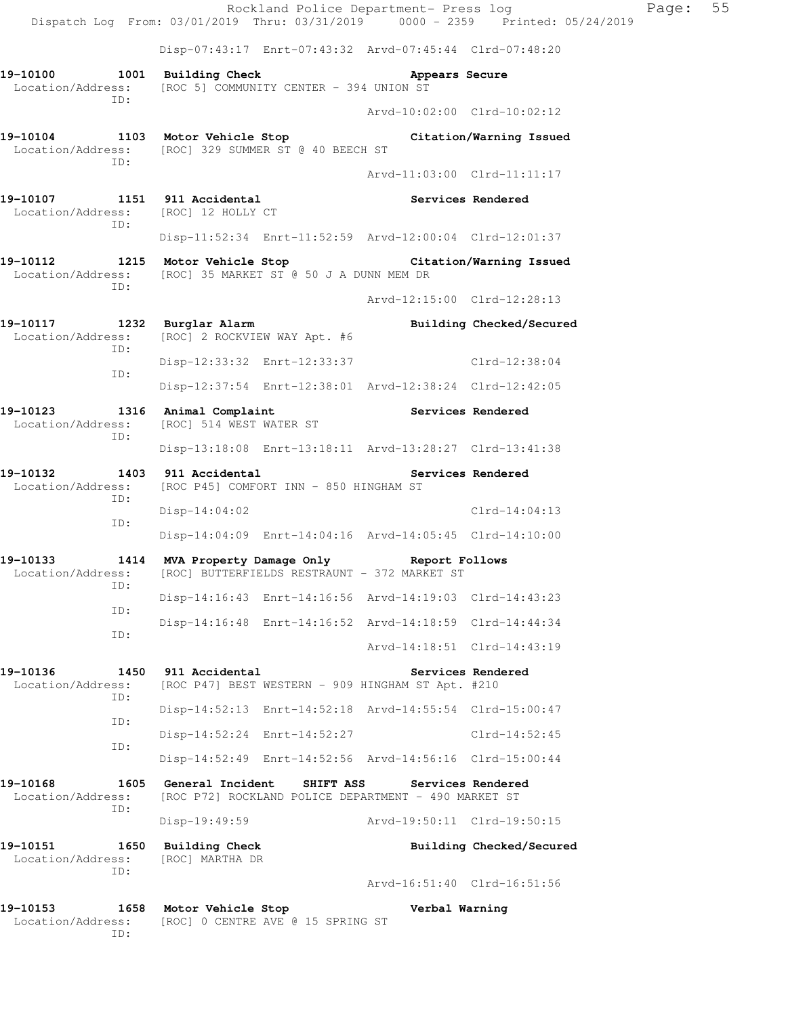Rockland Police Department- Press log Faqe: 55 Dispatch Log From: 03/01/2019 Thru: 03/31/2019 0000 - 2359 Printed: 05/24/2019 Disp-07:43:17 Enrt-07:43:32 Arvd-07:45:44 Clrd-07:48:20 **19-10100 1001 Building Check Appears Secure**  Location/Address: [ROC 5] COMMUNITY CENTER - 394 UNION ST ID: Arvd-10:02:00 Clrd-10:02:12 **19-10104 1103 Motor Vehicle Stop Citation/Warning Issued**  Location/Address: [ROC] 329 SUMMER ST @ 40 BEECH ST ID: Arvd-11:03:00 Clrd-11:11:17 **19-10107 1151 911 Accidental Services Rendered**  Location/Address: [ROC] 12 HOLLY CT ID: Disp-11:52:34 Enrt-11:52:59 Arvd-12:00:04 Clrd-12:01:37 **19-10112 1215 Motor Vehicle Stop Citation/Warning Issued**  Location/Address: [ROC] 35 MARKET ST @ 50 J A DUNN MEM DR ID: Arvd-12:15:00 Clrd-12:28:13 **19-10117 1232 Burglar Alarm Building Checked/Secured**  Location/Address: [ROC] 2 ROCKVIEW WAY Apt. #6 ID: Disp-12:33:32 Enrt-12:33:37 Clrd-12:38:04 ID: Disp-12:37:54 Enrt-12:38:01 Arvd-12:38:24 Clrd-12:42:05 19-10123 1316 Animal Complaint **Services Rendered** Location/Address: [ROC] 514 WEST WATER ST [ROC] 514 WEST WATER ST ID: Disp-13:18:08 Enrt-13:18:11 Arvd-13:28:27 Clrd-13:41:38 **19-10132 1403 911 Accidental Services Rendered**  Location/Address: [ROC P45] COMFORT INN - 850 HINGHAM ST ID: Disp-14:04:02 Clrd-14:04:13 ID: Disp-14:04:09 Enrt-14:04:16 Arvd-14:05:45 Clrd-14:10:00 **19-10133 1414 MVA Property Damage Only Report Follows**  Location/Address: [ROC] BUTTERFIELDS RESTRAUNT - 372 MARKET ST ID: Disp-14:16:43 Enrt-14:16:56 Arvd-14:19:03 Clrd-14:43:23 ID: Disp-14:16:48 Enrt-14:16:52 Arvd-14:18:59 Clrd-14:44:34 ID: Arvd-14:18:51 Clrd-14:43:19 **19-10136 1450 911 Accidental Services Rendered**  Location/Address: [ROC P47] BEST WESTERN - 909 HINGHAM ST Apt. #210 ID: Disp-14:52:13 Enrt-14:52:18 Arvd-14:55:54 Clrd-15:00:47 ID: Disp-14:52:24 Enrt-14:52:27 Clrd-14:52:45 ID: Disp-14:52:49 Enrt-14:52:56 Arvd-14:56:16 Clrd-15:00:44 **19-10168 1605 General Incident SHIFT ASS Services Rendered**  Location/Address: [ROC P72] ROCKLAND POLICE DEPARTMENT - 490 MARKET ST ID: Disp-19:49:59 Arvd-19:50:11 Clrd-19:50:15 19-10151 1650 Building Check **Building Building Checked/Secured**  Location/Address: [ROC] MARTHA DR ID: Arvd-16:51:40 Clrd-16:51:56 **19-10153 1658 Motor Vehicle Stop Verbal Warning**  Location/Address: [ROC] 0 CENTRE AVE @ 15 SPRING ST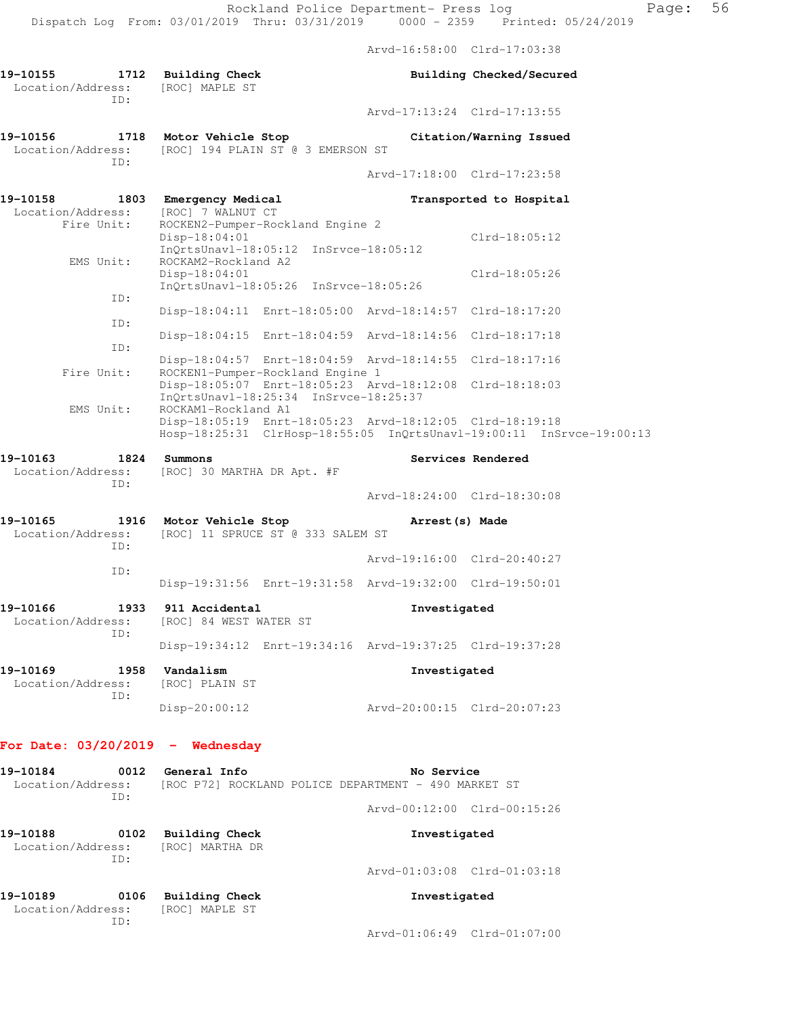|                                                      | Rockland Police Department- Press log<br>Dispatch Log From: 03/01/2019 Thru: 03/31/2019 0000 - 2359 Printed: 05/24/2019                                |                             |                             |
|------------------------------------------------------|--------------------------------------------------------------------------------------------------------------------------------------------------------|-----------------------------|-----------------------------|
|                                                      |                                                                                                                                                        | Arvd-16:58:00 Clrd-17:03:38 |                             |
| 19-10155<br>Location/Address:<br>ID:                 | 1712 Building Check<br>[ROC] MAPLE ST                                                                                                                  |                             | Building Checked/Secured    |
|                                                      |                                                                                                                                                        |                             | Arvd-17:13:24 Clrd-17:13:55 |
| 19-10156<br>Location/Address:<br>ID:                 | 1718 Motor Vehicle Stop<br>[ROC] 194 PLAIN ST @ 3 EMERSON ST                                                                                           |                             | Citation/Warning Issued     |
|                                                      |                                                                                                                                                        |                             | Arvd-17:18:00 Clrd-17:23:58 |
| 19-10158 1803 Emergency Medical<br>Location/Address: | [ROC] 7 WALNUT CT                                                                                                                                      |                             | Transported to Hospital     |
| Fire Unit:                                           | ROCKEN2-Pumper-Rockland Engine 2<br>Disp-18:04:01<br>InQrtsUnavl-18:05:12 InSrvce-18:05:12                                                             |                             | $Clrd-18:05:12$             |
| EMS Unit:                                            | ROCKAM2-Rockland A2<br>Disp-18:04:01<br>InQrtsUnavl-18:05:26 InSrvce-18:05:26                                                                          |                             | Clrd-18:05:26               |
| ID:                                                  | Disp-18:04:11 Enrt-18:05:00 Arvd-18:14:57 Clrd-18:17:20                                                                                                |                             |                             |
| ID:                                                  | Disp-18:04:15 Enrt-18:04:59 Arvd-18:14:56 Clrd-18:17:18                                                                                                |                             |                             |
| ID:                                                  | Disp-18:04:57 Enrt-18:04:59 Arvd-18:14:55 Clrd-18:17:16                                                                                                |                             |                             |
| Fire Unit:                                           | ROCKEN1-Pumper-Rockland Engine 1<br>Disp-18:05:07 Enrt-18:05:23 Arvd-18:12:08 Clrd-18:18:03<br>InQrtsUnavl-18:25:34 InSrvce-18:25:37                   |                             |                             |
| EMS Unit:                                            | ROCKAM1-Rockland A1<br>Disp-18:05:19 Enrt-18:05:23 Arvd-18:12:05 Clrd-18:19:18<br>Hosp-18:25:31 ClrHosp-18:55:05 InQrtsUnavl-19:00:11 InSrvce-19:00:13 |                             |                             |
| 19-10163<br>1824                                     | Summons                                                                                                                                                |                             | Services Rendered           |
| Location/Address:<br>ID:                             | [ROC] 30 MARTHA DR Apt. #F                                                                                                                             |                             | Arvd-18:24:00 Clrd-18:30:08 |
| 19-10165                                             | 1916 Motor Vehicle Stop                                                                                                                                | Arrest (s) Made             |                             |
| Location/Address:<br>ID:                             | [ROC] 11 SPRUCE ST @ 333 SALEM ST                                                                                                                      |                             |                             |
| ID:                                                  |                                                                                                                                                        | Arvd-19:16:00 Clrd-20:40:27 |                             |
|                                                      | Disp-19:31:56 Enrt-19:31:58 Arvd-19:32:00 Clrd-19:50:01                                                                                                |                             |                             |
| 19-10166<br>Location/Address:                        | 1933 911 Accidental<br>[ROC] 84 WEST WATER ST                                                                                                          | Investigated                |                             |
| ID:                                                  | Disp-19:34:12 Enrt-19:34:16 Arvd-19:37:25 Clrd-19:37:28                                                                                                |                             |                             |
| 19-10169<br>Location/Address:                        | 1958 Vandalism<br>[ROC] PLAIN ST                                                                                                                       | Investigated                |                             |
| ID:                                                  | $Disp-20:00:12$                                                                                                                                        | Arvd-20:00:15 Clrd-20:07:23 |                             |
| For Date: $03/20/2019$ - Wednesday                   |                                                                                                                                                        |                             |                             |
| 19-10184                                             | 0012 General Info<br>Location/Address: [ROC P72] ROCKLAND POLICE DEPARTMENT - 490 MARKET ST                                                            | No Service                  |                             |
| ID:                                                  |                                                                                                                                                        | Arvd-00:12:00 Clrd-00:15:26 |                             |
| 19-10188<br>Location/Address:<br>ID:                 | 0102 Building Check<br>[ROC] MARTHA DR                                                                                                                 | Investigated                |                             |

**19-10189 0106 Building Check Investigated**  Location/Address: [ROC] MAPLE ST ID:

Arvd-01:06:49 Clrd-01:07:00

Arvd-01:03:08 Clrd-01:03:18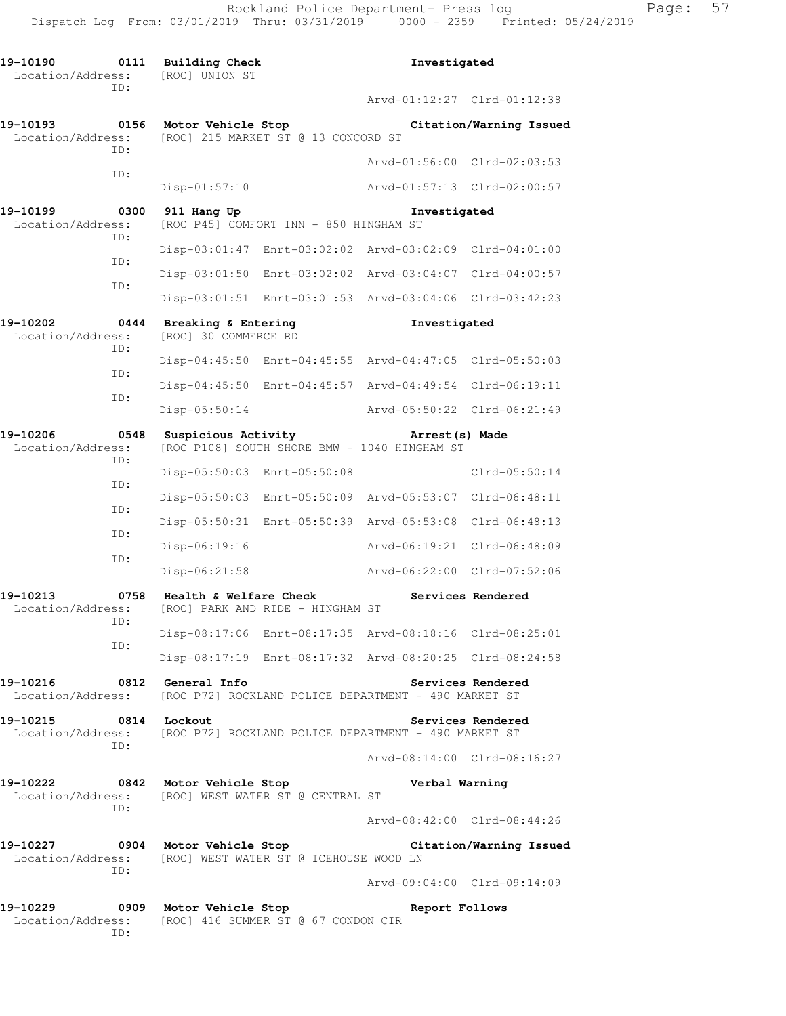| 19-10190<br>Location/Address: | 0111        | Building Check<br>[ROC] UNION ST                                                          |                                                         | Investigated    |                                                          |
|-------------------------------|-------------|-------------------------------------------------------------------------------------------|---------------------------------------------------------|-----------------|----------------------------------------------------------|
|                               | ID:         |                                                                                           |                                                         |                 | Arvd-01:12:27 Clrd-01:12:38                              |
| 19-10193<br>Location/Address: | 0156        | Motor Vehicle Stop                                                                        | [ROC] 215 MARKET ST @ 13 CONCORD ST                     |                 | Citation/Warning Issued                                  |
|                               | TD:         |                                                                                           |                                                         |                 | Arvd-01:56:00 Clrd-02:03:53                              |
|                               | ID:         | $Disp-01:57:10$                                                                           |                                                         |                 | Arvd-01:57:13 Clrd-02:00:57                              |
| 19-10199<br>Location/Address: | 0300        | 911 Hang Up                                                                               | [ROC P45] COMFORT INN - 850 HINGHAM ST                  | Investigated    |                                                          |
|                               | ID:         |                                                                                           | Disp-03:01:47 Enrt-03:02:02 Arvd-03:02:09 Clrd-04:01:00 |                 |                                                          |
|                               | ID:<br>ID:  |                                                                                           | Disp-03:01:50 Enrt-03:02:02 Arvd-03:04:07 Clrd-04:00:57 |                 |                                                          |
|                               |             |                                                                                           | Disp-03:01:51 Enrt-03:01:53 Arvd-03:04:06 Clrd-03:42:23 |                 |                                                          |
| 19-10202<br>Location/Address: | 0444        | Breaking & Entering<br>[ROC] 30 COMMERCE RD                                               |                                                         | Investigated    |                                                          |
|                               | ID:         |                                                                                           | Disp-04:45:50 Enrt-04:45:55 Arvd-04:47:05 Clrd-05:50:03 |                 |                                                          |
|                               | ID:         |                                                                                           | Disp-04:45:50 Enrt-04:45:57 Arvd-04:49:54 Clrd-06:19:11 |                 |                                                          |
|                               | ID:         | Disp-05:50:14                                                                             |                                                         |                 | Arvd-05:50:22 Clrd-06:21:49                              |
| 19-10206<br>Location/Address: | 0548<br>ID: | Suspicious Activity                                                                       | [ROC P108] SOUTH SHORE BMW - 1040 HINGHAM ST            | Arrest (s) Made |                                                          |
| ID:                           |             | Disp-05:50:03 Enrt-05:50:08                                                               |                                                         |                 | Clrd-05:50:14                                            |
|                               | ID:         |                                                                                           | Disp-05:50:03 Enrt-05:50:09 Arvd-05:53:07 Clrd-06:48:11 |                 |                                                          |
|                               | ID:         |                                                                                           | Disp-05:50:31 Enrt-05:50:39 Arvd-05:53:08 Clrd-06:48:13 |                 |                                                          |
|                               | ID:         | Disp-06:19:16                                                                             |                                                         |                 | Arvd-06:19:21 Clrd-06:48:09                              |
|                               |             | Disp-06:21:58                                                                             |                                                         |                 | Arvd-06:22:00 Clrd-07:52:06                              |
| 19-10213<br>Location/Address: | 0758<br>ID: | Health & Welfare Check                                                                    | [ROC] PARK AND RIDE - HINGHAM ST                        |                 | Services Rendered                                        |
|                               | ID:         |                                                                                           | Disp-08:17:06 Enrt-08:17:35 Arvd-08:18:16 Clrd-08:25:01 |                 |                                                          |
|                               |             |                                                                                           | Disp-08:17:19 Enrt-08:17:32 Arvd-08:20:25 Clrd-08:24:58 |                 |                                                          |
| 19-10216 0812 General Info    |             | Location/Address: [ROC P72] ROCKLAND POLICE DEPARTMENT - 490 MARKET ST                    |                                                         |                 | Services Rendered                                        |
| 19-10215                      | TD:         | 0814 Lockout<br>Location/Address: [ROC P72] ROCKLAND POLICE DEPARTMENT - 490 MARKET ST    |                                                         |                 | Services Rendered                                        |
|                               |             |                                                                                           |                                                         |                 | Arvd-08:14:00 Clrd-08:16:27                              |
| 19-10222                      | TD:         | 0842 Motor Vehicle Stop<br>Location/Address: [ROC] WEST WATER ST @ CENTRAL ST             |                                                         | Verbal Warning  |                                                          |
|                               |             |                                                                                           |                                                         |                 | Arvd-08:42:00 Clrd-08:44:26                              |
|                               | ID:         | Location/Address: [ROC] WEST WATER ST @ ICEHOUSE WOOD LN                                  |                                                         |                 | 19-10227 0904 Motor Vehicle Stop Citation/Warning Issued |
|                               |             |                                                                                           |                                                         |                 | Arvd-09:04:00 Clrd-09:14:09                              |
|                               | ID:         | 19-10229 0909 Motor Vehicle Stop<br>Location/Address: [ROC] 416 SUMMER ST @ 67 CONDON CIR |                                                         | Report Follows  |                                                          |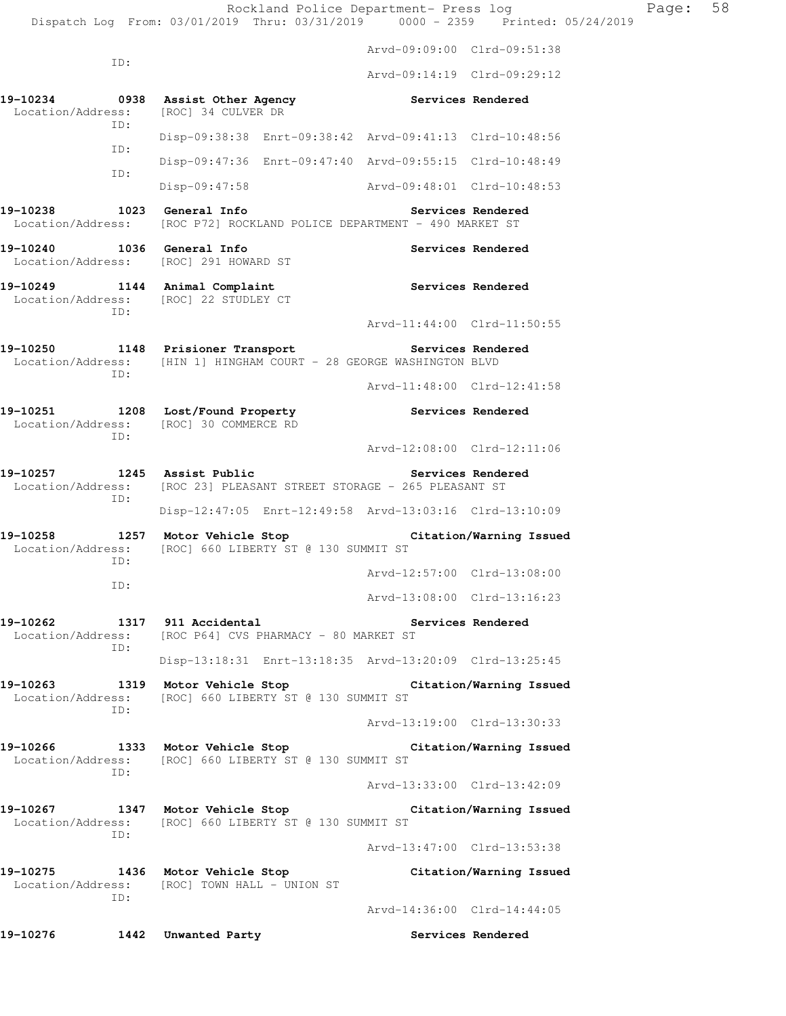Rockland Police Department- Press log Page: 58 Dispatch Log From: 03/01/2019 Thru: 03/31/2019 0000 - 2359 Printed: 05/24/2019 Arvd-09:09:00 Clrd-09:51:38 ID: Arvd-09:14:19 Clrd-09:29:12 19-10234 **0938** Assist Other Agency **Services Rendered** Location/Address: [ROC] 34 CULVER DR ID: Disp-09:38:38 Enrt-09:38:42 Arvd-09:41:13 Clrd-10:48:56 ID: Disp-09:47:36 Enrt-09:47:40 Arvd-09:55:15 Clrd-10:48:49 ID: Disp-09:47:58 Arvd-09:48:01 Clrd-10:48:53 19-10238 1023 General Info **1999 Services Rendered**  Location/Address: [ROC P72] ROCKLAND POLICE DEPARTMENT - 490 MARKET ST **19-10240 1036 General Info Services Rendered**  Location/Address: [ROC] 291 HOWARD ST **19-10249 1144 Animal Complaint Services Rendered**  Location/Address: [ROC] 22 STUDLEY CT ID: Arvd-11:44:00 Clrd-11:50:55 **19-10250 1148 Prisioner Transport Services Rendered**  Location/Address: [HIN 1] HINGHAM COURT - 28 GEORGE WASHINGTON BLVD ID: Arvd-11:48:00 Clrd-12:41:58 **19-10251 1208 Lost/Found Property Services Rendered**  Location/Address: [ROC] 30 COMMERCE RD ID: Arvd-12:08:00 Clrd-12:11:06 **19-10257 1245 Assist Public Services Rendered**  Location/Address: [ROC 23] PLEASANT STREET STORAGE - 265 PLEASANT ST ID: Disp-12:47:05 Enrt-12:49:58 Arvd-13:03:16 Clrd-13:10:09 **19-10258 1257 Motor Vehicle Stop Citation/Warning Issued**  Location/Address: [ROC] 660 LIBERTY ST @ 130 SUMMIT ST ID: Arvd-12:57:00 Clrd-13:08:00 ID: Arvd-13:08:00 Clrd-13:16:23 **19-10262 1317 911 Accidental Services Rendered**  Location/Address: [ROC P64] CVS PHARMACY - 80 MARKET ST ID: Disp-13:18:31 Enrt-13:18:35 Arvd-13:20:09 Clrd-13:25:45 **19-10263 1319 Motor Vehicle Stop Citation/Warning Issued**  Location/Address: [ROC] 660 LIBERTY ST @ 130 SUMMIT ST ID: Arvd-13:19:00 Clrd-13:30:33 **19-10266 1333 Motor Vehicle Stop Citation/Warning Issued**  Location/Address: [ROC] 660 LIBERTY ST @ 130 SUMMIT ST ID: Arvd-13:33:00 Clrd-13:42:09 **19-10267 1347 Motor Vehicle Stop Citation/Warning Issued**  Location/Address: [ROC] 660 LIBERTY ST @ 130 SUMMIT ST ID: Arvd-13:47:00 Clrd-13:53:38 **19-10275 1436 Motor Vehicle Stop Citation/Warning Issued**  Location/Address: [ROC] TOWN HALL - UNION ST ID: Arvd-14:36:00 Clrd-14:44:05

**19-10276 1442 Unwanted Party Services Rendered**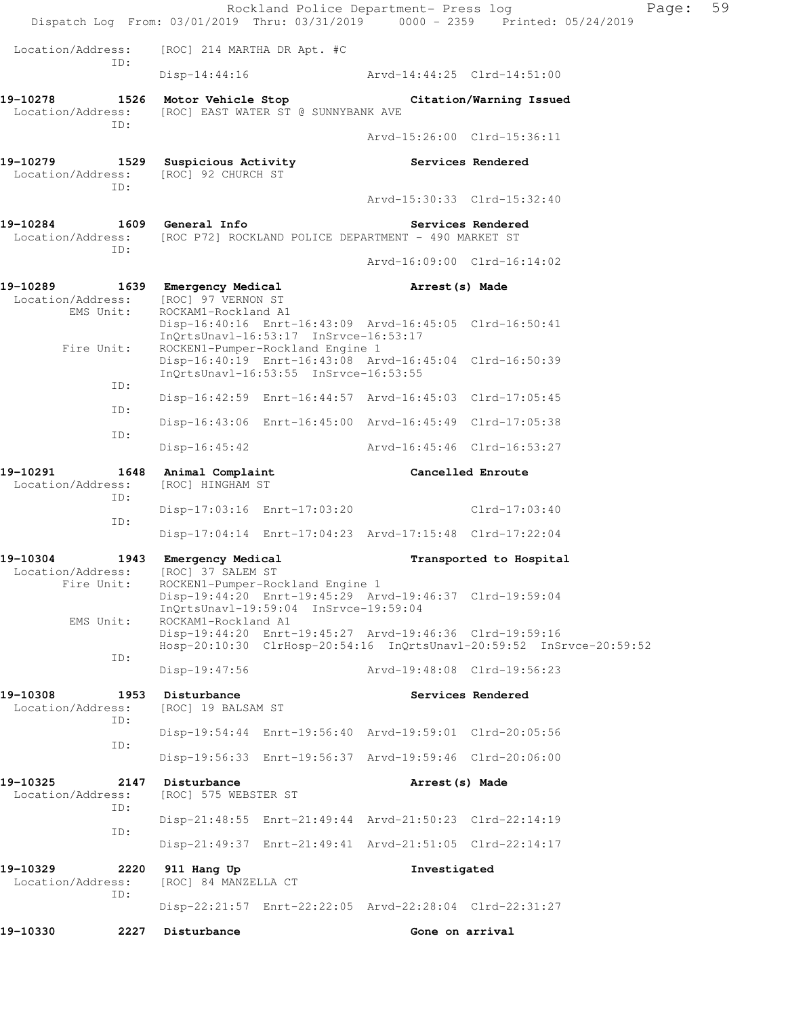|                                                                                  |                                                                     |                                                                           | Rockland Police Department- Press log                   | Dispatch Log From: 03/01/2019 Thru: 03/31/2019 0000 - 2359 Printed: 05/24/2019 | Page: | 59 |
|----------------------------------------------------------------------------------|---------------------------------------------------------------------|---------------------------------------------------------------------------|---------------------------------------------------------|--------------------------------------------------------------------------------|-------|----|
| Location/Address:                                                                | [ROC] 214 MARTHA DR Apt. #C                                         |                                                                           |                                                         |                                                                                |       |    |
| ID:                                                                              |                                                                     |                                                                           | $Disp-14:44:16$ $Arvd-14:44:25$ $Clrd-14:51:00$         |                                                                                |       |    |
| 19-10278<br>Location/Address:<br>ID:                                             | 1526 Motor Vehicle Stop Citation/Warning Issued                     | [ROC] EAST WATER ST @ SUNNYBANK AVE                                       |                                                         |                                                                                |       |    |
|                                                                                  |                                                                     |                                                                           |                                                         | Arvd-15:26:00 Clrd-15:36:11                                                    |       |    |
| 19-10279 1529 Suspicious Activity<br>Location/Address: [ROC] 92 CHURCH ST<br>ID: |                                                                     |                                                                           |                                                         | Services Rendered                                                              |       |    |
|                                                                                  |                                                                     |                                                                           |                                                         | Arvd-15:30:33 Clrd-15:32:40                                                    |       |    |
| 19-10284<br>Location/Address:<br>ID:                                             | 1609 General Info                                                   |                                                                           | [ROC P72] ROCKLAND POLICE DEPARTMENT - 490 MARKET ST    | Services Rendered                                                              |       |    |
|                                                                                  |                                                                     |                                                                           |                                                         | Arvd-16:09:00 Clrd-16:14:02                                                    |       |    |
| 19-10289<br>Location/Address:<br>EMS Unit:                                       | 1639 Emergency Medical<br>[ROC] 97 VERNON ST<br>ROCKAM1-Rockland A1 |                                                                           | Arrest(s) Made                                          |                                                                                |       |    |
| Fire Unit:                                                                       |                                                                     | InOrtsUnavl-16:53:17 InSrvce-16:53:17<br>ROCKEN1-Pumper-Rockland Engine 1 | Disp-16:40:16 Enrt-16:43:09 Arvd-16:45:05 Clrd-16:50:41 |                                                                                |       |    |
| ID:                                                                              |                                                                     | InQrtsUnavl-16:53:55 InSrvce-16:53:55                                     | Disp-16:40:19 Enrt-16:43:08 Arvd-16:45:04 Clrd-16:50:39 |                                                                                |       |    |
| ID:                                                                              |                                                                     |                                                                           | Disp-16:42:59 Enrt-16:44:57 Arvd-16:45:03 Clrd-17:05:45 |                                                                                |       |    |
| ID:                                                                              |                                                                     |                                                                           | Disp-16:43:06 Enrt-16:45:00 Arvd-16:45:49 Clrd-17:05:38 |                                                                                |       |    |
|                                                                                  | $Disp-16:45:42$                                                     |                                                                           | Arvd-16:45:46 Clrd-16:53:27                             |                                                                                |       |    |
| 19-10291<br>1648<br>Location/Address:<br>ID:                                     | Animal Complaint<br>[ROC] HINGHAM ST                                |                                                                           | Cancelled Enroute                                       |                                                                                |       |    |
| ID:                                                                              |                                                                     | Disp-17:03:16 Enrt-17:03:20                                               |                                                         | Clrd-17:03:40                                                                  |       |    |
|                                                                                  |                                                                     |                                                                           | Disp-17:04:14 Enrt-17:04:23 Arvd-17:15:48 Clrd-17:22:04 |                                                                                |       |    |
| 19-10304<br>1943<br>Location/Address:                                            | Emergency Medical<br>[ROC] 37 SALEM ST                              |                                                                           |                                                         | Transported to Hospital                                                        |       |    |
| Fire Unit:                                                                       |                                                                     | ROCKEN1-Pumper-Rockland Engine 1<br>InQrtsUnavl-19:59:04 InSrvce-19:59:04 | Disp-19:44:20 Enrt-19:45:29 Arvd-19:46:37 Clrd-19:59:04 |                                                                                |       |    |
| EMS Unit:                                                                        | ROCKAM1-Rockland A1                                                 |                                                                           | Disp-19:44:20 Enrt-19:45:27 Arvd-19:46:36 Clrd-19:59:16 | Hosp-20:10:30 ClrHosp-20:54:16 InQrtsUnavl-20:59:52 InSrvce-20:59:52           |       |    |
| ID:                                                                              | $Disp-19:47:56$                                                     |                                                                           |                                                         | Arvd-19:48:08 Clrd-19:56:23                                                    |       |    |
| 19-10308<br>1953<br>Location/Address:                                            | Disturbance<br>[ROC] 19 BALSAM ST                                   |                                                                           |                                                         | Services Rendered                                                              |       |    |
| ID:                                                                              |                                                                     |                                                                           | Disp-19:54:44 Enrt-19:56:40 Arvd-19:59:01 Clrd-20:05:56 |                                                                                |       |    |
| ID:                                                                              |                                                                     |                                                                           | Disp-19:56:33 Enrt-19:56:37 Arvd-19:59:46 Clrd-20:06:00 |                                                                                |       |    |
| 19-10325<br>2147<br>Location/Address:<br>ID:                                     | Disturbance<br>[ROC] 575 WEBSTER ST                                 |                                                                           | Arrest (s) Made                                         |                                                                                |       |    |
| ID:                                                                              |                                                                     |                                                                           | Disp-21:48:55 Enrt-21:49:44 Arvd-21:50:23 Clrd-22:14:19 |                                                                                |       |    |
|                                                                                  |                                                                     |                                                                           | Disp-21:49:37 Enrt-21:49:41 Arvd-21:51:05 Clrd-22:14:17 |                                                                                |       |    |
| 19-10329<br>2220<br>Location/Address:<br>ID:                                     | 911 Hang Up<br>[ROC] 84 MANZELLA CT                                 |                                                                           | Investigated                                            |                                                                                |       |    |
|                                                                                  |                                                                     |                                                                           | Disp-22:21:57 Enrt-22:22:05 Arvd-22:28:04 Clrd-22:31:27 |                                                                                |       |    |
| 19-10330<br>2227                                                                 | Disturbance                                                         |                                                                           | Gone on arrival                                         |                                                                                |       |    |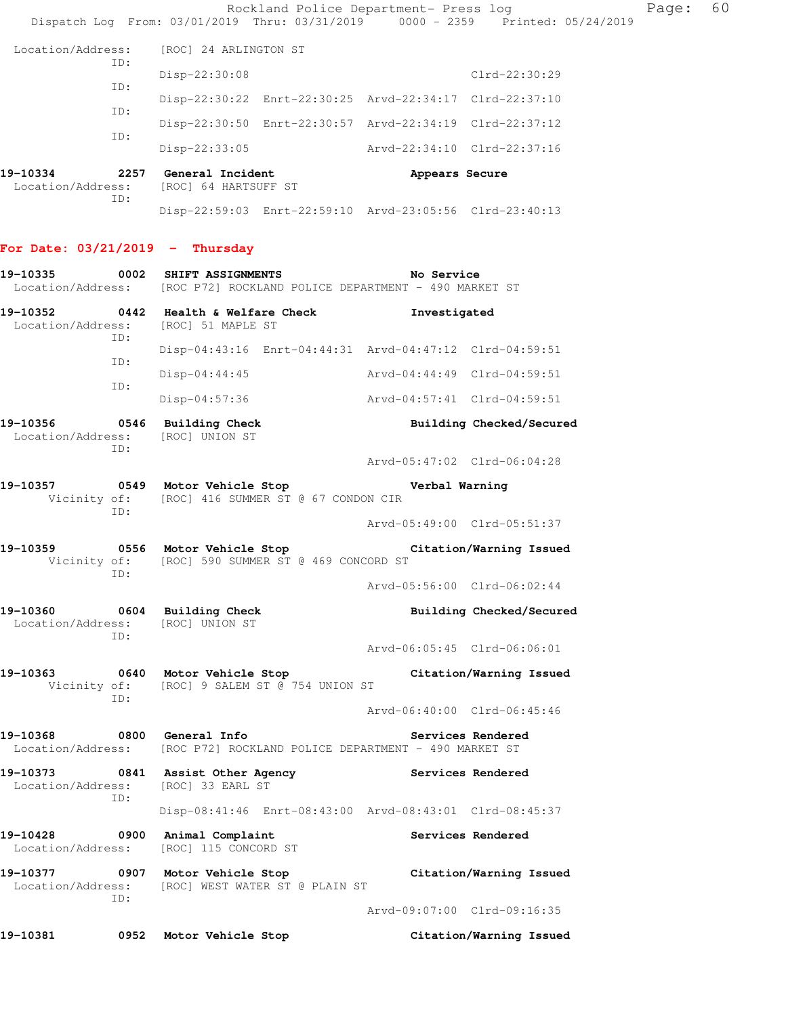|                                  |     | Rockland Police Department- Press log<br>Dispatch Log From: 03/01/2019 Thru: 03/31/2019 0000 - 2359 Printed: 05/24/2019                             |                             |                          | Page: | 60 |
|----------------------------------|-----|-----------------------------------------------------------------------------------------------------------------------------------------------------|-----------------------------|--------------------------|-------|----|
| Location/Address:                |     | [ROC] 24 ARLINGTON ST                                                                                                                               |                             |                          |       |    |
|                                  | ID: | Disp-22:30:08                                                                                                                                       |                             | Clrd-22:30:29            |       |    |
|                                  | ID: | Disp-22:30:22 Enrt-22:30:25 Arvd-22:34:17 Clrd-22:37:10                                                                                             |                             |                          |       |    |
|                                  | ID: | Disp-22:30:50 Enrt-22:30:57 Arvd-22:34:19 Clrd-22:37:12                                                                                             |                             |                          |       |    |
|                                  | ID: | $Disp-22:33:05$                                                                                                                                     | Arvd-22:34:10 Clrd-22:37:16 |                          |       |    |
|                                  |     |                                                                                                                                                     |                             |                          |       |    |
| 19-10334<br>Location/Address:    | ID: | 2257 General Incident<br>[ROC] 64 HARTSUFF ST                                                                                                       | Appears Secure              |                          |       |    |
|                                  |     | Disp-22:59:03 Enrt-22:59:10 Arvd-23:05:56 Clrd-23:40:13                                                                                             |                             |                          |       |    |
| For Date: 03/21/2019 - Thursday  |     |                                                                                                                                                     |                             |                          |       |    |
| 19-10335                         |     | 0002 SHIFT ASSIGNMENTS<br>Location/Address: [ROC P72] ROCKLAND POLICE DEPARTMENT - 490 MARKET ST                                                    | No Service                  |                          |       |    |
|                                  |     | 19-10352 0442 Health & Welfare Check                                                                                                                | Investigated                |                          |       |    |
| Location/Address:                | ID: | [ROC] 51 MAPLE ST                                                                                                                                   |                             |                          |       |    |
|                                  |     | Disp-04:43:16 Enrt-04:44:31 Arvd-04:47:12 Clrd-04:59:51                                                                                             |                             |                          |       |    |
|                                  | ID: | $Disp-04:44:45$                                                                                                                                     | Arvd-04:44:49 Clrd-04:59:51 |                          |       |    |
|                                  | ID: | $Disp-04:57:36$                                                                                                                                     | Arvd-04:57:41 Clrd-04:59:51 |                          |       |    |
| 19-10356                         |     | 0546 Building Check                                                                                                                                 |                             | Building Checked/Secured |       |    |
| Location/Address:                | ID: | [ROC] UNION ST                                                                                                                                      |                             |                          |       |    |
|                                  |     |                                                                                                                                                     | Arvd-05:47:02 Clrd-06:04:28 |                          |       |    |
| 19-10357                         | ID: | 0549 Motor Vehicle Stop<br>Vicinity of: [ROC] 416 SUMMER ST @ 67 CONDON CIR                                                                         | Verbal Warning              |                          |       |    |
|                                  |     |                                                                                                                                                     | Arvd-05:49:00 Clrd-05:51:37 |                          |       |    |
| 19-10359                         |     | 0556 Motor Vehicle Stop<br>Vicinity of: [ROC] 590 SUMMER ST @ 469 CONCORD ST                                                                        |                             | Citation/Warning Issued  |       |    |
|                                  | ID: |                                                                                                                                                     | Arvd-05:56:00 Clrd-06:02:44 |                          |       |    |
| Location/Address: [ROC] UNION ST |     | 19-10360 0604 Building Check                                                                                                                        |                             | Building Checked/Secured |       |    |
|                                  | ID: |                                                                                                                                                     | Arvd-06:05:45 Clrd-06:06:01 |                          |       |    |
|                                  |     | 19-10363 0640 Motor Vehicle Stop Citation/Warning Issued<br>Vicinity of: [ROC] 9 SALEM ST @ 754 UNION ST                                            |                             |                          |       |    |
|                                  | ID: |                                                                                                                                                     | Arvd-06:40:00 Clrd-06:45:46 |                          |       |    |
| 19-10368 0800 General Info       |     | Location/Address: [ROC P72] ROCKLAND POLICE DEPARTMENT - 490 MARKET ST                                                                              |                             | Services Rendered        |       |    |
| 19-10373                         |     | 0841 Assist Other Agency                                                                                                                            | Services Rendered           |                          |       |    |
| Location/Address:                | ID: | [ROC] 33 EARL ST                                                                                                                                    |                             |                          |       |    |
|                                  |     | Disp-08:41:46 Enrt-08:43:00 Arvd-08:43:01 Clrd-08:45:37                                                                                             |                             |                          |       |    |
| 19-10428<br>Location/Address:    |     | 0900 Animal Complaint<br>[ROC] 115 CONCORD ST                                                                                                       |                             | Services Rendered        |       |    |
|                                  | ID: | 19-10377              0907   Motor Vehicle Stop                         Citation/Warning Issued<br>Location/Address: [ROC] WEST WATER ST @ PLAIN ST |                             |                          |       |    |
|                                  |     |                                                                                                                                                     | Arvd-09:07:00 Clrd-09:16:35 |                          |       |    |
| 19-10381                         |     | 0952 Motor Vehicle Stop                                                                                                                             |                             | Citation/Warning Issued  |       |    |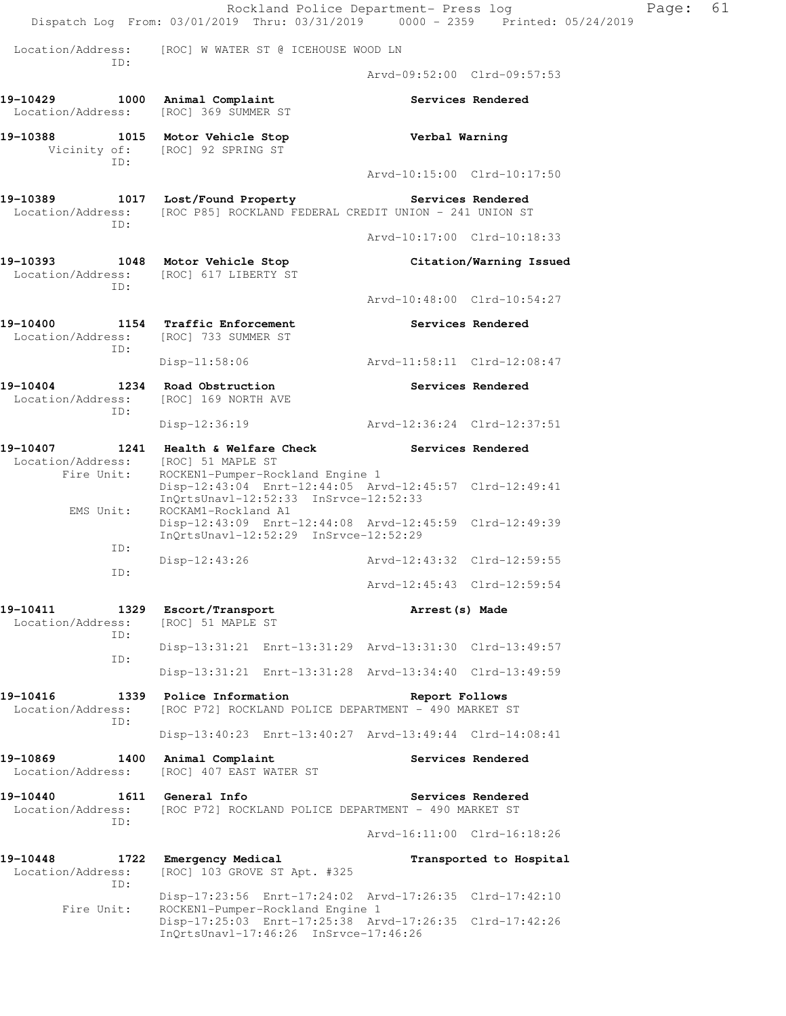|                                                                                | Rockland Police Department- Press log<br>Dispatch Log From: 03/01/2019 Thru: 03/31/2019 0000 - 2359 Printed: 05/24/2019 |                             |                         | Page: | 61 |
|--------------------------------------------------------------------------------|-------------------------------------------------------------------------------------------------------------------------|-----------------------------|-------------------------|-------|----|
| Location/Address:<br>ID:                                                       | [ROC] W WATER ST @ ICEHOUSE WOOD LN                                                                                     |                             |                         |       |    |
|                                                                                |                                                                                                                         | Arvd-09:52:00 Clrd-09:57:53 |                         |       |    |
| 19-10429 1000 Animal Complaint<br>Location/Address:                            | [ROC] 369 SUMMER ST                                                                                                     |                             | Services Rendered       |       |    |
| 19-10388 1015 Motor Vehicle Stop<br>TD:                                        | Vicinity of: [ROC] 92 SPRING ST                                                                                         | Verbal Warning              |                         |       |    |
|                                                                                |                                                                                                                         | Arvd-10:15:00 Clrd-10:17:50 |                         |       |    |
| Location/Address:<br>ID:                                                       | 19-10389 1017 Lost/Found Property<br>[ROC P85] ROCKLAND FEDERAL CREDIT UNION - 241 UNION ST                             | Services Rendered           |                         |       |    |
|                                                                                |                                                                                                                         | Arvd-10:17:00 Clrd-10:18:33 |                         |       |    |
| Location/Address:<br>TD:                                                       | 19-10393 1048 Motor Vehicle Stop<br>[ROC] 617 LIBERTY ST                                                                |                             | Citation/Warning Issued |       |    |
|                                                                                |                                                                                                                         | Arvd-10:48:00 Clrd-10:54:27 |                         |       |    |
| Location/Address: [ROC] 733 SUMMER ST<br>ID:                                   | 19-10400 1154 Traffic Enforcement                                                                                       |                             | Services Rendered       |       |    |
|                                                                                | Disp-11:58:06                                                                                                           | Arvd-11:58:11 Clrd-12:08:47 |                         |       |    |
| 19-10404 1234 Road Obstruction<br>Location/Address: [ROC] 169 NORTH AVE<br>ID: |                                                                                                                         |                             | Services Rendered       |       |    |
|                                                                                | $Disp-12:36:19$                                                                                                         | Arvd-12:36:24 Clrd-12:37:51 |                         |       |    |
| Location/Address:<br>Fire Unit:                                                | 19-10407 1241 Health & Welfare Check Services Rendered<br>[ROC] 51 MAPLE ST<br>ROCKEN1-Pumper-Rockland Engine 1         |                             |                         |       |    |
| EMS Unit:                                                                      | Disp-12:43:04 Enrt-12:44:05 Arvd-12:45:57 Clrd-12:49:41<br>InQrtsUnavl-12:52:33 InSrvce-12:52:33<br>ROCKAM1-Rockland A1 |                             |                         |       |    |
| ID:                                                                            | Disp-12:43:09 Enrt-12:44:08 Arvd-12:45:59 Clrd-12:49:39<br>InQrtsUnavl-12:52:29 InSrvce-12:52:29                        |                             |                         |       |    |
| ID:                                                                            | $Disp-12:43:26$                                                                                                         | Arvd-12:43:32 Clrd-12:59:55 |                         |       |    |
|                                                                                |                                                                                                                         | Arvd-12:45:43 Clrd-12:59:54 |                         |       |    |
| 19-10411<br>Location/Address:<br>ID:                                           | 1329 Escort/Transport<br>[ROC] 51 MAPLE ST                                                                              | Arrest (s) Made             |                         |       |    |
| ID:                                                                            | Disp-13:31:21 Enrt-13:31:29 Arvd-13:31:30 Clrd-13:49:57                                                                 |                             |                         |       |    |
|                                                                                | Disp-13:31:21 Enrt-13:31:28 Arvd-13:34:40 Clrd-13:49:59                                                                 |                             |                         |       |    |
| 19-10416<br>Location/Address:<br>ID:                                           | 1339 Police Information<br>[ROC P72] ROCKLAND POLICE DEPARTMENT - 490 MARKET ST                                         | Report Follows              |                         |       |    |
|                                                                                | Disp-13:40:23 Enrt-13:40:27 Arvd-13:49:44 Clrd-14:08:41                                                                 |                             |                         |       |    |
| 19-10869<br>Location/Address:                                                  | 1400 Animal Complaint<br>[ROC] 407 EAST WATER ST                                                                        |                             | Services Rendered       |       |    |
| 19-10440   1611   General Info<br>Location/Address:<br>ID:                     | [ROC P72] ROCKLAND POLICE DEPARTMENT - 490 MARKET ST                                                                    |                             | Services Rendered       |       |    |
|                                                                                |                                                                                                                         | Arvd-16:11:00 Clrd-16:18:26 |                         |       |    |
| 19-10448<br>Location/Address:<br>ID:                                           | 1722 Emergency Medical<br>[ROC] 103 GROVE ST Apt. #325                                                                  |                             | Transported to Hospital |       |    |
| Fire Unit:                                                                     | Disp-17:23:56 Enrt-17:24:02 Arvd-17:26:35 Clrd-17:42:10<br>ROCKEN1-Pumper-Rockland Engine 1                             |                             |                         |       |    |
|                                                                                | Disp-17:25:03 Enrt-17:25:38 Arvd-17:26:35 Clrd-17:42:26<br>InQrtsUnavl-17:46:26 InSrvce-17:46:26                        |                             |                         |       |    |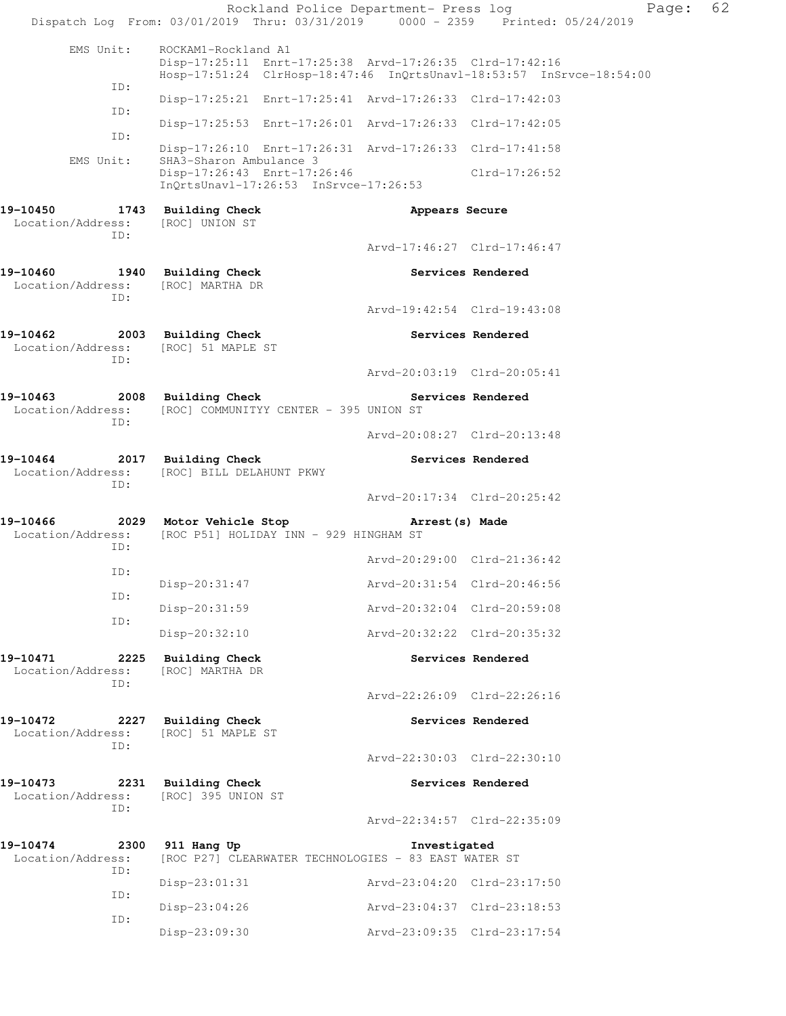| EMS Unit:<br>ROCKAM1-Rockland A1<br>Disp-17:25:11 Enrt-17:25:38 Arvd-17:26:35 Clrd-17:42:16<br>Hosp-17:51:24 ClrHosp-18:47:46 InQrtsUnavl-18:53:57 InSrvce-18:54:00<br>ID:<br>Disp-17:25:21 Enrt-17:25:41 Arvd-17:26:33 Clrd-17:42:03<br>ID:<br>Disp-17:25:53 Enrt-17:26:01 Arvd-17:26:33 Clrd-17:42:05<br>ID:<br>Disp-17:26:10 Enrt-17:26:31 Arvd-17:26:33 Clrd-17:41:58<br>SHA3-Sharon Ambulance 3<br>EMS Unit:<br>Disp-17:26:43 Enrt-17:26:46<br>Clrd-17:26:52<br>$InQrtsUnav1-17:26:53$ $InSrvce-17:26:53$<br>19-10450<br>1743 Building Check<br>Appears Secure<br>Location/Address:<br>[ROC] UNION ST<br>ID:<br>Arvd-17:46:27 Clrd-17:46:47<br>19-10460<br>1940 Building Check<br>Services Rendered<br>Location/Address:<br>[ROC] MARTHA DR<br>ID:<br>Arvd-19:42:54 Clrd-19:43:08<br>19-10462<br>2003 Building Check<br>Services Rendered<br>Location/Address:<br>[ROC] 51 MAPLE ST<br>TD:<br>Arvd-20:03:19 Clrd-20:05:41<br>19-10463<br>2008 Building Check<br>Services Rendered<br>Location/Address:<br>[ROC] COMMUNITYY CENTER - 395 UNION ST<br>ID:<br>Arvd-20:08:27 Clrd-20:13:48<br>19-10464<br>2017 Building Check<br>Services Rendered<br>Location/Address:<br>[ROC] BILL DELAHUNT PKWY<br>ID:<br>Arvd-20:17:34 Clrd-20:25:42<br>19-10466 2029 Motor Vehicle Stop<br>Arrest(s) Made<br>[ROC P51] HOLIDAY INN - 929 HINGHAM ST<br>Location/Address:<br>ID:<br>Arvd-20:29:00 Clrd-21:36:42<br>ID:<br>Disp-20:31:47<br>Arvd-20:31:54 Clrd-20:46:56<br>ID:<br>Disp-20:31:59<br>Arvd-20:32:04 Clrd-20:59:08<br>ID:<br>Arvd-20:32:22 Clrd-20:35:32<br>$Disp-20:32:10$<br>19-10471<br>2225<br><b>Building Check</b><br>Services Rendered<br>Location/Address:<br>[ROC] MARTHA DR<br>ID:<br>Arvd-22:26:09 Clrd-22:26:16<br>19-10472<br>2227<br><b>Building Check</b><br>Services Rendered<br>Location/Address:<br>[ROC] 51 MAPLE ST<br>ID:<br>Arvd-22:30:03 Clrd-22:30:10<br>19-10473<br>2231<br>Building Check<br>Services Rendered<br>Location/Address:<br>[ROC] 395 UNION ST<br>ID:<br>Arvd-22:34:57 Clrd-22:35:09<br>19-10474<br>2300<br>911 Hang Up<br>Investigated<br>Location/Address:<br>[ROC P27] CLEARWATER TECHNOLOGIES - 83 EAST WATER ST<br>ID:<br>Disp-23:01:31<br>Arvd-23:04:20 Clrd-23:17:50<br>ID:<br>$Disp-23:04:26$<br>Arvd-23:04:37 Clrd-23:18:53<br>ID:<br>Disp-23:09:30<br>Arvd-23:09:35 Clrd-23:17:54 |  | Rockland Police Department- Press log<br>Dispatch Log From: 03/01/2019 Thru: 03/31/2019 0000 - 2359 Printed: 05/24/2019 |  |  | Page: | 62 |
|-----------------------------------------------------------------------------------------------------------------------------------------------------------------------------------------------------------------------------------------------------------------------------------------------------------------------------------------------------------------------------------------------------------------------------------------------------------------------------------------------------------------------------------------------------------------------------------------------------------------------------------------------------------------------------------------------------------------------------------------------------------------------------------------------------------------------------------------------------------------------------------------------------------------------------------------------------------------------------------------------------------------------------------------------------------------------------------------------------------------------------------------------------------------------------------------------------------------------------------------------------------------------------------------------------------------------------------------------------------------------------------------------------------------------------------------------------------------------------------------------------------------------------------------------------------------------------------------------------------------------------------------------------------------------------------------------------------------------------------------------------------------------------------------------------------------------------------------------------------------------------------------------------------------------------------------------------------------------------------------------------------------------------------------------------------------------------------------------------------------------------------------------------------------------------------------------------------------------------------------------------------------------------------------------------------------------------------|--|-------------------------------------------------------------------------------------------------------------------------|--|--|-------|----|
|                                                                                                                                                                                                                                                                                                                                                                                                                                                                                                                                                                                                                                                                                                                                                                                                                                                                                                                                                                                                                                                                                                                                                                                                                                                                                                                                                                                                                                                                                                                                                                                                                                                                                                                                                                                                                                                                                                                                                                                                                                                                                                                                                                                                                                                                                                                                   |  |                                                                                                                         |  |  |       |    |
|                                                                                                                                                                                                                                                                                                                                                                                                                                                                                                                                                                                                                                                                                                                                                                                                                                                                                                                                                                                                                                                                                                                                                                                                                                                                                                                                                                                                                                                                                                                                                                                                                                                                                                                                                                                                                                                                                                                                                                                                                                                                                                                                                                                                                                                                                                                                   |  |                                                                                                                         |  |  |       |    |
|                                                                                                                                                                                                                                                                                                                                                                                                                                                                                                                                                                                                                                                                                                                                                                                                                                                                                                                                                                                                                                                                                                                                                                                                                                                                                                                                                                                                                                                                                                                                                                                                                                                                                                                                                                                                                                                                                                                                                                                                                                                                                                                                                                                                                                                                                                                                   |  |                                                                                                                         |  |  |       |    |
|                                                                                                                                                                                                                                                                                                                                                                                                                                                                                                                                                                                                                                                                                                                                                                                                                                                                                                                                                                                                                                                                                                                                                                                                                                                                                                                                                                                                                                                                                                                                                                                                                                                                                                                                                                                                                                                                                                                                                                                                                                                                                                                                                                                                                                                                                                                                   |  |                                                                                                                         |  |  |       |    |
|                                                                                                                                                                                                                                                                                                                                                                                                                                                                                                                                                                                                                                                                                                                                                                                                                                                                                                                                                                                                                                                                                                                                                                                                                                                                                                                                                                                                                                                                                                                                                                                                                                                                                                                                                                                                                                                                                                                                                                                                                                                                                                                                                                                                                                                                                                                                   |  |                                                                                                                         |  |  |       |    |
|                                                                                                                                                                                                                                                                                                                                                                                                                                                                                                                                                                                                                                                                                                                                                                                                                                                                                                                                                                                                                                                                                                                                                                                                                                                                                                                                                                                                                                                                                                                                                                                                                                                                                                                                                                                                                                                                                                                                                                                                                                                                                                                                                                                                                                                                                                                                   |  |                                                                                                                         |  |  |       |    |
|                                                                                                                                                                                                                                                                                                                                                                                                                                                                                                                                                                                                                                                                                                                                                                                                                                                                                                                                                                                                                                                                                                                                                                                                                                                                                                                                                                                                                                                                                                                                                                                                                                                                                                                                                                                                                                                                                                                                                                                                                                                                                                                                                                                                                                                                                                                                   |  |                                                                                                                         |  |  |       |    |
|                                                                                                                                                                                                                                                                                                                                                                                                                                                                                                                                                                                                                                                                                                                                                                                                                                                                                                                                                                                                                                                                                                                                                                                                                                                                                                                                                                                                                                                                                                                                                                                                                                                                                                                                                                                                                                                                                                                                                                                                                                                                                                                                                                                                                                                                                                                                   |  |                                                                                                                         |  |  |       |    |
|                                                                                                                                                                                                                                                                                                                                                                                                                                                                                                                                                                                                                                                                                                                                                                                                                                                                                                                                                                                                                                                                                                                                                                                                                                                                                                                                                                                                                                                                                                                                                                                                                                                                                                                                                                                                                                                                                                                                                                                                                                                                                                                                                                                                                                                                                                                                   |  |                                                                                                                         |  |  |       |    |
|                                                                                                                                                                                                                                                                                                                                                                                                                                                                                                                                                                                                                                                                                                                                                                                                                                                                                                                                                                                                                                                                                                                                                                                                                                                                                                                                                                                                                                                                                                                                                                                                                                                                                                                                                                                                                                                                                                                                                                                                                                                                                                                                                                                                                                                                                                                                   |  |                                                                                                                         |  |  |       |    |
|                                                                                                                                                                                                                                                                                                                                                                                                                                                                                                                                                                                                                                                                                                                                                                                                                                                                                                                                                                                                                                                                                                                                                                                                                                                                                                                                                                                                                                                                                                                                                                                                                                                                                                                                                                                                                                                                                                                                                                                                                                                                                                                                                                                                                                                                                                                                   |  |                                                                                                                         |  |  |       |    |
|                                                                                                                                                                                                                                                                                                                                                                                                                                                                                                                                                                                                                                                                                                                                                                                                                                                                                                                                                                                                                                                                                                                                                                                                                                                                                                                                                                                                                                                                                                                                                                                                                                                                                                                                                                                                                                                                                                                                                                                                                                                                                                                                                                                                                                                                                                                                   |  |                                                                                                                         |  |  |       |    |
|                                                                                                                                                                                                                                                                                                                                                                                                                                                                                                                                                                                                                                                                                                                                                                                                                                                                                                                                                                                                                                                                                                                                                                                                                                                                                                                                                                                                                                                                                                                                                                                                                                                                                                                                                                                                                                                                                                                                                                                                                                                                                                                                                                                                                                                                                                                                   |  |                                                                                                                         |  |  |       |    |
|                                                                                                                                                                                                                                                                                                                                                                                                                                                                                                                                                                                                                                                                                                                                                                                                                                                                                                                                                                                                                                                                                                                                                                                                                                                                                                                                                                                                                                                                                                                                                                                                                                                                                                                                                                                                                                                                                                                                                                                                                                                                                                                                                                                                                                                                                                                                   |  |                                                                                                                         |  |  |       |    |
|                                                                                                                                                                                                                                                                                                                                                                                                                                                                                                                                                                                                                                                                                                                                                                                                                                                                                                                                                                                                                                                                                                                                                                                                                                                                                                                                                                                                                                                                                                                                                                                                                                                                                                                                                                                                                                                                                                                                                                                                                                                                                                                                                                                                                                                                                                                                   |  |                                                                                                                         |  |  |       |    |
|                                                                                                                                                                                                                                                                                                                                                                                                                                                                                                                                                                                                                                                                                                                                                                                                                                                                                                                                                                                                                                                                                                                                                                                                                                                                                                                                                                                                                                                                                                                                                                                                                                                                                                                                                                                                                                                                                                                                                                                                                                                                                                                                                                                                                                                                                                                                   |  |                                                                                                                         |  |  |       |    |
|                                                                                                                                                                                                                                                                                                                                                                                                                                                                                                                                                                                                                                                                                                                                                                                                                                                                                                                                                                                                                                                                                                                                                                                                                                                                                                                                                                                                                                                                                                                                                                                                                                                                                                                                                                                                                                                                                                                                                                                                                                                                                                                                                                                                                                                                                                                                   |  |                                                                                                                         |  |  |       |    |
|                                                                                                                                                                                                                                                                                                                                                                                                                                                                                                                                                                                                                                                                                                                                                                                                                                                                                                                                                                                                                                                                                                                                                                                                                                                                                                                                                                                                                                                                                                                                                                                                                                                                                                                                                                                                                                                                                                                                                                                                                                                                                                                                                                                                                                                                                                                                   |  |                                                                                                                         |  |  |       |    |
|                                                                                                                                                                                                                                                                                                                                                                                                                                                                                                                                                                                                                                                                                                                                                                                                                                                                                                                                                                                                                                                                                                                                                                                                                                                                                                                                                                                                                                                                                                                                                                                                                                                                                                                                                                                                                                                                                                                                                                                                                                                                                                                                                                                                                                                                                                                                   |  |                                                                                                                         |  |  |       |    |
|                                                                                                                                                                                                                                                                                                                                                                                                                                                                                                                                                                                                                                                                                                                                                                                                                                                                                                                                                                                                                                                                                                                                                                                                                                                                                                                                                                                                                                                                                                                                                                                                                                                                                                                                                                                                                                                                                                                                                                                                                                                                                                                                                                                                                                                                                                                                   |  |                                                                                                                         |  |  |       |    |
|                                                                                                                                                                                                                                                                                                                                                                                                                                                                                                                                                                                                                                                                                                                                                                                                                                                                                                                                                                                                                                                                                                                                                                                                                                                                                                                                                                                                                                                                                                                                                                                                                                                                                                                                                                                                                                                                                                                                                                                                                                                                                                                                                                                                                                                                                                                                   |  |                                                                                                                         |  |  |       |    |
|                                                                                                                                                                                                                                                                                                                                                                                                                                                                                                                                                                                                                                                                                                                                                                                                                                                                                                                                                                                                                                                                                                                                                                                                                                                                                                                                                                                                                                                                                                                                                                                                                                                                                                                                                                                                                                                                                                                                                                                                                                                                                                                                                                                                                                                                                                                                   |  |                                                                                                                         |  |  |       |    |
|                                                                                                                                                                                                                                                                                                                                                                                                                                                                                                                                                                                                                                                                                                                                                                                                                                                                                                                                                                                                                                                                                                                                                                                                                                                                                                                                                                                                                                                                                                                                                                                                                                                                                                                                                                                                                                                                                                                                                                                                                                                                                                                                                                                                                                                                                                                                   |  |                                                                                                                         |  |  |       |    |
|                                                                                                                                                                                                                                                                                                                                                                                                                                                                                                                                                                                                                                                                                                                                                                                                                                                                                                                                                                                                                                                                                                                                                                                                                                                                                                                                                                                                                                                                                                                                                                                                                                                                                                                                                                                                                                                                                                                                                                                                                                                                                                                                                                                                                                                                                                                                   |  |                                                                                                                         |  |  |       |    |
|                                                                                                                                                                                                                                                                                                                                                                                                                                                                                                                                                                                                                                                                                                                                                                                                                                                                                                                                                                                                                                                                                                                                                                                                                                                                                                                                                                                                                                                                                                                                                                                                                                                                                                                                                                                                                                                                                                                                                                                                                                                                                                                                                                                                                                                                                                                                   |  |                                                                                                                         |  |  |       |    |
|                                                                                                                                                                                                                                                                                                                                                                                                                                                                                                                                                                                                                                                                                                                                                                                                                                                                                                                                                                                                                                                                                                                                                                                                                                                                                                                                                                                                                                                                                                                                                                                                                                                                                                                                                                                                                                                                                                                                                                                                                                                                                                                                                                                                                                                                                                                                   |  |                                                                                                                         |  |  |       |    |
|                                                                                                                                                                                                                                                                                                                                                                                                                                                                                                                                                                                                                                                                                                                                                                                                                                                                                                                                                                                                                                                                                                                                                                                                                                                                                                                                                                                                                                                                                                                                                                                                                                                                                                                                                                                                                                                                                                                                                                                                                                                                                                                                                                                                                                                                                                                                   |  |                                                                                                                         |  |  |       |    |
|                                                                                                                                                                                                                                                                                                                                                                                                                                                                                                                                                                                                                                                                                                                                                                                                                                                                                                                                                                                                                                                                                                                                                                                                                                                                                                                                                                                                                                                                                                                                                                                                                                                                                                                                                                                                                                                                                                                                                                                                                                                                                                                                                                                                                                                                                                                                   |  |                                                                                                                         |  |  |       |    |
|                                                                                                                                                                                                                                                                                                                                                                                                                                                                                                                                                                                                                                                                                                                                                                                                                                                                                                                                                                                                                                                                                                                                                                                                                                                                                                                                                                                                                                                                                                                                                                                                                                                                                                                                                                                                                                                                                                                                                                                                                                                                                                                                                                                                                                                                                                                                   |  |                                                                                                                         |  |  |       |    |
|                                                                                                                                                                                                                                                                                                                                                                                                                                                                                                                                                                                                                                                                                                                                                                                                                                                                                                                                                                                                                                                                                                                                                                                                                                                                                                                                                                                                                                                                                                                                                                                                                                                                                                                                                                                                                                                                                                                                                                                                                                                                                                                                                                                                                                                                                                                                   |  |                                                                                                                         |  |  |       |    |
|                                                                                                                                                                                                                                                                                                                                                                                                                                                                                                                                                                                                                                                                                                                                                                                                                                                                                                                                                                                                                                                                                                                                                                                                                                                                                                                                                                                                                                                                                                                                                                                                                                                                                                                                                                                                                                                                                                                                                                                                                                                                                                                                                                                                                                                                                                                                   |  |                                                                                                                         |  |  |       |    |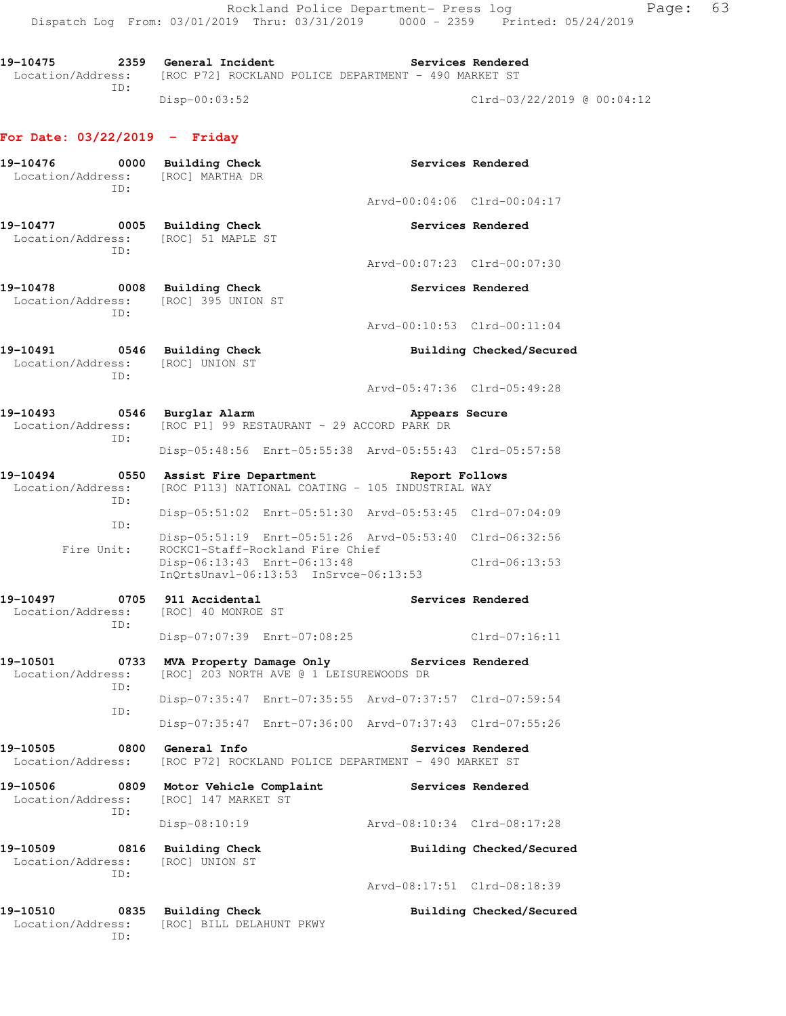19-10475 **2359** General Incident **Services Rendered** Location/Address: [ROC P72] ROCKLAND POLICE DEPARTMENT - 490 MARKET ST ID: Disp-00:03:52 Clrd-03/22/2019 @ 00:04:12

#### **For Date: 03/22/2019 - Friday**

| 19-10476<br>Location/Address:                |      | 0000 Building Check<br>[ROC] MARTHA DR                                                                                                                              |                             | Services Rendered        |
|----------------------------------------------|------|---------------------------------------------------------------------------------------------------------------------------------------------------------------------|-----------------------------|--------------------------|
| TD:                                          |      |                                                                                                                                                                     | Arvd-00:04:06 Clrd-00:04:17 |                          |
| 19-10477<br>Location/Address:<br>TD:         |      | 0005 Building Check<br>[ROC] 51 MAPLE ST                                                                                                                            |                             | Services Rendered        |
|                                              |      |                                                                                                                                                                     | Arvd-00:07:23 Clrd-00:07:30 |                          |
| 19-10478<br>Location/Address:<br>TD:         |      | 0008 Building Check<br>[ROC] 395 UNION ST                                                                                                                           |                             | Services Rendered        |
|                                              |      |                                                                                                                                                                     | Arvd-00:10:53 Clrd-00:11:04 |                          |
| 19-10491<br>Location/Address:<br>ID:         |      | 0546 Building Check<br>[ROC] UNION ST                                                                                                                               |                             | Building Checked/Secured |
|                                              |      |                                                                                                                                                                     | Arvd-05:47:36 Clrd-05:49:28 |                          |
| 19-10493<br>Location/Address:<br>TD:         |      | 0546 Burglar Alarm<br>[ROC P1] 99 RESTAURANT - 29 ACCORD PARK DR                                                                                                    | Appears Secure              |                          |
|                                              |      | Disp-05:48:56 Enrt-05:55:38 Arvd-05:55:43 Clrd-05:57:58                                                                                                             |                             |                          |
| 19-10494<br>Location/Address:<br>ID:         |      | 0550 Assist Fire Department The Report Follows<br>[ROC P113] NATIONAL COATING - 105 INDUSTRIAL WAY                                                                  |                             |                          |
| ID:                                          |      | Disp-05:51:02 Enrt-05:51:30 Arvd-05:53:45 Clrd-07:04:09                                                                                                             |                             |                          |
| Fire Unit:                                   |      | Disp-05:51:19 Enrt-05:51:26 Arvd-05:53:40 Clrd-06:32:56<br>ROCKC1-Staff-Rockland Fire Chief<br>Disp-06:13:43 Enrt-06:13:48<br>InOrtsUnav1-06:13:53 InSrvce-06:13:53 |                             | $Clrd-06:13:53$          |
| 19-10497<br>Location/Address:                |      | 0705 911 Accidental<br>[ROC] 40 MONROE ST                                                                                                                           |                             | Services Rendered        |
| ID:                                          |      | Disp-07:07:39 Enrt-07:08:25                                                                                                                                         |                             | Clrd-07:16:11            |
| 19-10501<br>Location/Address:                |      | 0733 MVA Property Damage Only<br>[ROC] 203 NORTH AVE @ 1 LEISUREWOODS DR                                                                                            | Services Rendered           |                          |
| ID:<br>ID:                                   |      | Disp-07:35:47 Enrt-07:35:55 Arvd-07:37:57 Clrd-07:59:54                                                                                                             |                             |                          |
|                                              |      | Disp-07:35:47 Enrt-07:36:00 Arvd-07:37:43 Clrd-07:55:26                                                                                                             |                             |                          |
| 19-10505<br>Location/Address:                | 0800 | General Info<br>[ROC P72] ROCKLAND POLICE DEPARTMENT - 490 MARKET ST                                                                                                |                             | Services Rendered        |
| 19-10506<br>0809<br>Location/Address:<br>ID: |      | Motor Vehicle Complaint<br>[ROC] 147 MARKET ST                                                                                                                      |                             | Services Rendered        |
|                                              |      | Disp-08:10:19                                                                                                                                                       | Arvd-08:10:34 Clrd-08:17:28 |                          |
| 19-10509<br>Location/Address:<br>ID:         | 0816 | <b>Building Check</b><br>[ROC] UNION ST                                                                                                                             |                             | Building Checked/Secured |
|                                              |      |                                                                                                                                                                     | Arvd-08:17:51 Clrd-08:18:39 |                          |
| 19-10510<br>Location/Address:                | 0835 | <b>Building Check</b><br>[ROC] BILL DELAHUNT PKWY                                                                                                                   |                             | Building Checked/Secured |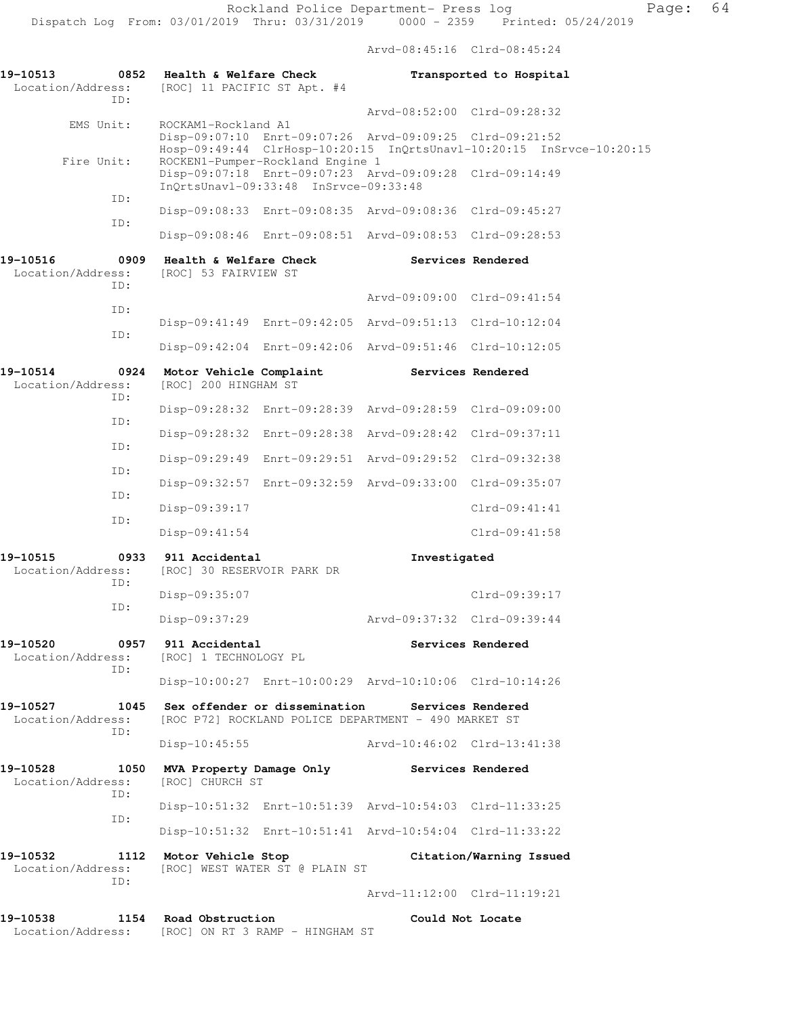Arvd-08:45:16 Clrd-08:45:24

| 19-10513<br>0852<br>Location/Address:                         | Health & Welfare Check<br>[ROC] 11 PACIFIC ST Apt. #4                                                                                |                             | Transported to Hospital                                              |
|---------------------------------------------------------------|--------------------------------------------------------------------------------------------------------------------------------------|-----------------------------|----------------------------------------------------------------------|
| TD:                                                           |                                                                                                                                      | Arvd-08:52:00 Clrd-09:28:32 |                                                                      |
| EMS Unit:                                                     | ROCKAM1-Rockland A1<br>Disp-09:07:10 Enrt-09:07:26 Arvd-09:09:25 Clrd-09:21:52                                                       |                             | Hosp-09:49:44 ClrHosp-10:20:15 InQrtsUnavl-10:20:15 InSrvce-10:20:15 |
| Fire Unit:                                                    | ROCKEN1-Pumper-Rockland Engine 1<br>Disp-09:07:18 Enrt-09:07:23 Arvd-09:09:28 Clrd-09:14:49<br>InQrtsUnavl-09:33:48 InSrvce-09:33:48 |                             |                                                                      |
| ID:                                                           | Disp-09:08:33 Enrt-09:08:35 Arvd-09:08:36 Clrd-09:45:27                                                                              |                             |                                                                      |
| ID:                                                           | Disp-09:08:46 Enrt-09:08:51 Arvd-09:08:53 Clrd-09:28:53                                                                              |                             |                                                                      |
| 0909<br>19-10516<br>Location/Address:                         | Health & Welfare Check<br>[ROC] 53 FAIRVIEW ST                                                                                       |                             | Services Rendered                                                    |
| ID:                                                           |                                                                                                                                      | Arvd-09:09:00 Clrd-09:41:54 |                                                                      |
| ID:<br>ID:                                                    | Disp-09:41:49 Enrt-09:42:05 Arvd-09:51:13 Clrd-10:12:04                                                                              |                             |                                                                      |
|                                                               | Disp-09:42:04 Enrt-09:42:06 Arvd-09:51:46 Clrd-10:12:05                                                                              |                             |                                                                      |
| 19-10514<br>0924<br>Location/Address:<br>ID:                  | Motor Vehicle Complaint<br>[ROC] 200 HINGHAM ST                                                                                      |                             | Services Rendered                                                    |
|                                                               | Disp-09:28:32 Enrt-09:28:39 Arvd-09:28:59 Clrd-09:09:00                                                                              |                             |                                                                      |
| ID:                                                           | Disp-09:28:32 Enrt-09:28:38 Arvd-09:28:42 Clrd-09:37:11                                                                              |                             |                                                                      |
| ID:                                                           | Disp-09:29:49 Enrt-09:29:51 Arvd-09:29:52 Clrd-09:32:38                                                                              |                             |                                                                      |
| ID:                                                           | Disp-09:32:57 Enrt-09:32:59 Arvd-09:33:00 Clrd-09:35:07                                                                              |                             |                                                                      |
| ID:                                                           | Disp-09:39:17                                                                                                                        |                             | $Clrd-09:41:41$                                                      |
| ID:                                                           | $Disp-09:41:54$                                                                                                                      |                             | $Clrd-09:41:58$                                                      |
| 19-10515<br>0933<br>Location/Address:                         | 911 Accidental<br>[ROC] 30 RESERVOIR PARK DR                                                                                         | Investigated                |                                                                      |
| ID:                                                           | Disp-09:35:07                                                                                                                        |                             | Clrd-09:39:17                                                        |
| ID:                                                           | Disp-09:37:29                                                                                                                        | Arvd-09:37:32 Clrd-09:39:44 |                                                                      |
| 19-10520<br>Location/Address: [ROC] 1 TECHNOLOGY PL           | 0957 911 Accidental                                                                                                                  |                             | Services Rendered                                                    |
| ID:                                                           | Disp-10:00:27 Enrt-10:00:29 Arvd-10:10:06 Clrd-10:14:26                                                                              |                             |                                                                      |
| 19-10527<br>Location/Address:                                 | 1045 Sex offender or dissemination Services Rendered<br>[ROC P72] ROCKLAND POLICE DEPARTMENT - 490 MARKET ST                         |                             |                                                                      |
| ID:                                                           | $Disp-10:45:55$                                                                                                                      |                             |                                                                      |
| 19-10528<br>Location/Address:                                 | 1050 MVA Property Damage Only Services Rendered<br>[ROC] CHURCH ST                                                                   |                             |                                                                      |
| ID:                                                           | Disp-10:51:32 Enrt-10:51:39 Arvd-10:54:03 Clrd-11:33:25                                                                              |                             |                                                                      |
| ID:                                                           | Disp-10:51:32 Enrt-10:51:41 Arvd-10:54:04 Clrd-11:33:22                                                                              |                             |                                                                      |
| 19-10532<br>Location/Address: [ROC] WEST WATER ST @ PLAIN ST  | 1112 Motor Vehicle Stop                                                                                                              |                             | Citation/Warning Issued                                              |
| ID:                                                           |                                                                                                                                      | Arvd-11:12:00 Clrd-11:19:21 |                                                                      |
| 19-10538<br>Location/Address: [ROC] ON RT 3 RAMP - HINGHAM ST | 1154 Road Obstruction                                                                                                                | Could Not Locate            |                                                                      |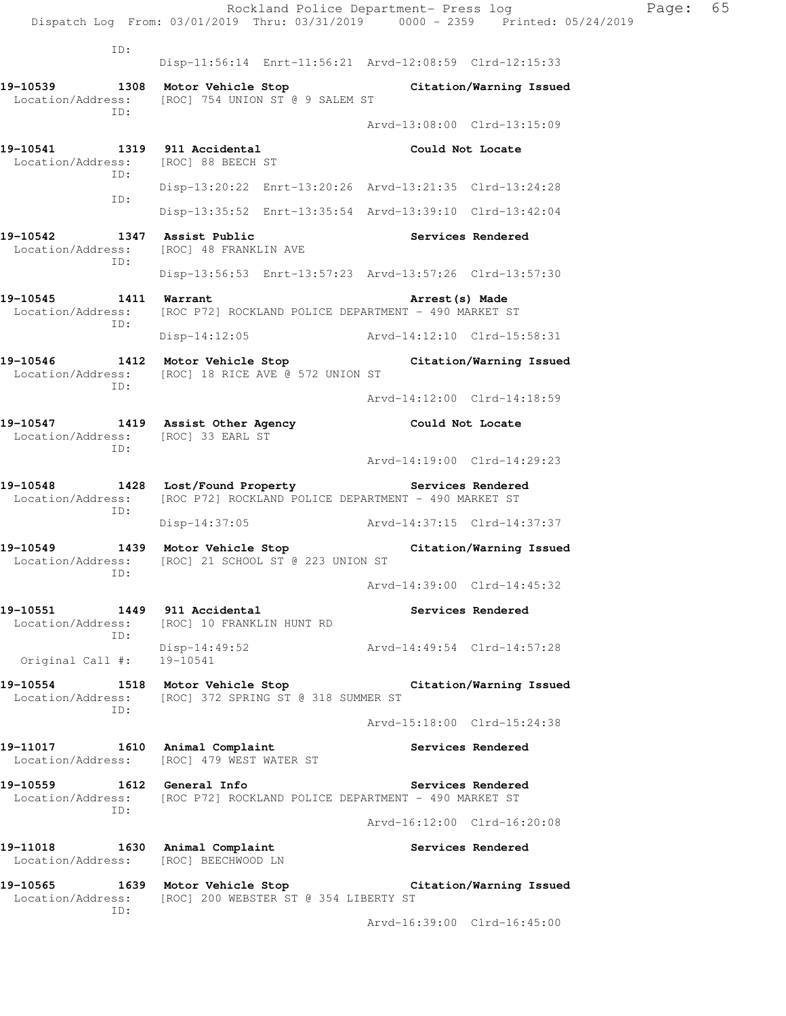|                                                                            | Rockland Police Department- Press log<br>Dispatch Log From: 03/01/2019 Thru: 03/31/2019 0000 - 2359 Printed: 05/24/2019 |                             |                   | Page: | 65 |
|----------------------------------------------------------------------------|-------------------------------------------------------------------------------------------------------------------------|-----------------------------|-------------------|-------|----|
| ID:                                                                        | Disp-11:56:14 Enrt-11:56:21 Arvd-12:08:59 Clrd-12:15:33                                                                 |                             |                   |       |    |
|                                                                            | 19-10539 1308 Motor Vehicle Stop Citation/Warning Issued<br>Location/Address: [ROC] 754 UNION ST @ 9 SALEM ST           |                             |                   |       |    |
| ID:                                                                        |                                                                                                                         | Arvd-13:08:00 Clrd-13:15:09 |                   |       |    |
| 19-10541 1319 911 Accidental<br>Location/Address: [ROC] 88 BEECH ST<br>ID: |                                                                                                                         | Could Not Locate            |                   |       |    |
| ID:                                                                        | Disp-13:20:22 Enrt-13:20:26 Arvd-13:21:35 Clrd-13:24:28                                                                 |                             |                   |       |    |
|                                                                            | Disp-13:35:52 Enrt-13:35:54 Arvd-13:39:10 Clrd-13:42:04                                                                 |                             |                   |       |    |
| 19-10542<br>ID:                                                            | 1347 Assist Public<br>Location/Address: [ROC] 48 FRANKLIN AVE                                                           |                             | Services Rendered |       |    |
|                                                                            | Disp-13:56:53 Enrt-13:57:23 Arvd-13:57:26 Clrd-13:57:30                                                                 |                             |                   |       |    |
| 19-10545<br>1411 Warrant<br>Location/Address:<br>ID:                       | [ROC P72] ROCKLAND POLICE DEPARTMENT - 490 MARKET ST                                                                    | Arrest (s) Made             |                   |       |    |
|                                                                            | Disp-14:12:05 Arvd-14:12:10 Clrd-15:58:31                                                                               |                             |                   |       |    |
| 19-10546<br>Location/Address:<br>ID:                                       | 1412 Motor Vehicle Stop Citation/Warning Issued<br>[ROC] 18 RICE AVE @ 572 UNION ST                                     |                             |                   |       |    |
|                                                                            |                                                                                                                         | Arvd-14:12:00 Clrd-14:18:59 |                   |       |    |
| Location/Address: [ROC] 33 EARL ST<br>ID:                                  | 19-10547 1419 Assist Other Agency 19-10547 Could Not Locate                                                             |                             |                   |       |    |
|                                                                            |                                                                                                                         | Arvd-14:19:00 Clrd-14:29:23 |                   |       |    |
| Location/Address:<br>ID:                                                   | 19-10548 1428 Lost/Found Property The Services Rendered<br>[ROC P72] ROCKLAND POLICE DEPARTMENT - 490 MARKET ST         |                             |                   |       |    |
|                                                                            | Disp-14:37:05 Arvd-14:37:15 Clrd-14:37:37                                                                               |                             |                   |       |    |
| ID:                                                                        | 19-10549 1439 Motor Vehicle Stop Citation/Warning Issued<br>Location/Address: [ROC] 21 SCHOOL ST @ 223 UNION ST         |                             |                   |       |    |
|                                                                            |                                                                                                                         | Arvd-14:39:00 Clrd-14:45:32 |                   |       |    |
| ID:                                                                        | 19-10551 1449 911 Accidental 19-10551 Services Rendered<br>Location/Address: [ROC] 10 FRANKLIN HUNT RD                  |                             |                   |       |    |
| Original Call #: 19-10541                                                  | Disp-14:49:52<br>Arvd-14:49:54<br>Clrd-14:57:28                                                                         |                             |                   |       |    |
| ID:                                                                        | 19-10554 1518 Motor Vehicle Stop Citation/Warning Issued<br>Location/Address: [ROC] 372 SPRING ST @ 318 SUMMER ST       |                             |                   |       |    |
|                                                                            |                                                                                                                         | Arvd-15:18:00 Clrd-15:24:38 |                   |       |    |
|                                                                            | 19-11017 1610 Animal Complaint 2008 Services Rendered<br>Location/Address: [ROC] 479 WEST WATER ST                      |                             |                   |       |    |
| 19-10559 1612 General Info<br>ID:                                          | Location/Address: [ROC P72] ROCKLAND POLICE DEPARTMENT - 490 MARKET ST                                                  |                             | Services Rendered |       |    |
|                                                                            |                                                                                                                         | Arvd-16:12:00 Clrd-16:20:08 |                   |       |    |
|                                                                            | 19-11018 1630 Animal Complaint<br>Location/Address: [ROC] BEECHWOOD LN                                                  | Services Rendered           |                   |       |    |
| ID:                                                                        | 19-10565 1639 Motor Vehicle Stop Citation/Warning Issued<br>Location/Address: [ROC] 200 WEBSTER ST @ 354 LIBERTY ST     |                             |                   |       |    |

Arvd-16:39:00 Clrd-16:45:00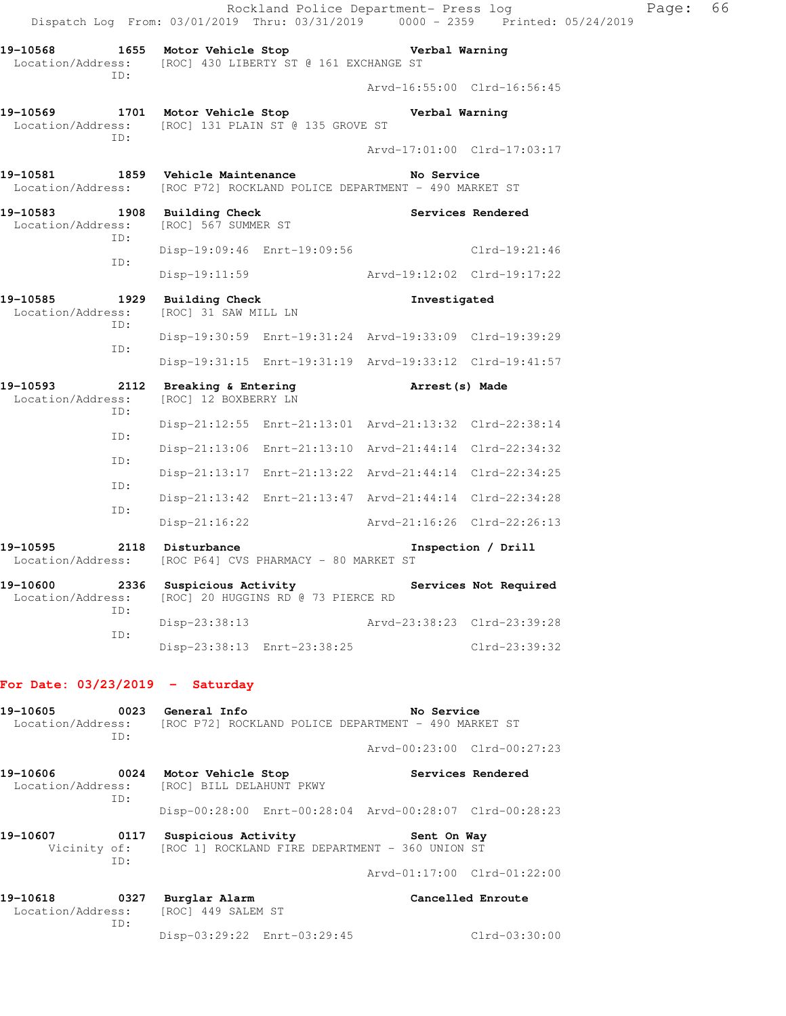|                                                                                                               |                                                                             |                                                         | Rockland Police Department- Press log<br>Dispatch Log From: 03/01/2019 Thru: 03/31/2019 0000 - 2359 Printed: 05/24/2019 | Page: | 66 |
|---------------------------------------------------------------------------------------------------------------|-----------------------------------------------------------------------------|---------------------------------------------------------|-------------------------------------------------------------------------------------------------------------------------|-------|----|
| 19-10568 1655 Motor Vehicle Stop Nerbal Warning<br>Location/Address: [ROC] 430 LIBERTY ST @ 161 EXCHANGE ST   |                                                                             |                                                         |                                                                                                                         |       |    |
| ID:                                                                                                           |                                                                             | Arvd-16:55:00 Clrd-16:56:45                             |                                                                                                                         |       |    |
| 19-10569 1701 Motor Vehicle Stop Nerbal Warning<br>Location/Address: [ROC] 131 PLAIN ST @ 135 GROVE ST<br>ID: |                                                                             |                                                         |                                                                                                                         |       |    |
|                                                                                                               |                                                                             | Arvd-17:01:00 Clrd-17:03:17                             |                                                                                                                         |       |    |
| 19-10581 1859 Vehicle Maintenance<br>Location/Address: [ROC P72] ROCKLAND POLICE DEPARTMENT - 490 MARKET ST   |                                                                             | No Service                                              |                                                                                                                         |       |    |
| 19-10583 1908 Building Check<br>Location/Address: [ROC] 567 SUMMER ST<br>ID:                                  |                                                                             | Services Rendered                                       |                                                                                                                         |       |    |
| ID:                                                                                                           |                                                                             | Disp-19:09:46 Enrt-19:09:56 Clrd-19:21:46               |                                                                                                                         |       |    |
|                                                                                                               |                                                                             | Disp-19:11:59 Arvd-19:12:02 Clrd-19:17:22               |                                                                                                                         |       |    |
| 19-10585<br>Location/Address:<br>ID:                                                                          | 1929 Building Check<br>[ROC] 31 SAW MILL LN                                 | Investigated                                            |                                                                                                                         |       |    |
| ID:                                                                                                           |                                                                             | Disp-19:30:59 Enrt-19:31:24 Arvd-19:33:09 Clrd-19:39:29 |                                                                                                                         |       |    |
|                                                                                                               |                                                                             | Disp-19:31:15 Enrt-19:31:19 Arvd-19:33:12 Clrd-19:41:57 |                                                                                                                         |       |    |
| 19-10593 2112 Breaking & Entering Breaking (8) Made<br>Location/Address: [ROC] 12 BOXBERRY LN<br>ID:          |                                                                             |                                                         |                                                                                                                         |       |    |
| ID:                                                                                                           |                                                                             | Disp-21:12:55 Enrt-21:13:01 Arvd-21:13:32 Clrd-22:38:14 |                                                                                                                         |       |    |
| ID:                                                                                                           |                                                                             | Disp-21:13:06 Enrt-21:13:10 Arvd-21:44:14 Clrd-22:34:32 |                                                                                                                         |       |    |
| ID:                                                                                                           |                                                                             | Disp-21:13:17 Enrt-21:13:22 Arvd-21:44:14 Clrd-22:34:25 |                                                                                                                         |       |    |
| ID:                                                                                                           |                                                                             | Disp-21:13:42 Enrt-21:13:47 Arvd-21:44:14 Clrd-22:34:28 |                                                                                                                         |       |    |
|                                                                                                               | Disp-21:16:22                                                               | Arvd-21:16:26 Clrd-22:26:13                             |                                                                                                                         |       |    |
| 19–10595<br>Location/Address: [ROC P64] CVS PHARMACY - 80 MARKET ST                                           | 2118 Disturbance                                                            |                                                         | Inspection / Drill                                                                                                      |       |    |
| 19-10600<br>Location/Address:<br>ID:                                                                          | 2336 Suspicious Activity<br>[ROC] 20 HUGGINS RD @ 73 PIERCE RD              |                                                         | Services Not Required                                                                                                   |       |    |
| ID:                                                                                                           | Disp-23:38:13                                                               | Arvd-23:38:23 Clrd-23:39:28                             |                                                                                                                         |       |    |
|                                                                                                               | Disp-23:38:13 Enrt-23:38:25                                                 | $Clrd-23:39:32$                                         |                                                                                                                         |       |    |
| For Date: $03/23/2019$ - Saturday                                                                             |                                                                             |                                                         |                                                                                                                         |       |    |
| 19-10605<br>Location/Address: [ROC P72] ROCKLAND POLICE DEPARTMENT - 490 MARKET ST<br>ID:                     | 0023 General Info                                                           | No Service                                              |                                                                                                                         |       |    |
|                                                                                                               |                                                                             | Arvd-00:23:00 Clrd-00:27:23                             |                                                                                                                         |       |    |
| 19-10606<br>Location/Address:<br>ID:                                                                          | 0024 Motor Vehicle Stop<br>[ROC] BILL DELAHUNT PKWY                         |                                                         | Services Rendered                                                                                                       |       |    |
|                                                                                                               |                                                                             | Disp-00:28:00 Enrt-00:28:04 Arvd-00:28:07 Clrd-00:28:23 |                                                                                                                         |       |    |
| 19-10607<br>Vicinity of:<br>ID:                                                                               | 0117 Suspicious Activity<br>[ROC 1] ROCKLAND FIRE DEPARTMENT - 360 UNION ST | Sent On Way                                             |                                                                                                                         |       |    |
|                                                                                                               |                                                                             | Arvd-01:17:00 Clrd-01:22:00                             |                                                                                                                         |       |    |

| 19-10618          | 0327 | Burglar Alarm               | Cancelled Enroute |
|-------------------|------|-----------------------------|-------------------|
| Location/Address: |      | [ROC] 449 SALEM ST          |                   |
|                   | TD:  |                             |                   |
|                   |      | Disp-03:29:22 Enrt-03:29:45 | $Clrd-03:30:00$   |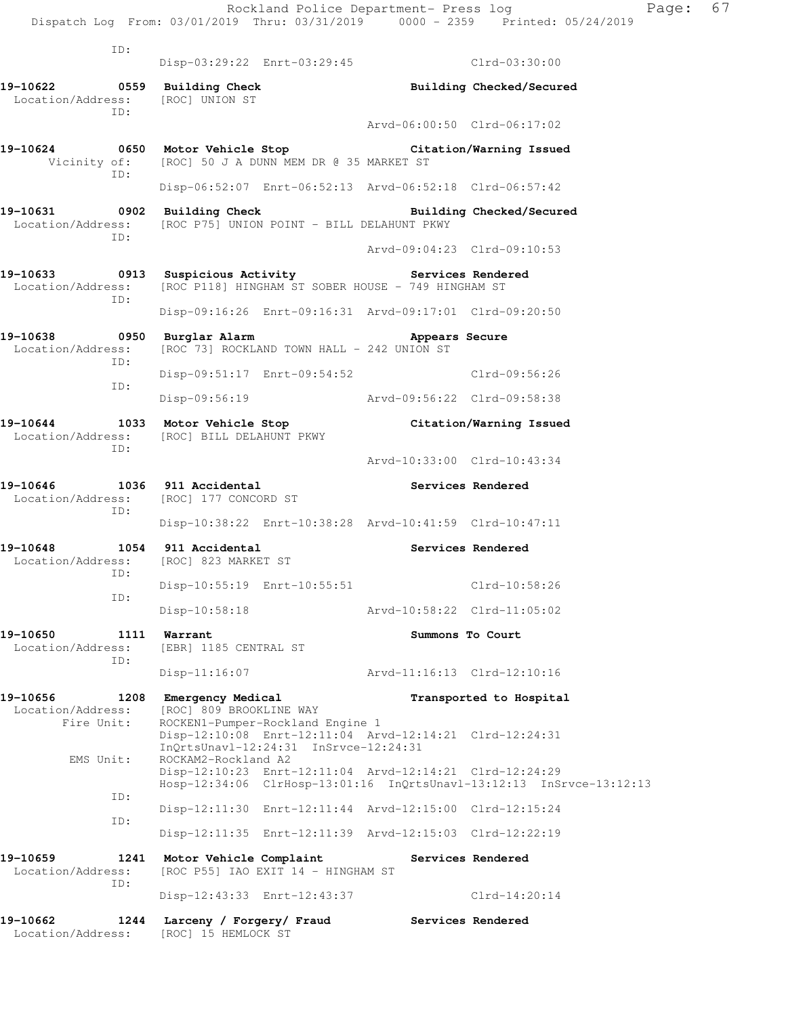Rockland Police Department- Press log Fage: 67 Dispatch Log From: 03/01/2019 Thru: 03/31/2019 0000 - 2359 Printed: 05/24/2019 ID: Disp-03:29:22 Enrt-03:29:45 Clrd-03:30:00 **19-10622 0559 Building Check Building Checked/Secured**  Location/Address: [ROC] UNION ST ID: Arvd-06:00:50 Clrd-06:17:02 **19-10624 0650 Motor Vehicle Stop Citation/Warning Issued**  Vicinity of: [ROC] 50 J A DUNN MEM DR @ 35 MARKET ST ID: Disp-06:52:07 Enrt-06:52:13 Arvd-06:52:18 Clrd-06:57:42 **19-10631 0902 Building Check Building Checked/Secured**  Location/Address: [ROC P75] UNION POINT - BILL DELAHUNT PKWY ID: Arvd-09:04:23 Clrd-09:10:53 19-10633 **0913** Suspicious Activity **Services Rendered** Location/Address: [ROC P118] HINGHAM ST SOBER HOUSE - 749 HINGHAM ST ID: Disp-09:16:26 Enrt-09:16:31 Arvd-09:17:01 Clrd-09:20:50 **19-10638 0950 Burglar Alarm Appears Secure**  Location/Address: [ROC 73] ROCKLAND TOWN HALL - 242 UNION ST ID: Disp-09:51:17 Enrt-09:54:52 Clrd-09:56:26 ID: Disp-09:56:19 Arvd-09:56:22 Clrd-09:58:38 **19-10644 1033 Motor Vehicle Stop Citation/Warning Issued**  Location/Address: [ROC] BILL DELAHUNT PKWY ID:

Disp-10:38:22 Enrt-10:38:28 Arvd-10:41:59 Clrd-10:47:11

Disp-10:55:19 Enrt-10:55:51 Clrd-10:58:26

Disp-10:58:18 Arvd-10:58:22 Clrd-11:05:02

Disp-11:16:07 Arvd-11:16:13 Clrd-12:10:16

Disp-12:10:08 Enrt-12:11:04 Arvd-12:14:21 Clrd-12:24:31

Disp-12:11:30 Enrt-12:11:44 Arvd-12:15:00 Clrd-12:15:24

Disp-12:11:35 Enrt-12:11:39 Arvd-12:15:03 Clrd-12:22:19

Disp-12:43:33 Enrt-12:43:37 Clrd-14:20:14

**19-10646 1036 911 Accidental Services Rendered**  Location/Address: [ROC] 177 CONCORD ST

ID:

**19-10648 1054 911 Accidental Services Rendered**  Location/Address: [ROC] 823 MARKET ST ID: ID:

**19-10650 1111 Warrant Summons To Court**  Location/Address: [EBR] 1185 CENTRAL ST ID:

**19-10656 1208 Emergency Medical Transported to Hospital**  Location/Address: [ROC] 809 BROOKLINE WAY Fire Unit: ROCKEN1-Pumper-Rockland Engine 1

 InQrtsUnavl-12:24:31 InSrvce-12:24:31 EMS Unit: ROCKAM2-Rockland A2 Disp-12:10:23 Enrt-12:11:04 Arvd-12:14:21 Clrd-12:24:29 Hosp-12:34:06 ClrHosp-13:01:16 InQrtsUnavl-13:12:13 InSrvce-13:12:13 ID:

 ID: **19-10659 1241 Motor Vehicle Complaint Services Rendered** 

 Location/Address: [ROC P55] IAO EXIT 14 - HINGHAM ST ID:

**19-10662 1244 Larceny / Forgery/ Fraud Services Rendered** 

Location/Address: [ROC] 15 HEMLOCK ST

Arvd-10:33:00 Clrd-10:43:34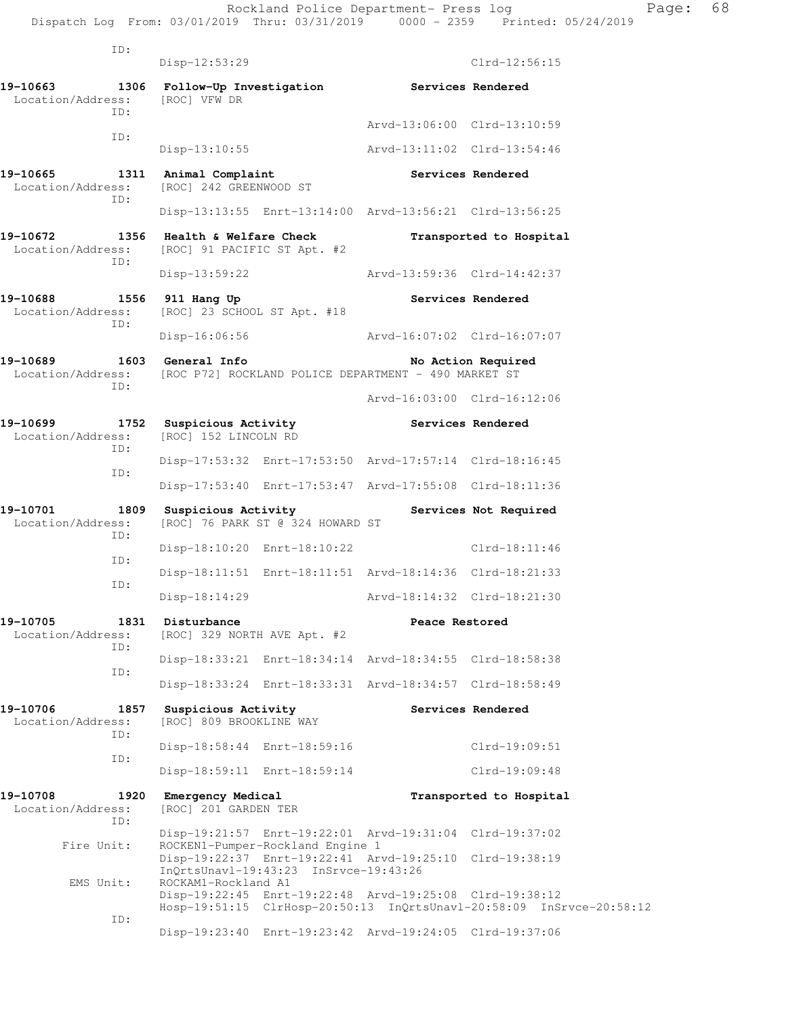| ID:                                          |                                                                                                                         |  |                             |                                                                      |  |
|----------------------------------------------|-------------------------------------------------------------------------------------------------------------------------|--|-----------------------------|----------------------------------------------------------------------|--|
|                                              | $Disp-12:53:29$                                                                                                         |  |                             | $Clrd-12:56:15$                                                      |  |
| 19-10663<br>Location/Address:<br>ID:         | 1306 Follow-Up Investigation<br>[ROC] VFW DR                                                                            |  | Services Rendered           |                                                                      |  |
| ID:                                          |                                                                                                                         |  | Arvd-13:06:00 Clrd-13:10:59 |                                                                      |  |
|                                              | Disp-13:10:55                                                                                                           |  | Arvd-13:11:02 Clrd-13:54:46 |                                                                      |  |
| 19-10665<br>1311<br>Location/Address:<br>ID: | Animal Complaint<br>[ROC] 242 GREENWOOD ST                                                                              |  | <b>Services Rendered</b>    |                                                                      |  |
|                                              | Disp-13:13:55 Enrt-13:14:00 Arvd-13:56:21 Clrd-13:56:25                                                                 |  |                             |                                                                      |  |
| 19-10672<br>1356<br>Location/Address:<br>ID: | Health & Welfare Check<br>[ROC] 91 PACIFIC ST Apt. #2                                                                   |  | Transported to Hospital     |                                                                      |  |
|                                              | Disp-13:59:22                                                                                                           |  | Arvd-13:59:36 Clrd-14:42:37 |                                                                      |  |
| 19-10688<br>1556<br>Location/Address:<br>ID: | 911 Hang Up<br>[ROC] 23 SCHOOL ST Apt. #18                                                                              |  |                             | Services Rendered                                                    |  |
|                                              | Disp-16:06:56                                                                                                           |  | Arvd-16:07:02 Clrd-16:07:07 |                                                                      |  |
| 19-10689<br>TD:                              | 1603 General Info<br>Location/Address: [ROC P72] ROCKLAND POLICE DEPARTMENT - 490 MARKET ST                             |  |                             | No Action Required                                                   |  |
|                                              |                                                                                                                         |  | Arvd-16:03:00 Clrd-16:12:06 |                                                                      |  |
| 19-10699<br>Location/Address:                | 1752 Suspicious Activity<br>[ROC] 152 LINCOLN RD                                                                        |  | Services Rendered           |                                                                      |  |
| ID:<br>ID:                                   | Disp-17:53:32 Enrt-17:53:50 Arvd-17:57:14 Clrd-18:16:45                                                                 |  |                             |                                                                      |  |
|                                              | Disp-17:53:40 Enrt-17:53:47 Arvd-17:55:08 Clrd-18:11:36                                                                 |  |                             |                                                                      |  |
| 19-10701<br>1809<br>Location/Address:        | Suspicious Activity<br>[ROC] 76 PARK ST @ 324 HOWARD ST                                                                 |  |                             | Services Not Required                                                |  |
| ID:<br>ID:                                   | Disp-18:10:20 Enrt-18:10:22                                                                                             |  |                             | $Clrd-18:11:46$                                                      |  |
| ID:                                          | Disp-18:11:51 Enrt-18:11:51 Arvd-18:14:36 Clrd-18:21:33                                                                 |  |                             |                                                                      |  |
|                                              | $Disp-18:14:29$                                                                                                         |  | Arvd-18:14:32 Clrd-18:21:30 |                                                                      |  |
| 19-10705<br>1831<br>Location/Address:<br>ID: | Disturbance<br>[ROC] 329 NORTH AVE Apt. #2                                                                              |  | Peace Restored              |                                                                      |  |
|                                              | Disp-18:33:21 Enrt-18:34:14 Arvd-18:34:55 Clrd-18:58:38                                                                 |  |                             |                                                                      |  |
| ID:                                          | Disp-18:33:24 Enrt-18:33:31 Arvd-18:34:57 Clrd-18:58:49                                                                 |  |                             |                                                                      |  |
| 19-10706<br>1857<br>Location/Address:        | Suspicious Activity<br>[ROC] 809 BROOKLINE WAY                                                                          |  |                             | Services Rendered                                                    |  |
| ID:                                          | Disp-18:58:44 Enrt-18:59:16                                                                                             |  |                             | $Clrd-19:09:51$                                                      |  |
| ID:                                          | Disp-18:59:11 Enrt-18:59:14                                                                                             |  |                             | $Clrd-19:09:48$                                                      |  |
| 19-10708<br>1920<br>Location/Address:<br>ID: | Emergency Medical<br>[ROC] 201 GARDEN TER                                                                               |  |                             | Transported to Hospital                                              |  |
| Fire Unit:                                   | Disp-19:21:57 Enrt-19:22:01 Arvd-19:31:04 Clrd-19:37:02<br>ROCKEN1-Pumper-Rockland Engine 1                             |  |                             |                                                                      |  |
| EMS Unit:                                    | Disp-19:22:37 Enrt-19:22:41 Arvd-19:25:10 Clrd-19:38:19<br>InQrtsUnavl-19:43:23 InSrvce-19:43:26<br>ROCKAM1-Rockland A1 |  |                             |                                                                      |  |
| ID:                                          | Disp-19:22:45 Enrt-19:22:48 Arvd-19:25:08 Clrd-19:38:12                                                                 |  |                             | Hosp-19:51:15 ClrHosp-20:50:13 InQrtsUnavl-20:58:09 InSrvce-20:58:12 |  |
|                                              | Disp-19:23:40 Enrt-19:23:42 Arvd-19:24:05 Clrd-19:37:06                                                                 |  |                             |                                                                      |  |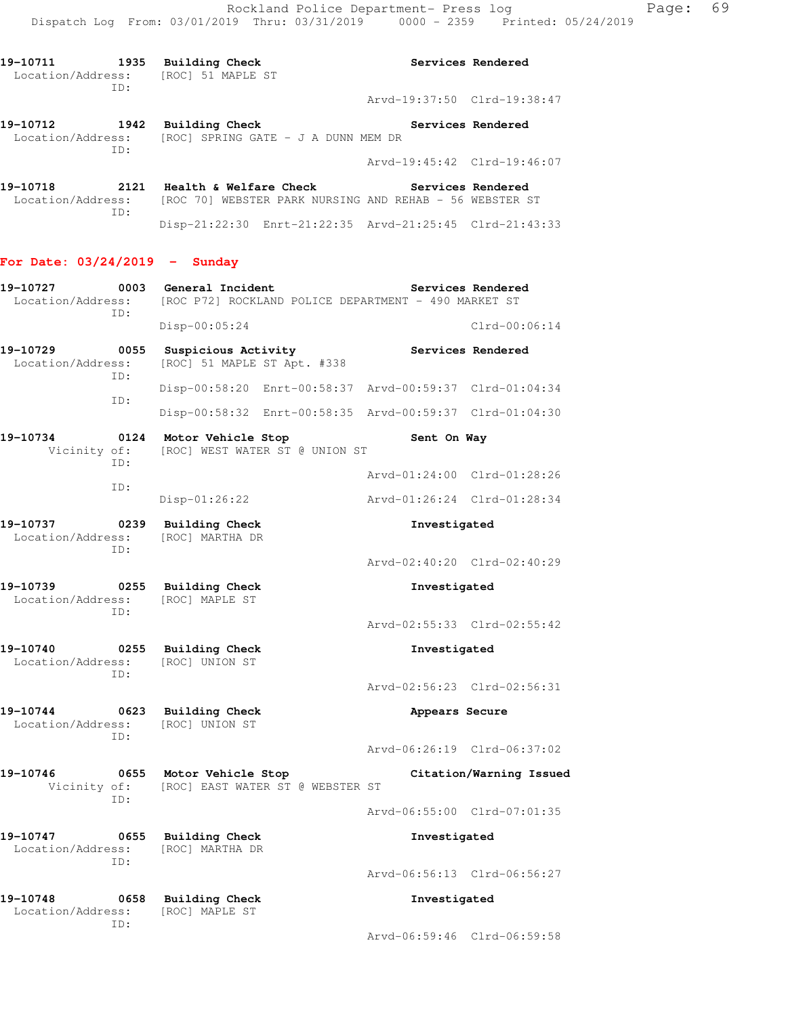**19-10711 1935 Building Check Services Rendered**  Location/Address: [ROC] 51 MAPLE ST ID: Arvd-19:37:50 Clrd-19:38:47 **19-10712 1942 Building Check Services Rendered** 

 Location/Address: [ROC] SPRING GATE - J A DUNN MEM DR ID: Arvd-19:45:42 Clrd-19:46:07 **19-10718 2121 Health & Welfare Check Services Rendered** 

Location/Address: [ROC 70] WEBSTER PARK NURSING AND REHAB - 56 WEBSTER ST ID: Disp-21:22:30 Enrt-21:22:35 Arvd-21:25:45 Clrd-21:43:33

### **For Date: 03/24/2019 - Sunday**

| 19-10727<br>Location/Address:        | 0003<br>ID: | General Incident<br>Services Rendered<br>[ROC P72] ROCKLAND POLICE DEPARTMENT - 490 MARKET ST |                             |                 |  |
|--------------------------------------|-------------|-----------------------------------------------------------------------------------------------|-----------------------------|-----------------|--|
|                                      |             | $Disp-00:05:24$                                                                               |                             | $Clrd-00:06:14$ |  |
| 19-10729<br>Location/Address:        | 0055<br>ID: | Suspicious Activity<br>Services Rendered<br>[ROC] 51 MAPLE ST Apt. #338                       |                             |                 |  |
|                                      |             | Disp-00:58:20 Enrt-00:58:37 Arvd-00:59:37 Clrd-01:04:34                                       |                             |                 |  |
|                                      | ID:         | Disp-00:58:32 Enrt-00:58:35 Arvd-00:59:37 Clrd-01:04:30                                       |                             |                 |  |
| 19-10734                             | ID:         | 0124 Motor Vehicle Stop<br>Vicinity of: [ROC] WEST WATER ST @ UNION ST                        | Sent On Way                 |                 |  |
|                                      | ID:         |                                                                                               | Arvd-01:24:00 Clrd-01:28:26 |                 |  |
|                                      |             | $Disp-01:26:22$                                                                               | Arvd-01:26:24 Clrd-01:28:34 |                 |  |
| 19-10737<br>Location/Address:<br>ID: |             | 0239 Building Check<br>[ROC] MARTHA DR                                                        | Investigated                |                 |  |
|                                      |             |                                                                                               | Arvd-02:40:20 Clrd-02:40:29 |                 |  |
| 19-10739<br>Location/Address:        | ID:         | 0255 Building Check<br>[ROC] MAPLE ST                                                         | Investigated                |                 |  |
|                                      |             |                                                                                               | Arvd-02:55:33 Clrd-02:55:42 |                 |  |
| 19-10740<br>Location/Address:        | ID:         | 0255 Building Check<br>[ROC] UNION ST                                                         | Investigated                |                 |  |
|                                      |             |                                                                                               | Arvd-02:56:23 Clrd-02:56:31 |                 |  |
| 19-10744<br>Location/Address:        | ID:         | 0623 Building Check<br>[ROC] UNION ST                                                         | Appears Secure              |                 |  |
|                                      |             |                                                                                               | Arvd-06:26:19 Clrd-06:37:02 |                 |  |
| 19-10746<br>Vicinity of:             | ID:         | 0655 Motor Vehicle Stop<br>[ROC] EAST WATER ST @ WEBSTER ST                                   | Citation/Warning Issued     |                 |  |
|                                      |             |                                                                                               | Arvd-06:55:00 Clrd-07:01:35 |                 |  |
| 19-10747                             | ID:         | 0655 Building Check<br>Location/Address: [ROC] MARTHA DR                                      | Investigated                |                 |  |
|                                      |             |                                                                                               | Arvd-06:56:13 Clrd-06:56:27 |                 |  |
| 19-10748<br>Location/Address:        | 0658<br>ID: | <b>Building Check</b><br><b>[ROC] MAPLE ST</b>                                                | Investigated                |                 |  |
|                                      |             |                                                                                               | Arvd-06:59:46 Clrd-06:59:58 |                 |  |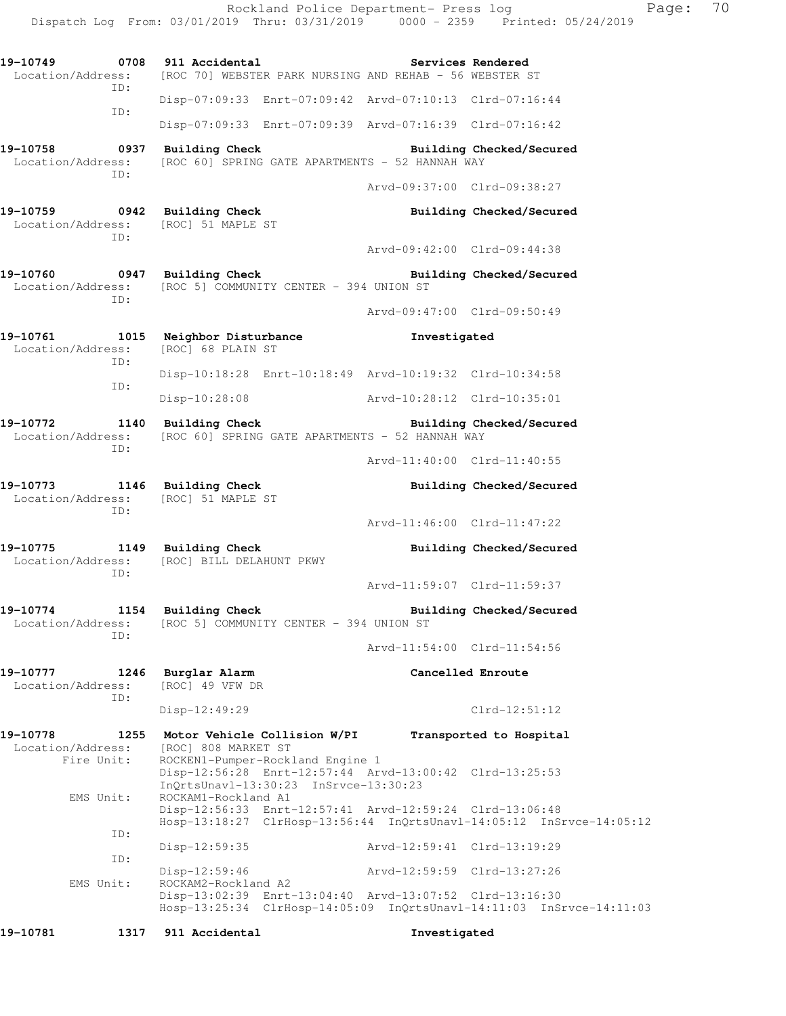**19-10749 0708 911 Accidental Services Rendered**  Location/Address: [ROC 70] WEBSTER PARK NURSING AND REHAB - 56 WEBSTER ST ID: Disp-07:09:33 Enrt-07:09:42 Arvd-07:10:13 Clrd-07:16:44 ID: Disp-07:09:33 Enrt-07:09:39 Arvd-07:16:39 Clrd-07:16:42 19-10758 0937 Building Check Building Checked/Secured Location/Address: [ROC 60] SPRING GATE APARTMENTS - 52 HANNAH WAY ID: Arvd-09:37:00 Clrd-09:38:27 19-10759 **0942** Building Check **Building Building Checked/Secured**  Location/Address: [ROC] 51 MAPLE ST ID: Arvd-09:42:00 Clrd-09:44:38 **19-10760 0947 Building Check Building Checked/Secured**  Location/Address: [ROC 5] COMMUNITY CENTER - 394 UNION ST ID: Arvd-09:47:00 Clrd-09:50:49 **19-10761 1015 Neighbor Disturbance Investigated**  Location/Address: [ROC] 68 PLAIN ST ID: Disp-10:18:28 Enrt-10:18:49 Arvd-10:19:32 Clrd-10:34:58 ID: Disp-10:28:08 Arvd-10:28:12 Clrd-10:35:01 19-10772 1140 Building Check **Building Building Checked/Secured**  Location/Address: [ROC 60] SPRING GATE APARTMENTS - 52 HANNAH WAY ID: Arvd-11:40:00 Clrd-11:40:55 19-10773 1146 Building Check **Building Building Checked/Secured**  Location/Address: [ROC] 51 MAPLE ST ID: Arvd-11:46:00 Clrd-11:47:22 **19-10775 1149 Building Check Building Checked/Secured**  Location/Address: [ROC] BILL DELAHUNT PKWY ID: Arvd-11:59:07 Clrd-11:59:37 19-10774 1154 Building Check **Building Building Checked/Secured**  Location/Address: [ROC 5] COMMUNITY CENTER - 394 UNION ST ID: Arvd-11:54:00 Clrd-11:54:56 **19-10777 1246 Burglar Alarm Cancelled Enroute**  Location/Address: [ROC] 49 VFW DR ID: Disp-12:49:29 Clrd-12:51:12 **19-10778 1255 Motor Vehicle Collision W/PI Transported to Hospital**  Location/Address: [ROC] 808 MARKET ST Fire Unit: ROCKEN1-Pumper-Rockland Engine 1 Disp-12:56:28 Enrt-12:57:44 Arvd-13:00:42 Clrd-13:25:53 InQrtsUnavl-13:30:23 InSrvce-13:30:23<br>EMS Unit: ROCKAM1-Rockland A1 ROCKAM1-Rockland A1 Disp-12:56:33 Enrt-12:57:41 Arvd-12:59:24 Clrd-13:06:48 Hosp-13:18:27 ClrHosp-13:56:44 InQrtsUnavl-14:05:12 InSrvce-14:05:12 ID: Disp-12:59:35 Arvd-12:59:41 Clrd-13:19:29 ID: Disp-12:59:46 Arvd-12:59:59 Clrd-13:27:26<br>EMS Unit: ROCKAM2-Rockland A2 ROCKAM2-Rockland A2 Disp-13:02:39 Enrt-13:04:40 Arvd-13:07:52 Clrd-13:16:30 Hosp-13:25:34 ClrHosp-14:05:09 InQrtsUnavl-14:11:03 InSrvce-14:11:03 **19-10781 1317 911 Accidental Investigated** 

Dispatch Log From: 03/01/2019 Thru: 03/31/2019 0000 - 2359 Printed: 05/24/2019

Rockland Police Department- Press log Page: 70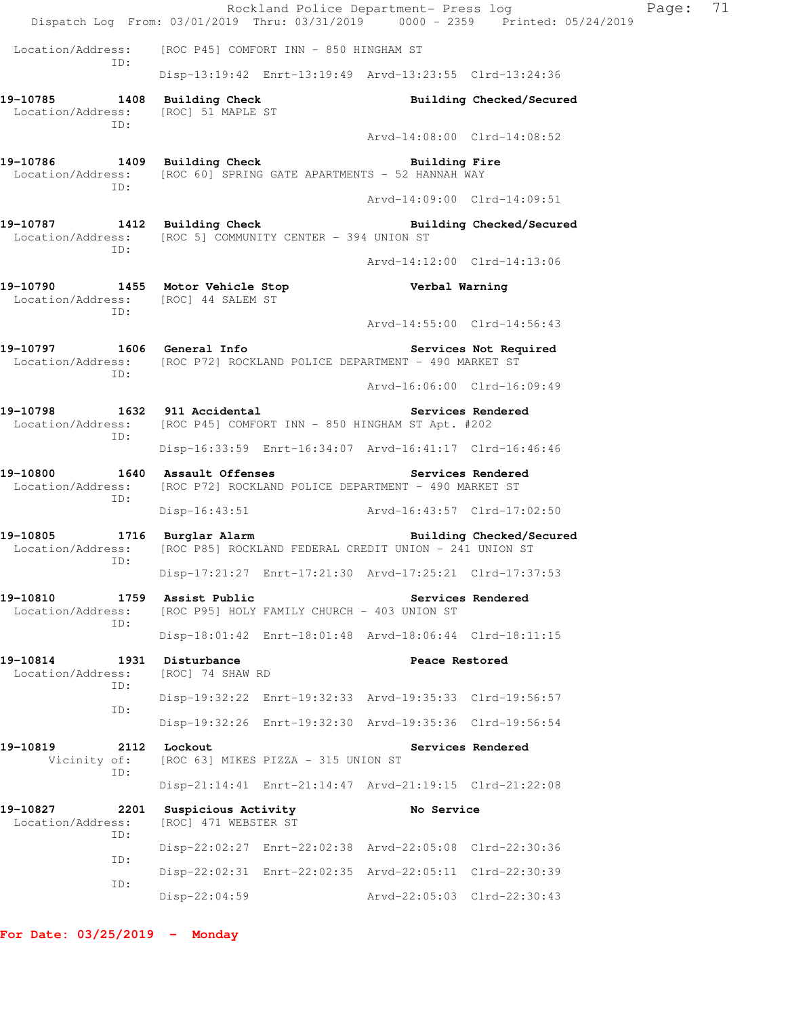|                                                                                                          |                                                                                                                      |  | Rockland Police Department- Press log | Dispatch Log From: 03/01/2019 Thru: 03/31/2019 0000 - 2359 Printed: 05/24/2019 | Page: | 71 |  |
|----------------------------------------------------------------------------------------------------------|----------------------------------------------------------------------------------------------------------------------|--|---------------------------------------|--------------------------------------------------------------------------------|-------|----|--|
| Location/Address:                                                                                        | [ROC P45] COMFORT INN - 850 HINGHAM ST                                                                               |  |                                       |                                                                                |       |    |  |
| ID:                                                                                                      | Disp-13:19:42 Enrt-13:19:49 Arvd-13:23:55 Clrd-13:24:36                                                              |  |                                       |                                                                                |       |    |  |
| 19-10785 1408 Building Check<br>Location/Address:<br>ID:                                                 | [ROC] 51 MAPLE ST                                                                                                    |  |                                       | Building Checked/Secured                                                       |       |    |  |
|                                                                                                          |                                                                                                                      |  | Arvd-14:08:00 Clrd-14:08:52           |                                                                                |       |    |  |
| 19-10786 1409 Building Check<br>Location/Address: [ROC 60] SPRING GATE APARTMENTS - 52 HANNAH WAY<br>ID: |                                                                                                                      |  | Building Fire                         |                                                                                |       |    |  |
|                                                                                                          |                                                                                                                      |  | Arvd-14:09:00 Clrd-14:09:51           |                                                                                |       |    |  |
| 19-10787<br>Location/Address: [ROC 5] COMMUNITY CENTER - 394 UNION ST<br>ID:                             | 1412 Building Check                                                                                                  |  |                                       | Building Checked/Secured                                                       |       |    |  |
|                                                                                                          |                                                                                                                      |  | Arvd-14:12:00 Clrd-14:13:06           |                                                                                |       |    |  |
| 19-10790<br>Location/Address: [ROC] 44 SALEM ST<br>ID:                                                   | 1455 Motor Vehicle Stop                                                                                              |  | Verbal Warning                        |                                                                                |       |    |  |
|                                                                                                          |                                                                                                                      |  | Arvd-14:55:00 Clrd-14:56:43           |                                                                                |       |    |  |
| 19-10797<br>Location/Address: [ROC P72] ROCKLAND POLICE DEPARTMENT - 490 MARKET ST<br>ID:                | 1606 General Info                                                                                                    |  |                                       | Services Not Required                                                          |       |    |  |
|                                                                                                          |                                                                                                                      |  | Arvd-16:06:00 Clrd-16:09:49           |                                                                                |       |    |  |
| 19-10798<br>Location/Address: [ROC P45] COMFORT INN - 850 HINGHAM ST Apt. #202<br>ID:                    | 1632 911 Accidental                                                                                                  |  |                                       | Services Rendered                                                              |       |    |  |
|                                                                                                          | Disp-16:33:59 Enrt-16:34:07 Arvd-16:41:17 Clrd-16:46:46                                                              |  |                                       |                                                                                |       |    |  |
| 19-10800<br>ID:                                                                                          | 1640 Assault Offenses<br>Services Rendered<br>Location/Address: [ROC P72] ROCKLAND POLICE DEPARTMENT - 490 MARKET ST |  |                                       |                                                                                |       |    |  |
|                                                                                                          | Disp-16:43:51 Arvd-16:43:57 Clrd-17:02:50                                                                            |  |                                       |                                                                                |       |    |  |
| 19-10805<br>Location/Address:<br>ID:                                                                     | 1716 Burglar Alarm<br>[ROC P85] ROCKLAND FEDERAL CREDIT UNION - 241 UNION ST                                         |  |                                       | Building Checked/Secured                                                       |       |    |  |
|                                                                                                          | Disp-17:21:27 Enrt-17:21:30 Arvd-17:25:21 Clrd-17:37:53                                                              |  |                                       |                                                                                |       |    |  |
| 19-10810<br>Location/Address:<br>ID:                                                                     | 1759 Assist Public<br>[ROC P95] HOLY FAMILY CHURCH - 403 UNION ST                                                    |  |                                       | Services Rendered                                                              |       |    |  |
|                                                                                                          | Disp-18:01:42 Enrt-18:01:48 Arvd-18:06:44 Clrd-18:11:15                                                              |  |                                       |                                                                                |       |    |  |
| 19-10814<br>Location/Address:<br>ID:                                                                     | 1931 Disturbance<br>[ROC] 74 SHAW RD                                                                                 |  | Peace Restored                        |                                                                                |       |    |  |
|                                                                                                          | Disp-19:32:22 Enrt-19:32:33 Arvd-19:35:33 Clrd-19:56:57                                                              |  |                                       |                                                                                |       |    |  |
| ID:                                                                                                      | Disp-19:32:26 Enrt-19:32:30 Arvd-19:35:36 Clrd-19:56:54                                                              |  |                                       |                                                                                |       |    |  |
| 19-10819<br>Vicinity of:<br>ID:                                                                          | 2112 Lockout<br>Services Rendered<br>[ROC 63] MIKES PIZZA - 315 UNION ST                                             |  |                                       |                                                                                |       |    |  |
|                                                                                                          | Disp-21:14:41 Enrt-21:14:47 Arvd-21:19:15 Clrd-21:22:08                                                              |  |                                       |                                                                                |       |    |  |
| 19-10827<br>2201<br>Location/Address:<br>ID:                                                             | Suspicious Activity<br>[ROC] 471 WEBSTER ST                                                                          |  | No Service                            |                                                                                |       |    |  |
|                                                                                                          | Disp-22:02:27 Enrt-22:02:38 Arvd-22:05:08 Clrd-22:30:36                                                              |  |                                       |                                                                                |       |    |  |
| ID:                                                                                                      | Disp-22:02:31 Enrt-22:02:35 Arvd-22:05:11 Clrd-22:30:39                                                              |  |                                       |                                                                                |       |    |  |
| ID:                                                                                                      | Disp-22:04:59                                                                                                        |  | Arvd-22:05:03 Clrd-22:30:43           |                                                                                |       |    |  |

**For Date: 03/25/2019 - Monday**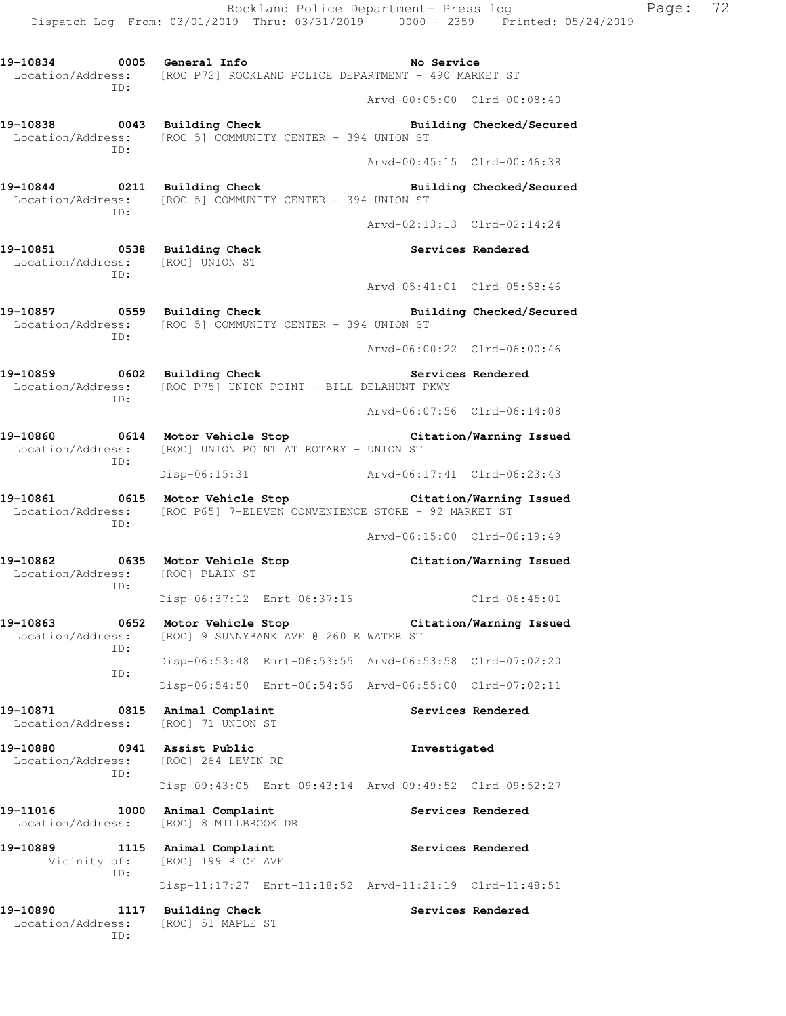Rockland Police Department- Press log Page: 72 Dispatch Log From: 03/01/2019 Thru: 03/31/2019 0000 - 2359 Printed: 05/24/2019 **19-10834 0005 General Info No Service**  Location/Address: [ROC P72] ROCKLAND POLICE DEPARTMENT - 490 MARKET ST ID: Arvd-00:05:00 Clrd-00:08:40 **19-10838 0043 Building Check Building Checked/Secured**  Location/Address: [ROC 5] COMMUNITY CENTER - 394 UNION ST ID: Arvd-00:45:15 Clrd-00:46:38 **19-10844 0211 Building Check Building Checked/Secured**  Location/Address: [ROC 5] COMMUNITY CENTER - 394 UNION ST ID: Arvd-02:13:13 Clrd-02:14:24 **19-10851 0538 Building Check Services Rendered**  Location/Address: [ROC] UNION ST ID: Arvd-05:41:01 Clrd-05:58:46 **19-10857 0559 Building Check Building Checked/Secured**  Location/Address: [ROC 5] COMMUNITY CENTER - 394 UNION ST ID: Arvd-06:00:22 Clrd-06:00:46 19-10859 **0602** Building Check **Services Rendered**  Location/Address: [ROC P75] UNION POINT - BILL DELAHUNT PKWY ID: Arvd-06:07:56 Clrd-06:14:08 **19-10860 0614 Motor Vehicle Stop Citation/Warning Issued**  Location/Address: [ROC] UNION POINT AT ROTARY - UNION ST ID: Disp-06:15:31 Arvd-06:17:41 Clrd-06:23:43 **19-10861 0615 Motor Vehicle Stop Citation/Warning Issued**  Location/Address: [ROC P65] 7-ELEVEN CONVENIENCE STORE - 92 MARKET ST ID: Arvd-06:15:00 Clrd-06:19:49 **19-10862 0635 Motor Vehicle Stop Citation/Warning Issued**  Location/Address: [ROC] PLAIN ST ID: Disp-06:37:12 Enrt-06:37:16 Clrd-06:45:01 **19-10863 0652 Motor Vehicle Stop Citation/Warning Issued**  Location/Address: [ROC] 9 SUNNYBANK AVE @ 260 E WATER ST ID: Disp-06:53:48 Enrt-06:53:55 Arvd-06:53:58 Clrd-07:02:20 ID: Disp-06:54:50 Enrt-06:54:56 Arvd-06:55:00 Clrd-07:02:11 **19-10871 0815 Animal Complaint Services Rendered**  Location/Address: [ROC] 71 UNION ST **19-10880 0941 Assist Public Investigated**  Location/Address: [ROC] 264 LEVIN RD ID: Disp-09:43:05 Enrt-09:43:14 Arvd-09:49:52 Clrd-09:52:27 19-11016 1000 Animal Complaint **19-11016** Services Rendered Location/Address: [ROC] 8 MILLBROOK DR 19-10889 1115 Animal Complaint **19-10889** Services Rendered Vicinity of: [ROC] 199 RICE AVE ID: Disp-11:17:27 Enrt-11:18:52 Arvd-11:21:19 Clrd-11:48:51 19-10890 1117 Building Check **Services Rendered** Location/Address: [ROC] 51 MAPLE ST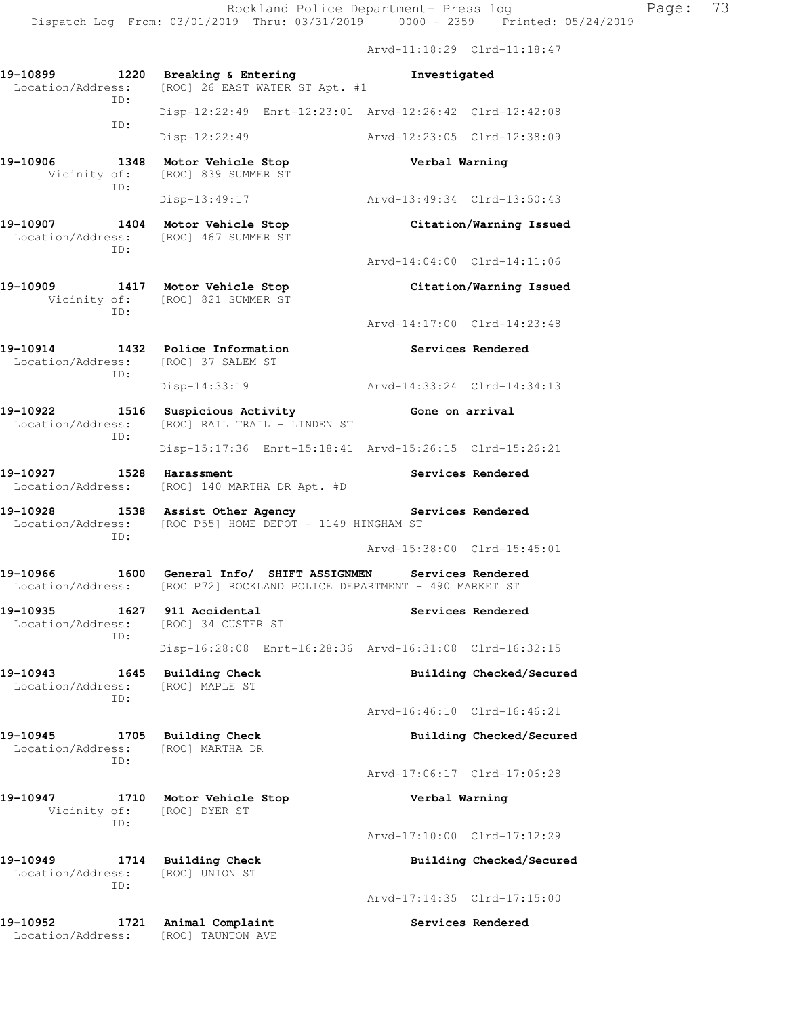|                                                        |                                                                                                                                | Dispatch Log From: 03/01/2019 Thru: 03/31/2019 0000 - 2359 Printed: 05/24/2019 |  |
|--------------------------------------------------------|--------------------------------------------------------------------------------------------------------------------------------|--------------------------------------------------------------------------------|--|
|                                                        |                                                                                                                                | Arvd-11:18:29 Clrd-11:18:47                                                    |  |
| Location/Address:                                      | 19-10899 1220 Breaking & Entering<br>[ROC] 26 EAST WATER ST Apt. #1                                                            | Investigated                                                                   |  |
| ID:                                                    |                                                                                                                                | Disp-12:22:49 Enrt-12:23:01 Arvd-12:26:42 Clrd-12:42:08                        |  |
| ID:                                                    | Disp-12:22:49                                                                                                                  | Arvd-12:23:05 Clrd-12:38:09                                                    |  |
| ID:                                                    | 19-10906 1348 Motor Vehicle Stop<br>Vicinity of: [ROC] 839 SUMMER ST                                                           | Verbal Warning                                                                 |  |
|                                                        | Disp-13:49:17                                                                                                                  | Arvd-13:49:34 Clrd-13:50:43                                                    |  |
| ID:                                                    | 19-10907 1404 Motor Vehicle Stop<br>Location/Address: [ROC] 467 SUMMER ST                                                      | Citation/Warning Issued                                                        |  |
|                                                        |                                                                                                                                | Arvd-14:04:00 Clrd-14:11:06                                                    |  |
| ID:                                                    | 19-10909 1417 Motor Vehicle Stop<br>Vicinity of: [ROC] 821 SUMMER ST                                                           | Citation/Warning Issued                                                        |  |
|                                                        |                                                                                                                                | Arvd-14:17:00 Clrd-14:23:48                                                    |  |
| 19-10914<br>Location/Address: [ROC] 37 SALEM ST<br>ID: | 1432 Police Information                                                                                                        | Services Rendered                                                              |  |
|                                                        |                                                                                                                                | Disp-14:33:19 Arvd-14:33:24 Clrd-14:34:13                                      |  |
| 19-10922<br>ID:                                        | 1516 Suspicious Activity 6one on arrival<br>Location/Address: [ROC] RAIL TRAIL - LINDEN ST                                     |                                                                                |  |
|                                                        |                                                                                                                                | Disp-15:17:36 Enrt-15:18:41 Arvd-15:26:15 Clrd-15:26:21                        |  |
| 19-10927                                               | 1528 Harassment<br>Location/Address: [ROC] 140 MARTHA DR Apt. #D                                                               | <b>Services Rendered</b>                                                       |  |
| ID:                                                    | 19-10928 1538 Assist Other Agency 1998 Services Rendered<br>Location/Address: [ROC P55] HOME DEPOT - 1149 HINGHAM ST           |                                                                                |  |
|                                                        |                                                                                                                                | Arvd-15:38:00 Clrd-15:45:01                                                    |  |
| 19-10966                                               | 1600 General Info/ SHIFT ASSIGNMEN Services Rendered<br>Location/Address: [ROC P72] ROCKLAND POLICE DEPARTMENT - 490 MARKET ST |                                                                                |  |
| 19-10935<br>ID:                                        | 1627 911 Accidental<br>Location/Address: [ROC] 34 CUSTER ST                                                                    | Services Rendered                                                              |  |
|                                                        |                                                                                                                                | Disp-16:28:08 Enrt-16:28:36 Arvd-16:31:08 Clrd-16:32:15                        |  |
| 19-10943<br>Location/Address:<br>ID:                   | 1645 Building Check<br>[ROC] MAPLE ST                                                                                          | Building Checked/Secured                                                       |  |
|                                                        |                                                                                                                                | Arvd-16:46:10 Clrd-16:46:21                                                    |  |
| 19-10945<br>Location/Address:<br>ID:                   | 1705 Building Check<br>[ROC] MARTHA DR                                                                                         | Building Checked/Secured                                                       |  |
|                                                        |                                                                                                                                | Arvd-17:06:17 Clrd-17:06:28                                                    |  |
| 19-10947<br>Vicinity of:<br>ID:                        | 1710 Motor Vehicle Stop<br>[ROC] DYER ST                                                                                       | Verbal Warning                                                                 |  |
|                                                        |                                                                                                                                | Arvd-17:10:00 Clrd-17:12:29                                                    |  |
| 19-10949<br>Location/Address:<br>ID:                   | 1714 Building Check<br>[ROC] UNION ST                                                                                          | Building Checked/Secured                                                       |  |
|                                                        |                                                                                                                                | Arvd-17:14:35 Clrd-17:15:00                                                    |  |

**19-10952 1721 Animal Complaint Services Rendered**  Location/Address: [ROC] TAUNTON AVE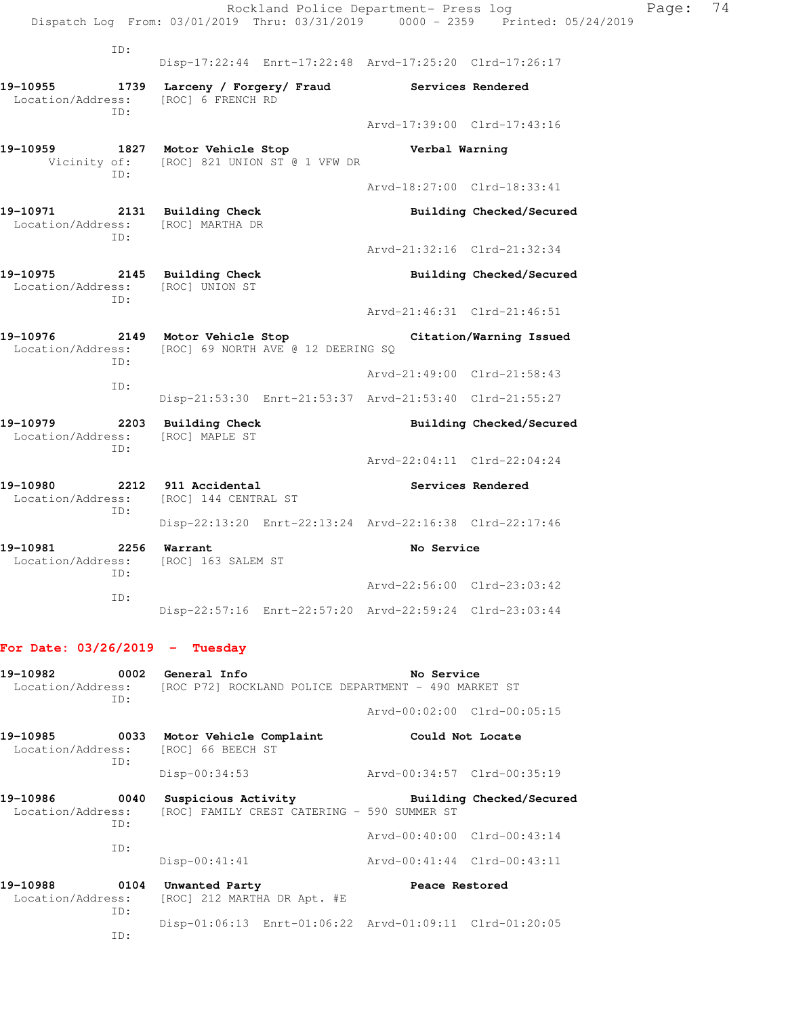|                                                   |                                                                                          | Rockland Police Department- Press log<br>Dispatch Log From: 03/01/2019 Thru: 03/31/2019 0000 - 2359 Printed: 05/24/2019 |                             | Page: 74                 |
|---------------------------------------------------|------------------------------------------------------------------------------------------|-------------------------------------------------------------------------------------------------------------------------|-----------------------------|--------------------------|
|                                                   | ID:                                                                                      | Disp-17:22:44 Enrt-17:22:48 Arvd-17:25:20 Clrd-17:26:17                                                                 |                             |                          |
| Location/Address:<br>ID:                          | 19-10955 1739 Larceny / Forgery / Fraud Services Rendered<br>[ROC] 6 FRENCH RD           |                                                                                                                         |                             |                          |
|                                                   |                                                                                          |                                                                                                                         | Arvd-17:39:00 Clrd-17:43:16 |                          |
|                                                   | ID:                                                                                      | 19-10959 1827 Motor Vehicle Stop<br>Vicinity of: [ROC] 821 UNION ST @ 1 VFW DR                                          | Verbal Warning              |                          |
|                                                   |                                                                                          |                                                                                                                         | Arvd-18:27:00 Clrd-18:33:41 |                          |
|                                                   | ID:                                                                                      | 19-10971 2131 Building Check<br>Location/Address: [ROC] MARTHA DR                                                       |                             | Building Checked/Secured |
|                                                   |                                                                                          |                                                                                                                         | Arvd-21:32:16 Clrd-21:32:34 |                          |
| Location/Address: [ROC] UNION ST                  | ID:                                                                                      | 19-10975 2145 Building Check                                                                                            |                             | Building Checked/Secured |
|                                                   |                                                                                          | Arvd-21:46:31 Clrd-21:46:51                                                                                             |                             |                          |
| ID:                                               | 19-10976 2149 Motor Vehicle Stop<br>Location/Address: [ROC] 69 NORTH AVE @ 12 DEERING SQ |                                                                                                                         | Citation/Warning Issued     |                          |
|                                                   | ID:                                                                                      |                                                                                                                         | Arvd-21:49:00 Clrd-21:58:43 |                          |
|                                                   |                                                                                          | Disp-21:53:30 Enrt-21:53:37 Arvd-21:53:40 Clrd-21:55:27                                                                 |                             |                          |
| 19-10979 2203 Building Check<br>Location/Address: | ID:                                                                                      | [ROC] MAPLE ST                                                                                                          |                             | Building Checked/Secured |
|                                                   |                                                                                          |                                                                                                                         | Arvd-22:04:11 Clrd-22:04:24 |                          |
| 19-10980<br>Location/Address:                     | ID:                                                                                      | 2212 911 Accidental<br>[ROC] 144 CENTRAL ST                                                                             |                             | Services Rendered        |
|                                                   |                                                                                          | Disp-22:13:20 Enrt-22:13:24 Arvd-22:16:38 Clrd-22:17:46                                                                 |                             |                          |
| 19-10981<br>Location/Address:                     | 2256<br>ID:                                                                              | Warrant<br>[ROC] 163 SALEM ST                                                                                           | No Service                  |                          |
|                                                   | ID:                                                                                      |                                                                                                                         | Arvd-22:56:00 Clrd-23:03:42 |                          |
|                                                   |                                                                                          | Disp-22:57:16 Enrt-22:57:20 Arvd-22:59:24 Clrd-23:03:44                                                                 |                             |                          |
| For Date: $03/26/2019$ - Tuesday                  |                                                                                          |                                                                                                                         |                             |                          |
| 19-10982<br>Location/Address:                     | ID:                                                                                      | 0002 General Info<br>[ROC P72] ROCKLAND POLICE DEPARTMENT - 490 MARKET ST                                               | No Service                  |                          |
|                                                   |                                                                                          |                                                                                                                         | Arvd-00:02:00 Clrd-00:05:15 |                          |
| 19-10985<br>Location/Address:                     | ID:                                                                                      | 0033 Motor Vehicle Complaint<br>[ROC] 66 BEECH ST                                                                       | Could Not Locate            |                          |
|                                                   |                                                                                          | $Disp-00:34:53$                                                                                                         | Arvd-00:34:57 Clrd-00:35:19 |                          |
|                                                   |                                                                                          |                                                                                                                         |                             |                          |

**19-10986 0040 Suspicious Activity Building Checked/Secured**  Location/Address: [ROC] FAMILY CREST CATERING - 590 SUMMER ST ID: Arvd-00:40:00 Clrd-00:43:14 ID: Disp-00:41:41 Arvd-00:41:44 Clrd-00:43:11

19-10988 0104 Unwanted Party **Peace Restored** Peace **Restored** Location/Address: [ROC] 212 MARTHA DR Apt. #E [ROC] 212 MARTHA DR Apt. #E ID: Disp-01:06:13 Enrt-01:06:22 Arvd-01:09:11 Clrd-01:20:05 ID: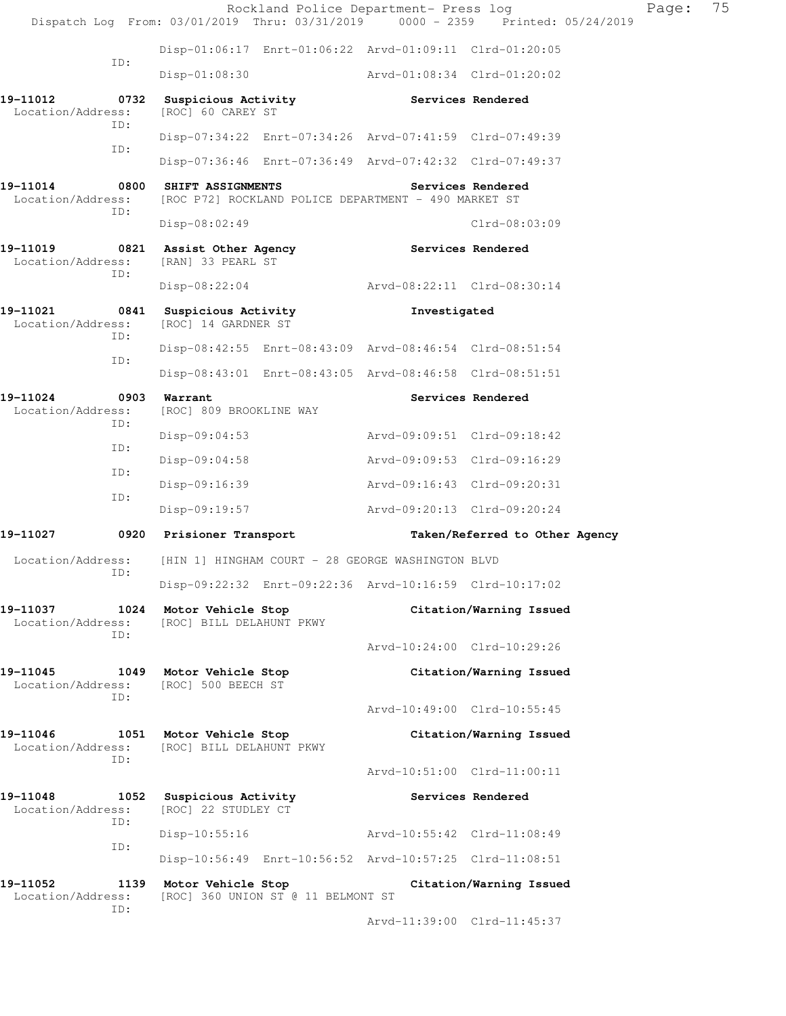Rockland Police Department- Press log Page: 75 Dispatch Log From: 03/01/2019 Thru: 03/31/2019 0000 - 2359 Printed: 05/24/2019 Disp-01:06:17 Enrt-01:06:22 Arvd-01:09:11 Clrd-01:20:05 ID: Disp-01:08:30 Arvd-01:08:34 Clrd-01:20:02 **19-11012 0732 Suspicious Activity Services Rendered**  Location/Address: [ROC] 60 CAREY ST ID: Disp-07:34:22 Enrt-07:34:26 Arvd-07:41:59 Clrd-07:49:39 ID: Disp-07:36:46 Enrt-07:36:49 Arvd-07:42:32 Clrd-07:49:37 **19-11014 0800 SHIFT ASSIGNMENTS Services Rendered**  Location/Address: [ROC P72] ROCKLAND POLICE DEPARTMENT - 490 MARKET ST ID: Disp-08:02:49 Clrd-08:03:09 **19-11019 0821 Assist Other Agency Services Rendered**  Location/Address: [RAN] 33 PEARL ST ID: Disp-08:22:04 Arvd-08:22:11 Clrd-08:30:14 **19-11021 0841 Suspicious Activity Investigated**  Location/Address: [ROC] 14 GARDNER ST ID: Disp-08:42:55 Enrt-08:43:09 Arvd-08:46:54 Clrd-08:51:54 ID: Disp-08:43:01 Enrt-08:43:05 Arvd-08:46:58 Clrd-08:51:51 **19-11024 0903 Warrant Services Rendered**  Location/Address: [ROC] 809 BROOKLINE WAY ID: Disp-09:04:53 Arvd-09:09:51 Clrd-09:18:42 ID: Disp-09:04:58 Arvd-09:09:53 Clrd-09:16:29 ID: Disp-09:16:39 Arvd-09:16:43 Clrd-09:20:31 ID: Disp-09:19:57 Arvd-09:20:13 Clrd-09:20:24 **19-11027 0920 Prisioner Transport Taken/Referred to Other Agency**  Location/Address: [HIN 1] HINGHAM COURT - 28 GEORGE WASHINGTON BLVD ID: Disp-09:22:32 Enrt-09:22:36 Arvd-10:16:59 Clrd-10:17:02 **19-11037 1024 Motor Vehicle Stop Citation/Warning Issued**  Location/Address: [ROC] BILL DELAHUNT PKWY ID: Arvd-10:24:00 Clrd-10:29:26 **19-11045 1049 Motor Vehicle Stop Citation/Warning Issued**  Location/Address: [ROC] 500 BEECH ST ID: Arvd-10:49:00 Clrd-10:55:45 **19-11046 1051 Motor Vehicle Stop Citation/Warning Issued**  Location/Address: [ROC] BILL DELAHUNT PKWY ID: Arvd-10:51:00 Clrd-11:00:11 **19-11048 1052 Suspicious Activity Services Rendered**  Location/Address: [ROC] 22 STUDLEY CT ID: Disp-10:55:16 Arvd-10:55:42 Clrd-11:08:49 ID: Disp-10:56:49 Enrt-10:56:52 Arvd-10:57:25 Clrd-11:08:51 **19-11052 1139 Motor Vehicle Stop Citation/Warning Issued**  Location/Address: [ROC] 360 UNION ST @ 11 BELMONT ST ID: Arvd-11:39:00 Clrd-11:45:37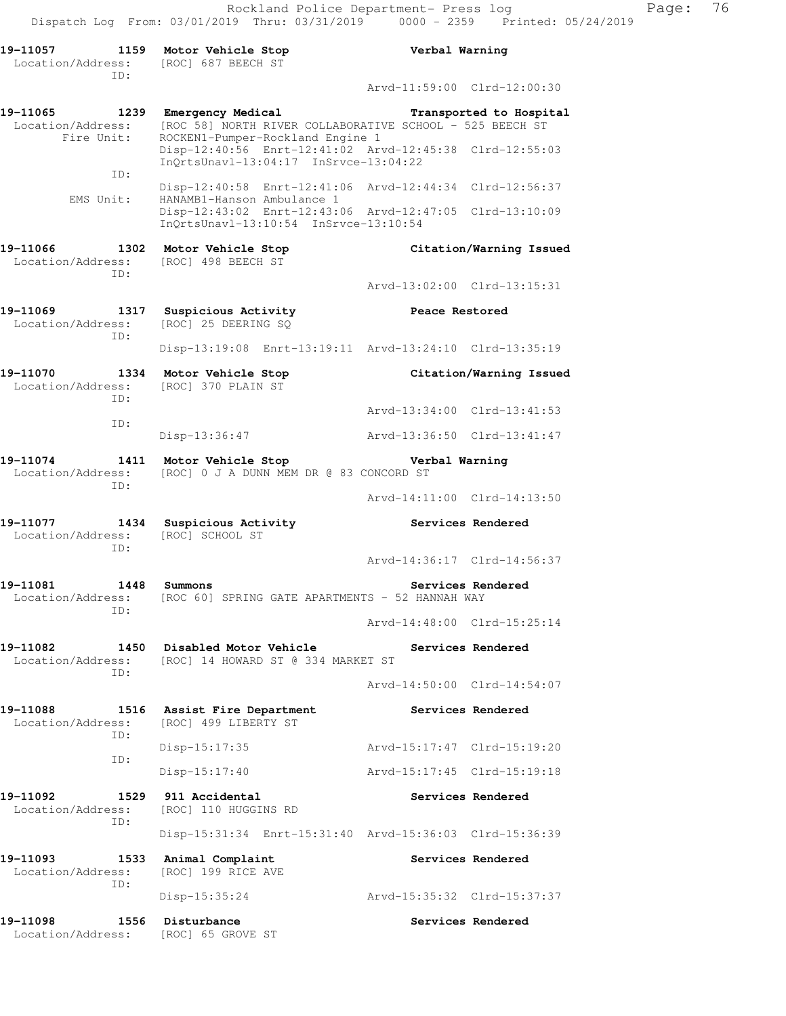**19-11057 1159 Motor Vehicle Stop Verbal Warning**  Location/Address: [ROC] 687 BEECH ST ID: Arvd-11:59:00 Clrd-12:00:30 **19-11065 1239 Emergency Medical Transported to Hospital**  Location/Address: [ROC 58] NORTH RIVER COLLABORATIVE SCHOOL - 525 BEECH ST Fire Unit: ROCKEN1-Pumper-Rockland Engine 1 Disp-12:40:56 Enrt-12:41:02 Arvd-12:45:38 Clrd-12:55:03 InQrtsUnavl-13:04:17 InSrvce-13:04:22 ID: Disp-12:40:58 Enrt-12:41:06 Arvd-12:44:34 Clrd-12:56:37 EMS Unit: HANAMB1-Hanson Ambulance 1 Disp-12:43:02 Enrt-12:43:06 Arvd-12:47:05 Clrd-13:10:09 InQrtsUnavl-13:10:54 InSrvce-13:10:54 **19-11066 1302 Motor Vehicle Stop Citation/Warning Issued**  Location/Address: [ROC] 498 BEECH ST ID: Arvd-13:02:00 Clrd-13:15:31 **19-11069 1317 Suspicious Activity Peace Restored**  Location/Address: [ROC] 25 DEERING SQ ID: Disp-13:19:08 Enrt-13:19:11 Arvd-13:24:10 Clrd-13:35:19 **19-11070 1334 Motor Vehicle Stop Citation/Warning Issued**  Location/Address: [ROC] 370 PLAIN ST ID: Arvd-13:34:00 Clrd-13:41:53 ID: Disp-13:36:47 Arvd-13:36:50 Clrd-13:41:47 **19-11074 1411 Motor Vehicle Stop Verbal Warning**  Location/Address: [ROC] 0 J A DUNN MEM DR @ 83 CONCORD ST ID: Arvd-14:11:00 Clrd-14:13:50 **19-11077 1434 Suspicious Activity Services Rendered**  Location/Address: [ROC] SCHOOL ST ID: Arvd-14:36:17 Clrd-14:56:37 **19-11081** 1448 Summons Services Rendered Location/Address: [ROC 60] SPRING GATE APARTMENTS - 52 HANNAH WAY ID: Arvd-14:48:00 Clrd-15:25:14 **19-11082 1450 Disabled Motor Vehicle Services Rendered**  Location/Address: [ROC] 14 HOWARD ST @ 334 MARKET ST ID: Arvd-14:50:00 Clrd-14:54:07 **19-11088 1516 Assist Fire Department Services Rendered**  Location/Address: [ROC] 499 LIBERTY ST ID: Disp-15:17:35 Arvd-15:17:47 Clrd-15:19:20 ID: Disp-15:17:40 Arvd-15:17:45 Clrd-15:19:18 **19-11092 1529 911 Accidental Services Rendered**  Location/Address: [ROC] 110 HUGGINS RD ID: Disp-15:31:34 Enrt-15:31:40 Arvd-15:36:03 Clrd-15:36:39 19-11093 1533 Animal Complaint **19-11093** Services Rendered Location/Address: [ROC] 199 RICE AVE ID: Disp-15:35:24 Arvd-15:35:32 Clrd-15:37:37 19-11098 1556 Disturbance **1996 1997 1998 Services Rendered** Location/Address: [ROC] 65 GROVE ST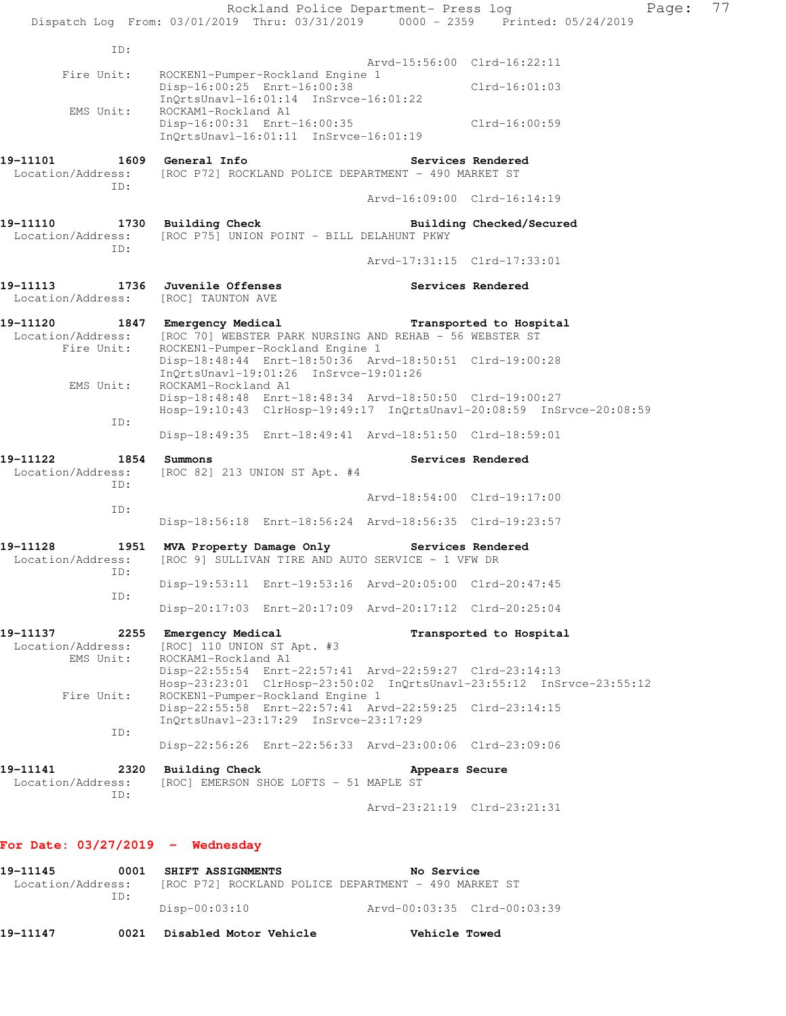|                                                 | Rockland Police Department- Press log<br>Dispatch Log From: 03/01/2019 Thru: 03/31/2019 0000 - 2359 Printed: 05/24/2019                                                  |                             |                          | Page: | 77 |
|-------------------------------------------------|--------------------------------------------------------------------------------------------------------------------------------------------------------------------------|-----------------------------|--------------------------|-------|----|
| ID:                                             |                                                                                                                                                                          |                             |                          |       |    |
|                                                 |                                                                                                                                                                          | Arvd-15:56:00 Clrd-16:22:11 |                          |       |    |
| Fire Unit:                                      | ROCKEN1-Pumper-Rockland Engine 1<br>Disp-16:00:25 Enrt-16:00:38<br>$InQrtsUnav1-16:01:14 InSrvce-16:01:22$                                                               |                             | $Clrd-16:01:03$          |       |    |
| EMS Unit:                                       | ROCKAM1-Rockland A1<br>Disp-16:00:31 Enrt-16:00:35<br>$InQrtsUnav1-16:01:11$ $InSrvce-16:01:19$                                                                          |                             | Clrd-16:00:59            |       |    |
| Location/Address:<br>ID:                        | [ROC P72] ROCKLAND POLICE DEPARTMENT - 490 MARKET ST                                                                                                                     |                             | Services Rendered        |       |    |
|                                                 |                                                                                                                                                                          | Arvd-16:09:00 Clrd-16:14:19 |                          |       |    |
| 19-11110<br>Location/Address:<br>ID:            | 1730 Building Check<br>[ROC P75] UNION POINT - BILL DELAHUNT PKWY                                                                                                        |                             | Building Checked/Secured |       |    |
|                                                 |                                                                                                                                                                          | Arvd-17:31:15 Clrd-17:33:01 |                          |       |    |
| 19–11113<br>Location/Address: [ROC] TAUNTON AVE | <b>1736 Juvenile Offenses</b>                                                                                                                                            |                             | Services Rendered        |       |    |
| Fire Unit:                                      | 19-11120 1847 Emergency Medical Transported to Hospital<br>Location/Address: [ROC 70] WEBSTER PARK NURSING AND REHAB - 56 WEBSTER ST<br>ROCKEN1-Pumper-Rockland Engine 1 |                             |                          |       |    |
| EMS Unit:                                       | Disp-18:48:44 Enrt-18:50:36 Arvd-18:50:51 Clrd-19:00:28<br>InQrtsUnavl-19:01:26 InSrvce-19:01:26<br>ROCKAM1-Rockland A1                                                  |                             |                          |       |    |
| ID:                                             | Disp-18:48:48 Enrt-18:48:34 Arvd-18:50:50 Clrd-19:00:27<br>Hosp-19:10:43 ClrHosp-19:49:17 InQrtsUnavl-20:08:59 InSrvce-20:08:59                                          |                             |                          |       |    |
|                                                 | Disp-18:49:35 Enrt-18:49:41 Arvd-18:51:50 Clrd-18:59:01                                                                                                                  |                             |                          |       |    |
| 19-11122<br>1854<br>Location/Address:<br>ID:    | Summons<br>[ROC 82] 213 UNION ST Apt. #4                                                                                                                                 |                             | Services Rendered        |       |    |
|                                                 |                                                                                                                                                                          | Arvd-18:54:00 Clrd-19:17:00 |                          |       |    |
| ID:                                             | Disp-18:56:18 Enrt-18:56:24 Arvd-18:56:35 Clrd-19:23:57                                                                                                                  |                             |                          |       |    |
| 19-11128<br>Location/Address:<br>ID:            | 1951 MVA Property Damage Only<br>[ROC 9] SULLIVAN TIRE AND AUTO SERVICE - 1 VFW DR                                                                                       | Services Rendered           |                          |       |    |
|                                                 | Disp-19:53:11 Enrt-19:53:16 Arvd-20:05:00 Clrd-20:47:45                                                                                                                  |                             |                          |       |    |
| ID:                                             | Disp-20:17:03 Enrt-20:17:09 Arvd-20:17:12 Clrd-20:25:04                                                                                                                  |                             |                          |       |    |
| 19–11137<br>Location/Address:<br>EMS Unit:      | 2255 Emergency Medical<br>[ROC] 110 UNION ST Apt. #3<br>ROCKAM1-Rockland A1                                                                                              |                             | Transported to Hospital  |       |    |
| Fire Unit:                                      | Disp-22:55:54 Enrt-22:57:41 Arvd-22:59:27 Clrd-23:14:13<br>Hosp-23:23:01 ClrHosp-23:50:02 InQrtsUnavl-23:55:12 InSrvce-23:55:12<br>ROCKEN1-Pumper-Rockland Engine 1      |                             |                          |       |    |
|                                                 | Disp-22:55:58 Enrt-22:57:41 Arvd-22:59:25 Clrd-23:14:15<br>InQrtsUnavl-23:17:29 InSrvce-23:17:29                                                                         |                             |                          |       |    |
| ID:                                             | Disp-22:56:26 Enrt-22:56:33 Arvd-23:00:06 Clrd-23:09:06                                                                                                                  |                             |                          |       |    |
| 19–11141<br>Location/Address:<br>ID:            | 2320 Building Check<br>[ROC] EMERSON SHOE LOFTS - 51 MAPLE ST                                                                                                            | Appears Secure              |                          |       |    |
|                                                 |                                                                                                                                                                          | Arvd-23:21:19 Clrd-23:21:31 |                          |       |    |
| For Date: $03/27/2019$ - Wednesday              |                                                                                                                                                                          |                             |                          |       |    |
| 19-11145<br>0001                                | SHIFT ASSIGNMENTS                                                                                                                                                        | No Service                  |                          |       |    |

Location/Address: [ROC P72] ROCKLAND POLICE DEPARTMENT - 490 MARKET ST ID: Disp-00:03:10 Arvd-00:03:35 Clrd-00:03:39

**19-11147 0021 Disabled Motor Vehicle Vehicle Towed**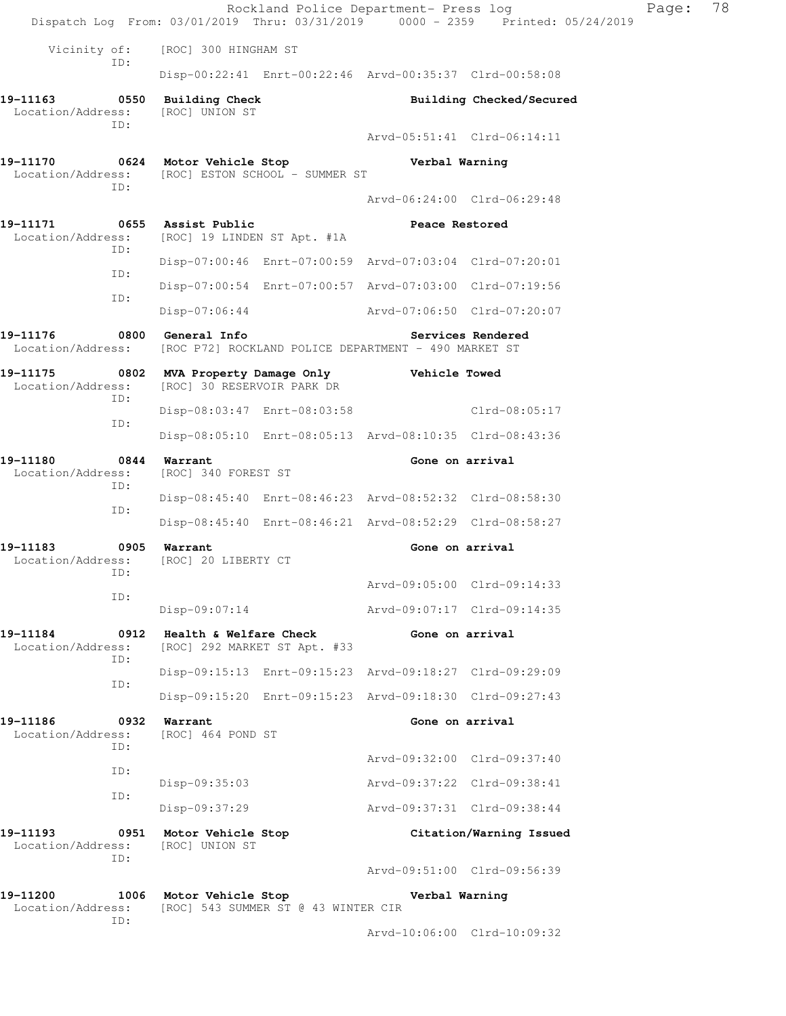|                                                                                    |             |                                                        | Rockland Police Department- Press log                   |                             | Dispatch Log From: 03/01/2019 Thru: 03/31/2019 0000 - 2359 Printed: 05/24/2019 | Page: | 78 |
|------------------------------------------------------------------------------------|-------------|--------------------------------------------------------|---------------------------------------------------------|-----------------------------|--------------------------------------------------------------------------------|-------|----|
| Vicinity of:                                                                       |             | [ROC] 300 HINGHAM ST                                   |                                                         |                             |                                                                                |       |    |
|                                                                                    | ID:         |                                                        | Disp-00:22:41 Enrt-00:22:46 Arvd-00:35:37 Clrd-00:58:08 |                             |                                                                                |       |    |
| 19–11163<br>Location/Address:                                                      |             | 0550 Building Check<br>[ROC] UNION ST                  |                                                         |                             | Building Checked/Secured                                                       |       |    |
|                                                                                    | ID:         |                                                        |                                                         | Arvd-05:51:41 Clrd-06:14:11 |                                                                                |       |    |
| 19-11170<br>Location/Address: [ROC] ESTON SCHOOL - SUMMER ST                       | ID:         |                                                        | 0624 Motor Vehicle Stop                                 | Verbal Warning              |                                                                                |       |    |
|                                                                                    |             |                                                        |                                                         | Arvd-06:24:00 Clrd-06:29:48 |                                                                                |       |    |
| 19–11171<br>Location/Address: [ROC] 19 LINDEN ST Apt. #1A                          | ID:         | 0655 Assist Public                                     |                                                         | Peace Restored              |                                                                                |       |    |
|                                                                                    | ID:         |                                                        | Disp-07:00:46 Enrt-07:00:59 Arvd-07:03:04 Clrd-07:20:01 |                             |                                                                                |       |    |
|                                                                                    | ID:         |                                                        | Disp-07:00:54 Enrt-07:00:57 Arvd-07:03:00 Clrd-07:19:56 |                             |                                                                                |       |    |
|                                                                                    |             | Disp-07:06:44                                          |                                                         | Arvd-07:06:50 Clrd-07:20:07 |                                                                                |       |    |
| 19-11176<br>Location/Address: [ROC P72] ROCKLAND POLICE DEPARTMENT - 490 MARKET ST |             | 0800 General Info                                      |                                                         |                             | Services Rendered                                                              |       |    |
| 19-11175 0802 MVA Property Damage Only Vehicle Towed<br>Location/Address:          | ID:         | [ROC] 30 RESERVOIR PARK DR                             |                                                         |                             |                                                                                |       |    |
|                                                                                    | ID:         |                                                        | Disp-08:03:47 Enrt-08:03:58                             |                             | Clrd-08:05:17                                                                  |       |    |
|                                                                                    |             |                                                        | Disp-08:05:10 Enrt-08:05:13 Arvd-08:10:35 Clrd-08:43:36 |                             |                                                                                |       |    |
| 19-11180<br>Location/Address:                                                      | ID:         | 0844 Warrant<br>[ROC] 340 FOREST ST                    |                                                         | Gone on arrival             |                                                                                |       |    |
|                                                                                    | ID:         |                                                        | Disp-08:45:40 Enrt-08:46:23 Arvd-08:52:32 Clrd-08:58:30 |                             |                                                                                |       |    |
|                                                                                    |             |                                                        | Disp-08:45:40 Enrt-08:46:21 Arvd-08:52:29 Clrd-08:58:27 |                             |                                                                                |       |    |
| 19–11183<br>Location/Address:                                                      | ID:         | 0905 Warrant<br>[ROC] 20 LIBERTY CT                    |                                                         | Gone on arrival             |                                                                                |       |    |
|                                                                                    | ID:         |                                                        |                                                         | Arvd-09:05:00 Clrd-09:14:33 |                                                                                |       |    |
|                                                                                    |             | $Disp-09:07:14$                                        |                                                         | Arvd-09:07:17 Clrd-09:14:35 |                                                                                |       |    |
| 19-11184<br>Location/Address:                                                      | 0912<br>ID: | Health & Welfare Check<br>[ROC] 292 MARKET ST Apt. #33 |                                                         | Gone on arrival             |                                                                                |       |    |
|                                                                                    | ID:         |                                                        | Disp-09:15:13 Enrt-09:15:23 Arvd-09:18:27 Clrd-09:29:09 |                             |                                                                                |       |    |
|                                                                                    |             |                                                        | Disp-09:15:20 Enrt-09:15:23 Arvd-09:18:30 Clrd-09:27:43 |                             |                                                                                |       |    |
| 19-11186<br>Location/Address:                                                      | ID:         | 0932 Warrant<br>[ROC] 464 POND ST                      |                                                         | Gone on arrival             |                                                                                |       |    |
|                                                                                    | ID:         |                                                        |                                                         | Arvd-09:32:00 Clrd-09:37:40 |                                                                                |       |    |
|                                                                                    | ID:         | Disp-09:35:03                                          |                                                         | Arvd-09:37:22 Clrd-09:38:41 |                                                                                |       |    |
|                                                                                    |             | Disp-09:37:29                                          |                                                         | Arvd-09:37:31 Clrd-09:38:44 |                                                                                |       |    |
| 19–11193<br>Location/Address:                                                      | ID:         | 0951 Motor Vehicle Stop<br>[ROC] UNION ST              |                                                         |                             | Citation/Warning Issued                                                        |       |    |
|                                                                                    |             |                                                        |                                                         | Arvd-09:51:00 Clrd-09:56:39 |                                                                                |       |    |
| 19-11200<br>Location/Address:                                                      | ID:         | 1006 Motor Vehicle Stop                                | [ROC] 543 SUMMER ST @ 43 WINTER CIR                     | Verbal Warning              |                                                                                |       |    |
|                                                                                    |             |                                                        |                                                         | Arvd-10:06:00 Clrd-10:09:32 |                                                                                |       |    |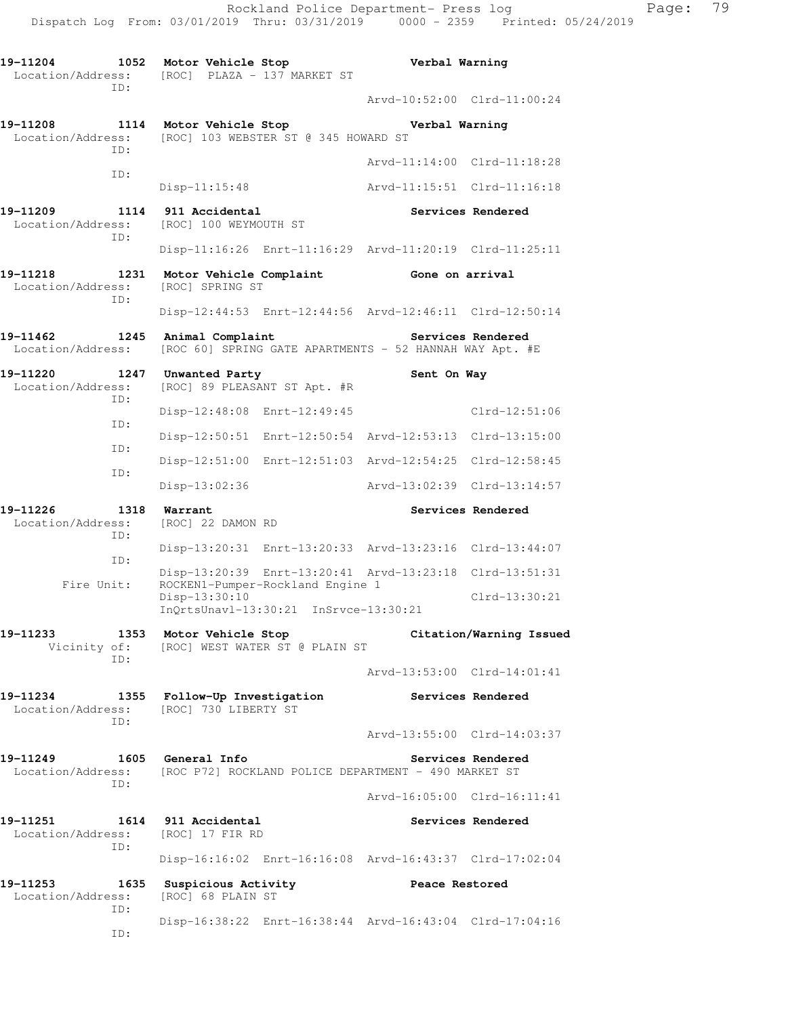**19-11204 1052 Motor Vehicle Stop Verbal Warning**  Location/Address: [ROC] PLAZA - 137 MARKET ST ID: Arvd-10:52:00 Clrd-11:00:24 **19-11208 1114 Motor Vehicle Stop Verbal Warning**  Location/Address: [ROC] 103 WEBSTER ST @ 345 HOWARD ST ID: Arvd-11:14:00 Clrd-11:18:28 ID: Disp-11:15:48 Arvd-11:15:51 Clrd-11:16:18 **19-11209 1114 911 Accidental Services Rendered**  Location/Address: [ROC] 100 WEYMOUTH ST ID: Disp-11:16:26 Enrt-11:16:29 Arvd-11:20:19 Clrd-11:25:11 19-11218 1231 Motor Vehicle Complaint Gone on arrival Location/Address: [ROC] SPRING ST ID: Disp-12:44:53 Enrt-12:44:56 Arvd-12:46:11 Clrd-12:50:14 **19-11462 1245 Animal Complaint Services Rendered**  Location/Address: [ROC 60] SPRING GATE APARTMENTS - 52 HANNAH WAY Apt. #E 19-11220 **1247** Unwanted Party **1247 Sent On Way**  Location/Address: [ROC] 89 PLEASANT ST Apt. #R ID: Disp-12:48:08 Enrt-12:49:45 Clrd-12:51:06 ID: Disp-12:50:51 Enrt-12:50:54 Arvd-12:53:13 Clrd-13:15:00 ID: Disp-12:51:00 Enrt-12:51:03 Arvd-12:54:25 Clrd-12:58:45 ID: Disp-13:02:36 Arvd-13:02:39 Clrd-13:14:57 19-11226 1318 Warrant **Services Rendered**  Location/Address: [ROC] 22 DAMON RD ID: Disp-13:20:31 Enrt-13:20:33 Arvd-13:23:16 Clrd-13:44:07 ID: Disp-13:20:39 Enrt-13:20:41 Arvd-13:23:18 Clrd-13:51:31 Fire Unit: ROCKEN1-Pumper-Rockland Engine 1 Disp-13:30:10 Clrd-13:30:21 InQrtsUnavl-13:30:21 InSrvce-13:30:21 **19-11233 1353 Motor Vehicle Stop Citation/Warning Issued**  Vicinity of: [ROC] WEST WATER ST @ PLAIN ST ID: Arvd-13:53:00 Clrd-14:01:41 **19-11234 1355 Follow-Up Investigation Services Rendered**  Location/Address: [ROC] 730 LIBERTY ST ID: Arvd-13:55:00 Clrd-14:03:37 **19-11249 1605 General Info Services Rendered**  Location/Address: [ROC P72] ROCKLAND POLICE DEPARTMENT - 490 MARKET ST ID: Arvd-16:05:00 Clrd-16:11:41 **19-11251 1614 911 Accidental Services Rendered**  Location/Address: [ROC] 17 FIR RD ID: Disp-16:16:02 Enrt-16:16:08 Arvd-16:43:37 Clrd-17:02:04 **19-11253 1635 Suspicious Activity Peace Restored**  Location/Address: [ROC] 68 PLAIN ST ID: Disp-16:38:22 Enrt-16:38:44 Arvd-16:43:04 Clrd-17:04:16 ID: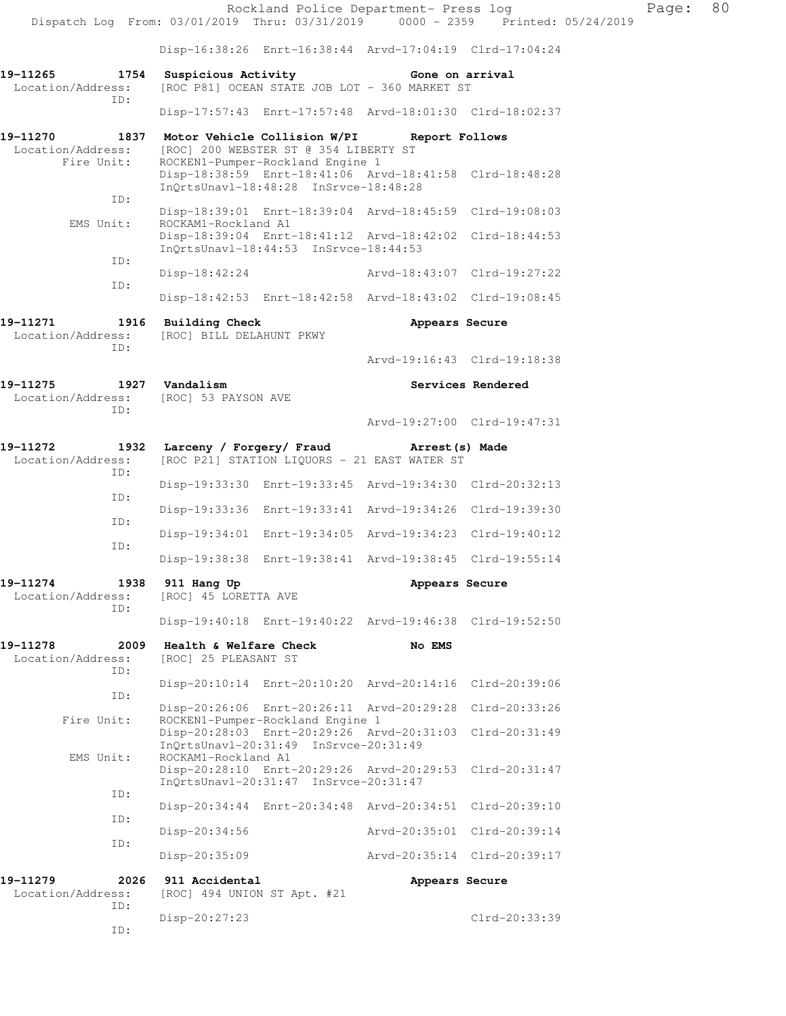|                                                     |                                                                            | Rockland Police Department- Press log                                                            |                             | Dispatch Log From: 03/01/2019 Thru: 03/31/2019 0000 - 2359 Printed: 05/24/2019 | Page: | 80 |
|-----------------------------------------------------|----------------------------------------------------------------------------|--------------------------------------------------------------------------------------------------|-----------------------------|--------------------------------------------------------------------------------|-------|----|
|                                                     |                                                                            | Disp-16:38:26 Enrt-16:38:44 Arvd-17:04:19 Clrd-17:04:24                                          |                             |                                                                                |       |    |
| 19-11265<br>1754<br>Location/Address:<br>TD:        | Suspicious Activity                                                        | [ROC P81] OCEAN STATE JOB LOT - 360 MARKET ST                                                    | Gone on arrival             |                                                                                |       |    |
|                                                     |                                                                            | Disp-17:57:43 Enrt-17:57:48 Arvd-18:01:30 Clrd-18:02:37                                          |                             |                                                                                |       |    |
| 19-11270<br>Location/Address:<br>Fire Unit:         | 1837 Motor Vehicle Collision W/PI<br>[ROC] 200 WEBSTER ST @ 354 LIBERTY ST | ROCKEN1-Pumper-Rockland Engine 1                                                                 | Report Follows              |                                                                                |       |    |
| ID:                                                 |                                                                            | Disp-18:38:59 Enrt-18:41:06 Arvd-18:41:58 Clrd-18:48:28<br>InQrtsUnavl-18:48:28 InSrvce-18:48:28 |                             |                                                                                |       |    |
| EMS Unit:                                           | ROCKAM1-Rockland A1                                                        | Disp-18:39:01 Enrt-18:39:04 Arvd-18:45:59 Clrd-19:08:03                                          |                             |                                                                                |       |    |
|                                                     |                                                                            | Disp-18:39:04 Enrt-18:41:12 Arvd-18:42:02 Clrd-18:44:53<br>InQrtsUnavl-18:44:53 InSrvce-18:44:53 |                             |                                                                                |       |    |
| ID:                                                 | Disp-18:42:24                                                              |                                                                                                  | Arvd-18:43:07 Clrd-19:27:22 |                                                                                |       |    |
| ID:                                                 |                                                                            | Disp-18:42:53 Enrt-18:42:58 Arvd-18:43:02 Clrd-19:08:45                                          |                             |                                                                                |       |    |
| 19-11271<br>Location/Address:<br>ID:                | 1916 Building Check<br>[ROC] BILL DELAHUNT PKWY                            |                                                                                                  | Appears Secure              |                                                                                |       |    |
|                                                     |                                                                            |                                                                                                  |                             | Arvd-19:16:43 Clrd-19:18:38                                                    |       |    |
| 19-11275 1927 Vandalism<br>Location/Address:<br>ID: | [ROC] 53 PAYSON AVE                                                        |                                                                                                  |                             | Services Rendered                                                              |       |    |
|                                                     |                                                                            |                                                                                                  |                             | Arvd-19:27:00 Clrd-19:47:31                                                    |       |    |
| 19-11272<br>Location/Address:<br>ID:                | 1932 Larceny / Forgery/ Fraud Marest (s) Made                              | [ROC P21] STATION LIQUORS - 21 EAST WATER ST                                                     |                             |                                                                                |       |    |
| ID:                                                 |                                                                            | Disp-19:33:30 Enrt-19:33:45 Arvd-19:34:30 Clrd-20:32:13                                          |                             |                                                                                |       |    |
| ID:                                                 |                                                                            | Disp-19:33:36 Enrt-19:33:41 Arvd-19:34:26 Clrd-19:39:30                                          |                             |                                                                                |       |    |
| ID:                                                 |                                                                            | Disp-19:34:01 Enrt-19:34:05 Arvd-19:34:23 Clrd-19:40:12                                          |                             |                                                                                |       |    |
|                                                     |                                                                            | Disp-19:38:38 Enrt-19:38:41 Arvd-19:38:45 Clrd-19:55:14                                          |                             |                                                                                |       |    |
| 19-11274<br>1938<br>Location/Address:<br>ID:        | 911 Hang Up<br>[ROC] 45 LORETTA AVE                                        |                                                                                                  | Appears Secure              |                                                                                |       |    |
|                                                     |                                                                            | Disp-19:40:18 Enrt-19:40:22 Arvd-19:46:38 Clrd-19:52:50                                          |                             |                                                                                |       |    |
| 19-11278<br>2009<br>Location/Address:<br>ID:        | Health & Welfare Check<br>[ROC] 25 PLEASANT ST                             |                                                                                                  | No EMS                      |                                                                                |       |    |
| ID:                                                 |                                                                            | Disp-20:10:14 Enrt-20:10:20 Arvd-20:14:16 Clrd-20:39:06                                          |                             |                                                                                |       |    |
| Fire Unit:                                          |                                                                            | Disp-20:26:06 Enrt-20:26:11 Arvd-20:29:28 Clrd-20:33:26<br>ROCKEN1-Pumper-Rockland Engine 1      |                             |                                                                                |       |    |
|                                                     |                                                                            | Disp-20:28:03 Enrt-20:29:26 Arvd-20:31:03 Clrd-20:31:49<br>InQrtsUnavl-20:31:49 InSrvce-20:31:49 |                             |                                                                                |       |    |
| EMS Unit:                                           | ROCKAM1-Rockland A1                                                        | Disp-20:28:10 Enrt-20:29:26 Arvd-20:29:53 Clrd-20:31:47<br>InQrtsUnavl-20:31:47 InSrvce-20:31:47 |                             |                                                                                |       |    |
| ID:                                                 |                                                                            | Disp-20:34:44 Enrt-20:34:48 Arvd-20:34:51 Clrd-20:39:10                                          |                             |                                                                                |       |    |
| ID:                                                 | Disp-20:34:56                                                              |                                                                                                  | Arvd-20:35:01 Clrd-20:39:14 |                                                                                |       |    |
| ID:                                                 | Disp-20:35:09                                                              |                                                                                                  |                             | Arvd-20:35:14 Clrd-20:39:17                                                    |       |    |
| 19-11279<br>2026<br>Location/Address:<br>ID:        | 911 Accidental<br>[ROC] 494 UNION ST Apt. #21                              |                                                                                                  | Appears Secure              |                                                                                |       |    |
| ID:                                                 | Disp-20:27:23                                                              |                                                                                                  |                             | Clrd-20:33:39                                                                  |       |    |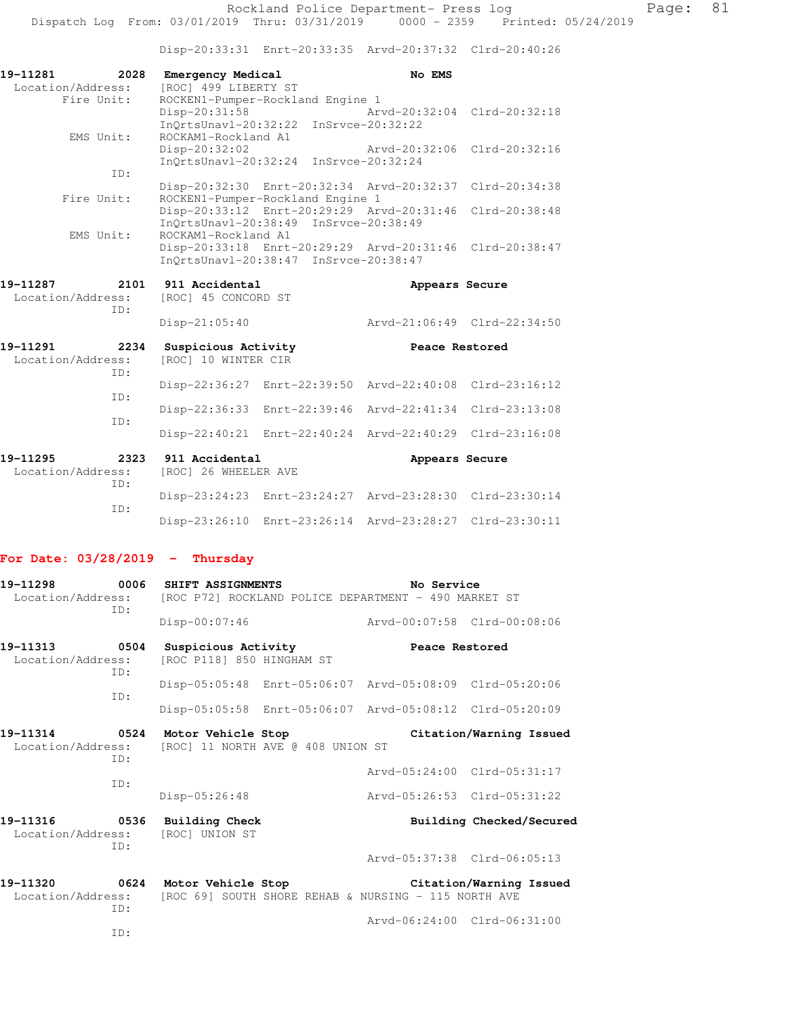Disp-20:33:31 Enrt-20:33:35 Arvd-20:37:32 Clrd-20:40:26

| 19-11281<br>2028<br>Location/Address: | <b>Emergency Medical</b><br>[ROC] 499 LIBERTY ST |                                           | No EMS                                                  |                             |
|---------------------------------------|--------------------------------------------------|-------------------------------------------|---------------------------------------------------------|-----------------------------|
| Fire Unit:                            |                                                  | ROCKEN1-Pumper-Rockland Engine 1          |                                                         |                             |
|                                       | Disp-20:31:58                                    |                                           | Arvd-20:32:04                                           | $Clrd-20:32:18$             |
|                                       | InQrtsUnavl-20:32:22                             |                                           | InSrvce-20:32:22                                        |                             |
| EMS Unit:                             | ROCKAM1-Rockland A1                              |                                           |                                                         |                             |
|                                       | Disp-20:32:02                                    |                                           | Arvd-20:32:06                                           | $Clrd-20:32:16$             |
|                                       |                                                  | InQrtsUnavl-20:32:24 InSrvce-20:32:24     |                                                         |                             |
| ID:                                   |                                                  |                                           |                                                         |                             |
|                                       |                                                  |                                           | Disp-20:32:30 Enrt-20:32:34 Arvd-20:32:37 Clrd-20:34:38 |                             |
| Fire Unit:                            |                                                  | ROCKEN1-Pumper-Rockland Engine 1          |                                                         |                             |
|                                       |                                                  | Disp-20:33:12 Enrt-20:29:29 Arvd-20:31:46 |                                                         | $Clrd-20:38:48$             |
|                                       |                                                  | InQrtsUnavl-20:38:49 InSrvce-20:38:49     |                                                         |                             |
| EMS Unit:                             | ROCKAM1-Rockland A1                              |                                           |                                                         |                             |
|                                       |                                                  |                                           | Disp-20:33:18 Enrt-20:29:29 Arvd-20:31:46 Clrd-20:38:47 |                             |
|                                       |                                                  | InQrtsUnavl-20:38:47 InSrvce-20:38:47     |                                                         |                             |
|                                       |                                                  |                                           |                                                         |                             |
| 19-11287                              | 2101 911 Accidental                              |                                           | Appears Secure                                          |                             |
| Location/Address:                     | [ROC] 45 CONCORD ST                              |                                           |                                                         |                             |
|                                       |                                                  |                                           |                                                         |                             |
| ID:                                   |                                                  |                                           |                                                         |                             |
|                                       | Disp-21:05:40                                    |                                           |                                                         | Arvd-21:06:49 Clrd-22:34:50 |
|                                       |                                                  |                                           |                                                         |                             |
| 19-11291<br>2234                      | Suspicious Activity                              |                                           | Peace Restored                                          |                             |
| Location/Address:                     | [ROC] 10 WINTER CIR                              |                                           |                                                         |                             |
| TD:                                   |                                                  |                                           |                                                         |                             |
|                                       |                                                  | Disp-22:36:27 Enrt-22:39:50               | Arvd-22:40:08                                           | $Clrd-23:16:12$             |
| TD:                                   |                                                  |                                           |                                                         |                             |
|                                       |                                                  | Disp-22:36:33 Enrt-22:39:46               | Arvd-22:41:34                                           | $Clrd-23:13:08$             |
| TD:                                   |                                                  |                                           |                                                         |                             |
|                                       | $Disp-22:40:21$                                  | Enrt-22:40:24                             | Arvd-22:40:29                                           | $Clrd-23:16:08$             |
|                                       |                                                  |                                           |                                                         |                             |
| 19-11295<br>2323                      | 911 Accidental                                   |                                           | Appears Secure                                          |                             |
| Location/Address:                     | [ROC] 26 WHEELER AVE                             |                                           |                                                         |                             |
| ID:                                   |                                                  |                                           |                                                         |                             |
|                                       |                                                  |                                           | Disp-23:24:23 Enrt-23:24:27 Arvd-23:28:30               | $Clrd-23:30:14$             |
| TD:                                   |                                                  | Disp-23:26:10 Enrt-23:26:14               | Arvd-23:28:27                                           | $Clrd-23:30:11$             |

## **For Date: 03/28/2019 - Thursday**

| 19-11298                           | TD:         | 0006 SHIFT ASSIGNMENTS<br>Location/Address: [ROC P72] ROCKLAND POLICE DEPARTMENT - 490 MARKET ST | No Service                  |                             |
|------------------------------------|-------------|--------------------------------------------------------------------------------------------------|-----------------------------|-----------------------------|
|                                    |             | Disp-00:07:46                                                                                    | Arvd-00:07:58 Clrd-00:08:06 |                             |
| 19-11313 0504<br>Location/Address: | ID:         | Suspicious Activity<br>[ROC P118] 850 HINGHAM ST                                                 | Peace Restored              |                             |
|                                    |             | Disp-05:05:48 Enrt-05:06:07 Arvd-05:08:09 Clrd-05:20:06                                          |                             |                             |
|                                    | TD:         | Disp-05:05:58 Enrt-05:06:07 Arvd-05:08:12 Clrd-05:20:09                                          |                             |                             |
| 19–11314                           | TD:         | 0524 Motor Vehicle Stop<br>Location/Address: [ROC] 11 NORTH AVE @ 408 UNION ST                   |                             | Citation/Warning Issued     |
|                                    |             |                                                                                                  |                             | Arvd-05:24:00 Clrd-05:31:17 |
|                                    | TD:         | $Disp-05:26:48$                                                                                  | Arvd-05:26:53 Clrd-05:31:22 |                             |
| 19-11316<br>Location/Address:      | 0536<br>TD: | Building Check<br>[ROC] UNION ST                                                                 |                             | Building Checked/Secured    |
|                                    |             |                                                                                                  | Arvd-05:37:38 Clrd-06:05:13 |                             |
| Location/Address:                  | ID:         | 19-11320 0624 Motor Vehicle Stop<br>[ROC 69] SOUTH SHORE REHAB & NURSING - 115 NORTH AVE         |                             | Citation/Warning Issued     |
|                                    |             |                                                                                                  | Arvd-06:24:00 Clrd-06:31:00 |                             |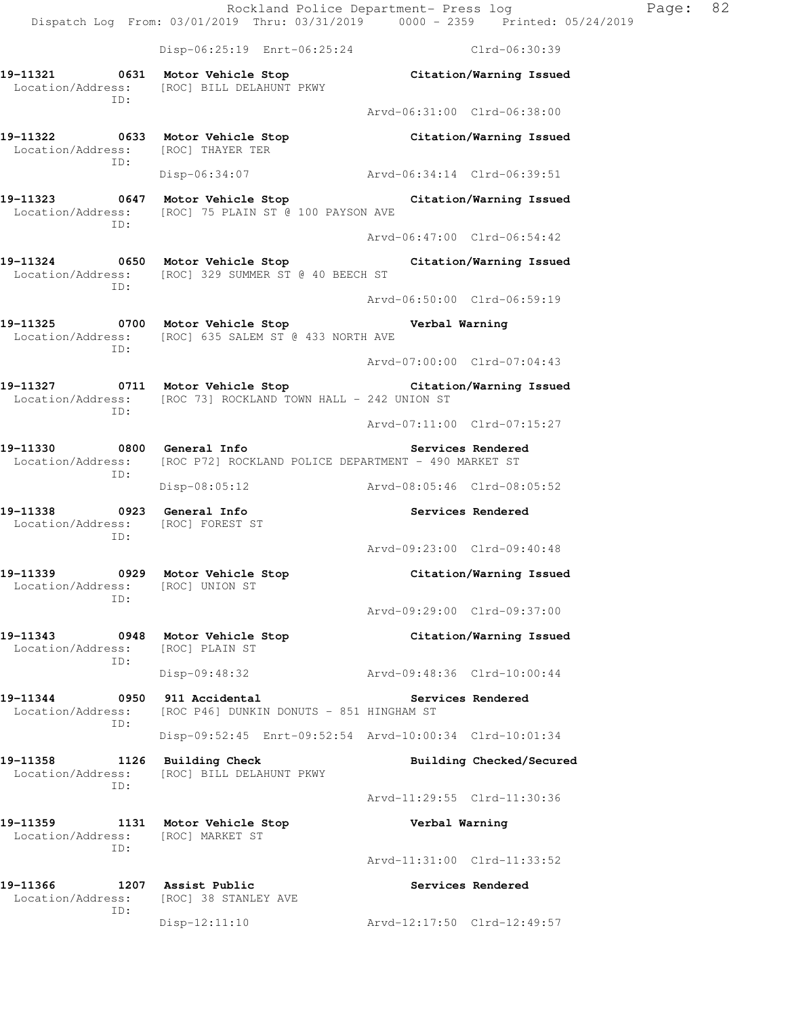Rockland Police Department- Press log Page: 82 Dispatch Log From: 03/01/2019 Thru: 03/31/2019 0000 - 2359 Printed: 05/24/2019 Disp-06:25:19 Enrt-06:25:24 Clrd-06:30:39 **19-11321 0631 Motor Vehicle Stop Citation/Warning Issued**  Location/Address: [ROC] BILL DELAHUNT PKWY ID: Arvd-06:31:00 Clrd-06:38:00 **19-11322 0633 Motor Vehicle Stop Citation/Warning Issued**  Location/Address: [ROC] THAYER TER ID: Disp-06:34:07 Arvd-06:34:14 Clrd-06:39:51 **19-11323 0647 Motor Vehicle Stop Citation/Warning Issued**  Location/Address: [ROC] 75 PLAIN ST @ 100 PAYSON AVE ID: Arvd-06:47:00 Clrd-06:54:42 **19-11324 0650 Motor Vehicle Stop Citation/Warning Issued**  Location/Address: [ROC] 329 SUMMER ST @ 40 BEECH ST ID: Arvd-06:50:00 Clrd-06:59:19 **19-11325 0700 Motor Vehicle Stop Verbal Warning**  Location/Address: [ROC] 635 SALEM ST @ 433 NORTH AVE ID: Arvd-07:00:00 Clrd-07:04:43 **19-11327 0711 Motor Vehicle Stop Citation/Warning Issued**  Location/Address: [ROC 73] ROCKLAND TOWN HALL - 242 UNION ST ID: Arvd-07:11:00 Clrd-07:15:27 **19-11330 0800 General Info Services Rendered**  Location/Address: [ROC P72] ROCKLAND POLICE DEPARTMENT - 490 MARKET ST ID: Disp-08:05:12 Arvd-08:05:46 Clrd-08:05:52 **19-11338 0923 General Info Services Rendered**  Location/Address: [ROC] FOREST ST ID: Arvd-09:23:00 Clrd-09:40:48 **19-11339 0929 Motor Vehicle Stop Citation/Warning Issued**  Location/Address: [ROC] UNION ST ID: Arvd-09:29:00 Clrd-09:37:00 **19-11343 0948 Motor Vehicle Stop Citation/Warning Issued**  Location/Address: [ROC] PLAIN ST ID: Disp-09:48:32 Arvd-09:48:36 Clrd-10:00:44 **19-11344 0950 911 Accidental Services Rendered**  Location/Address: [ROC P46] DUNKIN DONUTS - 851 HINGHAM ST ID: Disp-09:52:45 Enrt-09:52:54 Arvd-10:00:34 Clrd-10:01:34 **19-11358 1126 Building Check Building Checked/Secured**  Location/Address: [ROC] BILL DELAHUNT PKWY ID: Arvd-11:29:55 Clrd-11:30:36 **19-11359 1131 Motor Vehicle Stop Verbal Warning**  Location/Address: [ROC] MARKET ST ID: Arvd-11:31:00 Clrd-11:33:52 **19-11366 1207 Assist Public Services Rendered**  Location/Address: [ROC] 38 STANLEY AVE ID:

Disp-12:11:10 Arvd-12:17:50 Clrd-12:49:57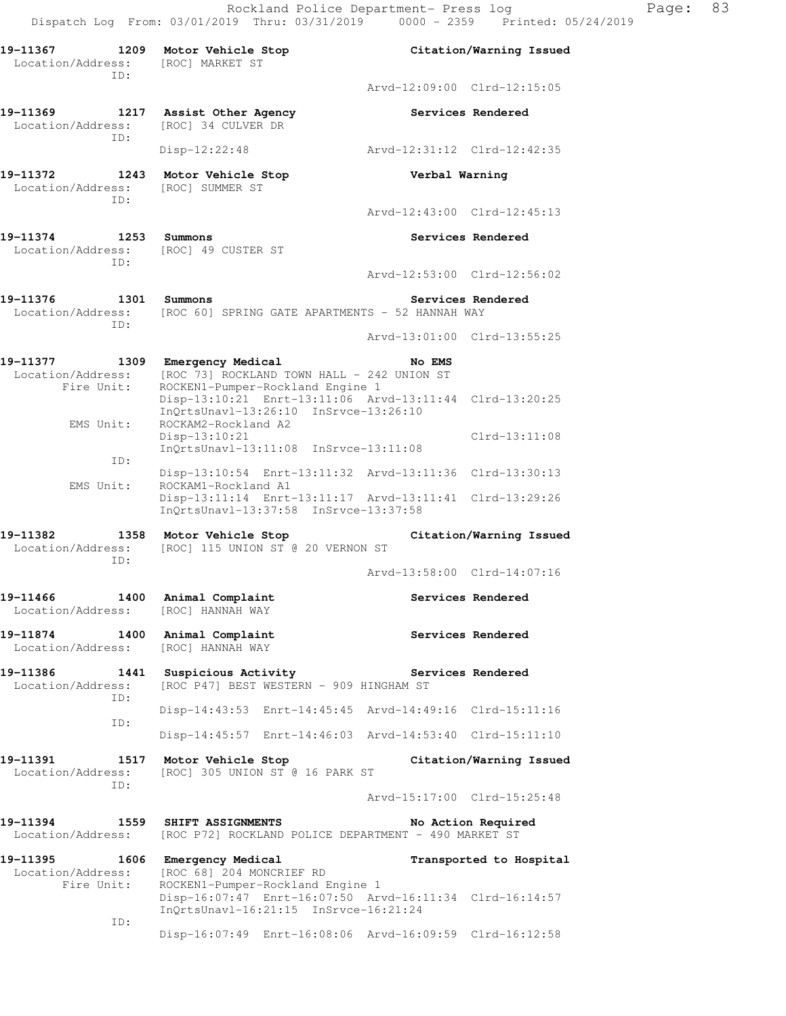Rockland Police Department- Press log Page: 83

 Dispatch Log From: 03/01/2019 Thru: 03/31/2019 0000 - 2359 Printed: 05/24/2019 **19-11367 1209 Motor Vehicle Stop Citation/Warning Issued**  Location/Address: [ROC] MARKET ST ID: Arvd-12:09:00 Clrd-12:15:05 **19-11369 1217 Assist Other Agency Services Rendered**  Location/Address: [ROC] 34 CULVER DR ID: Disp-12:22:48 Arvd-12:31:12 Clrd-12:42:35 **19-11372 1243 Motor Vehicle Stop Verbal Warning**  Location/Address: [ROC] SUMMER ST ID: Arvd-12:43:00 Clrd-12:45:13

**19-11374 1253 Summons Services Rendered**  Location/Address: [ROC] 49 CUSTER ST ID:

19-11376 1301 Summons **1996 1201 Services Rendered** Location/Address: [ROC 60] SPRING GATE APARTMENTS - 52 HANNAH WAY ID:

Arvd-13:01:00 Clrd-13:55:25

Arvd-12:53:00 Clrd-12:56:02

**19-11377 1309 Emergency Medical No EMS**  Location/Address: [ROC 73] ROCKLAND TOWN HALL - 242 UNION ST<br>Fire Unit: ROCKEN1-Pumper-Rockland Engine 1 ROCKEN1-Pumper-Rockland Engine 1 Disp-13:10:21 Enrt-13:11:06 Arvd-13:11:44 Clrd-13:20:25 InQrtsUnavl-13:26:10 InSrvce-13:26:10<br>EMS Unit: ROCKAM2-Rockland A2 ROCKAM2-Rockland A2 Disp-13:10:21 Clrd-13:11:08 InQrtsUnavl-13:11:08 InSrvce-13:11:08 ID: Disp-13:10:54 Enrt-13:11:32 Arvd-13:11:36 Clrd-13:30:13<br>EMS Unit: ROCKAM1-Rockland A1 ROCKAM1-Rockland A1 Disp-13:11:14 Enrt-13:11:17 Arvd-13:11:41 Clrd-13:29:26 InQrtsUnavl-13:37:58 InSrvce-13:37:58

**19-11382 1358 Motor Vehicle Stop Citation/Warning Issued**  Location/Address: [ROC] 115 UNION ST @ 20 VERNON ST ID: Arvd-13:58:00 Clrd-14:07:16

19-11466 1400 Animal Complaint **1400 Services Rendered** Location/Address: [ROC] HANNAH WAY

19-11874 1400 Animal Complaint **19-11874** Services Rendered Location/Address: [ROC] HANNAH WAY

**19-11386 1441 Suspicious Activity Services Rendered**  Location/Address: [ROC P47] BEST WESTERN - 909 HINGHAM ST ID: Disp-14:43:53 Enrt-14:45:45 Arvd-14:49:16 Clrd-15:11:16 ID: Disp-14:45:57 Enrt-14:46:03 Arvd-14:53:40 Clrd-15:11:10

**19-11391 1517 Motor Vehicle Stop Citation/Warning Issued**  Location/Address: [ROC] 305 UNION ST @ 16 PARK ST ID:

Arvd-15:17:00 Clrd-15:25:48

**19-11394 1559 SHIFT ASSIGNMENTS No Action Required**  Location/Address: [ROC P72] ROCKLAND POLICE DEPARTMENT - 490 MARKET ST

**19-11395 1606 Emergency Medical Transported to Hospital**  Location/Address: [ROC 68] 204 MONCRIEF RD Fire Unit: ROCKEN1-Pumper-Rockland Engine 1 Disp-16:07:47 Enrt-16:07:50 Arvd-16:11:34 Clrd-16:14:57 InQrtsUnavl-16:21:15 InSrvce-16:21:24 ID:

Disp-16:07:49 Enrt-16:08:06 Arvd-16:09:59 Clrd-16:12:58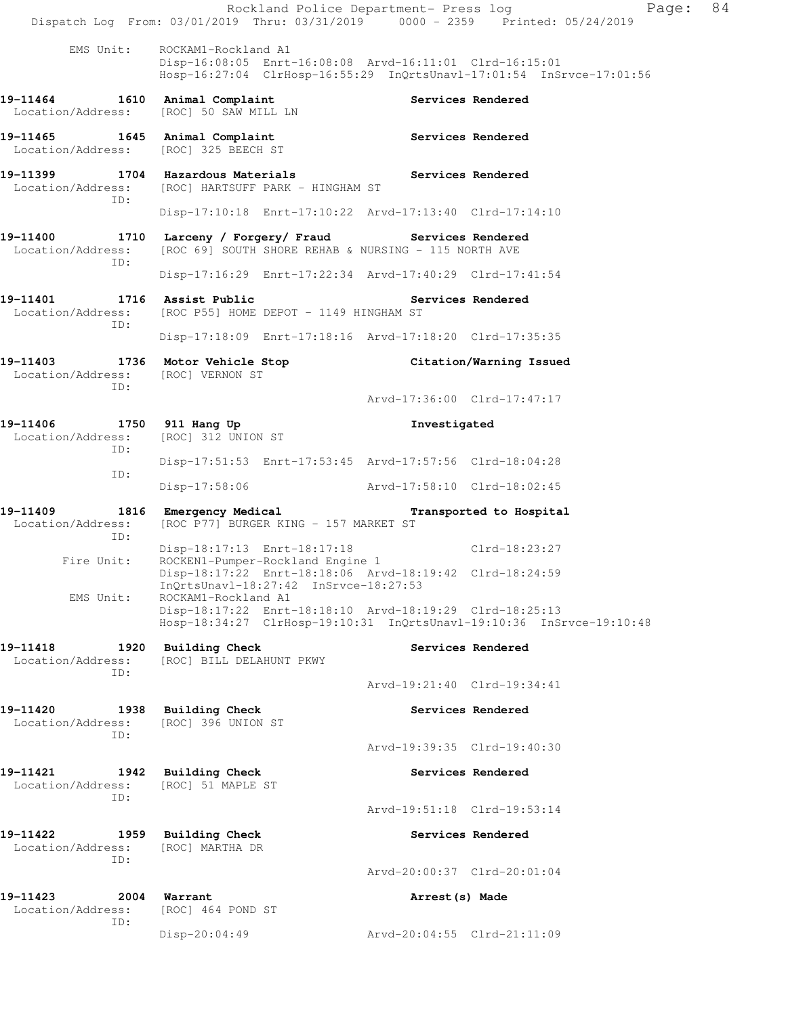|                                                       | Dispatch Log From: 03/01/2019 Thru: 03/31/2019 0000 - 2359 Printed: 05/24/2019                                                                         |                             | Page: 84<br>Rockland Police Department- Press log |  |
|-------------------------------------------------------|--------------------------------------------------------------------------------------------------------------------------------------------------------|-----------------------------|---------------------------------------------------|--|
| EMS Unit:                                             | ROCKAM1-Rockland A1<br>Disp-16:08:05 Enrt-16:08:08 Arvd-16:11:01 Clrd-16:15:01<br>Hosp-16:27:04 ClrHosp-16:55:29 InQrtsUnavl-17:01:54 InSrvce-17:01:56 |                             |                                                   |  |
| Location/Address:                                     | 19-11464 1610 Animal Complaint<br>[ROC] 50 SAW MILL LN                                                                                                 |                             | Services Rendered                                 |  |
|                                                       | 19-11465 1645 Animal Complaint<br>Location/Address: [ROC] 325 BEECH ST                                                                                 | Services Rendered           |                                                   |  |
|                                                       | 19-11399 1704 Hazardous Materials 19-11399 Services Rendered<br>Location/Address: [ROC] HARTSUFF PARK - HINGHAM ST                                     |                             |                                                   |  |
| ID:                                                   | Disp-17:10:18 Enrt-17:10:22 Arvd-17:13:40 Clrd-17:14:10                                                                                                |                             |                                                   |  |
| Location/Address:                                     | 19-11400 1710 Larceny / Forgery/ Fraud Services Rendered<br>[ROC 69] SOUTH SHORE REHAB & NURSING - 115 NORTH AVE                                       |                             |                                                   |  |
| ID:                                                   | Disp-17:16:29 Enrt-17:22:34 Arvd-17:40:29 Clrd-17:41:54                                                                                                |                             |                                                   |  |
| Location/Address:                                     | 19-11401 1716 Assist Public<br>[ROC P55] HOME DEPOT - 1149 HINGHAM ST                                                                                  | Services Rendered           |                                                   |  |
| ID:                                                   | Disp-17:18:09 Enrt-17:18:16 Arvd-17:18:20 Clrd-17:35:35                                                                                                |                             |                                                   |  |
| Location/Address: [ROC] VERNON ST                     | 19-11403 1736 Motor Vehicle Stop Citation/Warning Issued                                                                                               |                             |                                                   |  |
| ID:                                                   |                                                                                                                                                        | Arvd-17:36:00 Clrd-17:47:17 |                                                   |  |
| 19-11406 1750 911 Hang Up<br>Location/Address:<br>ID: | [ROC] 312 UNION ST                                                                                                                                     | Investigated                |                                                   |  |
|                                                       | Disp-17:51:53 Enrt-17:53:45 Arvd-17:57:56 Clrd-18:04:28                                                                                                |                             |                                                   |  |
| ID:                                                   | Disp-17:58:06                                                                                                                                          | Arvd-17:58:10 Clrd-18:02:45 |                                                   |  |
| Location/Address:<br>ID:                              | 19-11409 1816 Emergency Medical Transported to Hospital<br>[ROC P77] BURGER KING - 157 MARKET ST                                                       |                             |                                                   |  |
|                                                       | Fire Unit: ROCKEN1-Pumper-Rockland Engine 1<br>Nien_10.17.00 -                                                                                         |                             |                                                   |  |
|                                                       | Disp-18:17:22 Enrt-18:18:06 Arvd-18:19:42 Clrd-18:24:59<br>InQrtsUnavl-18:27:42 InSrvce-18:27:53                                                       |                             |                                                   |  |
| EMS Unit:                                             | ROCKAM1-Rockland A1<br>Disp-18:17:22 Enrt-18:18:10 Arvd-18:19:29 Clrd-18:25:13<br>Hosp-18:34:27 ClrHosp-19:10:31 InQrtsUnavl-19:10:36 InSrvce-19:10:48 |                             |                                                   |  |
| 19-11418<br>Location/Address:                         | 1920 Building Check<br>[ROC] BILL DELAHUNT PKWY                                                                                                        |                             | Services Rendered                                 |  |
| ID:                                                   |                                                                                                                                                        | Arvd-19:21:40 Clrd-19:34:41 |                                                   |  |
| 19-11420<br>Location/Address:                         | 1938 Building Check<br>[ROC] 396 UNION ST                                                                                                              |                             | Services Rendered                                 |  |
| ID:                                                   |                                                                                                                                                        | Arvd-19:39:35 Clrd-19:40:30 |                                                   |  |
| 19-11421<br>1942<br>Location/Address:                 | <b>Building Check</b><br>[ROC] 51 MAPLE ST                                                                                                             |                             | Services Rendered                                 |  |
| ID:                                                   |                                                                                                                                                        | Arvd-19:51:18 Clrd-19:53:14 |                                                   |  |
| 19-11422<br>Location/Address:                         | 1959 Building Check<br>[ROC] MARTHA DR                                                                                                                 |                             | Services Rendered                                 |  |
| ID:                                                   |                                                                                                                                                        | Arvd-20:00:37 Clrd-20:01:04 |                                                   |  |
| 19-11423<br>2004<br>Location/Address:                 | Warrant<br>[ROC] 464 POND ST                                                                                                                           | Arrest (s) Made             |                                                   |  |
| ID:                                                   | Disp-20:04:49                                                                                                                                          | Arvd-20:04:55 Clrd-21:11:09 |                                                   |  |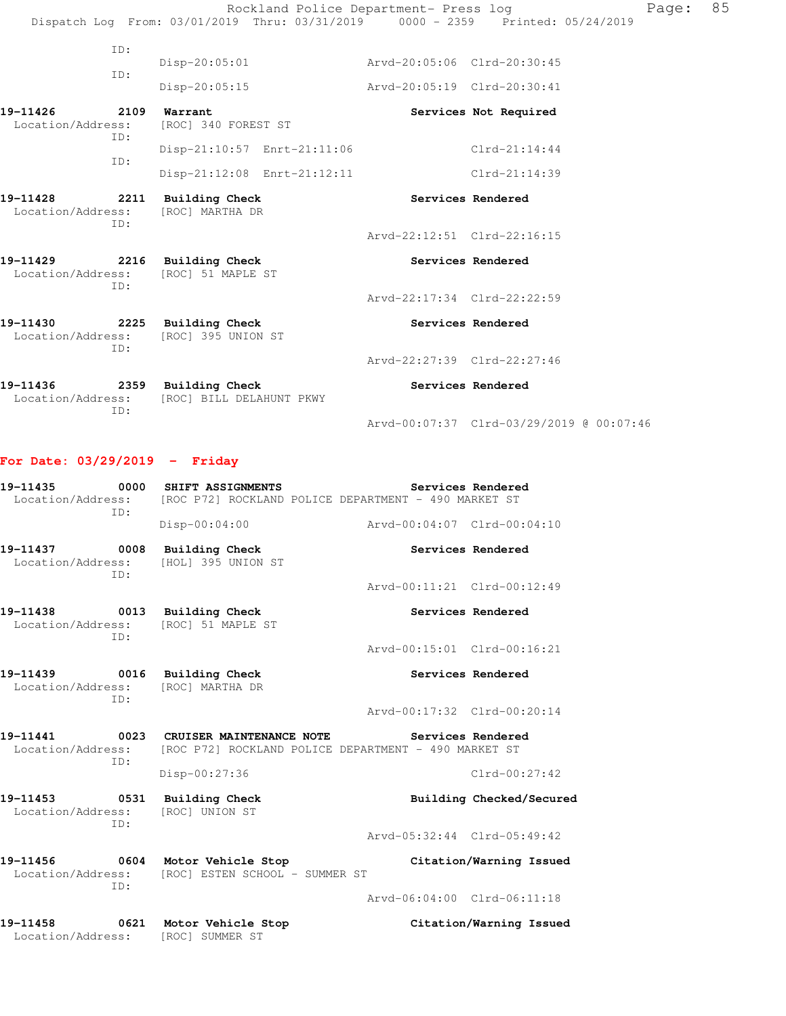|                               |             |                                                                     |                             | Rockland Police Department- Press log | Dispatch Log From: 03/01/2019 Thru: 03/31/2019 0000 - 2359 Printed: 05/24/2019 | Page: | 85 |
|-------------------------------|-------------|---------------------------------------------------------------------|-----------------------------|---------------------------------------|--------------------------------------------------------------------------------|-------|----|
|                               | ID:<br>ID:  | Disp-20:05:01                                                       |                             | Arvd-20:05:06 Clrd-20:30:45           |                                                                                |       |    |
|                               |             | Disp-20:05:15                                                       |                             | Arvd-20:05:19 Clrd-20:30:41           |                                                                                |       |    |
| 19-11426<br>Location/Address: | 2109<br>ID: | Warrant<br>[ROC] 340 FOREST ST                                      |                             |                                       | Services Not Required                                                          |       |    |
|                               |             | Disp-21:10:57 Enrt-21:11:06                                         |                             |                                       | $Clrd-21:14:44$                                                                |       |    |
|                               | ID:         |                                                                     | Disp-21:12:08 Enrt-21:12:11 |                                       | Clrd-21:14:39                                                                  |       |    |
| 19-11428<br>Location/Address: | TD:         | 2211 Building Check<br>[ROC] MARTHA DR                              |                             |                                       | Services Rendered                                                              |       |    |
|                               |             |                                                                     |                             | Arvd-22:12:51 Clrd-22:16:15           |                                                                                |       |    |
|                               | ID:         | 19-11429 2216 Building Check<br>Location/Address: [ROC] 51 MAPLE ST |                             |                                       | Services Rendered                                                              |       |    |
|                               |             |                                                                     |                             | Arvd-22:17:34 Clrd-22:22:59           |                                                                                |       |    |
| Location/Address:             | ID:         | 19-11430 2225 Building Check<br>[ROC] 395 UNION ST                  |                             |                                       | Services Rendered                                                              |       |    |
|                               |             |                                                                     |                             | Arvd-22:27:39 Clrd-22:27:46           |                                                                                |       |    |
| 19-11436<br>Location/Address: |             | 2359 Building Check<br>[ROC] BILL DELAHUNT PKWY                     |                             |                                       | Services Rendered                                                              |       |    |

Arvd-00:07:37 Clrd-03/29/2019 @ 00:07:46

## **For Date: 03/29/2019 - Friday**

ID:

| 19-11435 0000 SHIFT ASSIGNMENTS<br>TD:                                      |                     | Services Rendered<br>Location/Address: [ROC P72] ROCKLAND POLICE DEPARTMENT - 490 MARKET ST                                   |
|-----------------------------------------------------------------------------|---------------------|-------------------------------------------------------------------------------------------------------------------------------|
|                                                                             | $Disp-00:04:00$     | Arvd-00:04:07 Clrd-00:04:10                                                                                                   |
| 19-11437 0008 Building Check<br>Location/Address: [HOL] 395 UNION ST<br>TD: |                     | Services Rendered                                                                                                             |
|                                                                             |                     | Arvd-00:11:21 Clrd-00:12:49                                                                                                   |
| 19-11438 0013 Building Check<br>Location/Address: [ROC] 51 MAPLE ST<br>TD:  |                     | Services Rendered                                                                                                             |
|                                                                             |                     | Arvd-00:15:01 Clrd-00:16:21                                                                                                   |
| 19-11439<br>Location/Address: [ROC] MARTHA DR<br>TD:                        | 0016 Building Check | Services Rendered                                                                                                             |
|                                                                             |                     | Arvd-00:17:32 Clrd-00:20:14                                                                                                   |
| 19-11441<br>TD:                                                             |                     | 0023 CRUISER MAINTENANCE NOTE THE Services Rendered<br>Location/Address: [ROC P72] ROCKLAND POLICE DEPARTMENT - 490 MARKET ST |
|                                                                             | Disp-00:27:36       | $Clrd-00:27:42$                                                                                                               |

**19-11453 0531 Building Check Building Checked/Secured**  Location/Address: [ROC] UNION ST ID: Arvd-05:32:44 Clrd-05:49:42

**19-11456 0604 Motor Vehicle Stop Citation/Warning Issued**  Location/Address: [ROC] ESTEN SCHOOL - SUMMER ST ID:

Arvd-06:04:00 Clrd-06:11:18

**19-11458 0621 Motor Vehicle Stop Citation/Warning Issued**  Location/Address: [ROC] SUMMER ST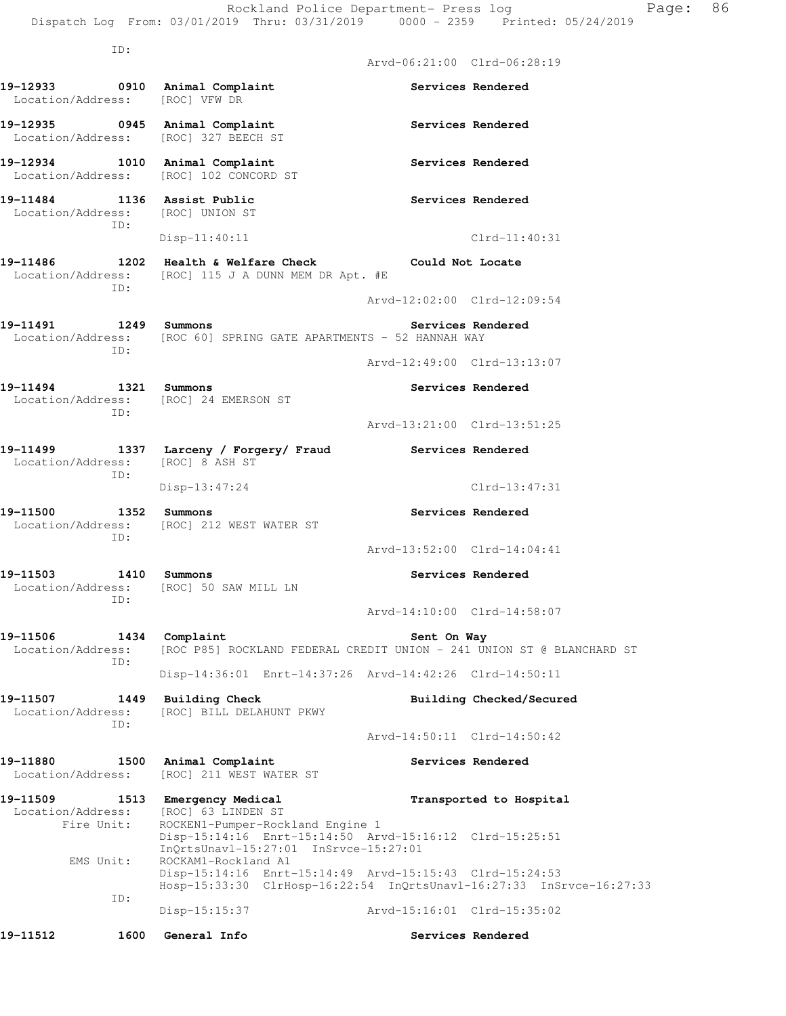|                                                                                                              |      |                                                 |                                                                           | Rockland Police Department- Press log                   | Dispatch Log From: 03/01/2019 Thru: 03/31/2019 0000 - 2359 Printed: 05/24/2019 | Page: | 86 |
|--------------------------------------------------------------------------------------------------------------|------|-------------------------------------------------|---------------------------------------------------------------------------|---------------------------------------------------------|--------------------------------------------------------------------------------|-------|----|
|                                                                                                              | ID:  |                                                 |                                                                           | Arvd-06:21:00 Clrd-06:28:19                             |                                                                                |       |    |
| 19-12933 0910 Animal Complaint<br>Location/Address:                                                          |      | [ROC] VFW DR                                    |                                                                           |                                                         | Services Rendered                                                              |       |    |
| 19-12935 0945 Animal Complaint<br>Location/Address:                                                          |      | [ROC] 327 BEECH ST                              |                                                                           |                                                         | Services Rendered                                                              |       |    |
| 19-12934 1010 Animal Complaint<br>Location/Address: [ROC] 102 CONCORD ST                                     |      |                                                 |                                                                           |                                                         | Services Rendered                                                              |       |    |
| 19-11484 1136 Assist Public<br>Location/Address: [ROC] UNION ST                                              | ID:  |                                                 |                                                                           |                                                         | Services Rendered                                                              |       |    |
|                                                                                                              |      | $Disp-11:40:11$                                 |                                                                           |                                                         | $Clrd-11:40:31$                                                                |       |    |
| 19-11486 1202 Health & Welfare Check Could Not Locate<br>Location/Address: [ROC] 115 J A DUNN MEM DR Apt. #E | ID:  |                                                 |                                                                           |                                                         |                                                                                |       |    |
|                                                                                                              |      |                                                 |                                                                           | Arvd-12:02:00 Clrd-12:09:54                             |                                                                                |       |    |
| 19-11491 1249 Summons<br>Location/Address: [ROC 60] SPRING GATE APARTMENTS - 52 HANNAH WAY                   | ID:  |                                                 |                                                                           | <b>Services Rendered</b>                                |                                                                                |       |    |
|                                                                                                              |      |                                                 |                                                                           | Arvd-12:49:00 Clrd-13:13:07                             |                                                                                |       |    |
| 19-11494 1321 Summons<br>Location/Address: [ROC] 24 EMERSON ST                                               | ID:  |                                                 |                                                                           |                                                         | Services Rendered                                                              |       |    |
|                                                                                                              |      |                                                 |                                                                           | Arvd-13:21:00 Clrd-13:51:25                             |                                                                                |       |    |
| 19-11499 1337 Larceny / Forgery/ Fraud<br>Location/Address:                                                  | ID:  | [ROC] 8 ASH ST                                  |                                                                           | Services Rendered                                       |                                                                                |       |    |
|                                                                                                              |      | $Disp-13:47:24$                                 |                                                                           |                                                         | Clrd-13:47:31                                                                  |       |    |
| 19-11500<br>Location/Address: [ROC] 212 WEST WATER ST                                                        | ID:  | 1352 Summons                                    |                                                                           |                                                         | Services Rendered                                                              |       |    |
|                                                                                                              |      |                                                 |                                                                           | Arvd-13:52:00 Clrd-14:04:41                             |                                                                                |       |    |
| 19-11503<br>Location/Address:                                                                                | ID:  | 1410 Summons<br>[ROC] 50 SAW MILL LN            |                                                                           |                                                         | Services Rendered                                                              |       |    |
|                                                                                                              |      |                                                 |                                                                           | Arvd-14:10:00 Clrd-14:58:07                             |                                                                                |       |    |
| 19-11506<br>Location/Address:                                                                                | ID:  | 1434 Complaint                                  |                                                                           | Sent On Way                                             | [ROC P85] ROCKLAND FEDERAL CREDIT UNION - 241 UNION ST @ BLANCHARD ST          |       |    |
|                                                                                                              |      |                                                 |                                                                           | Disp-14:36:01 Enrt-14:37:26 Arvd-14:42:26 Clrd-14:50:11 |                                                                                |       |    |
| 19-11507<br>Location/Address:                                                                                | ID:  | 1449 Building Check<br>[ROC] BILL DELAHUNT PKWY |                                                                           |                                                         | Building Checked/Secured                                                       |       |    |
|                                                                                                              |      |                                                 |                                                                           | Arvd-14:50:11 Clrd-14:50:42                             |                                                                                |       |    |
| 19-11880<br>Location/Address:                                                                                | 1500 | Animal Complaint<br>[ROC] 211 WEST WATER ST     |                                                                           |                                                         | Services Rendered                                                              |       |    |
| 19-11509<br>Location/Address:<br>Fire Unit:                                                                  |      | 1513 Emergency Medical<br>[ROC] 63 LINDEN ST    | ROCKEN1-Pumper-Rockland Engine 1<br>InQrtsUnavl-15:27:01 InSrvce-15:27:01 | Disp-15:14:16 Enrt-15:14:50 Arvd-15:16:12 Clrd-15:25:51 | Transported to Hospital                                                        |       |    |
| EMS Unit:                                                                                                    |      | ROCKAM1-Rockland A1                             |                                                                           | Disp-15:14:16 Enrt-15:14:49 Arvd-15:15:43 Clrd-15:24:53 | Hosp-15:33:30 ClrHosp-16:22:54 InQrtsUnavl-16:27:33 InSrvce-16:27:33           |       |    |
|                                                                                                              | ID:  | $Disp-15:15:37$                                 |                                                                           | Arvd-15:16:01 Clrd-15:35:02                             |                                                                                |       |    |
| 19–11512                                                                                                     | 1600 | General Info                                    |                                                                           |                                                         | Services Rendered                                                              |       |    |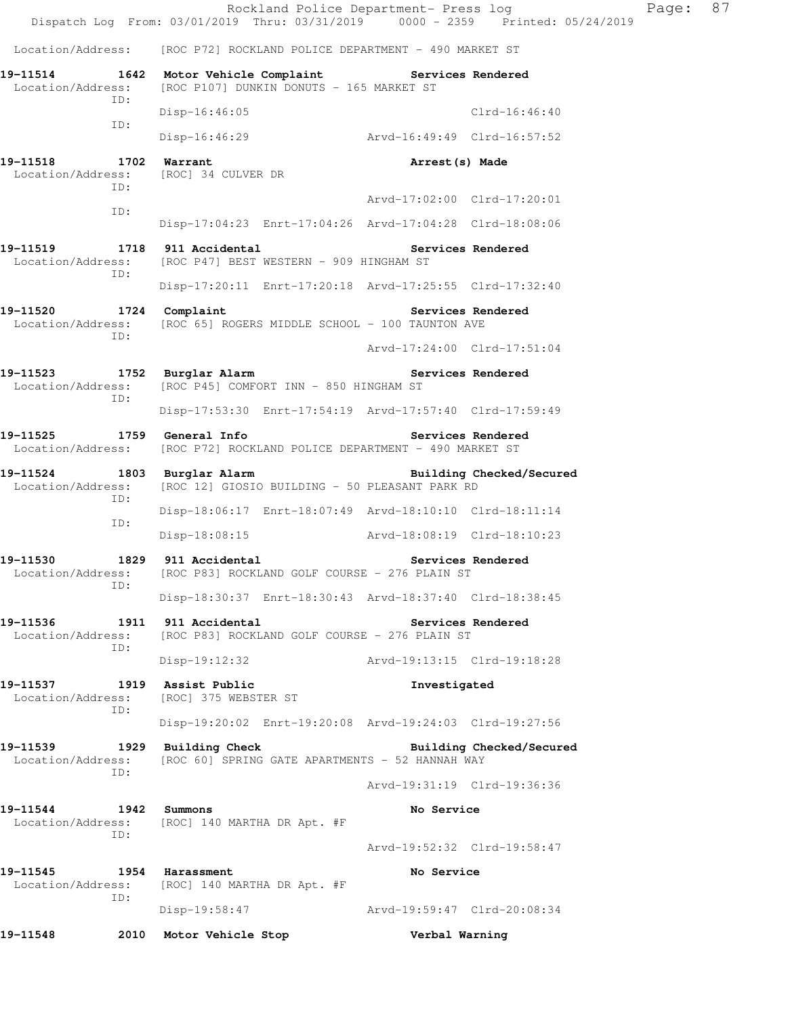Rockland Police Department- Press log Faqe: 87 Dispatch Log From: 03/01/2019 Thru: 03/31/2019 0000 - 2359 Printed: 05/24/2019 Location/Address: [ROC P72] ROCKLAND POLICE DEPARTMENT - 490 MARKET ST **19-11514 1642 Motor Vehicle Complaint Services Rendered**  Location/Address: [ROC P107] DUNKIN DONUTS - 165 MARKET ST ID: Disp-16:46:05 Clrd-16:46:40 ID: Disp-16:46:29 Arvd-16:49:49 Clrd-16:57:52 **19-11518 1702 Warrant Arrest(s) Made**  Location/Address: [ROC] 34 CULVER DR ID: Arvd-17:02:00 Clrd-17:20:01 ID: Disp-17:04:23 Enrt-17:04:26 Arvd-17:04:28 Clrd-18:08:06 19-11519 1718 911 Accidental **19-11519** Services Rendered Location/Address: [ROC P47] BEST WESTERN - 909 HINGHAM ST ID: Disp-17:20:11 Enrt-17:20:18 Arvd-17:25:55 Clrd-17:32:40 **19-11520 1724 Complaint Services Rendered**  Location/Address: [ROC 65] ROGERS MIDDLE SCHOOL - 100 TAUNTON AVE ID: Arvd-17:24:00 Clrd-17:51:04 19-11523 1752 Burglar Alarm **19-11523** Services Rendered Location/Address: [ROC P45] COMFORT INN - 850 HINGHAM ST ID: Disp-17:53:30 Enrt-17:54:19 Arvd-17:57:40 Clrd-17:59:49 **19-11525 1759 General Info Services Rendered**  Location/Address: [ROC P72] ROCKLAND POLICE DEPARTMENT - 490 MARKET ST **19-11524 1803 Burglar Alarm Building Checked/Secured**  Location/Address: [ROC 12] GIOSIO BUILDING - 50 PLEASANT PARK RD ID: Disp-18:06:17 Enrt-18:07:49 Arvd-18:10:10 Clrd-18:11:14 ID: Disp-18:08:15 Arvd-18:08:19 Clrd-18:10:23 **19-11530 1829 911 Accidental Services Rendered**  Location/Address: [ROC P83] ROCKLAND GOLF COURSE - 276 PLAIN ST ID: Disp-18:30:37 Enrt-18:30:43 Arvd-18:37:40 Clrd-18:38:45 19-11536 1911 911 Accidental **1911 Services Rendered**  Location/Address: [ROC P83] ROCKLAND GOLF COURSE - 276 PLAIN ST ID: Disp-19:12:32 Arvd-19:13:15 Clrd-19:18:28 **19-11537 1919 Assist Public Investigated**  Location/Address: [ROC] 375 WEBSTER ST ID: Disp-19:20:02 Enrt-19:20:08 Arvd-19:24:03 Clrd-19:27:56 **19-11539 1929 Building Check Building Checked/Secured**  Location/Address: [ROC 60] SPRING GATE APARTMENTS - 52 HANNAH WAY ID: Arvd-19:31:19 Clrd-19:36:36 **19-11544 1942 Summons No Service**  Location/Address: [ROC] 140 MARTHA DR Apt. #F ID: Arvd-19:52:32 Clrd-19:58:47 **19-11545 1954 Harassment No Service**  Location/Address: [ROC] 140 MARTHA DR Apt. #F ID: Disp-19:58:47 Arvd-19:59:47 Clrd-20:08:34 **19-11548 2010 Motor Vehicle Stop Verbal Warning**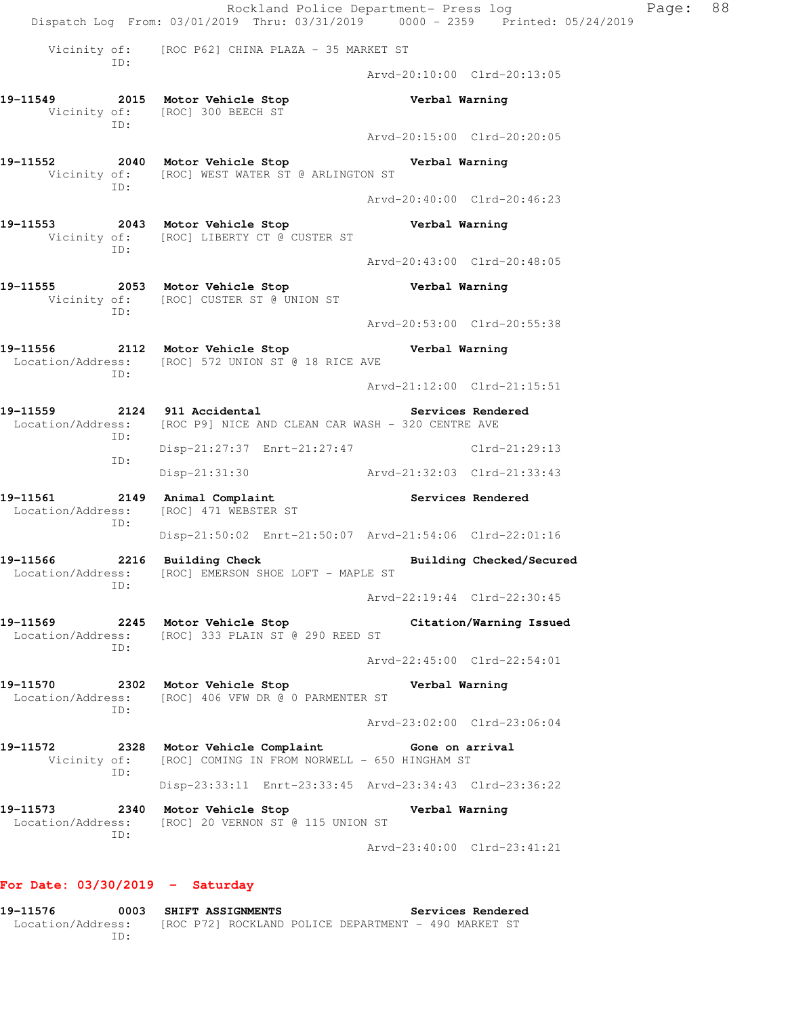Rockland Police Department- Press log Page: 88 Dispatch Log From: 03/01/2019 Thru: 03/31/2019 0000 - 2359 Printed: 05/24/2019 Vicinity of: [ROC P62] CHINA PLAZA - 35 MARKET ST ID: Arvd-20:10:00 Clrd-20:13:05 **19-11549 2015 Motor Vehicle Stop Verbal Warning**  Vicinity of: [ROC] 300 BEECH ST ID: Arvd-20:15:00 Clrd-20:20:05 **19-11552 2040 Motor Vehicle Stop Verbal Warning**  Vicinity of: [ROC] WEST WATER ST @ ARLINGTON ST ID: Arvd-20:40:00 Clrd-20:46:23 **19-11553 2043 Motor Vehicle Stop Verbal Warning**  Vicinity of: [ROC] LIBERTY CT @ CUSTER ST ID: Arvd-20:43:00 Clrd-20:48:05 **19-11555 2053 Motor Vehicle Stop Verbal Warning**  Vicinity of: [ROC] CUSTER ST @ UNION ST ID: Arvd-20:53:00 Clrd-20:55:38 **19-11556 2112 Motor Vehicle Stop Verbal Warning**  Location/Address: [ROC] 572 UNION ST @ 18 RICE AVE ID: Arvd-21:12:00 Clrd-21:15:51 **19-11559 2124 911 Accidental Services Rendered**  Location/Address: [ROC P9] NICE AND CLEAN CAR WASH - 320 CENTRE AVE ID: Disp-21:27:37 Enrt-21:27:47 Clrd-21:29:13 ID: Disp-21:31:30 Arvd-21:32:03 Clrd-21:33:43 **19-11561 2149 Animal Complaint Services Rendered**  Location/Address: [ROC] 471 WEBSTER ST ID: Disp-21:50:02 Enrt-21:50:07 Arvd-21:54:06 Clrd-22:01:16 19-11566 2216 Building Check **Building Building Checked/Secured**  Location/Address: [ROC] EMERSON SHOE LOFT - MAPLE ST ID: Arvd-22:19:44 Clrd-22:30:45 **19-11569 2245 Motor Vehicle Stop Citation/Warning Issued**  Location/Address: [ROC] 333 PLAIN ST @ 290 REED ST ID: Arvd-22:45:00 Clrd-22:54:01 **19-11570 2302 Motor Vehicle Stop Verbal Warning**  Location/Address: [ROC] 406 VFW DR @ 0 PARMENTER ST ID: Arvd-23:02:00 Clrd-23:06:04 **19-11572 2328 Motor Vehicle Complaint Gone on arrival**  Vicinity of: [ROC] COMING IN FROM NORWELL - 650 HINGHAM ST ID: Disp-23:33:11 Enrt-23:33:45 Arvd-23:34:43 Clrd-23:36:22 **19-11573 2340 Motor Vehicle Stop Verbal Warning**  Location/Address: [ROC] 20 VERNON ST @ 115 UNION ST ID: Arvd-23:40:00 Clrd-23:41:21

## **For Date: 03/30/2019 - Saturday**

**19-11576 0003 SHIFT ASSIGNMENTS Services Rendered**  Location/Address: [ROC P72] ROCKLAND POLICE DEPARTMENT - 490 MARKET ST ID: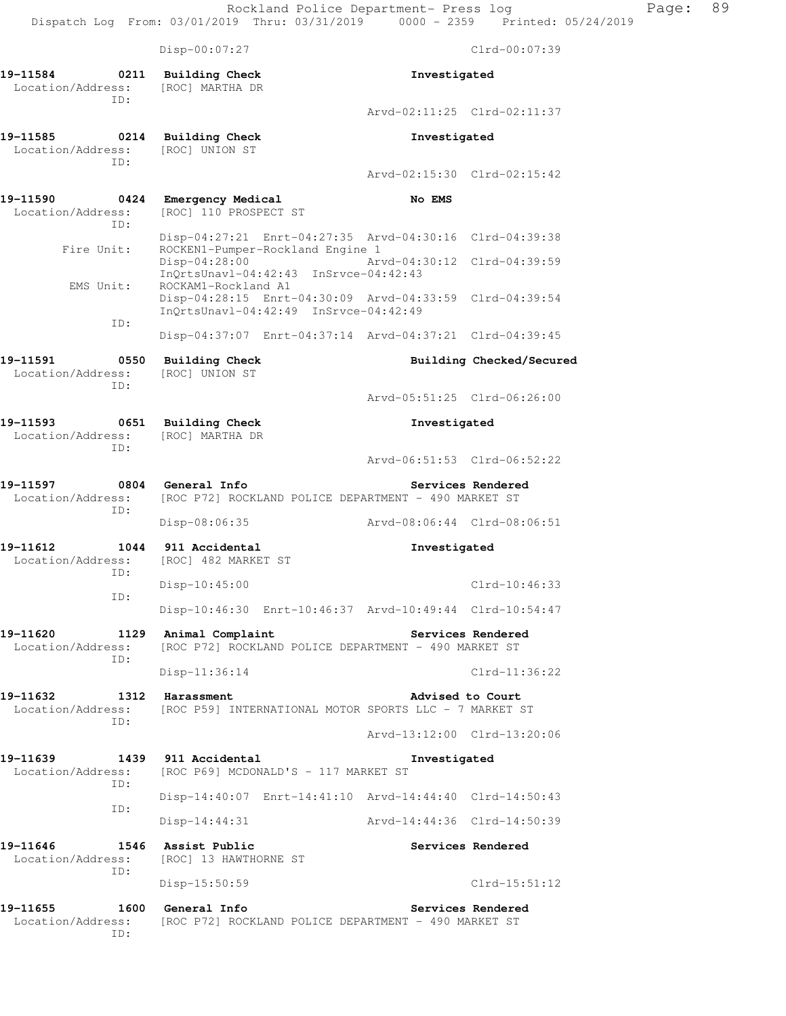Disp-00:07:27 Clrd-00:07:39 **19-11584** 0211 Building Check **Investigated** Investigated Location/Address: [ROC] MARTHA DR Location/Address: ID: Arvd-02:11:25 Clrd-02:11:37 **19-11585 0214 Building Check Investigated**  Location/Address: [ROC] UNION ST ID: Arvd-02:15:30 Clrd-02:15:42 **19-11590 0424 Emergency Medical No EMS**  Location/Address: [ROC] 110 PROSPECT ST ID: Disp-04:27:21 Enrt-04:27:35 Arvd-04:30:16 Clrd-04:39:38 Fire Unit: ROCKEN1-Pumper-Rockland Engine 1 Disp-04:28:00 Arvd-04:30:12 Clrd-04:39:59 InQrtsUnavl-04:42:43 InSrvce-04:42:43<br>EMS Unit: ROCKAM1-Rockland A1 ROCKAM1-Rockland A1 Disp-04:28:15 Enrt-04:30:09 Arvd-04:33:59 Clrd-04:39:54 InQrtsUnavl-04:42:49 InSrvce-04:42:49 ID: Disp-04:37:07 Enrt-04:37:14 Arvd-04:37:21 Clrd-04:39:45 19-11591 **0550** Building Check **Building Building Checked/Secured**  Location/Address: [ROC] UNION ST ID: Arvd-05:51:25 Clrd-06:26:00 **19-11593 0651 Building Check Investigated**  Location/Address: [ROC] MARTHA DR ID: Arvd-06:51:53 Clrd-06:52:22 **19-11597 0804 General Info Services Rendered**  Location/Address: [ROC P72] ROCKLAND POLICE DEPARTMENT - 490 MARKET ST ID: Disp-08:06:35 Arvd-08:06:44 Clrd-08:06:51 **19-11612 1044 911 Accidental Investigated**  Location/Address: [ROC] 482 MARKET ST ID: Disp-10:45:00 Clrd-10:46:33 ID: Disp-10:46:30 Enrt-10:46:37 Arvd-10:49:44 Clrd-10:54:47 **19-11620 1129 Animal Complaint Services Rendered**  Location/Address: [ROC P72] ROCKLAND POLICE DEPARTMENT - 490 MARKET ST ID: Disp-11:36:14 Clrd-11:36:22 19-11632 1312 Harassment **19-11632** 1312 **Harassment**  Location/Address: [ROC P59] INTERNATIONAL MOTOR SPORTS LLC - 7 MARKET ST ID: Arvd-13:12:00 Clrd-13:20:06 **19-11639 1439 911 Accidental Investigated**  Location/Address: [ROC P69] MCDONALD'S - 117 MARKET ST ID: Disp-14:40:07 Enrt-14:41:10 Arvd-14:44:40 Clrd-14:50:43 ID: Disp-14:44:31 Arvd-14:44:36 Clrd-14:50:39 19-11646 1546 Assist Public **19-11646** Services Rendered Location/Address: [ROC] 13 HAWTHORNE ST ID: Disp-15:50:59 Clrd-15:51:12 19-11655 1600 General Info **1999 Services Rendered**  Location/Address: [ROC P72] ROCKLAND POLICE DEPARTMENT - 490 MARKET ST ID: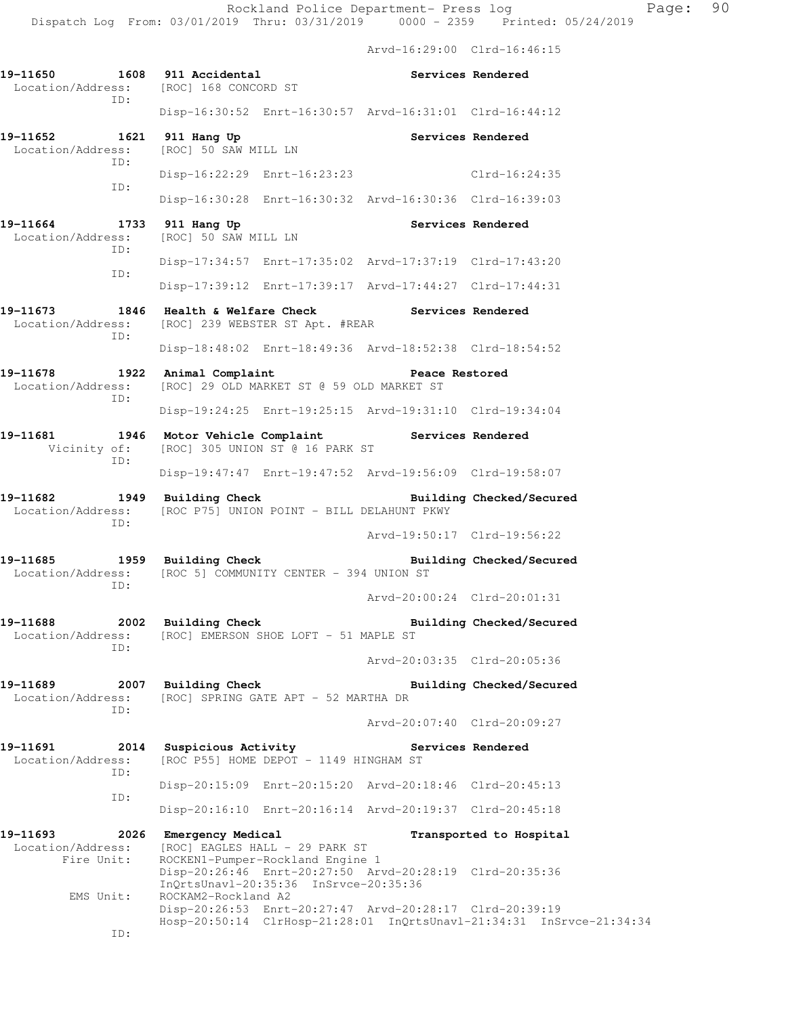Arvd-16:29:00 Clrd-16:46:15

**19-11650 1608 911 Accidental Services Rendered**  Location/Address: [ROC] 168 CONCORD ST ID: Disp-16:30:52 Enrt-16:30:57 Arvd-16:31:01 Clrd-16:44:12 19-11652 1621 911 Hang Up **Services Rendered**  Location/Address: [ROC] 50 SAW MILL LN ID: Disp-16:22:29 Enrt-16:23:23 Clrd-16:24:35 ID: Disp-16:30:28 Enrt-16:30:32 Arvd-16:30:36 Clrd-16:39:03 19-11664 1733 911 Hang Up **Services Rendered**  Location/Address: [ROC] 50 SAW MILL LN ID: Disp-17:34:57 Enrt-17:35:02 Arvd-17:37:19 Clrd-17:43:20 ID: Disp-17:39:12 Enrt-17:39:17 Arvd-17:44:27 Clrd-17:44:31 **19-11673 1846 Health & Welfare Check Services Rendered**  Location/Address: [ROC] 239 WEBSTER ST Apt. #REAR ID: Disp-18:48:02 Enrt-18:49:36 Arvd-18:52:38 Clrd-18:54:52 19-11678 1922 Animal Complaint **1988** Peace Restored Location/Address: [ROC] 29 OLD MARKET ST @ 59 OLD MARKET ST ID: Disp-19:24:25 Enrt-19:25:15 Arvd-19:31:10 Clrd-19:34:04 **19-11681 1946 Motor Vehicle Complaint Services Rendered**  Vicinity of: [ROC] 305 UNION ST @ 16 PARK ST ID: Disp-19:47:47 Enrt-19:47:52 Arvd-19:56:09 Clrd-19:58:07 **19-11682 1949 Building Check Building Checked/Secured**  Location/Address: [ROC P75] UNION POINT - BILL DELAHUNT PKWY ID: Arvd-19:50:17 Clrd-19:56:22 **19-11685 1959 Building Check Building Checked/Secured**  Location/Address: [ROC 5] COMMUNITY CENTER - 394 UNION ST ID: Arvd-20:00:24 Clrd-20:01:31 **19-11688 2002 Building Check Building Checked/Secured**  Location/Address: [ROC] EMERSON SHOE LOFT - 51 MAPLE ST ID: Arvd-20:03:35 Clrd-20:05:36 **19-11689 2007 Building Check Building Checked/Secured**  Location/Address: [ROC] SPRING GATE APT - 52 MARTHA DR ID: Arvd-20:07:40 Clrd-20:09:27 **19-11691 2014 Suspicious Activity Services Rendered**  Location/Address: [ROC P55] HOME DEPOT - 1149 HINGHAM ST ID: Disp-20:15:09 Enrt-20:15:20 Arvd-20:18:46 Clrd-20:45:13 ID: Disp-20:16:10 Enrt-20:16:14 Arvd-20:19:37 Clrd-20:45:18 **19-11693 2026 Emergency Medical Transported to Hospital**  Location/Address: [ROC] EAGLES HALL - 29 PARK ST Fire Unit: ROCKEN1-Pumper-Rockland Engine 1 Disp-20:26:46 Enrt-20:27:50 Arvd-20:28:19 Clrd-20:35:36 InQrtsUnavl-20:35:36 InSrvce-20:35:36 EMS Unit: ROCKAM2-Rockland A2 Disp-20:26:53 Enrt-20:27:47 Arvd-20:28:17 Clrd-20:39:19 Hosp-20:50:14 ClrHosp-21:28:01 InQrtsUnavl-21:34:31 InSrvce-21:34:34 ID: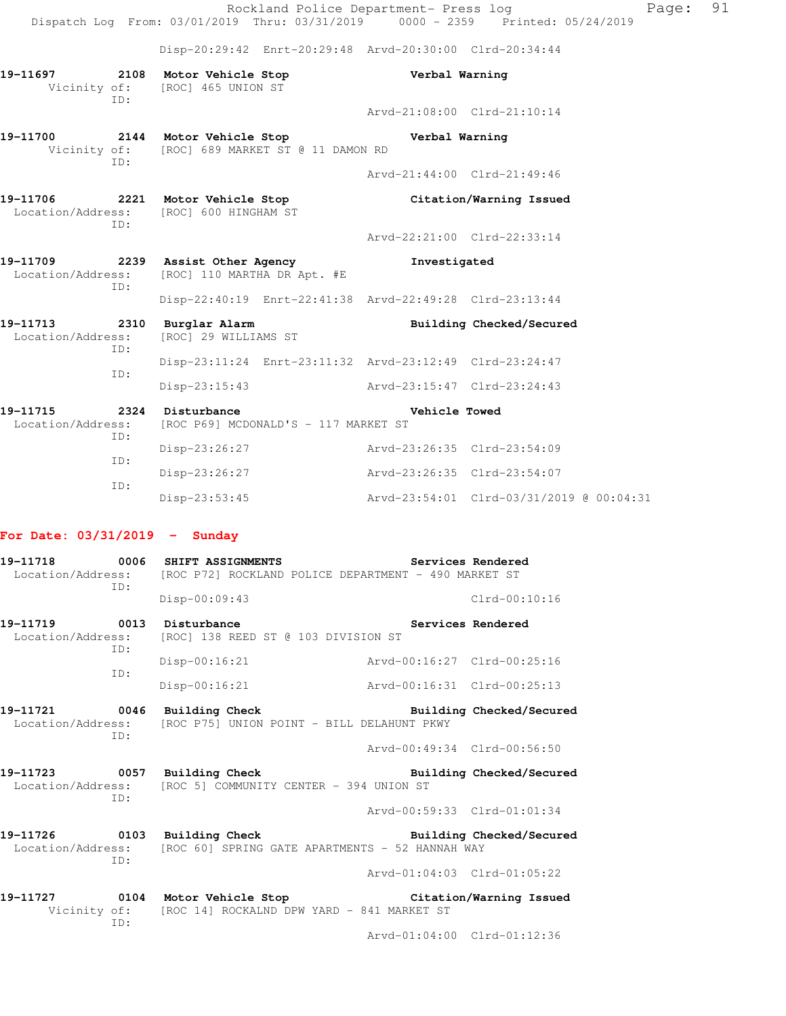|                                                  |     |                                                                                                   | Rockland Police Department- Press log |                                          | Page: 91 |  |
|--------------------------------------------------|-----|---------------------------------------------------------------------------------------------------|---------------------------------------|------------------------------------------|----------|--|
|                                                  |     | Dispatch Log From: 03/01/2019 Thru: 03/31/2019 0000 - 2359 Printed: 05/24/2019                    |                                       |                                          |          |  |
|                                                  |     | Disp-20:29:42 Enrt-20:29:48 Arvd-20:30:00 Clrd-20:34:44                                           |                                       |                                          |          |  |
|                                                  | TD: | 19-11697 2108 Motor Vehicle Stop<br>Vicinity of: [ROC] 465 UNION ST                               | Verbal Warning                        |                                          |          |  |
|                                                  |     |                                                                                                   |                                       | Arvd-21:08:00 Clrd-21:10:14              |          |  |
|                                                  | TD: | 19-11700 2144 Motor Vehicle Stop Nerbal Warning<br>Vicinity of: [ROC] 689 MARKET ST @ 11 DAMON RD |                                       |                                          |          |  |
|                                                  |     |                                                                                                   |                                       | Arvd-21:44:00 Clrd-21:49:46              |          |  |
|                                                  | ID: | 19-11706 2221 Motor Vehicle Stop<br>Location/Address: [ROC] 600 HINGHAM ST                        |                                       | Citation/Warning Issued                  |          |  |
|                                                  |     |                                                                                                   |                                       | Arvd-22:21:00 Clrd-22:33:14              |          |  |
|                                                  | ID: | 19-11709 2239 Assist Other Agency<br>Location/Address: [ROC] 110 MARTHA DR Apt. #E                | Investigated                          |                                          |          |  |
|                                                  |     | Disp-22:40:19 Enrt-22:41:38 Arvd-22:49:28 Clrd-23:13:44                                           |                                       |                                          |          |  |
| 19-11713 2310 Burglar Alarm<br>Location/Address: | TD: | [ROC] 29 WILLIAMS ST                                                                              |                                       | Building Checked/Secured                 |          |  |
|                                                  |     | Disp-23:11:24 Enrt-23:11:32 Arvd-23:12:49 Clrd-23:24:47                                           |                                       |                                          |          |  |
|                                                  | ID: | Disp-23:15:43                                                                                     | Arvd-23:15:47 Clrd-23:24:43           |                                          |          |  |
| 19-11715<br>Location/Address:                    |     | 2324 Disturbance<br>[ROC P69] MCDONALD'S - 117 MARKET ST                                          | Vehicle Towed                         |                                          |          |  |
|                                                  | ID: | Disp-23:26:27                                                                                     | Arvd-23:26:35 Clrd-23:54:09           |                                          |          |  |
|                                                  | ID: | Disp-23:26:27                                                                                     | Arvd-23:26:35 Clrd-23:54:07           |                                          |          |  |
|                                                  | ID: | $Disp-23:53:45$                                                                                   |                                       | Arvd-23:54:01 Clrd-03/31/2019 @ 00:04:31 |          |  |

## **For Date: 03/31/2019 - Sunday**

|                           | TD:        | 19-11718 6006 SHIFT ASSIGNMENTS Services Rendered<br>Location/Address: [ROC P72] ROCKLAND POLICE DEPARTMENT - 490 MARKET ST      |                             |                   |
|---------------------------|------------|----------------------------------------------------------------------------------------------------------------------------------|-----------------------------|-------------------|
|                           |            | Disp-00:09:43                                                                                                                    |                             | $Clrd-00:10:16$   |
| 19-11719 0013 Disturbance | ID:<br>TD: | Location/Address: [ROC] 138 REED ST @ 103 DIVISION ST                                                                            |                             | Services Rendered |
|                           |            | $Disp-00:16:21$                                                                                                                  | Arvd-00:16:27 Clrd-00:25:16 |                   |
|                           |            | $Disp-00:16:21$                                                                                                                  | Arvd-00:16:31 Clrd-00:25:13 |                   |
|                           | TD:        | 19-11721 0046 Building Check<br>Location/Address: [ROC P75] UNION POINT - BILL DELAHUNT PKWY                                     | Building Checked/Secured    |                   |
|                           |            |                                                                                                                                  | Arvd-00:49:34 Clrd-00:56:50 |                   |
|                           |            | 19-11723 0057 Building Check Building Checked/Secured<br>Location/Address: [ROC 5] COMMUNITY CENTER - 394 UNION ST               |                             |                   |
|                           | ID:        |                                                                                                                                  | Arvd-00:59:33 Clrd-01:01:34 |                   |
| ID:                       |            | 19-11726 		 0103 Building Check 		 Building Checked/Secured<br>Location/Address: [ROC 60] SPRING GATE APARTMENTS - 52 HANNAH WAY |                             |                   |
|                           |            |                                                                                                                                  | Arvd-01:04:03 Clrd-01:05:22 |                   |
|                           | ID:        | 19-11727 0104 Motor Vehicle Stop Citation/Warning Issued<br>Vicinity of: [ROC 14] ROCKALND DPW YARD - 841 MARKET ST              |                             |                   |
|                           |            |                                                                                                                                  | Arvd-01:04:00 Clrd-01:12:36 |                   |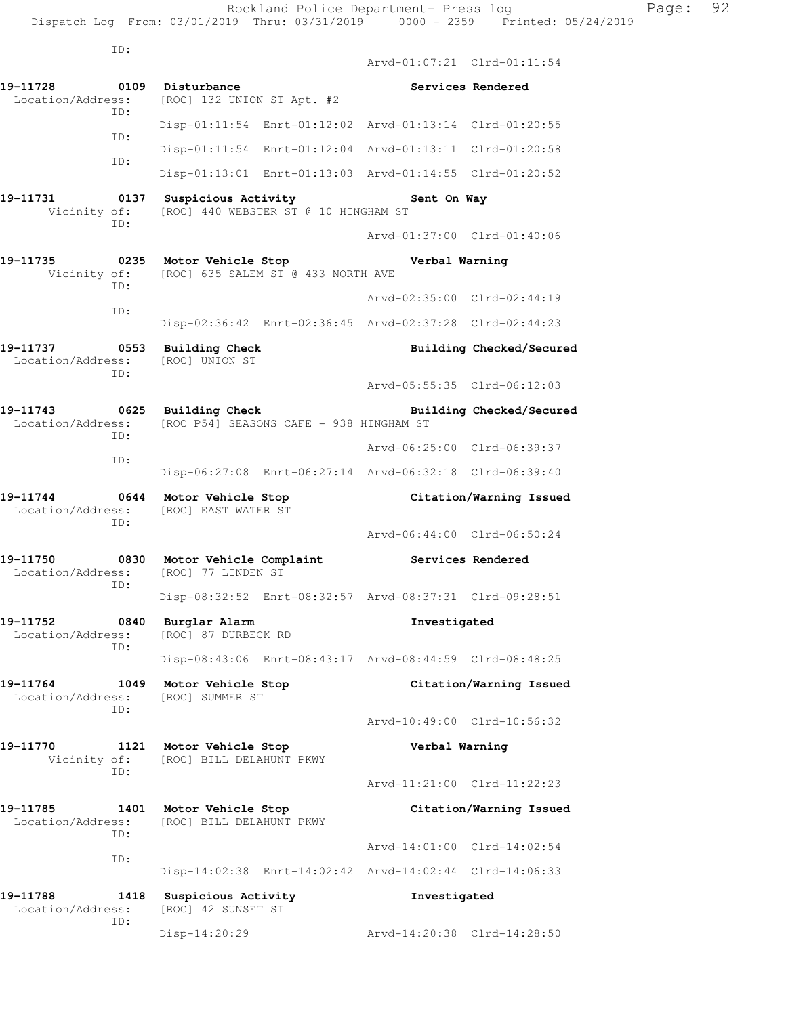ID:

 Arvd-01:07:21 Clrd-01:11:54 **19-11728 0109 Disturbance Services Rendered**  Location/Address: [ROC] 132 UNION ST Apt. #2 ID: Disp-01:11:54 Enrt-01:12:02 Arvd-01:13:14 Clrd-01:20:55 ID: Disp-01:11:54 Enrt-01:12:04 Arvd-01:13:11 Clrd-01:20:58 ID: Disp-01:13:01 Enrt-01:13:03 Arvd-01:14:55 Clrd-01:20:52 19-11731 **0137** Suspicious Activity **Sent On Way**  Vicinity of: [ROC] 440 WEBSTER ST @ 10 HINGHAM ST ID: Arvd-01:37:00 Clrd-01:40:06 **19-11735 0235 Motor Vehicle Stop Verbal Warning**  Vicinity of: [ROC] 635 SALEM ST @ 433 NORTH AVE ID: Arvd-02:35:00 Clrd-02:44:19 ID: Disp-02:36:42 Enrt-02:36:45 Arvd-02:37:28 Clrd-02:44:23 **19-11737 0553 Building Check Building Checked/Secured**  Location/Address: [ROC] UNION ST ID: Arvd-05:55:35 Clrd-06:12:03 **19-11743 0625 Building Check Building Checked/Secured**  Location/Address: [ROC P54] SEASONS CAFE - 938 HINGHAM ST ID: Arvd-06:25:00 Clrd-06:39:37 ID: Disp-06:27:08 Enrt-06:27:14 Arvd-06:32:18 Clrd-06:39:40 **19-11744 0644 Motor Vehicle Stop Citation/Warning Issued**  Location/Address: [ROC] EAST WATER ST ID: Arvd-06:44:00 Clrd-06:50:24 **19-11750 0830 Motor Vehicle Complaint Services Rendered**  Location/Address: [ROC] 77 LINDEN ST ID: Disp-08:32:52 Enrt-08:32:57 Arvd-08:37:31 Clrd-09:28:51 **19-11752 0840 Burglar Alarm Investigated**  Location/Address: [ROC] 87 DURBECK RD ID: Disp-08:43:06 Enrt-08:43:17 Arvd-08:44:59 Clrd-08:48:25 **19-11764 1049 Motor Vehicle Stop Citation/Warning Issued**  Location/Address: [ROC] SUMMER ST ID: Arvd-10:49:00 Clrd-10:56:32 **19-11770 1121 Motor Vehicle Stop Verbal Warning**  Vicinity of: [ROC] BILL DELAHUNT PKWY ID: Arvd-11:21:00 Clrd-11:22:23 **19-11785 1401 Motor Vehicle Stop Citation/Warning Issued**  Location/Address: [ROC] BILL DELAHUNT PKWY ID: Arvd-14:01:00 Clrd-14:02:54 ID: Disp-14:02:38 Enrt-14:02:42 Arvd-14:02:44 Clrd-14:06:33 **19-11788 1418 Suspicious Activity Investigated**  [ROC] 42 SUNSET ST ID:

Disp-14:20:29 Arvd-14:20:38 Clrd-14:28:50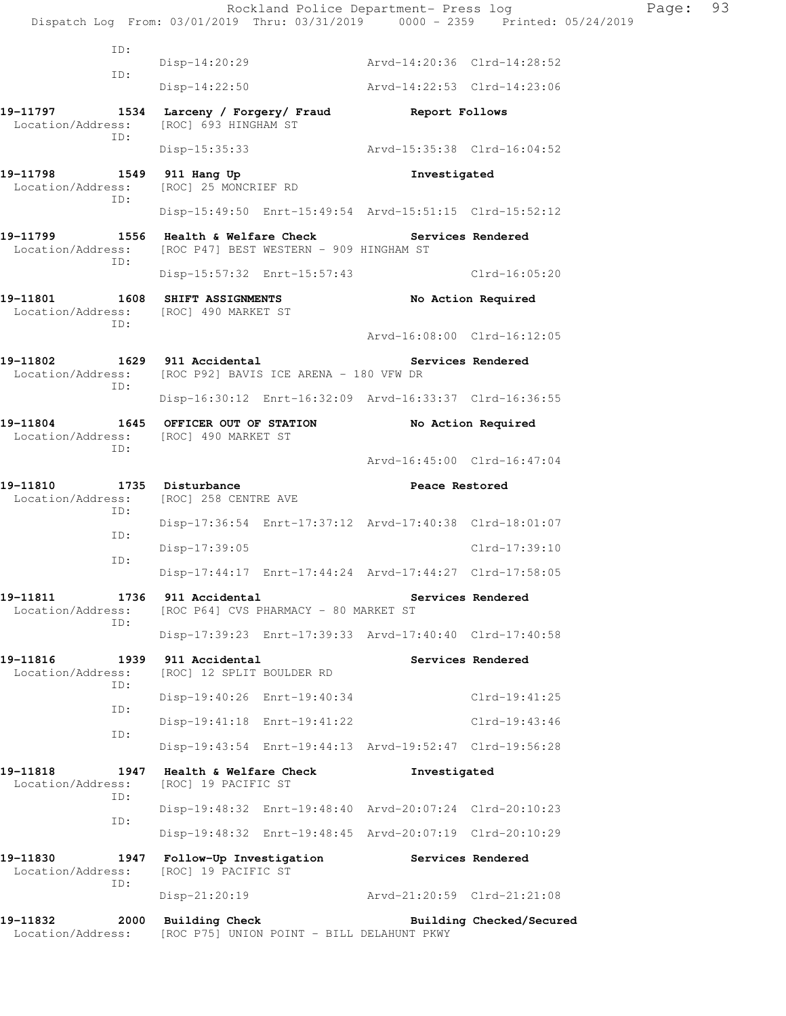Rockland Police Department- Press log Fage: 93 Dispatch Log From: 03/01/2019 Thru: 03/31/2019 0000 - 2359 Printed: 05/24/2019 ID: Disp-14:20:29 Arvd-14:20:36 Clrd-14:28:52 ID: Disp-14:22:50 Arvd-14:22:53 Clrd-14:23:06 **19-11797 1534 Larceny / Forgery/ Fraud Report Follows**  Location/Address: [ROC] 693 HINGHAM ST ID: Disp-15:35:33 Arvd-15:35:38 Clrd-16:04:52 **19-11798 1549 911 Hang Up Investigated**  Location/Address: [ROC] 25 MONCRIEF RD ID: Disp-15:49:50 Enrt-15:49:54 Arvd-15:51:15 Clrd-15:52:12 19-11799 **1556** Health & Welfare Check **Services Rendered**  Location/Address: [ROC P47] BEST WESTERN - 909 HINGHAM ST ID: Disp-15:57:32 Enrt-15:57:43 Clrd-16:05:20 **19-11801 1608 SHIFT ASSIGNMENTS No Action Required**  Location/Address: [ROC] 490 MARKET ST ID: Arvd-16:08:00 Clrd-16:12:05 19-11802 1629 911 Accidental **19-11802** Services Rendered Location/Address: [ROC P92] BAVIS ICE ARENA - 180 VFW DR ID: Disp-16:30:12 Enrt-16:32:09 Arvd-16:33:37 Clrd-16:36:55 **19-11804 1645 OFFICER OUT OF STATION No Action Required**  Location/Address: [ROC] 490 MARKET ST ID: Arvd-16:45:00 Clrd-16:47:04 19-11810 1735 Disturbance **1786** Peace Restored Location/Address: [ROC] 258 CENTRE AVE ID: Disp-17:36:54 Enrt-17:37:12 Arvd-17:40:38 Clrd-18:01:07 ID: Disp-17:39:05 Clrd-17:39:10 ID: Disp-17:44:17 Enrt-17:44:24 Arvd-17:44:27 Clrd-17:58:05 **19-11811 1736 911 Accidental Services Rendered**  Location/Address: [ROC P64] CVS PHARMACY - 80 MARKET ST ID: Disp-17:39:23 Enrt-17:39:33 Arvd-17:40:40 Clrd-17:40:58 **19-11816 1939 911 Accidental Services Rendered**  Location/Address: [ROC] 12 SPLIT BOULDER RD ID: Disp-19:40:26 Enrt-19:40:34 Clrd-19:41:25 ID: Disp-19:41:18 Enrt-19:41:22 Clrd-19:43:46 ID: Disp-19:43:54 Enrt-19:44:13 Arvd-19:52:47 Clrd-19:56:28 **19-11818 1947 Health & Welfare Check Investigated**  Location/Address: [ROC] 19 PACIFIC ST ID: Disp-19:48:32 Enrt-19:48:40 Arvd-20:07:24 Clrd-20:10:23 ID: Disp-19:48:32 Enrt-19:48:45 Arvd-20:07:19 Clrd-20:10:29 **19-11830 1947 Follow-Up Investigation Services Rendered**  Location/Address: [ROC] 19 PACIFIC ST ID: Disp-21:20:19 Arvd-21:20:59 Clrd-21:21:08 19-11832 2000 Building Check **Building Checked/Secured** Location/Address: [ROC P75] UNION POINT - BILL DELAHUNT PKWY